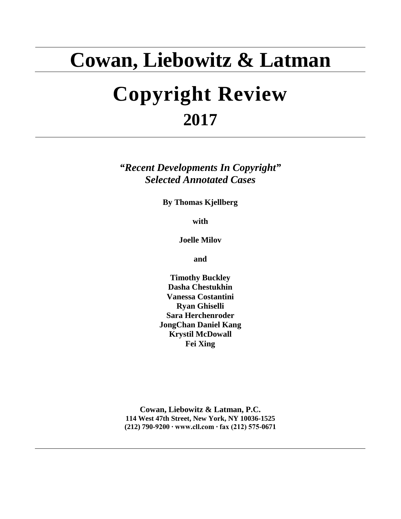## **Cowan, Liebowitz & Latman**

# **Copyright Review 2017**

*"Recent Developments In Copyright" Selected Annotated Cases*

**By Thomas Kjellberg**

**with**

**Joelle Milov**

**and**

**Timothy Buckley Dasha Chestukhin Vanessa Costantini Ryan Ghiselli Sara Herchenroder JongChan Daniel Kang Krystil McDowall Fei Xing**

**Cowan, Liebowitz & Latman, P.C. 114 West 47th Street, New York, NY 10036-1525 (212) 790-9200 ∙ www.cll.com ∙ fax (212) 575-0671**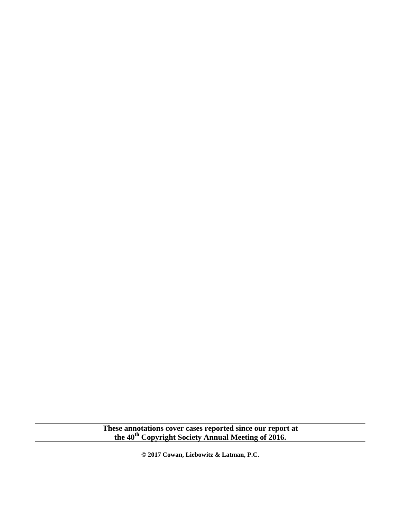**These annotations cover cases reported since our report at the 40th Copyright Society Annual Meeting of 2016.**

**© 2017 Cowan, Liebowitz & Latman, P.C.**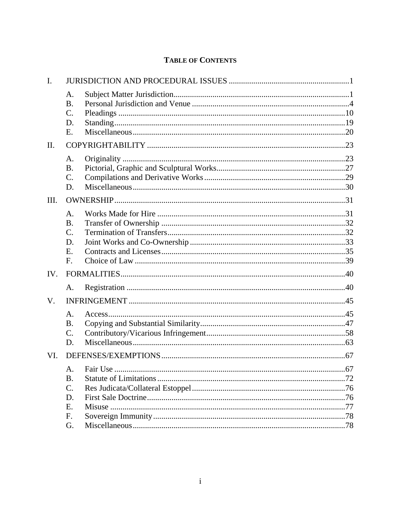## **TABLE OF CONTENTS**

| $\mathbf{I}$ . |                                                               |  |
|----------------|---------------------------------------------------------------|--|
|                | A.<br><b>B.</b><br>$\mathcal{C}$ .<br>D.<br>Ε.                |  |
| II.            |                                                               |  |
|                | A.<br><b>B.</b><br>$\mathcal{C}$ .<br>D.                      |  |
| III.           |                                                               |  |
|                | A.<br><b>B.</b><br>$\mathcal{C}$ .<br>D.<br>Ε.<br>$F_{\cdot}$ |  |
| IV.            |                                                               |  |
|                | A.                                                            |  |
| $V_{\cdot}$    |                                                               |  |
|                | A.<br><b>B.</b><br>$C$ .<br>D.                                |  |
| VI.            |                                                               |  |
|                | <b>B.</b><br>$C$ .<br>D.<br>E.<br>F.<br>G.                    |  |
|                |                                                               |  |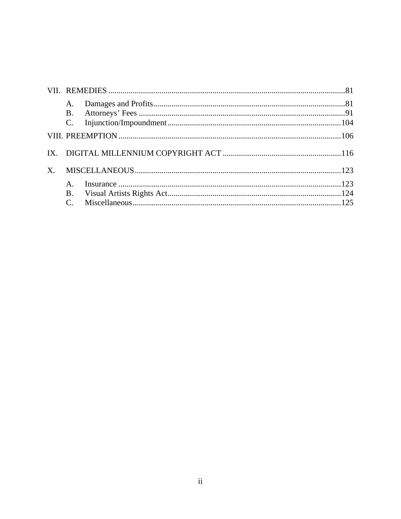|         | <b>B.</b>       |  |
|---------|-----------------|--|
|         | $\mathcal{C}$ . |  |
|         |                 |  |
|         |                 |  |
| $X_{-}$ |                 |  |
|         | $\mathsf{A}$ .  |  |
|         | <b>B.</b>       |  |
|         |                 |  |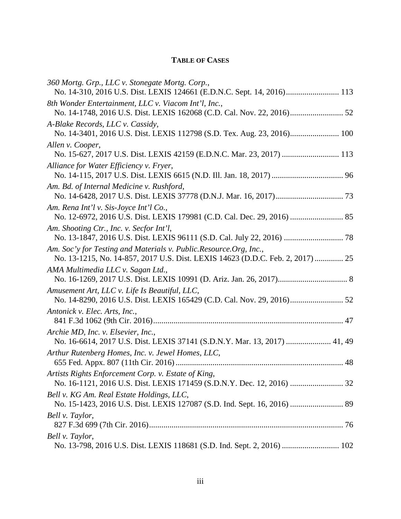## **TABLE OF CASES**

| 360 Mortg. Grp., LLC v. Stonegate Mortg. Corp.,                                |
|--------------------------------------------------------------------------------|
| No. 14-310, 2016 U.S. Dist. LEXIS 124661 (E.D.N.C. Sept. 14, 2016) 113         |
| 8th Wonder Entertainment, LLC v. Viacom Int'l, Inc.,                           |
| A-Blake Records, LLC v. Cassidy,                                               |
| No. 14-3401, 2016 U.S. Dist. LEXIS 112798 (S.D. Tex. Aug. 23, 2016) 100        |
| Allen v. Cooper,                                                               |
| No. 15-627, 2017 U.S. Dist. LEXIS 42159 (E.D.N.C. Mar. 23, 2017)  113          |
| Alliance for Water Efficiency v. Fryer,                                        |
|                                                                                |
| Am. Bd. of Internal Medicine v. Rushford,                                      |
|                                                                                |
| Am. Rena Int'l v. Sis-Joyce Int'l Co.,                                         |
| No. 12-6972, 2016 U.S. Dist. LEXIS 179981 (C.D. Cal. Dec. 29, 2016)  85        |
| Am. Shooting Ctr., Inc. v. Secfor Int'l,                                       |
| Am. Soc'y for Testing and Materials v. Public. Resource. Org, Inc.,            |
| No. 13-1215, No. 14-857, 2017 U.S. Dist. LEXIS 14623 (D.D.C. Feb. 2, 2017)  25 |
| AMA Multimedia LLC v. Sagan Ltd.,                                              |
|                                                                                |
| Amusement Art, LLC v. Life Is Beautiful, LLC,                                  |
| No. 14-8290, 2016 U.S. Dist. LEXIS 165429 (C.D. Cal. Nov. 29, 2016) 52         |
| Antonick v. Elec. Arts, Inc.,                                                  |
|                                                                                |
| Archie MD, Inc. v. Elsevier, Inc.,                                             |
| No. 16-6614, 2017 U.S. Dist. LEXIS 37141 (S.D.N.Y. Mar. 13, 2017)  41, 49      |
| Arthur Rutenberg Homes, Inc. v. Jewel Homes, LLC,                              |
| Artists Rights Enforcement Corp. v. Estate of King,                            |
|                                                                                |
| Bell v. KG Am. Real Estate Holdings, LLC,                                      |
|                                                                                |
| Bell v. Taylor,                                                                |
|                                                                                |
| Bell v. Taylor,                                                                |
| No. 13-798, 2016 U.S. Dist. LEXIS 118681 (S.D. Ind. Sept. 2, 2016)  102        |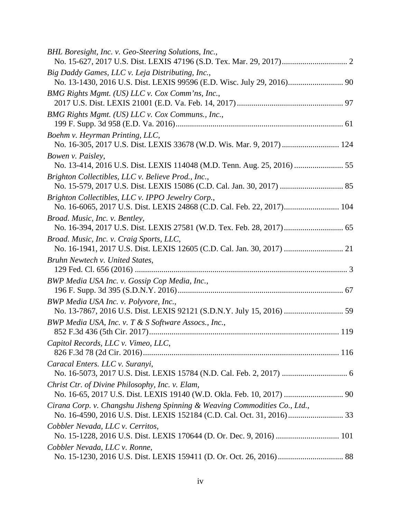| BHL Boresight, Inc. v. Geo-Steering Solutions, Inc.,                                                                        |
|-----------------------------------------------------------------------------------------------------------------------------|
| Big Daddy Games, LLC v. Leja Distributing, Inc.,                                                                            |
| BMG Rights Mgmt. (US) LLC v. Cox Comm'ns, Inc.,                                                                             |
| BMG Rights Mgmt. (US) LLC v. Cox Communs., Inc.,                                                                            |
| Boehm v. Heyrman Printing, LLC,<br>No. 16-305, 2017 U.S. Dist. LEXIS 33678 (W.D. Wis. Mar. 9, 2017)  124                    |
| Bowen v. Paisley,<br>No. 13-414, 2016 U.S. Dist. LEXIS 114048 (M.D. Tenn. Aug. 25, 2016)  55                                |
| Brighton Collectibles, LLC v. Believe Prod., Inc.,                                                                          |
| Brighton Collectibles, LLC v. IPPO Jewelry Corp.,<br>No. 16-6065, 2017 U.S. Dist. LEXIS 24868 (C.D. Cal. Feb. 22, 2017) 104 |
| Broad. Music, Inc. v. Bentley,<br>No. 16-394, 2017 U.S. Dist. LEXIS 27581 (W.D. Tex. Feb. 28, 2017)  65                     |
| Broad. Music, Inc. v. Craig Sports, LLC,                                                                                    |
| Bruhn Newtech v. United States,                                                                                             |
| BWP Media USA Inc. v. Gossip Cop Media, Inc.,                                                                               |
| BWP Media USA Inc. v. Polyvore, Inc.,                                                                                       |
| BWP Media USA, Inc. v. T & S Software Assocs., Inc.,                                                                        |
| Capitol Records, LLC v. Vimeo, LLC,                                                                                         |
| Caracal Enters. LLC v. Suranyi,                                                                                             |
| Christ Ctr. of Divine Philosophy, Inc. v. Elam,                                                                             |
| Cirana Corp. v. Changshu Jisheng Spinning & Weaving Commodities Co., Ltd.,                                                  |
| Cobbler Nevada, LLC v. Cerritos,                                                                                            |
| Cobbler Nevada, LLC v. Ronne,                                                                                               |
|                                                                                                                             |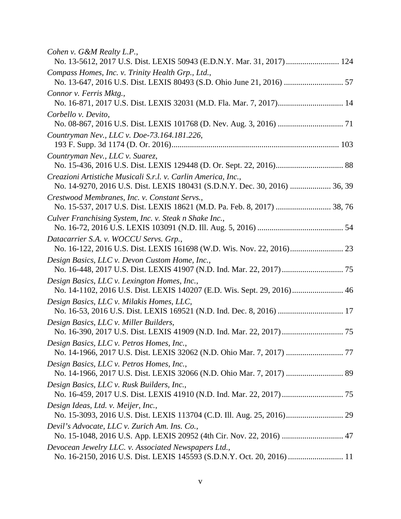| Cohen v. G&M Realty L.P.,<br>No. 13-5612, 2017 U.S. Dist. LEXIS 50943 (E.D.N.Y. Mar. 31, 2017)  124                                         |  |
|---------------------------------------------------------------------------------------------------------------------------------------------|--|
| Compass Homes, Inc. v. Trinity Health Grp., Ltd.,                                                                                           |  |
| Connor v. Ferris Mktg.,<br>No. 16-871, 2017 U.S. Dist. LEXIS 32031 (M.D. Fla. Mar. 7, 2017) 14                                              |  |
| Corbello v. Devito,                                                                                                                         |  |
| Countryman Nev., LLC v. Doe-73.164.181.226,                                                                                                 |  |
| Countryman Nev., LLC v. Suarez,                                                                                                             |  |
| Creazioni Artistiche Musicali S.r.l. v. Carlin America, Inc.,<br>No. 14-9270, 2016 U.S. Dist. LEXIS 180431 (S.D.N.Y. Dec. 30, 2016)  36, 39 |  |
| Crestwood Membranes, Inc. v. Constant Servs.,                                                                                               |  |
| Culver Franchising System, Inc. v. Steak n Shake Inc.,                                                                                      |  |
| Datacarrier S.A. v. WOCCU Servs. Grp.,                                                                                                      |  |
| Design Basics, LLC v. Devon Custom Home, Inc.,                                                                                              |  |
| Design Basics, LLC v. Lexington Homes, Inc.,<br>No. 14-1102, 2016 U.S. Dist. LEXIS 140207 (E.D. Wis. Sept. 29, 2016) 46                     |  |
| Design Basics, LLC v. Milakis Homes, LLC,<br>No. 16-53, 2016 U.S. Dist. LEXIS 169521 (N.D. Ind. Dec. 8, 2016)  17                           |  |
| Design Basics, LLC v. Miller Builders,                                                                                                      |  |
| Design Basics, LLC v. Petros Homes, Inc.,                                                                                                   |  |
| Design Basics, LLC v. Petros Homes, Inc.,                                                                                                   |  |
| Design Basics, LLC v. Rusk Builders, Inc.,                                                                                                  |  |
| Design Ideas, Ltd. v. Meijer, Inc.,                                                                                                         |  |
| Devil's Advocate, LLC v. Zurich Am. Ins. Co.,<br>No. 15-1048, 2016 U.S. App. LEXIS 20952 (4th Cir. Nov. 22, 2016)  47                       |  |
| Devocean Jewelry LLC. v. Associated Newspapers Ltd.,<br>No. 16-2150, 2016 U.S. Dist. LEXIS 145593 (S.D.N.Y. Oct. 20, 2016)  11              |  |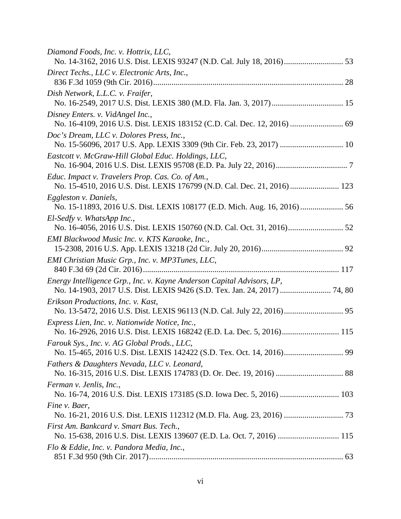| Diamond Foods, Inc. v. Hottrix, LLC,                                                                                                                |  |
|-----------------------------------------------------------------------------------------------------------------------------------------------------|--|
| Direct Techs., LLC v. Electronic Arts, Inc.,                                                                                                        |  |
| Dish Network, L.L.C. v. Fraifer,                                                                                                                    |  |
| Disney Enters. v. VidAngel Inc.,                                                                                                                    |  |
| Doc's Dream, LLC v. Dolores Press, Inc.,                                                                                                            |  |
| Eastcott v. McGraw-Hill Global Educ. Holdings, LLC,                                                                                                 |  |
| Educ. Impact v. Travelers Prop. Cas. Co. of Am.,<br>No. 15-4510, 2016 U.S. Dist. LEXIS 176799 (N.D. Cal. Dec. 21, 2016)  123                        |  |
| Eggleston v. Daniels,<br>No. 15-11893, 2016 U.S. Dist. LEXIS 108177 (E.D. Mich. Aug. 16, 2016)  56                                                  |  |
| El-Sedfy v. WhatsApp Inc.,                                                                                                                          |  |
| EMI Blackwood Music Inc. v. KTS Karaoke, Inc.,                                                                                                      |  |
| EMI Christian Music Grp., Inc. v. MP3Tunes, LLC,                                                                                                    |  |
| Energy Intelligence Grp., Inc. v. Kayne Anderson Capital Advisors, LP,<br>No. 14-1903, 2017 U.S. Dist. LEXIS 9426 (S.D. Tex. Jan. 24, 2017)  74, 80 |  |
| Erikson Productions, Inc. v. Kast,                                                                                                                  |  |
| Express Lien, Inc. v. Nationwide Notice, Inc.,                                                                                                      |  |
| Farouk Sys., Inc. v. AG Global Prods., LLC,                                                                                                         |  |
| Fathers & Daughters Nevada, LLC v. Leonard,                                                                                                         |  |
| Ferman v. Jenlis, Inc.,                                                                                                                             |  |
| Fine v. Baer,                                                                                                                                       |  |
| First Am. Bankcard v. Smart Bus. Tech.,                                                                                                             |  |
| Flo & Eddie, Inc. v. Pandora Media, Inc.,                                                                                                           |  |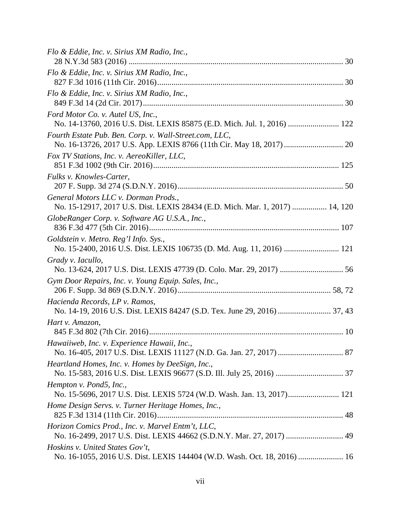| Flo & Eddie, Inc. v. Sirius XM Radio, Inc.,                                                                                |
|----------------------------------------------------------------------------------------------------------------------------|
| Flo & Eddie, Inc. v. Sirius XM Radio, Inc.,                                                                                |
| Flo & Eddie, Inc. v. Sirius XM Radio, Inc.,                                                                                |
| Ford Motor Co. v. Autel US, Inc.,<br>No. 14-13760, 2016 U.S. Dist. LEXIS 85875 (E.D. Mich. Jul. 1, 2016)  122              |
| Fourth Estate Pub. Ben. Corp. v. Wall-Street.com, LLC,                                                                     |
| Fox TV Stations, Inc. v. AereoKiller, LLC,                                                                                 |
| Fulks v. Knowles-Carter,                                                                                                   |
| General Motors LLC v. Dorman Prods.,<br>No. 15-12917, 2017 U.S. Dist. LEXIS 28434 (E.D. Mich. Mar. 1, 2017)  14, 120       |
| GlobeRanger Corp. v. Software AG U.S.A., Inc.,                                                                             |
| Goldstein v. Metro. Reg'l Info. Sys.,<br>No. 15-2400, 2016 U.S. Dist. LEXIS 106735 (D. Md. Aug. 11, 2016)  121             |
| Grady v. Iacullo,<br>No. 13-624, 2017 U.S. Dist. LEXIS 47739 (D. Colo. Mar. 29, 2017)  56                                  |
| Gym Door Repairs, Inc. v. Young Equip. Sales, Inc.,                                                                        |
| Hacienda Records, LP v. Ramos,                                                                                             |
| Hart v. Amazon,                                                                                                            |
| Hawaiiweb, Inc. v. Experience Hawaii, Inc.,                                                                                |
| Heartland Homes, Inc. v. Homes by DeeSign, Inc.,                                                                           |
| Hempton v. Pond5, Inc.,<br>No. 15-5696, 2017 U.S. Dist. LEXIS 5724 (W.D. Wash. Jan. 13, 2017) 121                          |
| Home Design Servs. v. Turner Heritage Homes, Inc.,                                                                         |
| Horizon Comics Prod., Inc. v. Marvel Entm't, LLC,<br>No. 16-2499, 2017 U.S. Dist. LEXIS 44662 (S.D.N.Y. Mar. 27, 2017)  49 |
| Hoskins v. United States Gov't,<br>No. 16-1055, 2016 U.S. Dist. LEXIS 144404 (W.D. Wash. Oct. 18, 2016)  16                |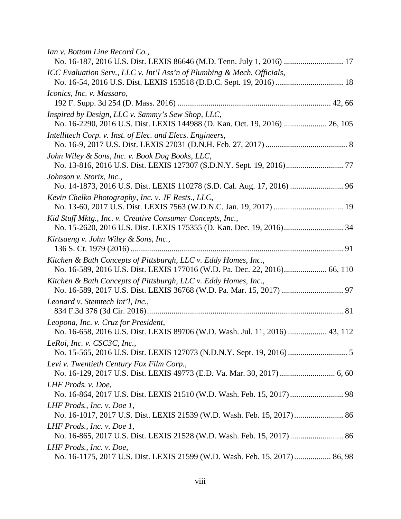| Ian v. Bottom Line Record Co.,<br>No. 16-187, 2016 U.S. Dist. LEXIS 86646 (M.D. Tenn. July 1, 2016)  17                                        |  |
|------------------------------------------------------------------------------------------------------------------------------------------------|--|
| ICC Evaluation Serv., LLC v. Int'l Ass'n of Plumbing & Mech. Officials,<br>No. 16-54, 2016 U.S. Dist. LEXIS 153518 (D.D.C. Sept. 19, 2016)  18 |  |
| Iconics, Inc. v. Massaro,                                                                                                                      |  |
| Inspired by Design, LLC v. Sammy's Sew Shop, LLC,<br>No. 16-2290, 2016 U.S. Dist. LEXIS 144988 (D. Kan. Oct. 19, 2016)  26, 105                |  |
| Intellitech Corp. v. Inst. of Elec. and Elecs. Engineers,                                                                                      |  |
| John Wiley & Sons, Inc. v. Book Dog Books, LLC,                                                                                                |  |
| Johnson v. Storix, Inc.,                                                                                                                       |  |
| Kevin Chelko Photography, Inc. v. JF Rests., LLC,                                                                                              |  |
| Kid Stuff Mktg., Inc. v. Creative Consumer Concepts, Inc.,                                                                                     |  |
| Kirtsaeng v. John Wiley & Sons, Inc.,                                                                                                          |  |
| Kitchen & Bath Concepts of Pittsburgh, LLC v. Eddy Homes, Inc.,                                                                                |  |
| Kitchen & Bath Concepts of Pittsburgh, LLC v. Eddy Homes, Inc.,<br>No. 16-589, 2017 U.S. Dist. LEXIS 36768 (W.D. Pa. Mar. 15, 2017)  97        |  |
| Leonard v. Stemtech Int'l, Inc.,                                                                                                               |  |
| Leopona, Inc. v. Cruz for President,<br>No. 16-658, 2016 U.S. Dist. LEXIS 89706 (W.D. Wash. Jul. 11, 2016)  43, 112                            |  |
| LeRoi, Inc. v. CSC3C, Inc.,                                                                                                                    |  |
| Levi v. Twentieth Century Fox Film Corp.,                                                                                                      |  |
| LHF Prods. v. Doe,                                                                                                                             |  |
| LHF Prods., Inc. v. Doe $1$ ,                                                                                                                  |  |
| LHF Prods., Inc. v. Doe 1,                                                                                                                     |  |
| LHF Prods., Inc. v. Doe,<br>No. 16-1175, 2017 U.S. Dist. LEXIS 21599 (W.D. Wash. Feb. 15, 2017) 86, 98                                         |  |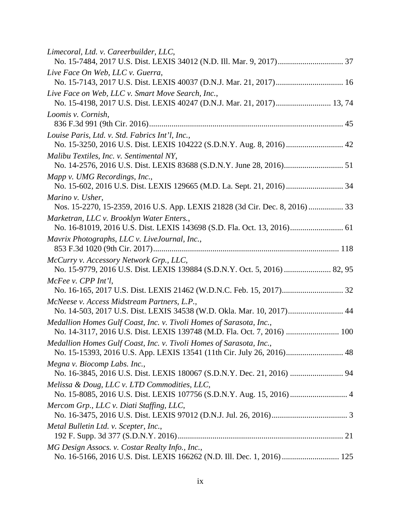| Limecoral, Ltd. v. Careerbuilder, LLC,                                                                                                         |  |
|------------------------------------------------------------------------------------------------------------------------------------------------|--|
| Live Face On Web, LLC v. Guerra,                                                                                                               |  |
| No. 15-7143, 2017 U.S. Dist. LEXIS 40037 (D.N.J. Mar. 21, 2017) 16                                                                             |  |
| Live Face on Web, LLC v. Smart Move Search, Inc.,<br>No. 15-4198, 2017 U.S. Dist. LEXIS 40247 (D.N.J. Mar. 21, 2017) 13, 74                    |  |
| Loomis v. Cornish,                                                                                                                             |  |
| Louise Paris, Ltd. v. Std. Fabrics Int'l, Inc.,<br>No. 15-3250, 2016 U.S. Dist. LEXIS 104222 (S.D.N.Y. Aug. 8, 2016)  42                       |  |
| Malibu Textiles, Inc. v. Sentimental NY,                                                                                                       |  |
| Mapp v. UMG Recordings, Inc.,                                                                                                                  |  |
| Marino v. Usher,<br>Nos. 15-2270, 15-2359, 2016 U.S. App. LEXIS 21828 (3d Cir. Dec. 8, 2016)  33                                               |  |
| Marketran, LLC v. Brooklyn Water Enters.,                                                                                                      |  |
| Mavrix Photographs, LLC v. LiveJournal, Inc.,                                                                                                  |  |
| McCurry v. Accessory Network Grp., LLC,                                                                                                        |  |
| McFee v. CPP Int'l,                                                                                                                            |  |
| McNeese v. Access Midstream Partners, L.P.,<br>No. 14-503, 2017 U.S. Dist. LEXIS 34538 (W.D. Okla. Mar. 10, 2017) 44                           |  |
| Medallion Homes Gulf Coast, Inc. v. Tivoli Homes of Sarasota, Inc.,<br>No. 14-3117, 2016 U.S. Dist. LEXIS 139748 (M.D. Fla. Oct. 7, 2016)  100 |  |
| Medallion Homes Gulf Coast, Inc. v. Tivoli Homes of Sarasota, Inc.,                                                                            |  |
| Megna v. Biocomp Labs. Inc.,                                                                                                                   |  |
| Melissa & Doug, LLC v. LTD Commodities, LLC,<br>No. 15-8085, 2016 U.S. Dist. LEXIS 107756 (S.D.N.Y. Aug. 15, 2016)  4                          |  |
| Mercom Grp., LLC v. Diati Staffing, LLC,                                                                                                       |  |
| Metal Bulletin Ltd. v. Scepter, Inc.,                                                                                                          |  |
| MG Design Assocs. v. Costar Realty Info., Inc.,<br>No. 16-5166, 2016 U.S. Dist. LEXIS 166262 (N.D. Ill. Dec. 1, 2016)  125                     |  |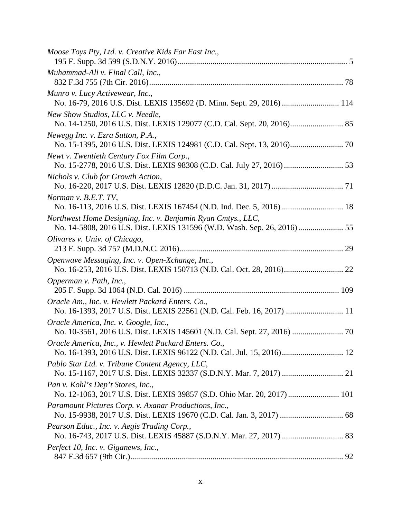| Moose Toys Pty, Ltd. v. Creative Kids Far East Inc.,                                                                       |  |
|----------------------------------------------------------------------------------------------------------------------------|--|
| Muhammad-Ali v. Final Call, Inc.,                                                                                          |  |
| Munro v. Lucy Activewear, Inc.,<br>No. 16-79, 2016 U.S. Dist. LEXIS 135692 (D. Minn. Sept. 29, 2016)  114                  |  |
| New Show Studios, LLC v. Needle,                                                                                           |  |
| Newegg Inc. v. Ezra Sutton, P.A.,                                                                                          |  |
| Newt v. Twentieth Century Fox Film Corp.,                                                                                  |  |
| Nichols v. Club for Growth Action,                                                                                         |  |
| Norman v. B.E.T. TV,                                                                                                       |  |
| Northwest Home Designing, Inc. v. Benjamin Ryan Cmtys., LLC,                                                               |  |
| Olivares v. Univ. of Chicago,                                                                                              |  |
| Openwave Messaging, Inc. v. Open-Xchange, Inc.,                                                                            |  |
| Opperman v. Path, Inc.,                                                                                                    |  |
| Oracle Am., Inc. v. Hewlett Packard Enters. Co.,<br>No. 16-1393, 2017 U.S. Dist. LEXIS 22561 (N.D. Cal. Feb. 16, 2017)  11 |  |
| Oracle America, Inc. v. Google, Inc.,                                                                                      |  |
| Oracle America, Inc., v. Hewlett Packard Enters. Co.,                                                                      |  |
| Pablo Star Ltd. v. Tribune Content Agency, LLC,<br>No. 15-1167, 2017 U.S. Dist. LEXIS 32337 (S.D.N.Y. Mar. 7, 2017)  21    |  |
| Pan v. Kohl's Dep't Stores, Inc.,                                                                                          |  |
| Paramount Pictures Corp. v. Axanar Productions, Inc.,                                                                      |  |
| Pearson Educ., Inc. v. Aegis Trading Corp.,                                                                                |  |
| Perfect 10, Inc. v. Giganews, Inc.,                                                                                        |  |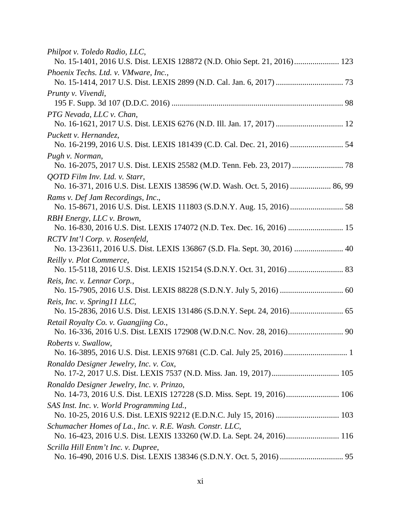| Philpot v. Toledo Radio, LLC,<br>No. 15-1401, 2016 U.S. Dist. LEXIS 128872 (N.D. Ohio Sept. 21, 2016) 123   |  |
|-------------------------------------------------------------------------------------------------------------|--|
| Phoenix Techs. Ltd. v. VMware, Inc.,                                                                        |  |
| Prunty v. Vivendi,                                                                                          |  |
| PTG Nevada, LLC v. Chan,<br>No. 16-1621, 2017 U.S. Dist. LEXIS 6276 (N.D. Ill. Jan. 17, 2017)  12           |  |
| Puckett v. Hernandez,<br>No. 16-2199, 2016 U.S. Dist. LEXIS 181439 (C.D. Cal. Dec. 21, 2016)  54            |  |
| Pugh v. Norman,                                                                                             |  |
| QOTD Film Inv. Ltd. v. Starr,                                                                               |  |
| Rams v. Def Jam Recordings, Inc.,                                                                           |  |
| RBH Energy, LLC v. Brown,<br>No. 16-830, 2016 U.S. Dist. LEXIS 174072 (N.D. Tex. Dec. 16, 2016)  15         |  |
| RCTV Int'l Corp. v. Rosenfeld,<br>No. 13-23611, 2016 U.S. Dist. LEXIS 136867 (S.D. Fla. Sept. 30, 2016)  40 |  |
| Reilly v. Plot Commerce,                                                                                    |  |
| Reis, Inc. v. Lennar Corp.,                                                                                 |  |
| Reis, Inc. v. Spring11 LLC,                                                                                 |  |
| Retail Royalty Co. v. Guangjing Co.,                                                                        |  |
| Roberts v. Swallow,                                                                                         |  |
| Ronaldo Designer Jewelry, Inc. v. Cox,                                                                      |  |
| Ronaldo Designer Jewelry, Inc. v. Prinzo,                                                                   |  |
| SAS Inst. Inc. v. World Programming Ltd.,                                                                   |  |
| Schumacher Homes of La., Inc. v. R.E. Wash. Constr. LLC,                                                    |  |
| Scrilla Hill Entm't Inc. v. Dupree,                                                                         |  |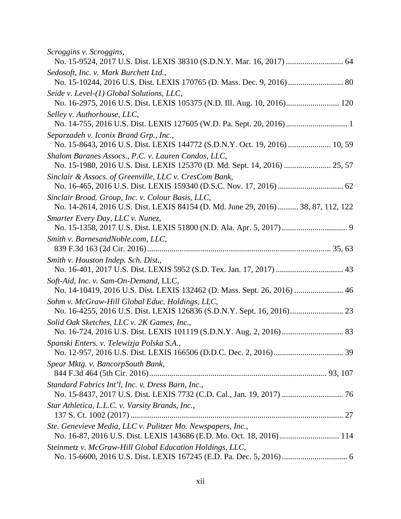| Scroggins v. Scroggins,                                                                                                                |
|----------------------------------------------------------------------------------------------------------------------------------------|
| Sedosoft, Inc. v. Mark Burchett Ltd.,                                                                                                  |
| Seide v. Level-(1) Global Solutions, LLC,<br>No. 16-2975, 2016 U.S. Dist. LEXIS 105375 (N.D. Ill. Aug. 10, 2016) 120                   |
| Selley v. Authorhouse, LLC,                                                                                                            |
| Separzadeh v. Iconix Brand Grp., Inc.,<br>No. 15-8643, 2016 U.S. Dist. LEXIS 144772 (S.D.N.Y. Oct. 19, 2016)  10, 59                   |
| Shalom Baranes Assocs., P.C. v. Lauren Condos, LLC,                                                                                    |
| Sinclair & Assocs. of Greenville, LLC v. CresCom Bank,                                                                                 |
| Sinclair Broad. Group, Inc. v. Colour Basis, LLC,<br>No. 14-2614, 2016 U.S. Dist. LEXIS 84154 (D. Md. June 29, 2016)  38, 87, 112, 122 |
| Smarter Every Day, LLC v. Nunez,                                                                                                       |
| Smith v. BarnesandNoble.com, LLC,                                                                                                      |
| Smith v. Houston Indep. Sch. Dist.,                                                                                                    |
| Soft-Aid, Inc. v. Sam-On-Demand, LLC,<br>No. 14-10419, 2016 U.S. Dist. LEXIS 132462 (D. Mass. Sept. 26, 2016)  46                      |
| Sohm v. McGraw-Hill Global Educ. Holdings, LLC,                                                                                        |
| Solid Oak Sketches, LLC v. 2K Games, Inc.,                                                                                             |
| Spanski Enters. v. Telewizja Polska S.A.,                                                                                              |
| Spear Mktg. v. BancorpSouth Bank,                                                                                                      |
| Standard Fabrics Int'l, Inc. v. Dress Barn, Inc.,                                                                                      |
| Star Athletica, L.L.C. v. Varsity Brands, Inc.,                                                                                        |
| Ste. Genevieve Media, LLC v. Pulitzer Mo. Newspapers, Inc.,                                                                            |
| Steinmetz v. McGraw-Hill Global Education Holdings, LLC,                                                                               |
|                                                                                                                                        |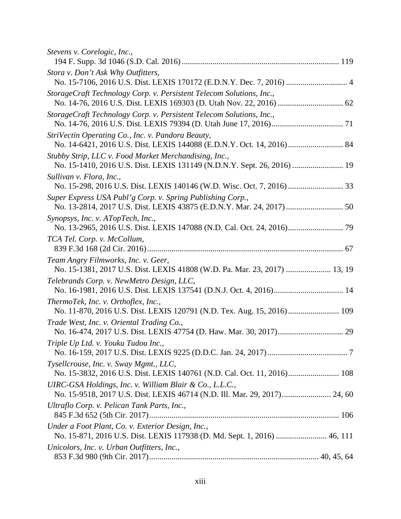| Stevens v. Corelogic, Inc.,                                                                                                          |
|--------------------------------------------------------------------------------------------------------------------------------------|
| Stora v. Don't Ask Why Outfitters,<br>No. 15-7106, 2016 U.S. Dist. LEXIS 170172 (E.D.N.Y. Dec. 7, 2016)  4                           |
| StorageCraft Technology Corp. v. Persistent Telecom Solutions, Inc.,                                                                 |
| StorageCraft Technology Corp. v. Persistent Telecom Solutions, Inc.,                                                                 |
| StriVectin Operating Co., Inc. v. Pandora Beauty,                                                                                    |
| Stubby Strip, LLC v. Food Market Merchandising, Inc.,<br>No. 15-1410, 2016 U.S. Dist. LEXIS 131149 (N.D.N.Y. Sept. 26, 2016)  19     |
| Sullivan v. Flora, Inc.,                                                                                                             |
| Super Express USA Publ'g Corp. v. Spring Publishing Corp.,<br>No. 13-2814, 2017 U.S. Dist. LEXIS 43875 (E.D.N.Y. Mar. 24, 2017)  50  |
| Synopsys, Inc. v. ATopTech, Inc.,                                                                                                    |
| TCA Tel. Corp. v. McCollum,                                                                                                          |
| Team Angry Filmworks, Inc. v. Geer,<br>No. 15-1381, 2017 U.S. Dist. LEXIS 41808 (W.D. Pa. Mar. 23, 2017)  13, 19                     |
| Telebrands Corp. v. NewMetro Design, LLC,                                                                                            |
| ThermoTek, Inc. v. Orthoflex, Inc.,<br>No. 11-870, 2016 U.S. Dist. LEXIS 120791 (N.D. Tex. Aug. 15, 2016) 109                        |
| Trade West, Inc. v. Oriental Trading Co.,                                                                                            |
| Triple Up Ltd. v. Youku Tudou Inc.,                                                                                                  |
| Tysellcrouse, Inc. v. Sway Mgmt., LLC,<br>No. 15-3832, 2016 U.S. Dist. LEXIS 140761 (N.D. Cal. Oct. 11, 2016) 108                    |
| UIRC-GSA Holdings, Inc. v. William Blair & Co., L.L.C.,<br>No. 15-9518, 2017 U.S. Dist. LEXIS 46714 (N.D. Ill. Mar. 29, 2017) 24, 60 |
| Ultraflo Corp. v. Pelican Tank Parts, Inc.,                                                                                          |
| Under a Foot Plant, Co. v. Exterior Design, Inc.,                                                                                    |
| Unicolors, Inc. v. Urban Outfitters, Inc.,                                                                                           |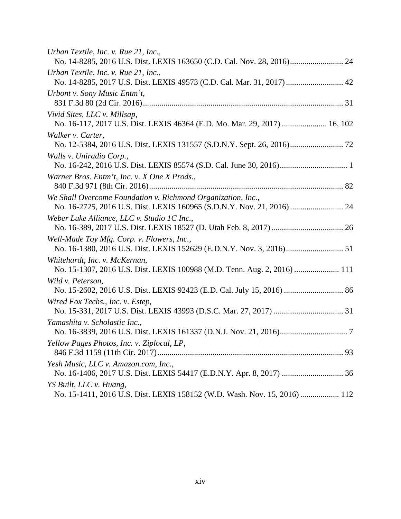| Urban Textile, Inc. v. Rue 21, Inc.,                                                                                                   |
|----------------------------------------------------------------------------------------------------------------------------------------|
|                                                                                                                                        |
| Urban Textile, Inc. v. Rue 21, Inc.,                                                                                                   |
| No. 14-8285, 2017 U.S. Dist. LEXIS 49573 (C.D. Cal. Mar. 31, 2017)  42                                                                 |
| Urbont v. Sony Music Entm't,                                                                                                           |
|                                                                                                                                        |
| Vivid Sites, LLC v. Millsap,<br>No. 16-117, 2017 U.S. Dist. LEXIS 46364 (E.D. Mo. Mar. 29, 2017)  16, 102                              |
| Walker v. Carter,                                                                                                                      |
| Walls v. Uniradio Corp.,                                                                                                               |
|                                                                                                                                        |
| Warner Bros. Entm't, Inc. v. X One X Prods.,                                                                                           |
|                                                                                                                                        |
| We Shall Overcome Foundation v. Richmond Organization, Inc.,<br>No. 16-2725, 2016 U.S. Dist. LEXIS 160965 (S.D.N.Y. Nov. 21, 2016)  24 |
| Weber Luke Alliance, LLC v. Studio 1C Inc.,                                                                                            |
|                                                                                                                                        |
| Well-Made Toy Mfg. Corp. v. Flowers, Inc.,                                                                                             |
|                                                                                                                                        |
| Whitehardt, Inc. v. McKernan,                                                                                                          |
| No. 15-1307, 2016 U.S. Dist. LEXIS 100988 (M.D. Tenn. Aug. 2, 2016)  111                                                               |
| Wild v. Peterson,                                                                                                                      |
|                                                                                                                                        |
| Wired Fox Techs., Inc. v. Estep,                                                                                                       |
|                                                                                                                                        |
| Yamashita v. Scholastic Inc.,                                                                                                          |
| Yellow Pages Photos, Inc. v. Ziplocal, LP,                                                                                             |
|                                                                                                                                        |
| Yesh Music, LLC v. Amazon.com, Inc.,                                                                                                   |
|                                                                                                                                        |
| YS Built, LLC v. Huang,                                                                                                                |
| No. 15-1411, 2016 U.S. Dist. LEXIS 158152 (W.D. Wash. Nov. 15, 2016)  112                                                              |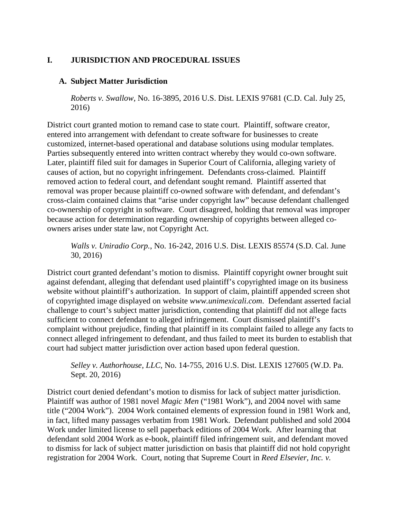#### <span id="page-16-0"></span>**I. JURISDICTION AND PROCEDURAL ISSUES**

#### <span id="page-16-1"></span>**A. Subject Matter Jurisdiction**

*Roberts v. Swallow*, No. 16-3895, 2016 U.S. Dist. LEXIS 97681 (C.D. Cal. July 25, 2016)

District court granted motion to remand case to state court. Plaintiff, software creator, entered into arrangement with defendant to create software for businesses to create customized, internet-based operational and database solutions using modular templates. Parties subsequently entered into written contract whereby they would co-own software. Later, plaintiff filed suit for damages in Superior Court of California, alleging variety of causes of action, but no copyright infringement. Defendants cross-claimed. Plaintiff removed action to federal court, and defendant sought remand. Plaintiff asserted that removal was proper because plaintiff co-owned software with defendant, and defendant's cross-claim contained claims that "arise under copyright law" because defendant challenged co-ownership of copyright in software. Court disagreed, holding that removal was improper because action for determination regarding ownership of copyrights between alleged coowners arises under state law, not Copyright Act.

*Walls v. Uniradio Corp.*, No. 16-242, 2016 U.S. Dist. LEXIS 85574 (S.D. Cal. June 30, 2016)

District court granted defendant's motion to dismiss. Plaintiff copyright owner brought suit against defendant, alleging that defendant used plaintiff's copyrighted image on its business website without plaintiff's authorization. In support of claim, plaintiff appended screen shot of copyrighted image displayed on website *www.unimexicali.com*. Defendant asserted facial challenge to court's subject matter jurisdiction, contending that plaintiff did not allege facts sufficient to connect defendant to alleged infringement. Court dismissed plaintiff's complaint without prejudice, finding that plaintiff in its complaint failed to allege any facts to connect alleged infringement to defendant, and thus failed to meet its burden to establish that court had subject matter jurisdiction over action based upon federal question.

*Selley v. Authorhouse, LLC*, No. 14-755, 2016 U.S. Dist. LEXIS 127605 (W.D. Pa. Sept. 20, 2016)

District court denied defendant's motion to dismiss for lack of subject matter jurisdiction. Plaintiff was author of 1981 novel *Magic Men* ("1981 Work"), and 2004 novel with same title ("2004 Work"). 2004 Work contained elements of expression found in 1981 Work and, in fact, lifted many passages verbatim from 1981 Work. Defendant published and sold 2004 Work under limited license to sell paperback editions of 2004 Work. After learning that defendant sold 2004 Work as e-book, plaintiff filed infringement suit, and defendant moved to dismiss for lack of subject matter jurisdiction on basis that plaintiff did not hold copyright registration for 2004 Work. Court, noting that Supreme Court in *Reed Elsevier, Inc. v.*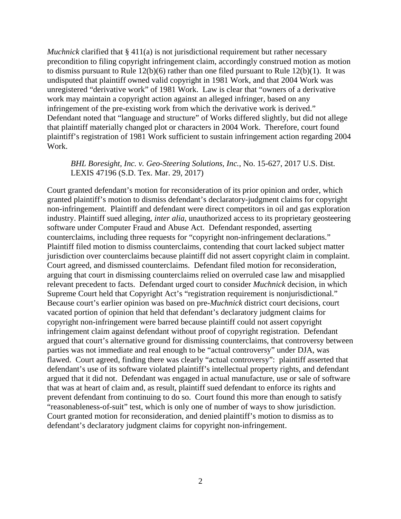*Muchnick* clarified that  $\S 411(a)$  is not jurisdictional requirement but rather necessary precondition to filing copyright infringement claim, accordingly construed motion as motion to dismiss pursuant to Rule  $12(b)(6)$  rather than one filed pursuant to Rule  $12(b)(1)$ . It was undisputed that plaintiff owned valid copyright in 1981 Work, and that 2004 Work was unregistered "derivative work" of 1981 Work. Law is clear that "owners of a derivative work may maintain a copyright action against an alleged infringer, based on any infringement of the pre-existing work from which the derivative work is derived." Defendant noted that "language and structure" of Works differed slightly, but did not allege that plaintiff materially changed plot or characters in 2004 Work. Therefore, court found plaintiff's registration of 1981 Work sufficient to sustain infringement action regarding 2004 Work.

#### *BHL Boresight, Inc. v. Geo-Steering Solutions, Inc.*, No. 15-627, 2017 U.S. Dist. LEXIS 47196 (S.D. Tex. Mar. 29, 2017)

Court granted defendant's motion for reconsideration of its prior opinion and order, which granted plaintiff's motion to dismiss defendant's declaratory-judgment claims for copyright non-infringement. Plaintiff and defendant were direct competitors in oil and gas exploration industry. Plaintiff sued alleging, *inter alia*, unauthorized access to its proprietary geosteering software under Computer Fraud and Abuse Act. Defendant responded, asserting counterclaims, including three requests for "copyright non-infringement declarations." Plaintiff filed motion to dismiss counterclaims, contending that court lacked subject matter jurisdiction over counterclaims because plaintiff did not assert copyright claim in complaint. Court agreed, and dismissed counterclaims. Defendant filed motion for reconsideration, arguing that court in dismissing counterclaims relied on overruled case law and misapplied relevant precedent to facts. Defendant urged court to consider *Muchnick* decision, in which Supreme Court held that Copyright Act's "registration requirement is nonjurisdictional." Because court's earlier opinion was based on pre-*Muchnick* district court decisions, court vacated portion of opinion that held that defendant's declaratory judgment claims for copyright non-infringement were barred because plaintiff could not assert copyright infringement claim against defendant without proof of copyright registration. Defendant argued that court's alternative ground for dismissing counterclaims, that controversy between parties was not immediate and real enough to be "actual controversy" under DJA, was flawed. Court agreed, finding there was clearly "actual controversy": plaintiff asserted that defendant's use of its software violated plaintiff's intellectual property rights, and defendant argued that it did not. Defendant was engaged in actual manufacture, use or sale of software that was at heart of claim and, as result, plaintiff sued defendant to enforce its rights and prevent defendant from continuing to do so. Court found this more than enough to satisfy "reasonableness-of-suit" test, which is only one of number of ways to show jurisdiction. Court granted motion for reconsideration, and denied plaintiff's motion to dismiss as to defendant's declaratory judgment claims for copyright non-infringement.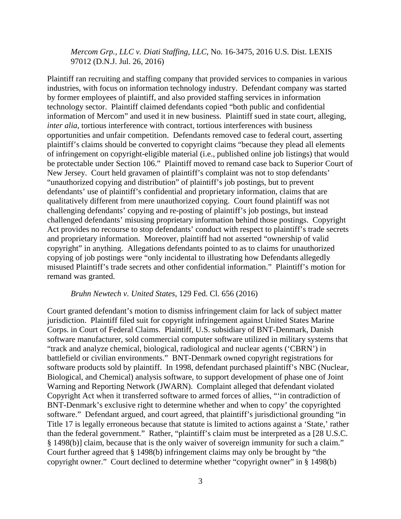*Mercom Grp., LLC v. Diati Staffing, LLC*, No. 16-3475, 2016 U.S. Dist. LEXIS 97012 (D.N.J. Jul. 26, 2016)

Plaintiff ran recruiting and staffing company that provided services to companies in various industries, with focus on information technology industry. Defendant company was started by former employees of plaintiff, and also provided staffing services in information technology sector. Plaintiff claimed defendants copied "both public and confidential information of Mercom" and used it in new business. Plaintiff sued in state court, alleging, *inter alia*, tortious interference with contract, tortious interferences with business opportunities and unfair competition. Defendants removed case to federal court, asserting plaintiff's claims should be converted to copyright claims "because they plead all elements of infringement on copyright-eligible material (i.e., published online job listings) that would be protectable under Section 106." Plaintiff moved to remand case back to Superior Court of New Jersey. Court held gravamen of plaintiff's complaint was not to stop defendants' "unauthorized copying and distribution" of plaintiff's job postings, but to prevent defendants' use of plaintiff's confidential and proprietary information, claims that are qualitatively different from mere unauthorized copying. Court found plaintiff was not challenging defendants' copying and re-posting of plaintiff's job postings, but instead challenged defendants' misusing proprietary information behind those postings. Copyright Act provides no recourse to stop defendants' conduct with respect to plaintiff's trade secrets and proprietary information. Moreover, plaintiff had not asserted "ownership of valid copyright" in anything. Allegations defendants pointed to as to claims for unauthorized copying of job postings were "only incidental to illustrating how Defendants allegedly misused Plaintiff's trade secrets and other confidential information." Plaintiff's motion for remand was granted.

#### *Bruhn Newtech v. United States*, 129 Fed. Cl. 656 (2016)

Court granted defendant's motion to dismiss infringement claim for lack of subject matter jurisdiction. Plaintiff filed suit for copyright infringement against United States Marine Corps. in Court of Federal Claims. Plaintiff, U.S. subsidiary of BNT-Denmark, Danish software manufacturer, sold commercial computer software utilized in military systems that "track and analyze chemical, biological, radiological and nuclear agents ('CBRN') in battlefield or civilian environments." BNT-Denmark owned copyright registrations for software products sold by plaintiff. In 1998, defendant purchased plaintiff's NBC (Nuclear, Biological, and Chemical) analysis software, to support development of phase one of Joint Warning and Reporting Network (JWARN). Complaint alleged that defendant violated Copyright Act when it transferred software to armed forces of allies, "'in contradiction of BNT-Denmark's exclusive right to determine whether and when to copy' the copyrighted software." Defendant argued, and court agreed, that plaintiff's jurisdictional grounding "in Title 17 is legally erroneous because that statute is limited to actions against a 'State,' rather than the federal government." Rather, "plaintiff's claim must be interpreted as a [28 U.S.C. § 1498(b)] claim, because that is the only waiver of sovereign immunity for such a claim." Court further agreed that § 1498(b) infringement claims may only be brought by "the copyright owner." Court declined to determine whether "copyright owner" in § 1498(b)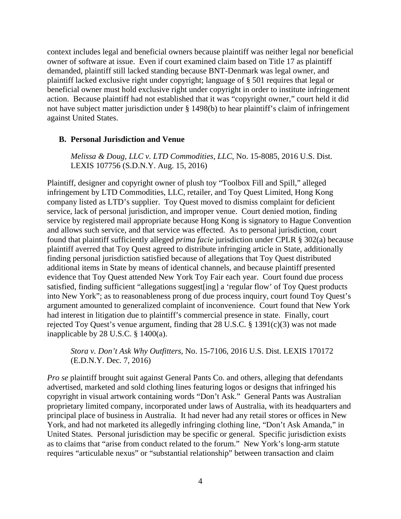context includes legal and beneficial owners because plaintiff was neither legal nor beneficial owner of software at issue. Even if court examined claim based on Title 17 as plaintiff demanded, plaintiff still lacked standing because BNT-Denmark was legal owner, and plaintiff lacked exclusive right under copyright; language of § 501 requires that legal or beneficial owner must hold exclusive right under copyright in order to institute infringement action. Because plaintiff had not established that it was "copyright owner," court held it did not have subject matter jurisdiction under § 1498(b) to hear plaintiff's claim of infringement against United States.

#### <span id="page-19-0"></span>**B. Personal Jurisdiction and Venue**

*Melissa & Doug, LLC v. LTD Commodities, LLC*, No. 15-8085, 2016 U.S. Dist. LEXIS 107756 (S.D.N.Y. Aug. 15, 2016)

Plaintiff, designer and copyright owner of plush toy "Toolbox Fill and Spill," alleged infringement by LTD Commodities, LLC, retailer, and Toy Quest Limited, Hong Kong company listed as LTD's supplier. Toy Quest moved to dismiss complaint for deficient service, lack of personal jurisdiction, and improper venue. Court denied motion, finding service by registered mail appropriate because Hong Kong is signatory to Hague Convention and allows such service, and that service was effected. As to personal jurisdiction, court found that plaintiff sufficiently alleged *prima facie* jurisdiction under CPLR § 302(a) because plaintiff averred that Toy Quest agreed to distribute infringing article in State, additionally finding personal jurisdiction satisfied because of allegations that Toy Quest distributed additional items in State by means of identical channels, and because plaintiff presented evidence that Toy Quest attended New York Toy Fair each year. Court found due process satisfied, finding sufficient "allegations suggest[ing] a 'regular flow' of Toy Quest products into New York"; as to reasonableness prong of due process inquiry, court found Toy Quest's argument amounted to generalized complaint of inconvenience. Court found that New York had interest in litigation due to plaintiff's commercial presence in state. Finally, court rejected Toy Quest's venue argument, finding that 28 U.S.C. § 1391(c)(3) was not made inapplicable by 28 U.S.C. § 1400(a).

*Stora v. Don't Ask Why Outfitters*, No. 15-7106, 2016 U.S. Dist. LEXIS 170172 (E.D.N.Y. Dec. 7, 2016)

*Pro se* plaintiff brought suit against General Pants Co. and others, alleging that defendants advertised, marketed and sold clothing lines featuring logos or designs that infringed his copyright in visual artwork containing words "Don't Ask." General Pants was Australian proprietary limited company, incorporated under laws of Australia, with its headquarters and principal place of business in Australia. It had never had any retail stores or offices in New York, and had not marketed its allegedly infringing clothing line, "Don't Ask Amanda," in United States. Personal jurisdiction may be specific or general. Specific jurisdiction exists as to claims that "arise from conduct related to the forum." New York's long-arm statute requires "articulable nexus" or "substantial relationship" between transaction and claim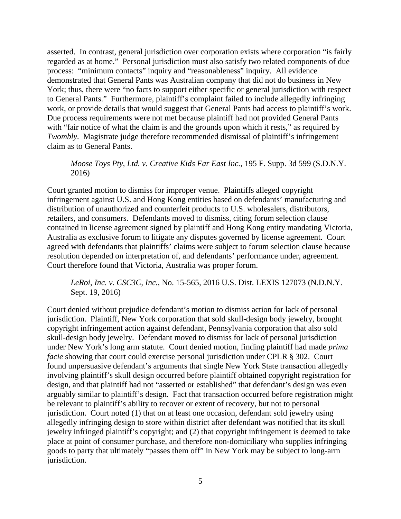asserted. In contrast, general jurisdiction over corporation exists where corporation "is fairly regarded as at home." Personal jurisdiction must also satisfy two related components of due process: "minimum contacts" inquiry and "reasonableness" inquiry. All evidence demonstrated that General Pants was Australian company that did not do business in New York; thus, there were "no facts to support either specific or general jurisdiction with respect to General Pants." Furthermore, plaintiff's complaint failed to include allegedly infringing work, or provide details that would suggest that General Pants had access to plaintiff's work. Due process requirements were not met because plaintiff had not provided General Pants with "fair notice of what the claim is and the grounds upon which it rests," as required by *Twombly*. Magistrate judge therefore recommended dismissal of plaintiff's infringement claim as to General Pants.

#### *Moose Toys Pty, Ltd. v. Creative Kids Far East Inc.*, 195 F. Supp. 3d 599 (S.D.N.Y. 2016)

Court granted motion to dismiss for improper venue. Plaintiffs alleged copyright infringement against U.S. and Hong Kong entities based on defendants' manufacturing and distribution of unauthorized and counterfeit products to U.S. wholesalers, distributors, retailers, and consumers. Defendants moved to dismiss, citing forum selection clause contained in license agreement signed by plaintiff and Hong Kong entity mandating Victoria, Australia as exclusive forum to litigate any disputes governed by license agreement. Court agreed with defendants that plaintiffs' claims were subject to forum selection clause because resolution depended on interpretation of, and defendants' performance under, agreement. Court therefore found that Victoria, Australia was proper forum.

*LeRoi, Inc. v. CSC3C, Inc.*, No. 15-565, 2016 U.S. Dist. LEXIS 127073 (N.D.N.Y. Sept. 19, 2016)

Court denied without prejudice defendant's motion to dismiss action for lack of personal jurisdiction. Plaintiff, New York corporation that sold skull-design body jewelry, brought copyright infringement action against defendant, Pennsylvania corporation that also sold skull-design body jewelry. Defendant moved to dismiss for lack of personal jurisdiction under New York's long arm statute. Court denied motion, finding plaintiff had made *prima facie* showing that court could exercise personal jurisdiction under CPLR § 302. Court found unpersuasive defendant's arguments that single New York State transaction allegedly involving plaintiff's skull design occurred before plaintiff obtained copyright registration for design, and that plaintiff had not "asserted or established" that defendant's design was even arguably similar to plaintiff's design. Fact that transaction occurred before registration might be relevant to plaintiff's ability to recover or extent of recovery, but not to personal jurisdiction. Court noted (1) that on at least one occasion, defendant sold jewelry using allegedly infringing design to store within district after defendant was notified that its skull jewelry infringed plaintiff's copyright; and (2) that copyright infringement is deemed to take place at point of consumer purchase, and therefore non-domiciliary who supplies infringing goods to party that ultimately "passes them off" in New York may be subject to long-arm jurisdiction.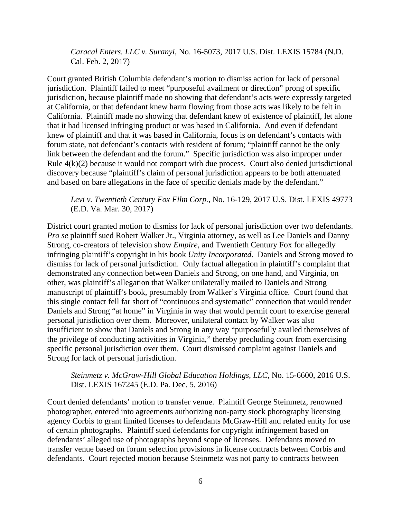*Caracal Enters. LLC v. Suranyi*, No. 16-5073, 2017 U.S. Dist. LEXIS 15784 (N.D. Cal. Feb. 2, 2017)

Court granted British Columbia defendant's motion to dismiss action for lack of personal jurisdiction. Plaintiff failed to meet "purposeful availment or direction" prong of specific jurisdiction, because plaintiff made no showing that defendant's acts were expressly targeted at California, or that defendant knew harm flowing from those acts was likely to be felt in California. Plaintiff made no showing that defendant knew of existence of plaintiff, let alone that it had licensed infringing product or was based in California. And even if defendant knew of plaintiff and that it was based in California, focus is on defendant's contacts with forum state, not defendant's contacts with resident of forum; "plaintiff cannot be the only link between the defendant and the forum." Specific jurisdiction was also improper under Rule 4(k)(2) because it would not comport with due process. Court also denied jurisdictional discovery because "plaintiff's claim of personal jurisdiction appears to be both attenuated and based on bare allegations in the face of specific denials made by the defendant."

#### *Levi v. Twentieth Century Fox Film Corp.*, No. 16-129, 2017 U.S. Dist. LEXIS 49773 (E.D. Va. Mar. 30, 2017)

District court granted motion to dismiss for lack of personal jurisdiction over two defendants. *Pro se* plaintiff sued Robert Walker Jr., Virginia attorney, as well as Lee Daniels and Danny Strong, co-creators of television show *Empire*, and Twentieth Century Fox for allegedly infringing plaintiff's copyright in his book *Unity Incorporated*. Daniels and Strong moved to dismiss for lack of personal jurisdiction. Only factual allegation in plaintiff's complaint that demonstrated any connection between Daniels and Strong, on one hand, and Virginia, on other, was plaintiff's allegation that Walker unilaterally mailed to Daniels and Strong manuscript of plaintiff's book, presumably from Walker's Virginia office. Court found that this single contact fell far short of "continuous and systematic" connection that would render Daniels and Strong "at home" in Virginia in way that would permit court to exercise general personal jurisdiction over them. Moreover, unilateral contact by Walker was also insufficient to show that Daniels and Strong in any way "purposefully availed themselves of the privilege of conducting activities in Virginia," thereby precluding court from exercising specific personal jurisdiction over them. Court dismissed complaint against Daniels and Strong for lack of personal jurisdiction.

#### *Steinmetz v. McGraw-Hill Global Education Holdings, LLC*, No. 15-6600, 2016 U.S. Dist. LEXIS 167245 (E.D. Pa. Dec. 5, 2016)

Court denied defendants' motion to transfer venue. Plaintiff George Steinmetz, renowned photographer, entered into agreements authorizing non-party stock photography licensing agency Corbis to grant limited licenses to defendants McGraw-Hill and related entity for use of certain photographs. Plaintiff sued defendants for copyright infringement based on defendants' alleged use of photographs beyond scope of licenses. Defendants moved to transfer venue based on forum selection provisions in license contracts between Corbis and defendants. Court rejected motion because Steinmetz was not party to contracts between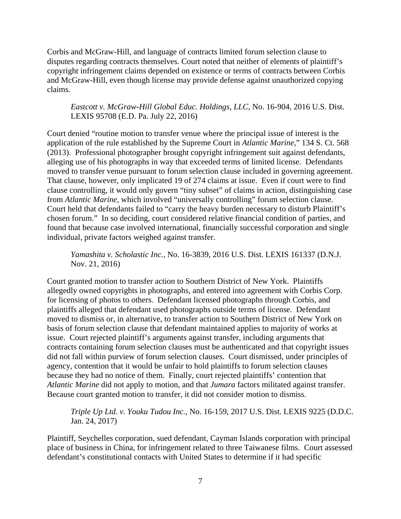Corbis and McGraw-Hill, and language of contracts limited forum selection clause to disputes regarding contracts themselves. Court noted that neither of elements of plaintiff's copyright infringement claims depended on existence or terms of contracts between Corbis and McGraw-Hill, even though license may provide defense against unauthorized copying claims.

*Eastcott v. McGraw-Hill Global Educ. Holdings, LLC*, No. 16-904, 2016 U.S. Dist. LEXIS 95708 (E.D. Pa. July 22, 2016)

Court denied "routine motion to transfer venue where the principal issue of interest is the application of the rule established by the Supreme Court in *Atlantic Marine*," 134 S. Ct. 568 (2013). Professional photographer brought copyright infringement suit against defendants, alleging use of his photographs in way that exceeded terms of limited license. Defendants moved to transfer venue pursuant to forum selection clause included in governing agreement. That clause, however, only implicated 19 of 274 claims at issue. Even if court were to find clause controlling, it would only govern "tiny subset" of claims in action, distinguishing case from *Atlantic Marine*, which involved "universally controlling" forum selection clause. Court held that defendants failed to "carry the heavy burden necessary to disturb Plaintiff's chosen forum." In so deciding, court considered relative financial condition of parties, and found that because case involved international, financially successful corporation and single individual, private factors weighed against transfer.

*Yamashita v. Scholastic Inc.*, No. 16-3839, 2016 U.S. Dist. LEXIS 161337 (D.N.J. Nov. 21, 2016)

Court granted motion to transfer action to Southern District of New York. Plaintiffs allegedly owned copyrights in photographs, and entered into agreement with Corbis Corp. for licensing of photos to others. Defendant licensed photographs through Corbis, and plaintiffs alleged that defendant used photographs outside terms of license. Defendant moved to dismiss or, in alternative, to transfer action to Southern District of New York on basis of forum selection clause that defendant maintained applies to majority of works at issue. Court rejected plaintiff's arguments against transfer, including arguments that contracts containing forum selection clauses must be authenticated and that copyright issues did not fall within purview of forum selection clauses. Court dismissed, under principles of agency, contention that it would be unfair to hold plaintiffs to forum selection clauses because they had no notice of them. Finally, court rejected plaintiffs' contention that *Atlantic Marine* did not apply to motion, and that *Jumara* factors militated against transfer. Because court granted motion to transfer, it did not consider motion to dismiss.

*Triple Up Ltd. v. Youku Tudou Inc.*, No. 16-159, 2017 U.S. Dist. LEXIS 9225 (D.D.C. Jan. 24, 2017)

Plaintiff, Seychelles corporation, sued defendant, Cayman Islands corporation with principal place of business in China, for infringement related to three Taiwanese films. Court assessed defendant's constitutional contacts with United States to determine if it had specific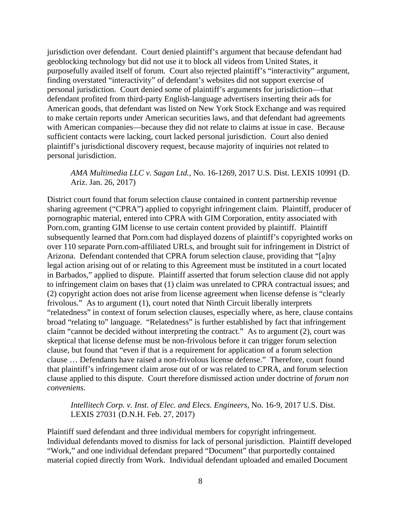jurisdiction over defendant. Court denied plaintiff's argument that because defendant had geoblocking technology but did not use it to block all videos from United States, it purposefully availed itself of forum. Court also rejected plaintiff's "interactivity" argument, finding overstated "interactivity" of defendant's websites did not support exercise of personal jurisdiction. Court denied some of plaintiff's arguments for jurisdiction—that defendant profited from third-party English-language advertisers inserting their ads for American goods, that defendant was listed on New York Stock Exchange and was required to make certain reports under American securities laws, and that defendant had agreements with American companies—because they did not relate to claims at issue in case. Because sufficient contacts were lacking, court lacked personal jurisdiction. Court also denied plaintiff's jurisdictional discovery request, because majority of inquiries not related to personal jurisdiction.

#### *AMA Multimedia LLC v. Sagan Ltd.*, No. 16-1269, 2017 U.S. Dist. LEXIS 10991 (D. Ariz. Jan. 26, 2017)

District court found that forum selection clause contained in content partnership revenue sharing agreement ("CPRA") applied to copyright infringement claim. Plaintiff, producer of pornographic material, entered into CPRA with GIM Corporation, entity associated with Porn.com, granting GIM license to use certain content provided by plaintiff. Plaintiff subsequently learned that Porn.com had displayed dozens of plaintiff's copyrighted works on over 110 separate Porn.com-affiliated URLs, and brought suit for infringement in District of Arizona. Defendant contended that CPRA forum selection clause, providing that "[a]ny legal action arising out of or relating to this Agreement must be instituted in a court located in Barbados," applied to dispute. Plaintiff asserted that forum selection clause did not apply to infringement claim on bases that (1) claim was unrelated to CPRA contractual issues; and (2) copyright action does not arise from license agreement when license defense is "clearly frivolous." As to argument (1), court noted that Ninth Circuit liberally interprets "relatedness" in context of forum selection clauses, especially where, as here, clause contains broad "relating to" language. "Relatedness" is further established by fact that infringement claim "cannot be decided without interpreting the contract." As to argument (2), court was skeptical that license defense must be non-frivolous before it can trigger forum selection clause, but found that "even if that is a requirement for application of a forum selection clause … Defendants have raised a non-frivolous license defense." Therefore, court found that plaintiff's infringement claim arose out of or was related to CPRA, and forum selection clause applied to this dispute. Court therefore dismissed action under doctrine of *forum non conveniens*.

#### *Intellitech Corp. v. Inst. of Elec. and Elecs. Engineers*, No. 16-9, 2017 U.S. Dist. LEXIS 27031 (D.N.H. Feb. 27, 2017)

Plaintiff sued defendant and three individual members for copyright infringement. Individual defendants moved to dismiss for lack of personal jurisdiction. Plaintiff developed "Work," and one individual defendant prepared "Document" that purportedly contained material copied directly from Work. Individual defendant uploaded and emailed Document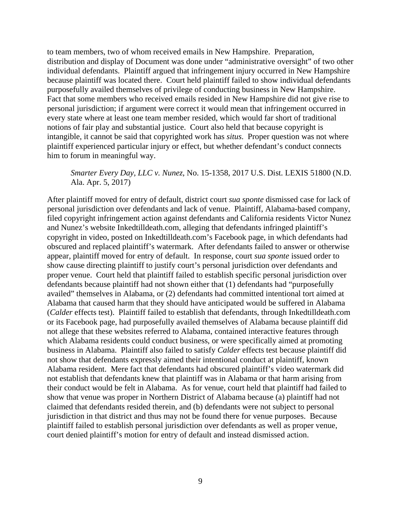to team members, two of whom received emails in New Hampshire. Preparation, distribution and display of Document was done under "administrative oversight" of two other individual defendants. Plaintiff argued that infringement injury occurred in New Hampshire because plaintiff was located there. Court held plaintiff failed to show individual defendants purposefully availed themselves of privilege of conducting business in New Hampshire. Fact that some members who received emails resided in New Hampshire did not give rise to personal jurisdiction; if argument were correct it would mean that infringement occurred in every state where at least one team member resided, which would far short of traditional notions of fair play and substantial justice. Court also held that because copyright is intangible, it cannot be said that copyrighted work has *situs*. Proper question was not where plaintiff experienced particular injury or effect, but whether defendant's conduct connects him to forum in meaningful way.

#### *Smarter Every Day, LLC v. Nunez*, No. 15-1358, 2017 U.S. Dist. LEXIS 51800 (N.D. Ala. Apr. 5, 2017)

After plaintiff moved for entry of default, district court *sua sponte* dismissed case for lack of personal jurisdiction over defendants and lack of venue. Plaintiff, Alabama-based company, filed copyright infringement action against defendants and California residents Victor Nunez and Nunez's website Inkedtilldeath.com, alleging that defendants infringed plaintiff's copyright in video, posted on Inkedtilldeath.com's Facebook page, in which defendants had obscured and replaced plaintiff's watermark. After defendants failed to answer or otherwise appear, plaintiff moved for entry of default. In response, court *sua sponte* issued order to show cause directing plaintiff to justify court's personal jurisdiction over defendants and proper venue. Court held that plaintiff failed to establish specific personal jurisdiction over defendants because plaintiff had not shown either that (1) defendants had "purposefully availed" themselves in Alabama, or (2) defendants had committed intentional tort aimed at Alabama that caused harm that they should have anticipated would be suffered in Alabama (*Calder* effects test). Plaintiff failed to establish that defendants, through Inkedtilldeath.com or its Facebook page, had purposefully availed themselves of Alabama because plaintiff did not allege that these websites referred to Alabama, contained interactive features through which Alabama residents could conduct business, or were specifically aimed at promoting business in Alabama. Plaintiff also failed to satisfy *Calder* effects test because plaintiff did not show that defendants expressly aimed their intentional conduct at plaintiff, known Alabama resident. Mere fact that defendants had obscured plaintiff's video watermark did not establish that defendants knew that plaintiff was in Alabama or that harm arising from their conduct would be felt in Alabama. As for venue, court held that plaintiff had failed to show that venue was proper in Northern District of Alabama because (a) plaintiff had not claimed that defendants resided therein, and (b) defendants were not subject to personal jurisdiction in that district and thus may not be found there for venue purposes. Because plaintiff failed to establish personal jurisdiction over defendants as well as proper venue, court denied plaintiff's motion for entry of default and instead dismissed action.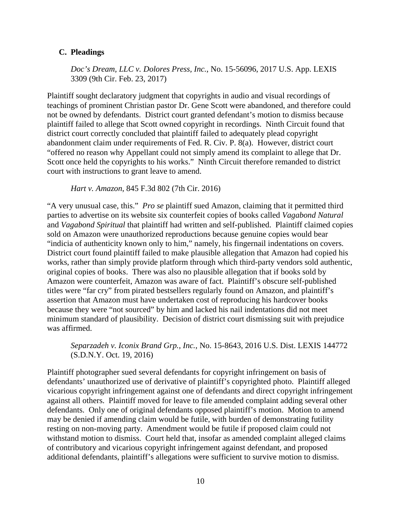#### <span id="page-25-0"></span>**C. Pleadings**

*Doc's Dream, LLC v. Dolores Press, Inc.*, No. 15-56096, 2017 U.S. App. LEXIS 3309 (9th Cir. Feb. 23, 2017)

Plaintiff sought declaratory judgment that copyrights in audio and visual recordings of teachings of prominent Christian pastor Dr. Gene Scott were abandoned, and therefore could not be owned by defendants. District court granted defendant's motion to dismiss because plaintiff failed to allege that Scott owned copyright in recordings. Ninth Circuit found that district court correctly concluded that plaintiff failed to adequately plead copyright abandonment claim under requirements of Fed. R. Civ. P. 8(a). However, district court "offered no reason why Appellant could not simply amend its complaint to allege that Dr. Scott once held the copyrights to his works." Ninth Circuit therefore remanded to district court with instructions to grant leave to amend.

*Hart v. Amazon*, 845 F.3d 802 (7th Cir. 2016)

"A very unusual case, this." *Pro se* plaintiff sued Amazon, claiming that it permitted third parties to advertise on its website six counterfeit copies of books called *Vagabond Natural* and *Vagabond Spiritual* that plaintiff had written and self-published. Plaintiff claimed copies sold on Amazon were unauthorized reproductions because genuine copies would bear "indicia of authenticity known only to him," namely, his fingernail indentations on covers. District court found plaintiff failed to make plausible allegation that Amazon had copied his works, rather than simply provide platform through which third-party vendors sold authentic, original copies of books. There was also no plausible allegation that if books sold by Amazon were counterfeit, Amazon was aware of fact. Plaintiff's obscure self-published titles were "far cry" from pirated bestsellers regularly found on Amazon, and plaintiff's assertion that Amazon must have undertaken cost of reproducing his hardcover books because they were "not sourced" by him and lacked his nail indentations did not meet minimum standard of plausibility. Decision of district court dismissing suit with prejudice was affirmed.

*Separzadeh v. Iconix Brand Grp., Inc.*, No. 15-8643, 2016 U.S. Dist. LEXIS 144772 (S.D.N.Y. Oct. 19, 2016)

Plaintiff photographer sued several defendants for copyright infringement on basis of defendants' unauthorized use of derivative of plaintiff's copyrighted photo. Plaintiff alleged vicarious copyright infringement against one of defendants and direct copyright infringement against all others. Plaintiff moved for leave to file amended complaint adding several other defendants. Only one of original defendants opposed plaintiff's motion. Motion to amend may be denied if amending claim would be futile, with burden of demonstrating futility resting on non-moving party. Amendment would be futile if proposed claim could not withstand motion to dismiss. Court held that, insofar as amended complaint alleged claims of contributory and vicarious copyright infringement against defendant, and proposed additional defendants, plaintiff's allegations were sufficient to survive motion to dismiss.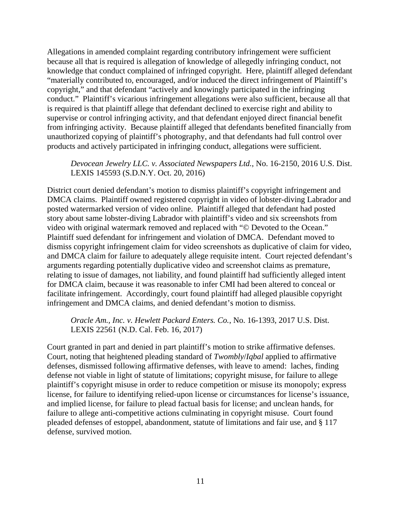Allegations in amended complaint regarding contributory infringement were sufficient because all that is required is allegation of knowledge of allegedly infringing conduct, not knowledge that conduct complained of infringed copyright. Here, plaintiff alleged defendant "materially contributed to, encouraged, and/or induced the direct infringement of Plaintiff's copyright," and that defendant "actively and knowingly participated in the infringing conduct." Plaintiff's vicarious infringement allegations were also sufficient, because all that is required is that plaintiff allege that defendant declined to exercise right and ability to supervise or control infringing activity, and that defendant enjoyed direct financial benefit from infringing activity. Because plaintiff alleged that defendants benefited financially from unauthorized copying of plaintiff's photography, and that defendants had full control over products and actively participated in infringing conduct, allegations were sufficient.

#### *Devocean Jewelry LLC. v. Associated Newspapers Ltd.*, No. 16-2150, 2016 U.S. Dist. LEXIS 145593 (S.D.N.Y. Oct. 20, 2016)

District court denied defendant's motion to dismiss plaintiff's copyright infringement and DMCA claims. Plaintiff owned registered copyright in video of lobster-diving Labrador and posted watermarked version of video online. Plaintiff alleged that defendant had posted story about same lobster-diving Labrador with plaintiff's video and six screenshots from video with original watermark removed and replaced with "© Devoted to the Ocean." Plaintiff sued defendant for infringement and violation of DMCA. Defendant moved to dismiss copyright infringement claim for video screenshots as duplicative of claim for video, and DMCA claim for failure to adequately allege requisite intent. Court rejected defendant's arguments regarding potentially duplicative video and screenshot claims as premature, relating to issue of damages, not liability, and found plaintiff had sufficiently alleged intent for DMCA claim, because it was reasonable to infer CMI had been altered to conceal or facilitate infringement. Accordingly, court found plaintiff had alleged plausible copyright infringement and DMCA claims, and denied defendant's motion to dismiss.

#### *Oracle Am., Inc. v. Hewlett Packard Enters. Co.*, No. 16-1393, 2017 U.S. Dist. LEXIS 22561 (N.D. Cal. Feb. 16, 2017)

Court granted in part and denied in part plaintiff's motion to strike affirmative defenses. Court, noting that heightened pleading standard of *Twombly*/*Iqbal* applied to affirmative defenses, dismissed following affirmative defenses, with leave to amend: laches, finding defense not viable in light of statute of limitations; copyright misuse, for failure to allege plaintiff's copyright misuse in order to reduce competition or misuse its monopoly; express license, for failure to identifying relied-upon license or circumstances for license's issuance, and implied license, for failure to plead factual basis for license; and unclean hands, for failure to allege anti-competitive actions culminating in copyright misuse. Court found pleaded defenses of estoppel, abandonment, statute of limitations and fair use, and § 117 defense, survived motion.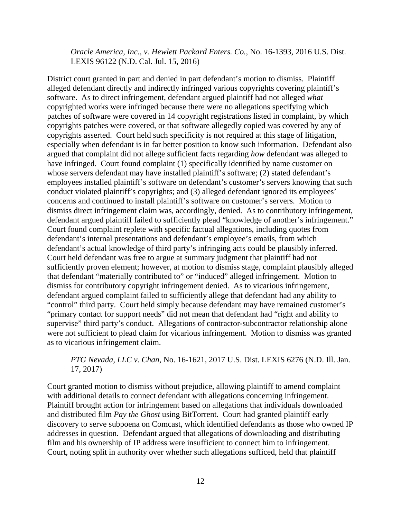*Oracle America, Inc., v. Hewlett Packard Enters. Co.*, No. 16-1393, 2016 U.S. Dist. LEXIS 96122 (N.D. Cal. Jul. 15, 2016)

District court granted in part and denied in part defendant's motion to dismiss. Plaintiff alleged defendant directly and indirectly infringed various copyrights covering plaintiff's software. As to direct infringement, defendant argued plaintiff had not alleged *what* copyrighted works were infringed because there were no allegations specifying which patches of software were covered in 14 copyright registrations listed in complaint, by which copyrights patches were covered, or that software allegedly copied was covered by any of copyrights asserted. Court held such specificity is not required at this stage of litigation, especially when defendant is in far better position to know such information. Defendant also argued that complaint did not allege sufficient facts regarding *how* defendant was alleged to have infringed. Court found complaint (1) specifically identified by name customer on whose servers defendant may have installed plaintiff's software; (2) stated defendant's employees installed plaintiff's software on defendant's customer's servers knowing that such conduct violated plaintiff's copyrights; and (3) alleged defendant ignored its employees' concerns and continued to install plaintiff's software on customer's servers. Motion to dismiss direct infringement claim was, accordingly, denied. As to contributory infringement, defendant argued plaintiff failed to sufficiently plead "knowledge of another's infringement." Court found complaint replete with specific factual allegations, including quotes from defendant's internal presentations and defendant's employee's emails, from which defendant's actual knowledge of third party's infringing acts could be plausibly inferred. Court held defendant was free to argue at summary judgment that plaintiff had not sufficiently proven element; however, at motion to dismiss stage, complaint plausibly alleged that defendant "materially contributed to" or "induced" alleged infringement. Motion to dismiss for contributory copyright infringement denied. As to vicarious infringement, defendant argued complaint failed to sufficiently allege that defendant had any ability to "control" third party. Court held simply because defendant may have remained customer's "primary contact for support needs" did not mean that defendant had "right and ability to supervise" third party's conduct. Allegations of contractor-subcontractor relationship alone were not sufficient to plead claim for vicarious infringement. Motion to dismiss was granted as to vicarious infringement claim.

*PTG Nevada, LLC v. Chan*, No. 16-1621, 2017 U.S. Dist. LEXIS 6276 (N.D. Ill. Jan. 17, 2017)

Court granted motion to dismiss without prejudice, allowing plaintiff to amend complaint with additional details to connect defendant with allegations concerning infringement. Plaintiff brought action for infringement based on allegations that individuals downloaded and distributed film *Pay the Ghost* using BitTorrent. Court had granted plaintiff early discovery to serve subpoena on Comcast, which identified defendants as those who owned IP addresses in question. Defendant argued that allegations of downloading and distributing film and his ownership of IP address were insufficient to connect him to infringement. Court, noting split in authority over whether such allegations sufficed, held that plaintiff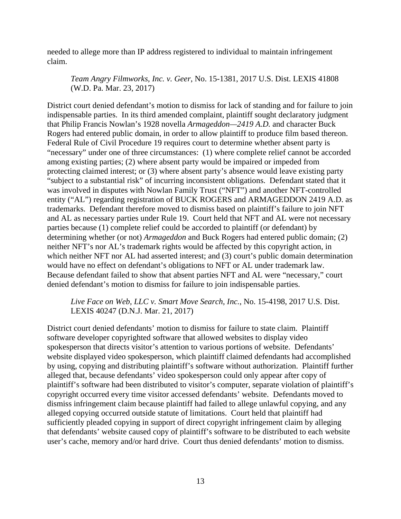needed to allege more than IP address registered to individual to maintain infringement claim.

*Team Angry Filmworks, Inc. v. Geer*, No. 15-1381, 2017 U.S. Dist. LEXIS 41808 (W.D. Pa. Mar. 23, 2017)

District court denied defendant's motion to dismiss for lack of standing and for failure to join indispensable parties. In its third amended complaint, plaintiff sought declaratory judgment that Philip Francis Nowlan's 1928 novella *Armageddon—2419 A.D.* and character Buck Rogers had entered public domain, in order to allow plaintiff to produce film based thereon. Federal Rule of Civil Procedure 19 requires court to determine whether absent party is "necessary" under one of three circumstances: (1) where complete relief cannot be accorded among existing parties; (2) where absent party would be impaired or impeded from protecting claimed interest; or (3) where absent party's absence would leave existing party "subject to a substantial risk" of incurring inconsistent obligations. Defendant stated that it was involved in disputes with Nowlan Family Trust ("NFT") and another NFT-controlled entity ("AL") regarding registration of BUCK ROGERS and ARMAGEDDON 2419 A.D. as trademarks. Defendant therefore moved to dismiss based on plaintiff's failure to join NFT and AL as necessary parties under Rule 19. Court held that NFT and AL were not necessary parties because (1) complete relief could be accorded to plaintiff (or defendant) by determining whether (or not) *Armageddon* and Buck Rogers had entered public domain; (2) neither NFT's nor AL's trademark rights would be affected by this copyright action, in which neither NFT nor AL had asserted interest; and (3) court's public domain determination would have no effect on defendant's obligations to NFT or AL under trademark law. Because defendant failed to show that absent parties NFT and AL were "necessary," court denied defendant's motion to dismiss for failure to join indispensable parties.

*Live Face on Web, LLC v. Smart Move Search, Inc.*, No. 15-4198, 2017 U.S. Dist. LEXIS 40247 (D.N.J. Mar. 21, 2017)

District court denied defendants' motion to dismiss for failure to state claim. Plaintiff software developer copyrighted software that allowed websites to display video spokesperson that directs visitor's attention to various portions of website. Defendants' website displayed video spokesperson, which plaintiff claimed defendants had accomplished by using, copying and distributing plaintiff's software without authorization. Plaintiff further alleged that, because defendants' video spokesperson could only appear after copy of plaintiff's software had been distributed to visitor's computer, separate violation of plaintiff's copyright occurred every time visitor accessed defendants' website. Defendants moved to dismiss infringement claim because plaintiff had failed to allege unlawful copying, and any alleged copying occurred outside statute of limitations. Court held that plaintiff had sufficiently pleaded copying in support of direct copyright infringement claim by alleging that defendants' website caused copy of plaintiff's software to be distributed to each website user's cache, memory and/or hard drive. Court thus denied defendants' motion to dismiss.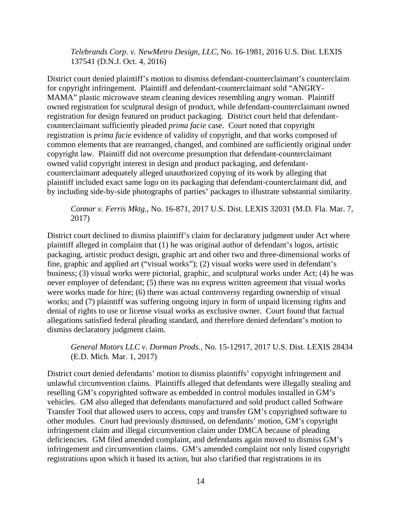*Telebrands Corp. v. NewMetro Design, LLC*, No. 16-1981, 2016 U.S. Dist. LEXIS 137541 (D.N.J. Oct. 4, 2016)

District court denied plaintiff's motion to dismiss defendant-counterclaimant's counterclaim for copyright infringement. Plaintiff and defendant-counterclaimant sold "ANGRY-MAMA" plastic microwave steam cleaning devices resembling angry woman. Plaintiff owned registration for sculptural design of product, while defendant-counterclaimant owned registration for design featured on product packaging. District court held that defendantcounterclaimant sufficiently pleaded *prima facie* case. Court noted that copyright registration is *prima facie* evidence of validity of copyright, and that works composed of common elements that are rearranged, changed, and combined are sufficiently original under copyright law. Plaintiff did not overcome presumption that defendant-counterclaimant owned valid copyright interest in design and product packaging, and defendantcounterclaimant adequately alleged unauthorized copying of its work by alleging that plaintiff included exact same logo on its packaging that defendant-counterclaimant did, and by including side-by-side photographs of parties' packages to illustrate substantial similarity.

*Connor v. Ferris Mktg.*, No. 16-871, 2017 U.S. Dist. LEXIS 32031 (M.D. Fla. Mar. 7, 2017)

District court declined to dismiss plaintiff's claim for declaratory judgment under Act where plaintiff alleged in complaint that (1) he was original author of defendant's logos, artistic packaging, artistic product design, graphic art and other two and three-dimensional works of fine, graphic and applied art ("visual works"); (2) visual works were used in defendant's business; (3) visual works were pictorial, graphic, and sculptural works under Act; (4) he was never employee of defendant; (5) there was no express written agreement that visual works were works made for hire; (6) there was actual controversy regarding ownership of visual works; and (7) plaintiff was suffering ongoing injury in form of unpaid licensing rights and denial of rights to use or license visual works as exclusive owner. Court found that factual allegations satisfied federal pleading standard, and therefore denied defendant's motion to dismiss declaratory judgment claim.

*General Motors LLC v. Dorman Prods.*, No. 15-12917, 2017 U.S. Dist. LEXIS 28434 (E.D. Mich. Mar. 1, 2017)

District court denied defendants' motion to dismiss plaintiffs' copyright infringement and unlawful circumvention claims. Plaintiffs alleged that defendants were illegally stealing and reselling GM's copyrighted software as embedded in control modules installed in GM's vehicles. GM also alleged that defendants manufactured and sold product called Software Transfer Tool that allowed users to access, copy and transfer GM's copyrighted software to other modules. Court had previously dismissed, on defendants' motion, GM's copyright infringement claim and illegal circumvention claim under DMCA because of pleading deficiencies. GM filed amended complaint, and defendants again moved to dismiss GM's infringement and circumvention claims. GM's amended complaint not only listed copyright registrations upon which it based its action, but also clarified that registrations in its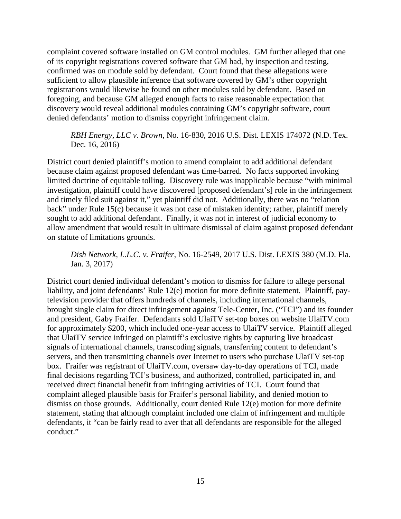complaint covered software installed on GM control modules. GM further alleged that one of its copyright registrations covered software that GM had, by inspection and testing, confirmed was on module sold by defendant. Court found that these allegations were sufficient to allow plausible inference that software covered by GM's other copyright registrations would likewise be found on other modules sold by defendant. Based on foregoing, and because GM alleged enough facts to raise reasonable expectation that discovery would reveal additional modules containing GM's copyright software, court denied defendants' motion to dismiss copyright infringement claim.

#### *RBH Energy, LLC v. Brown*, No. 16-830, 2016 U.S. Dist. LEXIS 174072 (N.D. Tex. Dec. 16, 2016)

District court denied plaintiff's motion to amend complaint to add additional defendant because claim against proposed defendant was time-barred. No facts supported invoking limited doctrine of equitable tolling. Discovery rule was inapplicable because "with minimal investigation, plaintiff could have discovered [proposed defendant's] role in the infringement and timely filed suit against it," yet plaintiff did not. Additionally, there was no "relation back" under Rule 15(c) because it was not case of mistaken identity; rather, plaintiff merely sought to add additional defendant. Finally, it was not in interest of judicial economy to allow amendment that would result in ultimate dismissal of claim against proposed defendant on statute of limitations grounds.

#### *Dish Network, L.L.C. v. Fraifer*, No. 16-2549, 2017 U.S. Dist. LEXIS 380 (M.D. Fla. Jan. 3, 2017)

District court denied individual defendant's motion to dismiss for failure to allege personal liability, and joint defendants' Rule 12(e) motion for more definite statement. Plaintiff, paytelevision provider that offers hundreds of channels, including international channels, brought single claim for direct infringement against Tele-Center, Inc. ("TCI") and its founder and president, Gaby Fraifer. Defendants sold UlaiTV set-top boxes on website UlaiTV.com for approximately \$200, which included one-year access to UlaiTV service. Plaintiff alleged that UlaiTV service infringed on plaintiff's exclusive rights by capturing live broadcast signals of international channels, transcoding signals, transferring content to defendant's servers, and then transmitting channels over Internet to users who purchase UlaiTV set-top box. Fraifer was registrant of UlaiTV.com, oversaw day-to-day operations of TCI, made final decisions regarding TCI's business, and authorized, controlled, participated in, and received direct financial benefit from infringing activities of TCI. Court found that complaint alleged plausible basis for Fraifer's personal liability, and denied motion to dismiss on those grounds. Additionally, court denied Rule 12(e) motion for more definite statement, stating that although complaint included one claim of infringement and multiple defendants, it "can be fairly read to aver that all defendants are responsible for the alleged conduct."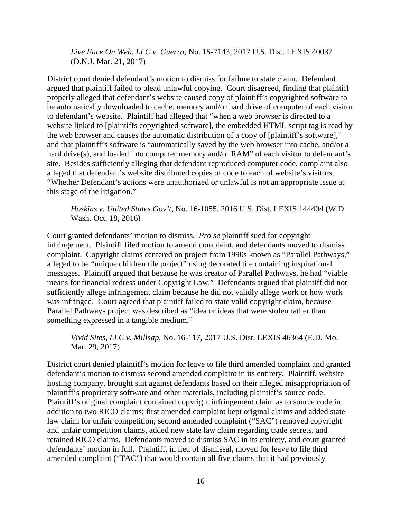*Live Face On Web, LLC v. Guerra*, No. 15-7143, 2017 U.S. Dist. LEXIS 40037 (D.N.J. Mar. 21, 2017)

District court denied defendant's motion to dismiss for failure to state claim. Defendant argued that plaintiff failed to plead unlawful copying. Court disagreed, finding that plaintiff properly alleged that defendant's website caused copy of plaintiff's copyrighted software to be automatically downloaded to cache, memory and/or hard drive of computer of each visitor to defendant's website. Plaintiff had alleged that "when a web browser is directed to a website linked to [plaintiffs copyrighted software], the embedded HTML script tag is read by the web browser and causes the automatic distribution of a copy of [plaintiff's software]," and that plaintiff's software is "automatically saved by the web browser into cache, and/or a hard drive(s), and loaded into computer memory and/or RAM" of each visitor to defendant's site. Besides sufficiently alleging that defendant reproduced computer code, complaint also alleged that defendant's website distributed copies of code to each of website's visitors. "Whether Defendant's actions were unauthorized or unlawful is not an appropriate issue at this stage of the litigation."

*Hoskins v. United States Gov't*, No. 16-1055, 2016 U.S. Dist. LEXIS 144404 (W.D. Wash. Oct. 18, 2016)

Court granted defendants' motion to dismiss. *Pro se* plaintiff sued for copyright infringement. Plaintiff filed motion to amend complaint, and defendants moved to dismiss complaint. Copyright claims centered on project from 1990s known as "Parallel Pathways," alleged to be "unique children tile project" using decorated tile containing inspirational messages. Plaintiff argued that because he was creator of Parallel Pathways, he had "viable means for financial redress under Copyright Law." Defendants argued that plaintiff did not sufficiently allege infringement claim because he did not validly allege work or how work was infringed. Court agreed that plaintiff failed to state valid copyright claim, because Parallel Pathways project was described as "idea or ideas that were stolen rather than something expressed in a tangible medium."

*Vivid Sites, LLC v. Millsap*, No. 16-117, 2017 U.S. Dist. LEXIS 46364 (E.D. Mo. Mar. 29, 2017)

District court denied plaintiff's motion for leave to file third amended complaint and granted defendant's motion to dismiss second amended complaint in its entirety. Plaintiff, website hosting company, brought suit against defendants based on their alleged misappropriation of plaintiff's proprietary software and other materials, including plaintiff's source code. Plaintiff's original complaint contained copyright infringement claim as to source code in addition to two RICO claims; first amended complaint kept original claims and added state law claim for unfair competition; second amended complaint ("SAC") removed copyright and unfair competition claims, added new state law claim regarding trade secrets, and retained RICO claims. Defendants moved to dismiss SAC in its entirety, and court granted defendants' motion in full. Plaintiff, in lieu of dismissal, moved for leave to file third amended complaint ("TAC") that would contain all five claims that it had previously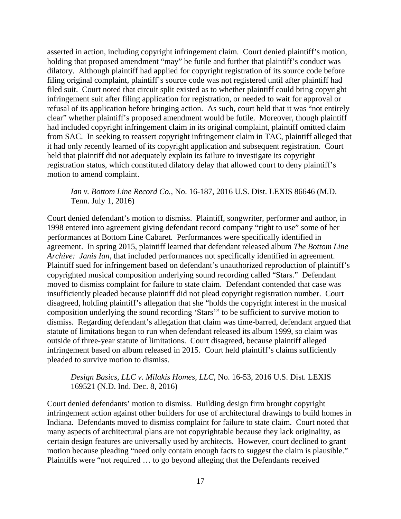asserted in action, including copyright infringement claim. Court denied plaintiff's motion, holding that proposed amendment "may" be futile and further that plaintiff's conduct was dilatory. Although plaintiff had applied for copyright registration of its source code before filing original complaint, plaintiff's source code was not registered until after plaintiff had filed suit. Court noted that circuit split existed as to whether plaintiff could bring copyright infringement suit after filing application for registration, or needed to wait for approval or refusal of its application before bringing action. As such, court held that it was "not entirely clear" whether plaintiff's proposed amendment would be futile. Moreover, though plaintiff had included copyright infringement claim in its original complaint, plaintiff omitted claim from SAC. In seeking to reassert copyright infringement claim in TAC, plaintiff alleged that it had only recently learned of its copyright application and subsequent registration. Court held that plaintiff did not adequately explain its failure to investigate its copyright registration status, which constituted dilatory delay that allowed court to deny plaintiff's motion to amend complaint.

*Ian v. Bottom Line Record Co.*, No. 16-187, 2016 U.S. Dist. LEXIS 86646 (M.D. Tenn. July 1, 2016)

Court denied defendant's motion to dismiss. Plaintiff, songwriter, performer and author, in 1998 entered into agreement giving defendant record company "right to use" some of her performances at Bottom Line Cabaret. Performances were specifically identified in agreement. In spring 2015, plaintiff learned that defendant released album *The Bottom Line Archive: Janis Ian*, that included performances not specifically identified in agreement. Plaintiff sued for infringement based on defendant's unauthorized reproduction of plaintiff's copyrighted musical composition underlying sound recording called "Stars." Defendant moved to dismiss complaint for failure to state claim. Defendant contended that case was insufficiently pleaded because plaintiff did not plead copyright registration number. Court disagreed, holding plaintiff's allegation that she "holds the copyright interest in the musical composition underlying the sound recording 'Stars'" to be sufficient to survive motion to dismiss. Regarding defendant's allegation that claim was time-barred, defendant argued that statute of limitations began to run when defendant released its album 1999, so claim was outside of three-year statute of limitations. Court disagreed, because plaintiff alleged infringement based on album released in 2015. Court held plaintiff's claims sufficiently pleaded to survive motion to dismiss.

#### *Design Basics, LLC v. Milakis Homes, LLC*, No. 16-53, 2016 U.S. Dist. LEXIS 169521 (N.D. Ind. Dec. 8, 2016)

Court denied defendants' motion to dismiss. Building design firm brought copyright infringement action against other builders for use of architectural drawings to build homes in Indiana. Defendants moved to dismiss complaint for failure to state claim. Court noted that many aspects of architectural plans are not copyrightable because they lack originality, as certain design features are universally used by architects. However, court declined to grant motion because pleading "need only contain enough facts to suggest the claim is plausible." Plaintiffs were "not required … to go beyond alleging that the Defendants received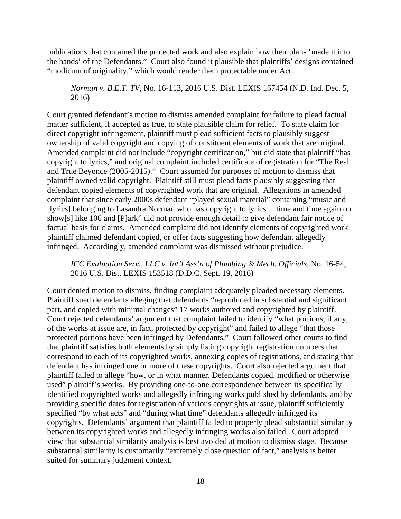publications that contained the protected work and also explain how their plans 'made it into the hands' of the Defendants." Court also found it plausible that plaintiffs' designs contained "modicum of originality," which would render them protectable under Act.

*Norman v. B.E.T. TV*, No. 16-113, 2016 U.S. Dist. LEXIS 167454 (N.D. Ind. Dec. 5, 2016)

Court granted defendant's motion to dismiss amended complaint for failure to plead factual matter sufficient, if accepted as true, to state plausible claim for relief. To state claim for direct copyright infringement, plaintiff must plead sufficient facts to plausibly suggest ownership of valid copyright and copying of constituent elements of work that are original. Amended complaint did not include "copyright certification," but did state that plaintiff "has copyright to lyrics," and original complaint included certificate of registration for "The Real and True Beyonce (2005-2015)." Court assumed for purposes of motion to dismiss that plaintiff owned valid copyright. Plaintiff still must plead facts plausibly suggesting that defendant copied elements of copyrighted work that are original. Allegations in amended complaint that since early 2000s defendant "played sexual material" containing "music and [lyrics] belonging to Lasandra Norman who has copyright to lyrics ... time and time again on show[s] like 106 and [P]ark" did not provide enough detail to give defendant fair notice of factual basis for claims. Amended complaint did not identify elements of copyrighted work plaintiff claimed defendant copied, or offer facts suggesting how defendant allegedly infringed. Accordingly, amended complaint was dismissed without prejudice.

*ICC Evaluation Serv., LLC v. Int'l Ass'n of Plumbing & Mech. Officials*, No. 16-54, 2016 U.S. Dist. LEXIS 153518 (D.D.C. Sept. 19, 2016)

Court denied motion to dismiss, finding complaint adequately pleaded necessary elements. Plaintiff sued defendants alleging that defendants "reproduced in substantial and significant part, and copied with minimal changes" 17 works authored and copyrighted by plaintiff. Court rejected defendants' argument that complaint failed to identify "what portions, if any, of the works at issue are, in fact, protected by copyright" and failed to allege "that those protected portions have been infringed by Defendants." Court followed other courts to find that plaintiff satisfies both elements by simply listing copyright registration numbers that correspond to each of its copyrighted works, annexing copies of registrations, and stating that defendant has infringed one or more of these copyrights. Court also rejected argument that plaintiff failed to allege "how, or in what manner, Defendants copied, modified or otherwise used" plaintiff's works. By providing one-to-one correspondence between its specifically identified copyrighted works and allegedly infringing works published by defendants, and by providing specific dates for registration of various copyrights at issue, plaintiff sufficiently specified "by what acts" and "during what time" defendants allegedly infringed its copyrights. Defendants' argument that plaintiff failed to properly plead substantial similarity between its copyrighted works and allegedly infringing works also failed. Court adopted view that substantial similarity analysis is best avoided at motion to dismiss stage. Because substantial similarity is customarily "extremely close question of fact," analysis is better suited for summary judgment context.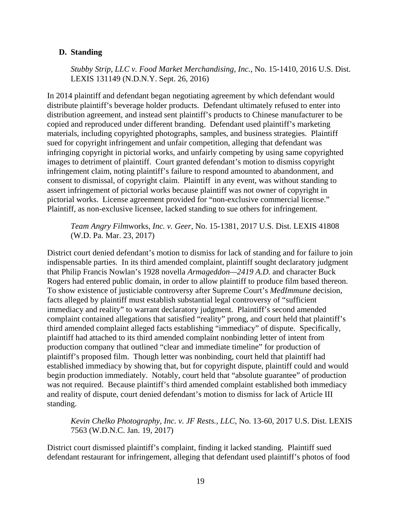#### <span id="page-34-0"></span>**D. Standing**

*Stubby Strip, LLC v. Food Market Merchandising, Inc.*, No. 15-1410, 2016 U.S. Dist. LEXIS 131149 (N.D.N.Y. Sept. 26, 2016)

In 2014 plaintiff and defendant began negotiating agreement by which defendant would distribute plaintiff's beverage holder products. Defendant ultimately refused to enter into distribution agreement, and instead sent plaintiff's products to Chinese manufacturer to be copied and reproduced under different branding. Defendant used plaintiff's marketing materials, including copyrighted photographs, samples, and business strategies. Plaintiff sued for copyright infringement and unfair competition, alleging that defendant was infringing copyright in pictorial works, and unfairly competing by using same copyrighted images to detriment of plaintiff. Court granted defendant's motion to dismiss copyright infringement claim, noting plaintiff's failure to respond amounted to abandonment, and consent to dismissal, of copyright claim. Plaintiff in any event, was without standing to assert infringement of pictorial works because plaintiff was not owner of copyright in pictorial works. License agreement provided for "non-exclusive commercial license." Plaintiff, as non-exclusive licensee, lacked standing to sue others for infringement.

*Team Angry Film*works*, Inc. v. Geer*, No. 15-1381, 2017 U.S. Dist. LEXIS 41808 (W.D. Pa. Mar. 23, 2017)

District court denied defendant's motion to dismiss for lack of standing and for failure to join indispensable parties. In its third amended complaint, plaintiff sought declaratory judgment that Philip Francis Nowlan's 1928 novella *Armageddon—2419 A.D.* and character Buck Rogers had entered public domain, in order to allow plaintiff to produce film based thereon. To show existence of justiciable controversy after Supreme Court's *MedImmune* decision, facts alleged by plaintiff must establish substantial legal controversy of "sufficient immediacy and reality" to warrant declaratory judgment. Plaintiff's second amended complaint contained allegations that satisfied "reality" prong, and court held that plaintiff's third amended complaint alleged facts establishing "immediacy" of dispute. Specifically, plaintiff had attached to its third amended complaint nonbinding letter of intent from production company that outlined "clear and immediate timeline" for production of plaintiff's proposed film. Though letter was nonbinding, court held that plaintiff had established immediacy by showing that, but for copyright dispute, plaintiff could and would begin production immediately. Notably, court held that "absolute guarantee" of production was not required. Because plaintiff's third amended complaint established both immediacy and reality of dispute, court denied defendant's motion to dismiss for lack of Article III standing.

*Kevin Chelko Photography, Inc. v. JF Rests., LLC*, No. 13-60, 2017 U.S. Dist. LEXIS 7563 (W.D.N.C. Jan. 19, 2017)

District court dismissed plaintiff's complaint, finding it lacked standing. Plaintiff sued defendant restaurant for infringement, alleging that defendant used plaintiff's photos of food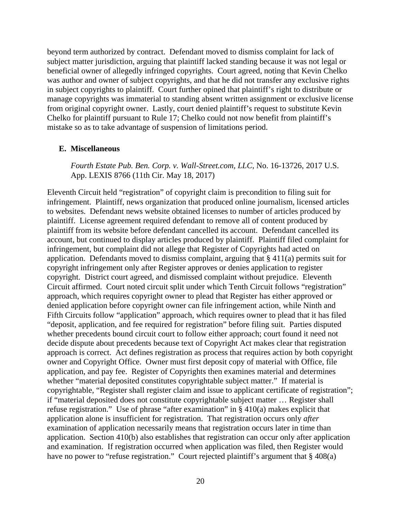beyond term authorized by contract. Defendant moved to dismiss complaint for lack of subject matter jurisdiction, arguing that plaintiff lacked standing because it was not legal or beneficial owner of allegedly infringed copyrights. Court agreed, noting that Kevin Chelko was author and owner of subject copyrights, and that he did not transfer any exclusive rights in subject copyrights to plaintiff. Court further opined that plaintiff's right to distribute or manage copyrights was immaterial to standing absent written assignment or exclusive license from original copyright owner. Lastly, court denied plaintiff's request to substitute Kevin Chelko for plaintiff pursuant to Rule 17; Chelko could not now benefit from plaintiff's mistake so as to take advantage of suspension of limitations period.

#### <span id="page-35-0"></span>**E. Miscellaneous**

*Fourth Estate Pub. Ben. Corp. v. Wall-Street.com, LLC*, No. 16-13726, 2017 U.S. App. LEXIS 8766 (11th Cir. May 18, 2017)

Eleventh Circuit held "registration" of copyright claim is precondition to filing suit for infringement. Plaintiff, news organization that produced online journalism, licensed articles to websites. Defendant news website obtained licenses to number of articles produced by plaintiff. License agreement required defendant to remove all of content produced by plaintiff from its website before defendant cancelled its account. Defendant cancelled its account, but continued to display articles produced by plaintiff. Plaintiff filed complaint for infringement, but complaint did not allege that Register of Copyrights had acted on application. Defendants moved to dismiss complaint, arguing that § 411(a) permits suit for copyright infringement only after Register approves or denies application to register copyright. District court agreed, and dismissed complaint without prejudice. Eleventh Circuit affirmed. Court noted circuit split under which Tenth Circuit follows "registration" approach, which requires copyright owner to plead that Register has either approved or denied application before copyright owner can file infringement action, while Ninth and Fifth Circuits follow "application" approach, which requires owner to plead that it has filed "deposit, application, and fee required for registration" before filing suit. Parties disputed whether precedents bound circuit court to follow either approach; court found it need not decide dispute about precedents because text of Copyright Act makes clear that registration approach is correct. Act defines registration as process that requires action by both copyright owner and Copyright Office. Owner must first deposit copy of material with Office, file application, and pay fee. Register of Copyrights then examines material and determines whether "material deposited constitutes copyrightable subject matter." If material is copyrightable, "Register shall register claim and issue to applicant certificate of registration"; if "material deposited does not constitute copyrightable subject matter … Register shall refuse registration." Use of phrase "after examination" in § 410(a) makes explicit that application alone is insufficient for registration. That registration occurs only *after* examination of application necessarily means that registration occurs later in time than application. Section 410(b) also establishes that registration can occur only after application and examination. If registration occurred when application was filed, then Register would have no power to "refuse registration." Court rejected plaintiff's argument that § 408(a)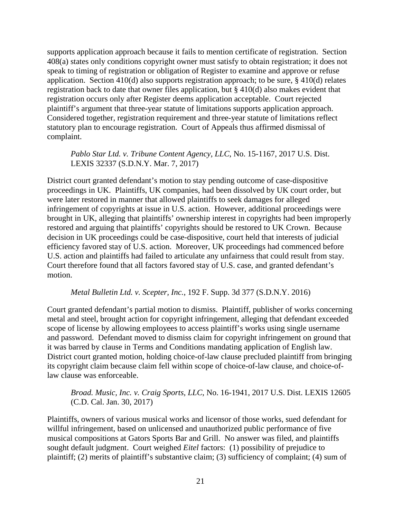supports application approach because it fails to mention certificate of registration. Section 408(a) states only conditions copyright owner must satisfy to obtain registration; it does not speak to timing of registration or obligation of Register to examine and approve or refuse application. Section 410(d) also supports registration approach; to be sure, § 410(d) relates registration back to date that owner files application, but § 410(d) also makes evident that registration occurs only after Register deems application acceptable. Court rejected plaintiff's argument that three-year statute of limitations supports application approach. Considered together, registration requirement and three-year statute of limitations reflect statutory plan to encourage registration. Court of Appeals thus affirmed dismissal of complaint.

## *Pablo Star Ltd. v. Tribune Content Agency, LLC*, No. 15-1167, 2017 U.S. Dist. LEXIS 32337 (S.D.N.Y. Mar. 7, 2017)

District court granted defendant's motion to stay pending outcome of case-dispositive proceedings in UK. Plaintiffs, UK companies, had been dissolved by UK court order, but were later restored in manner that allowed plaintiffs to seek damages for alleged infringement of copyrights at issue in U.S. action. However, additional proceedings were brought in UK, alleging that plaintiffs' ownership interest in copyrights had been improperly restored and arguing that plaintiffs' copyrights should be restored to UK Crown. Because decision in UK proceedings could be case-dispositive, court held that interests of judicial efficiency favored stay of U.S. action. Moreover, UK proceedings had commenced before U.S. action and plaintiffs had failed to articulate any unfairness that could result from stay. Court therefore found that all factors favored stay of U.S. case, and granted defendant's motion.

# *Metal Bulletin Ltd. v. Scepter, Inc.*, 192 F. Supp. 3d 377 (S.D.N.Y. 2016)

Court granted defendant's partial motion to dismiss. Plaintiff, publisher of works concerning metal and steel, brought action for copyright infringement, alleging that defendant exceeded scope of license by allowing employees to access plaintiff's works using single username and password. Defendant moved to dismiss claim for copyright infringement on ground that it was barred by clause in Terms and Conditions mandating application of English law. District court granted motion, holding choice-of-law clause precluded plaintiff from bringing its copyright claim because claim fell within scope of choice-of-law clause, and choice-oflaw clause was enforceable.

# *Broad. Music, Inc. v. Craig Sports, LLC*, No. 16-1941, 2017 U.S. Dist. LEXIS 12605 (C.D. Cal. Jan. 30, 2017)

Plaintiffs, owners of various musical works and licensor of those works, sued defendant for willful infringement, based on unlicensed and unauthorized public performance of five musical compositions at Gators Sports Bar and Grill. No answer was filed, and plaintiffs sought default judgment. Court weighed *Eitel* factors: (1) possibility of prejudice to plaintiff; (2) merits of plaintiff's substantive claim; (3) sufficiency of complaint; (4) sum of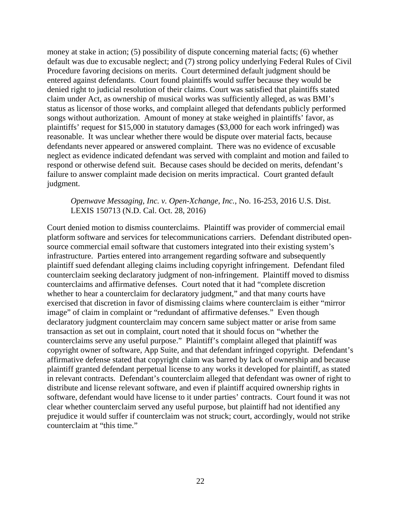money at stake in action; (5) possibility of dispute concerning material facts; (6) whether default was due to excusable neglect; and (7) strong policy underlying Federal Rules of Civil Procedure favoring decisions on merits. Court determined default judgment should be entered against defendants. Court found plaintiffs would suffer because they would be denied right to judicial resolution of their claims. Court was satisfied that plaintiffs stated claim under Act, as ownership of musical works was sufficiently alleged, as was BMI's status as licensor of those works, and complaint alleged that defendants publicly performed songs without authorization. Amount of money at stake weighed in plaintiffs' favor, as plaintiffs' request for \$15,000 in statutory damages (\$3,000 for each work infringed) was reasonable. It was unclear whether there would be dispute over material facts, because defendants never appeared or answered complaint. There was no evidence of excusable neglect as evidence indicated defendant was served with complaint and motion and failed to respond or otherwise defend suit. Because cases should be decided on merits, defendant's failure to answer complaint made decision on merits impractical. Court granted default judgment.

### *Openwave Messaging, Inc. v. Open-Xchange, Inc.*, No. 16-253, 2016 U.S. Dist. LEXIS 150713 (N.D. Cal. Oct. 28, 2016)

Court denied motion to dismiss counterclaims. Plaintiff was provider of commercial email platform software and services for telecommunications carriers. Defendant distributed opensource commercial email software that customers integrated into their existing system's infrastructure. Parties entered into arrangement regarding software and subsequently plaintiff sued defendant alleging claims including copyright infringement. Defendant filed counterclaim seeking declaratory judgment of non-infringement. Plaintiff moved to dismiss counterclaims and affirmative defenses. Court noted that it had "complete discretion whether to hear a counterclaim for declaratory judgment," and that many courts have exercised that discretion in favor of dismissing claims where counterclaim is either "mirror image" of claim in complaint or "redundant of affirmative defenses." Even though declaratory judgment counterclaim may concern same subject matter or arise from same transaction as set out in complaint, court noted that it should focus on "whether the counterclaims serve any useful purpose." Plaintiff's complaint alleged that plaintiff was copyright owner of software, App Suite, and that defendant infringed copyright. Defendant's affirmative defense stated that copyright claim was barred by lack of ownership and because plaintiff granted defendant perpetual license to any works it developed for plaintiff, as stated in relevant contracts. Defendant's counterclaim alleged that defendant was owner of right to distribute and license relevant software, and even if plaintiff acquired ownership rights in software, defendant would have license to it under parties' contracts. Court found it was not clear whether counterclaim served any useful purpose, but plaintiff had not identified any prejudice it would suffer if counterclaim was not struck; court, accordingly, would not strike counterclaim at "this time."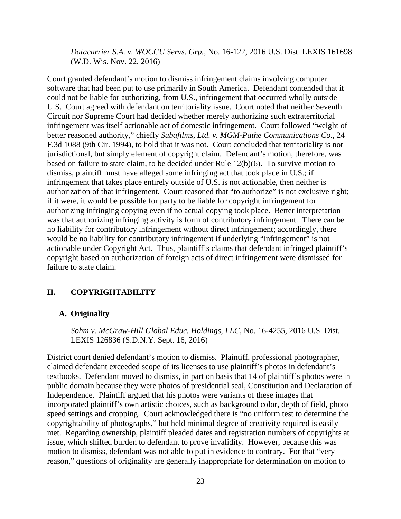*Datacarrier S.A. v. WOCCU Servs. Grp.*, No. 16-122, 2016 U.S. Dist. LEXIS 161698 (W.D. Wis. Nov. 22, 2016)

Court granted defendant's motion to dismiss infringement claims involving computer software that had been put to use primarily in South America. Defendant contended that it could not be liable for authorizing, from U.S., infringement that occurred wholly outside U.S. Court agreed with defendant on territoriality issue. Court noted that neither Seventh Circuit nor Supreme Court had decided whether merely authorizing such extraterritorial infringement was itself actionable act of domestic infringement. Court followed "weight of better reasoned authority," chiefly *Subafilms, Ltd. v. MGM-Pathe Communications Co.*, 24 F.3d 1088 (9th Cir. 1994), to hold that it was not. Court concluded that territoriality is not jurisdictional, but simply element of copyright claim. Defendant's motion, therefore, was based on failure to state claim, to be decided under Rule 12(b)(6). To survive motion to dismiss, plaintiff must have alleged some infringing act that took place in U.S.; if infringement that takes place entirely outside of U.S. is not actionable, then neither is authorization of that infringement. Court reasoned that "to authorize" is not exclusive right; if it were, it would be possible for party to be liable for copyright infringement for authorizing infringing copying even if no actual copying took place. Better interpretation was that authorizing infringing activity is form of contributory infringement. There can be no liability for contributory infringement without direct infringement; accordingly, there would be no liability for contributory infringement if underlying "infringement" is not actionable under Copyright Act. Thus, plaintiff's claims that defendant infringed plaintiff's copyright based on authorization of foreign acts of direct infringement were dismissed for failure to state claim.

## **II. COPYRIGHTABILITY**

## **A. Originality**

*Sohm v. McGraw-Hill Global Educ. Holdings, LLC*, No. 16-4255, 2016 U.S. Dist. LEXIS 126836 (S.D.N.Y. Sept. 16, 2016)

District court denied defendant's motion to dismiss. Plaintiff, professional photographer, claimed defendant exceeded scope of its licenses to use plaintiff's photos in defendant's textbooks. Defendant moved to dismiss, in part on basis that 14 of plaintiff's photos were in public domain because they were photos of presidential seal, Constitution and Declaration of Independence. Plaintiff argued that his photos were variants of these images that incorporated plaintiff's own artistic choices, such as background color, depth of field, photo speed settings and cropping. Court acknowledged there is "no uniform test to determine the copyrightability of photographs," but held minimal degree of creativity required is easily met. Regarding ownership, plaintiff pleaded dates and registration numbers of copyrights at issue, which shifted burden to defendant to prove invalidity. However, because this was motion to dismiss, defendant was not able to put in evidence to contrary. For that "very reason," questions of originality are generally inappropriate for determination on motion to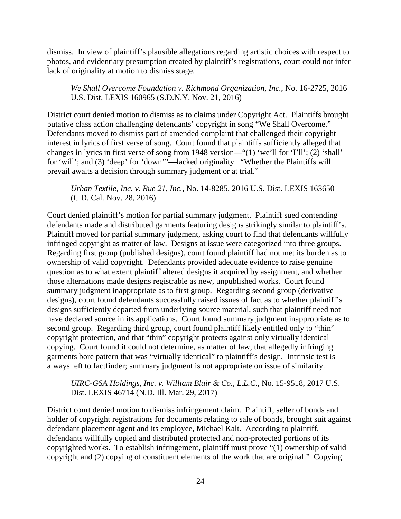dismiss. In view of plaintiff's plausible allegations regarding artistic choices with respect to photos, and evidentiary presumption created by plaintiff's registrations, court could not infer lack of originality at motion to dismiss stage.

*We Shall Overcome Foundation v. Richmond Organization, Inc.*, No. 16-2725, 2016 U.S. Dist. LEXIS 160965 (S.D.N.Y. Nov. 21, 2016)

District court denied motion to dismiss as to claims under Copyright Act. Plaintiffs brought putative class action challenging defendants' copyright in song "We Shall Overcome." Defendants moved to dismiss part of amended complaint that challenged their copyright interest in lyrics of first verse of song. Court found that plaintiffs sufficiently alleged that changes in lyrics in first verse of song from 1948 version—"(1) 'we'll for 'I'll'; (2) 'shall' for 'will'; and (3) 'deep' for 'down'"—lacked originality. "Whether the Plaintiffs will prevail awaits a decision through summary judgment or at trial."

*Urban Textile, Inc. v. Rue 21, Inc.*, No. 14-8285, 2016 U.S. Dist. LEXIS 163650 (C.D. Cal. Nov. 28, 2016)

Court denied plaintiff's motion for partial summary judgment. Plaintiff sued contending defendants made and distributed garments featuring designs strikingly similar to plaintiff's. Plaintiff moved for partial summary judgment, asking court to find that defendants willfully infringed copyright as matter of law. Designs at issue were categorized into three groups. Regarding first group (published designs), court found plaintiff had not met its burden as to ownership of valid copyright. Defendants provided adequate evidence to raise genuine question as to what extent plaintiff altered designs it acquired by assignment, and whether those alternations made designs registrable as new, unpublished works. Court found summary judgment inappropriate as to first group. Regarding second group (derivative designs), court found defendants successfully raised issues of fact as to whether plaintiff's designs sufficiently departed from underlying source material, such that plaintiff need not have declared source in its applications. Court found summary judgment inappropriate as to second group. Regarding third group, court found plaintiff likely entitled only to "thin" copyright protection, and that "thin" copyright protects against only virtually identical copying. Court found it could not determine, as matter of law, that allegedly infringing garments bore pattern that was "virtually identical" to plaintiff's design. Intrinsic test is always left to factfinder; summary judgment is not appropriate on issue of similarity.

*UIRC-GSA Holdings, Inc. v. William Blair & Co., L.L.C.*, No. 15-9518, 2017 U.S. Dist. LEXIS 46714 (N.D. Ill. Mar. 29, 2017)

District court denied motion to dismiss infringement claim. Plaintiff, seller of bonds and holder of copyright registrations for documents relating to sale of bonds, brought suit against defendant placement agent and its employee, Michael Kalt. According to plaintiff, defendants willfully copied and distributed protected and non-protected portions of its copyrighted works. To establish infringement, plaintiff must prove "(1) ownership of valid copyright and (2) copying of constituent elements of the work that are original." Copying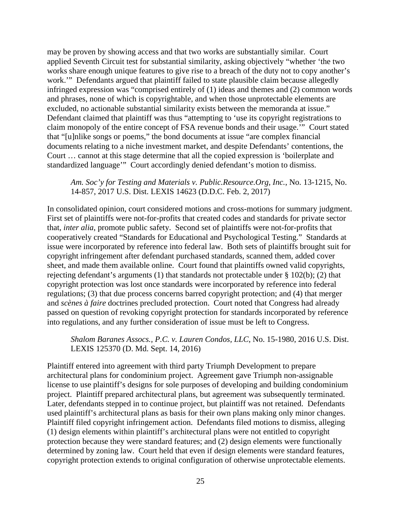may be proven by showing access and that two works are substantially similar. Court applied Seventh Circuit test for substantial similarity, asking objectively "whether 'the two works share enough unique features to give rise to a breach of the duty not to copy another's work.'" Defendants argued that plaintiff failed to state plausible claim because allegedly infringed expression was "comprised entirely of (1) ideas and themes and (2) common words and phrases, none of which is copyrightable, and when those unprotectable elements are excluded, no actionable substantial similarity exists between the memoranda at issue." Defendant claimed that plaintiff was thus "attempting to 'use its copyright registrations to claim monopoly of the entire concept of FSA revenue bonds and their usage.'" Court stated that "[u]nlike songs or poems," the bond documents at issue "are complex financial documents relating to a niche investment market, and despite Defendants' contentions, the Court … cannot at this stage determine that all the copied expression is 'boilerplate and standardized language'" Court accordingly denied defendant's motion to dismiss.

## *Am. Soc'y for Testing and Materials v. Public.Resource.Org, Inc.*, No. 13-1215, No. 14-857, 2017 U.S. Dist. LEXIS 14623 (D.D.C. Feb. 2, 2017)

In consolidated opinion, court considered motions and cross-motions for summary judgment. First set of plaintiffs were not-for-profits that created codes and standards for private sector that, *inter alia*, promote public safety. Second set of plaintiffs were not-for-profits that cooperatively created "Standards for Educational and Psychological Testing." Standards at issue were incorporated by reference into federal law. Both sets of plaintiffs brought suit for copyright infringement after defendant purchased standards, scanned them, added cover sheet, and made them available online. Court found that plaintiffs owned valid copyrights, rejecting defendant's arguments (1) that standards not protectable under § 102(b); (2) that copyright protection was lost once standards were incorporated by reference into federal regulations; (3) that due process concerns barred copyright protection; and (4) that merger and *scènes à faire* doctrines precluded protection. Court noted that Congress had already passed on question of revoking copyright protection for standards incorporated by reference into regulations, and any further consideration of issue must be left to Congress.

*Shalom Baranes Assocs., P.C. v. Lauren Condos, LLC*, No. 15-1980, 2016 U.S. Dist. LEXIS 125370 (D. Md. Sept. 14, 2016)

Plaintiff entered into agreement with third party Triumph Development to prepare architectural plans for condominium project. Agreement gave Triumph non-assignable license to use plaintiff's designs for sole purposes of developing and building condominium project. Plaintiff prepared architectural plans, but agreement was subsequently terminated. Later, defendants stepped in to continue project, but plaintiff was not retained. Defendants used plaintiff's architectural plans as basis for their own plans making only minor changes. Plaintiff filed copyright infringement action. Defendants filed motions to dismiss, alleging (1) design elements within plaintiff's architectural plans were not entitled to copyright protection because they were standard features; and (2) design elements were functionally determined by zoning law. Court held that even if design elements were standard features, copyright protection extends to original configuration of otherwise unprotectable elements.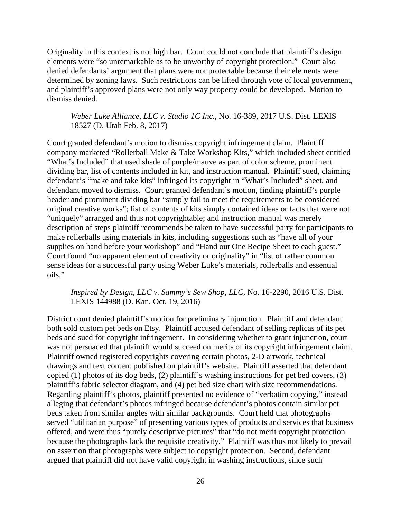Originality in this context is not high bar. Court could not conclude that plaintiff's design elements were "so unremarkable as to be unworthy of copyright protection." Court also denied defendants' argument that plans were not protectable because their elements were determined by zoning laws. Such restrictions can be lifted through vote of local government, and plaintiff's approved plans were not only way property could be developed. Motion to dismiss denied.

*Weber Luke Alliance, LLC v. Studio 1C Inc.*, No. 16-389, 2017 U.S. Dist. LEXIS 18527 (D. Utah Feb. 8, 2017)

Court granted defendant's motion to dismiss copyright infringement claim. Plaintiff company marketed "Rollerball Make & Take Workshop Kits," which included sheet entitled "What's Included" that used shade of purple/mauve as part of color scheme, prominent dividing bar, list of contents included in kit, and instruction manual. Plaintiff sued, claiming defendant's "make and take kits" infringed its copyright in "What's Included" sheet, and defendant moved to dismiss. Court granted defendant's motion, finding plaintiff's purple header and prominent dividing bar "simply fail to meet the requirements to be considered original creative works"; list of contents of kits simply contained ideas or facts that were not "uniquely" arranged and thus not copyrightable; and instruction manual was merely description of steps plaintiff recommends be taken to have successful party for participants to make rollerballs using materials in kits, including suggestions such as "have all of your supplies on hand before your workshop" and "Hand out One Recipe Sheet to each guest." Court found "no apparent element of creativity or originality" in "list of rather common sense ideas for a successful party using Weber Luke's materials, rollerballs and essential oils."

## *Inspired by Design, LLC v. Sammy's Sew Shop, LLC*, No. 16-2290, 2016 U.S. Dist. LEXIS 144988 (D. Kan. Oct. 19, 2016)

District court denied plaintiff's motion for preliminary injunction. Plaintiff and defendant both sold custom pet beds on Etsy. Plaintiff accused defendant of selling replicas of its pet beds and sued for copyright infringement. In considering whether to grant injunction, court was not persuaded that plaintiff would succeed on merits of its copyright infringement claim. Plaintiff owned registered copyrights covering certain photos, 2-D artwork, technical drawings and text content published on plaintiff's website. Plaintiff asserted that defendant copied (1) photos of its dog beds, (2) plaintiff's washing instructions for pet bed covers, (3) plaintiff's fabric selector diagram, and (4) pet bed size chart with size recommendations. Regarding plaintiff's photos, plaintiff presented no evidence of "verbatim copying," instead alleging that defendant's photos infringed because defendant's photos contain similar pet beds taken from similar angles with similar backgrounds. Court held that photographs served "utilitarian purpose" of presenting various types of products and services that business offered, and were thus "purely descriptive pictures" that "do not merit copyright protection because the photographs lack the requisite creativity." Plaintiff was thus not likely to prevail on assertion that photographs were subject to copyright protection. Second, defendant argued that plaintiff did not have valid copyright in washing instructions, since such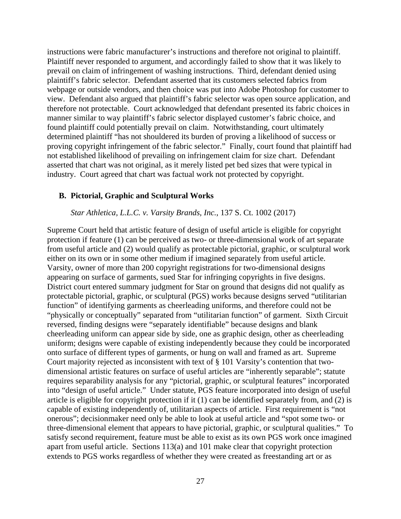instructions were fabric manufacturer's instructions and therefore not original to plaintiff. Plaintiff never responded to argument, and accordingly failed to show that it was likely to prevail on claim of infringement of washing instructions. Third, defendant denied using plaintiff's fabric selector. Defendant asserted that its customers selected fabrics from webpage or outside vendors, and then choice was put into Adobe Photoshop for customer to view. Defendant also argued that plaintiff's fabric selector was open source application, and therefore not protectable. Court acknowledged that defendant presented its fabric choices in manner similar to way plaintiff's fabric selector displayed customer's fabric choice, and found plaintiff could potentially prevail on claim. Notwithstanding, court ultimately determined plaintiff "has not shouldered its burden of proving a likelihood of success or proving copyright infringement of the fabric selector." Finally, court found that plaintiff had not established likelihood of prevailing on infringement claim for size chart. Defendant asserted that chart was not original, as it merely listed pet bed sizes that were typical in industry. Court agreed that chart was factual work not protected by copyright.

#### **B. Pictorial, Graphic and Sculptural Works**

*Star Athletica, L.L.C. v. Varsity Brands, Inc.*, 137 S. Ct. 1002 (2017)

Supreme Court held that artistic feature of design of useful article is eligible for copyright protection if feature (1) can be perceived as two- or three-dimensional work of art separate from useful article and (2) would qualify as protectable pictorial, graphic, or sculptural work either on its own or in some other medium if imagined separately from useful article. Varsity, owner of more than 200 copyright registrations for two-dimensional designs appearing on surface of garments, sued Star for infringing copyrights in five designs. District court entered summary judgment for Star on ground that designs did not qualify as protectable pictorial, graphic, or sculptural (PGS) works because designs served "utilitarian function" of identifying garments as cheerleading uniforms, and therefore could not be "physically or conceptually" separated from "utilitarian function" of garment. Sixth Circuit reversed, finding designs were "separately identifiable" because designs and blank cheerleading uniform can appear side by side, one as graphic design, other as cheerleading uniform; designs were capable of existing independently because they could be incorporated onto surface of different types of garments, or hung on wall and framed as art. Supreme Court majority rejected as inconsistent with text of § 101 Varsity's contention that twodimensional artistic features on surface of useful articles are "inherently separable"; statute requires separability analysis for any "pictorial, graphic, or sculptural features" incorporated into "design of useful article." Under statute, PGS feature incorporated into design of useful article is eligible for copyright protection if it (1) can be identified separately from, and (2) is capable of existing independently of, utilitarian aspects of article. First requirement is "not onerous"; decisionmaker need only be able to look at useful article and "spot some two- or three-dimensional element that appears to have pictorial, graphic, or sculptural qualities." To satisfy second requirement, feature must be able to exist as its own PGS work once imagined apart from useful article. Sections 113(a) and 101 make clear that copyright protection extends to PGS works regardless of whether they were created as freestanding art or as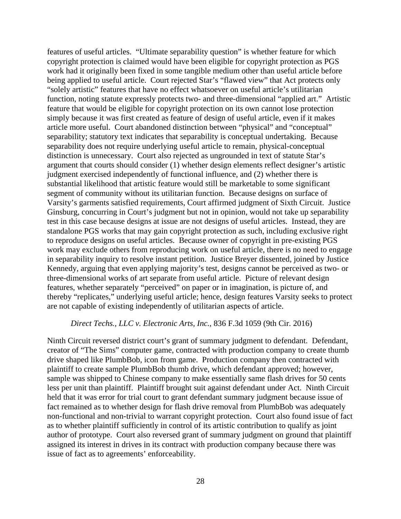features of useful articles. "Ultimate separability question" is whether feature for which copyright protection is claimed would have been eligible for copyright protection as PGS work had it originally been fixed in some tangible medium other than useful article before being applied to useful article. Court rejected Star's "flawed view" that Act protects only "solely artistic" features that have no effect whatsoever on useful article's utilitarian function, noting statute expressly protects two- and three-dimensional "applied art." Artistic feature that would be eligible for copyright protection on its own cannot lose protection simply because it was first created as feature of design of useful article, even if it makes article more useful. Court abandoned distinction between "physical" and "conceptual" separability; statutory text indicates that separability is conceptual undertaking. Because separability does not require underlying useful article to remain, physical-conceptual distinction is unnecessary. Court also rejected as ungrounded in text of statute Star's argument that courts should consider (1) whether design elements reflect designer's artistic judgment exercised independently of functional influence, and (2) whether there is substantial likelihood that artistic feature would still be marketable to some significant segment of community without its utilitarian function. Because designs on surface of Varsity's garments satisfied requirements, Court affirmed judgment of Sixth Circuit. Justice Ginsburg, concurring in Court's judgment but not in opinion, would not take up separability test in this case because designs at issue are not designs of useful articles. Instead, they are standalone PGS works that may gain copyright protection as such, including exclusive right to reproduce designs on useful articles. Because owner of copyright in pre-existing PGS work may exclude others from reproducing work on useful article, there is no need to engage in separability inquiry to resolve instant petition. Justice Breyer dissented, joined by Justice Kennedy, arguing that even applying majority's test, designs cannot be perceived as two- or three-dimensional works of art separate from useful article. Picture of relevant design features, whether separately "perceived" on paper or in imagination, is picture of, and thereby "replicates," underlying useful article; hence, design features Varsity seeks to protect are not capable of existing independently of utilitarian aspects of article.

#### *Direct Techs., LLC v. Electronic Arts, Inc.*, 836 F.3d 1059 (9th Cir. 2016)

Ninth Circuit reversed district court's grant of summary judgment to defendant. Defendant, creator of "The Sims" computer game, contracted with production company to create thumb drive shaped like PlumbBob, icon from game. Production company then contracted with plaintiff to create sample PlumbBob thumb drive, which defendant approved; however, sample was shipped to Chinese company to make essentially same flash drives for 50 cents less per unit than plaintiff. Plaintiff brought suit against defendant under Act. Ninth Circuit held that it was error for trial court to grant defendant summary judgment because issue of fact remained as to whether design for flash drive removal from PlumbBob was adequately non-functional and non-trivial to warrant copyright protection. Court also found issue of fact as to whether plaintiff sufficiently in control of its artistic contribution to qualify as joint author of prototype. Court also reversed grant of summary judgment on ground that plaintiff assigned its interest in drives in its contract with production company because there was issue of fact as to agreements' enforceability.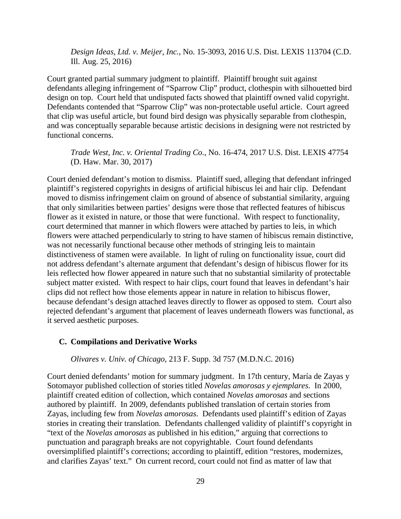*Design Ideas, Ltd. v. Meijer, Inc.*, No. 15-3093, 2016 U.S. Dist. LEXIS 113704 (C.D. Ill. Aug. 25, 2016)

Court granted partial summary judgment to plaintiff. Plaintiff brought suit against defendants alleging infringement of "Sparrow Clip" product, clothespin with silhouetted bird design on top. Court held that undisputed facts showed that plaintiff owned valid copyright. Defendants contended that "Sparrow Clip" was non-protectable useful article. Court agreed that clip was useful article, but found bird design was physically separable from clothespin, and was conceptually separable because artistic decisions in designing were not restricted by functional concerns.

*Trade West, Inc. v. Oriental Trading Co.*, No. 16-474, 2017 U.S. Dist. LEXIS 47754 (D. Haw. Mar. 30, 2017)

Court denied defendant's motion to dismiss. Plaintiff sued, alleging that defendant infringed plaintiff's registered copyrights in designs of artificial hibiscus lei and hair clip. Defendant moved to dismiss infringement claim on ground of absence of substantial similarity, arguing that only similarities between parties' designs were those that reflected features of hibiscus flower as it existed in nature, or those that were functional. With respect to functionality, court determined that manner in which flowers were attached by parties to leis, in which flowers were attached perpendicularly to string to have stamen of hibiscus remain distinctive, was not necessarily functional because other methods of stringing leis to maintain distinctiveness of stamen were available. In light of ruling on functionality issue, court did not address defendant's alternate argument that defendant's design of hibiscus flower for its leis reflected how flower appeared in nature such that no substantial similarity of protectable subject matter existed. With respect to hair clips, court found that leaves in defendant's hair clips did not reflect how those elements appear in nature in relation to hibiscus flower, because defendant's design attached leaves directly to flower as opposed to stem. Court also rejected defendant's argument that placement of leaves underneath flowers was functional, as it served aesthetic purposes.

#### **C. Compilations and Derivative Works**

*Olivares v. Univ. of Chicago*, 213 F. Supp. 3d 757 (M.D.N.C. 2016)

Court denied defendants' motion for summary judgment. In 17th century, María de Zayas y Sotomayor published collection of stories titled *Novelas amorosas y ejemplares*. In 2000, plaintiff created edition of collection, which contained *Novelas amorosas* and sections authored by plaintiff. In 2009, defendants published translation of certain stories from Zayas, including few from *Novelas amorosas*. Defendants used plaintiff's edition of Zayas stories in creating their translation. Defendants challenged validity of plaintiff's copyright in "text of the *Novelas amorosas* as published in his edition," arguing that corrections to punctuation and paragraph breaks are not copyrightable. Court found defendants oversimplified plaintiff's corrections; according to plaintiff, edition "restores, modernizes, and clarifies Zayas' text." On current record, court could not find as matter of law that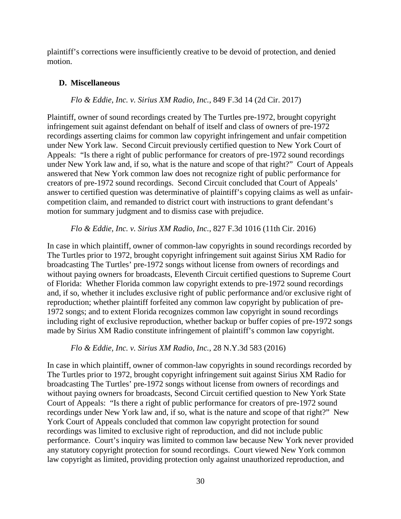plaintiff's corrections were insufficiently creative to be devoid of protection, and denied motion.

# **D. Miscellaneous**

## *Flo & Eddie, Inc. v. Sirius XM Radio, Inc.*, 849 F.3d 14 (2d Cir. 2017)

Plaintiff, owner of sound recordings created by The Turtles pre-1972, brought copyright infringement suit against defendant on behalf of itself and class of owners of pre-1972 recordings asserting claims for common law copyright infringement and unfair competition under New York law. Second Circuit previously certified question to New York Court of Appeals: "Is there a right of public performance for creators of pre-1972 sound recordings under New York law and, if so, what is the nature and scope of that right?" Court of Appeals answered that New York common law does not recognize right of public performance for creators of pre-1972 sound recordings. Second Circuit concluded that Court of Appeals' answer to certified question was determinative of plaintiff's copying claims as well as unfaircompetition claim, and remanded to district court with instructions to grant defendant's motion for summary judgment and to dismiss case with prejudice.

### *Flo & Eddie, Inc. v. Sirius XM Radio, Inc.*, 827 F.3d 1016 (11th Cir. 2016)

In case in which plaintiff, owner of common-law copyrights in sound recordings recorded by The Turtles prior to 1972, brought copyright infringement suit against Sirius XM Radio for broadcasting The Turtles' pre-1972 songs without license from owners of recordings and without paying owners for broadcasts, Eleventh Circuit certified questions to Supreme Court of Florida: Whether Florida common law copyright extends to pre-1972 sound recordings and, if so, whether it includes exclusive right of public performance and/or exclusive right of reproduction; whether plaintiff forfeited any common law copyright by publication of pre-1972 songs; and to extent Florida recognizes common law copyright in sound recordings including right of exclusive reproduction, whether backup or buffer copies of pre-1972 songs made by Sirius XM Radio constitute infringement of plaintiff's common law copyright.

### *Flo & Eddie, Inc. v. Sirius XM Radio, Inc.*, 28 N.Y.3d 583 (2016)

In case in which plaintiff, owner of common-law copyrights in sound recordings recorded by The Turtles prior to 1972, brought copyright infringement suit against Sirius XM Radio for broadcasting The Turtles' pre-1972 songs without license from owners of recordings and without paying owners for broadcasts, Second Circuit certified question to New York State Court of Appeals: "Is there a right of public performance for creators of pre-1972 sound recordings under New York law and, if so, what is the nature and scope of that right?" New York Court of Appeals concluded that common law copyright protection for sound recordings was limited to exclusive right of reproduction, and did not include public performance. Court's inquiry was limited to common law because New York never provided any statutory copyright protection for sound recordings. Court viewed New York common law copyright as limited, providing protection only against unauthorized reproduction, and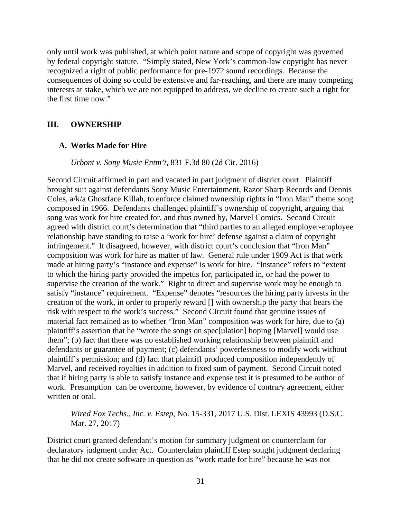only until work was published, at which point nature and scope of copyright was governed by federal copyright statute. "Simply stated, New York's common-law copyright has never recognized a right of public performance for pre-1972 sound recordings. Because the consequences of doing so could be extensive and far-reaching, and there are many competing interests at stake, which we are not equipped to address, we decline to create such a right for the first time now."

## **III. OWNERSHIP**

## **A. Works Made for Hire**

#### *Urbont v. Sony Music Entm't*, 831 F.3d 80 (2d Cir. 2016)

Second Circuit affirmed in part and vacated in part judgment of district court. Plaintiff brought suit against defendants Sony Music Entertainment, Razor Sharp Records and Dennis Coles, a/k/a Ghostface Killah, to enforce claimed ownership rights in "Iron Man" theme song composed in 1966. Defendants challenged plaintiff's ownership of copyright, arguing that song was work for hire created for, and thus owned by, Marvel Comics. Second Circuit agreed with district court's determination that "third parties to an alleged employer-employee relationship have standing to raise a 'work for hire' defense against a claim of copyright infringement." It disagreed, however, with district court's conclusion that "Iron Man" composition was work for hire as matter of law. General rule under 1909 Act is that work made at hiring party's "instance and expense" is work for hire. "Instance" refers to "extent to which the hiring party provided the impetus for, participated in, or had the power to supervise the creation of the work." Right to direct and supervise work may be enough to satisfy "instance" requirement. "Expense" denotes "resources the hiring party invests in the creation of the work, in order to properly reward [] with ownership the party that bears the risk with respect to the work's success." Second Circuit found that genuine issues of material fact remained as to whether "Iron Man" composition was work for hire, due to (a) plaintiff's assertion that he "wrote the songs on spec[ulation] hoping [Marvel] would use them"; (b) fact that there was no established working relationship between plaintiff and defendants or guarantee of payment; (c) defendants' powerlessness to modify work without plaintiff's permission; and (d) fact that plaintiff produced composition independently of Marvel, and received royalties in addition to fixed sum of payment. Second Circuit noted that if hiring party is able to satisfy instance and expense test it is presumed to be author of work. Presumption can be overcome, however, by evidence of contrary agreement, either written or oral.

*Wired Fox Techs., Inc. v. Estep*, No. 15-331, 2017 U.S. Dist. LEXIS 43993 (D.S.C. Mar. 27, 2017)

District court granted defendant's motion for summary judgment on counterclaim for declaratory judgment under Act. Counterclaim plaintiff Estep sought judgment declaring that he did not create software in question as "work made for hire" because he was not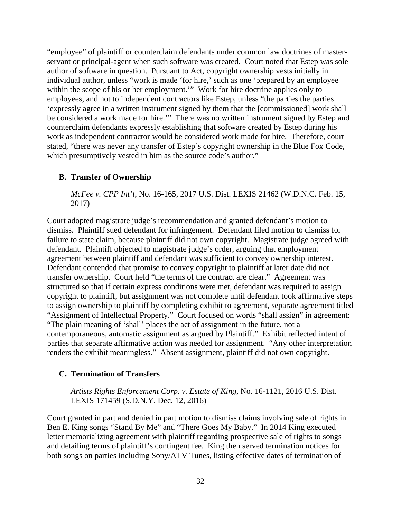"employee" of plaintiff or counterclaim defendants under common law doctrines of masterservant or principal-agent when such software was created. Court noted that Estep was sole author of software in question. Pursuant to Act, copyright ownership vests initially in individual author, unless "work is made 'for hire,' such as one 'prepared by an employee within the scope of his or her employment.'" Work for hire doctrine applies only to employees, and not to independent contractors like Estep, unless "the parties the parties 'expressly agree in a written instrument signed by them that the [commissioned] work shall be considered a work made for hire.'" There was no written instrument signed by Estep and counterclaim defendants expressly establishing that software created by Estep during his work as independent contractor would be considered work made for hire. Therefore, court stated, "there was never any transfer of Estep's copyright ownership in the Blue Fox Code, which presumptively vested in him as the source code's author."

### **B. Transfer of Ownership**

*McFee v. CPP Int'l*, No. 16-165, 2017 U.S. Dist. LEXIS 21462 (W.D.N.C. Feb. 15, 2017)

Court adopted magistrate judge's recommendation and granted defendant's motion to dismiss. Plaintiff sued defendant for infringement. Defendant filed motion to dismiss for failure to state claim, because plaintiff did not own copyright. Magistrate judge agreed with defendant. Plaintiff objected to magistrate judge's order, arguing that employment agreement between plaintiff and defendant was sufficient to convey ownership interest. Defendant contended that promise to convey copyright to plaintiff at later date did not transfer ownership. Court held "the terms of the contract are clear." Agreement was structured so that if certain express conditions were met, defendant was required to assign copyright to plaintiff, but assignment was not complete until defendant took affirmative steps to assign ownership to plaintiff by completing exhibit to agreement, separate agreement titled "Assignment of Intellectual Property." Court focused on words "shall assign" in agreement: "The plain meaning of 'shall' places the act of assignment in the future, not a contemporaneous, automatic assignment as argued by Plaintiff." Exhibit reflected intent of parties that separate affirmative action was needed for assignment. "Any other interpretation renders the exhibit meaningless." Absent assignment, plaintiff did not own copyright.

### **C. Termination of Transfers**

*Artists Rights Enforcement Corp. v. Estate of King*, No. 16-1121, 2016 U.S. Dist. LEXIS 171459 (S.D.N.Y. Dec. 12, 2016)

Court granted in part and denied in part motion to dismiss claims involving sale of rights in Ben E. King songs "Stand By Me" and "There Goes My Baby." In 2014 King executed letter memorializing agreement with plaintiff regarding prospective sale of rights to songs and detailing terms of plaintiff's contingent fee. King then served termination notices for both songs on parties including Sony/ATV Tunes, listing effective dates of termination of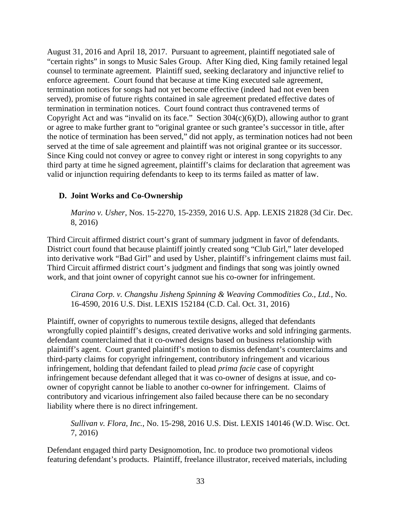August 31, 2016 and April 18, 2017. Pursuant to agreement, plaintiff negotiated sale of "certain rights" in songs to Music Sales Group. After King died, King family retained legal counsel to terminate agreement. Plaintiff sued, seeking declaratory and injunctive relief to enforce agreement. Court found that because at time King executed sale agreement, termination notices for songs had not yet become effective (indeed had not even been served), promise of future rights contained in sale agreement predated effective dates of termination in termination notices. Court found contract thus contravened terms of Copyright Act and was "invalid on its face." Section 304(c)(6)(D), allowing author to grant or agree to make further grant to "original grantee or such grantee's successor in title, after the notice of termination has been served," did not apply, as termination notices had not been served at the time of sale agreement and plaintiff was not original grantee or its successor. Since King could not convey or agree to convey right or interest in song copyrights to any third party at time he signed agreement, plaintiff's claims for declaration that agreement was valid or injunction requiring defendants to keep to its terms failed as matter of law.

# **D. Joint Works and Co-Ownership**

*Marino v. Usher*, Nos. 15-2270, 15-2359, 2016 U.S. App. LEXIS 21828 (3d Cir. Dec. 8, 2016)

Third Circuit affirmed district court's grant of summary judgment in favor of defendants. District court found that because plaintiff jointly created song "Club Girl," later developed into derivative work "Bad Girl" and used by Usher, plaintiff's infringement claims must fail. Third Circuit affirmed district court's judgment and findings that song was jointly owned work, and that joint owner of copyright cannot sue his co-owner for infringement.

*Cirana Corp. v. Changshu Jisheng Spinning & Weaving Commodities Co., Ltd.*, No. 16-4590, 2016 U.S. Dist. LEXIS 152184 (C.D. Cal. Oct. 31, 2016)

Plaintiff, owner of copyrights to numerous textile designs, alleged that defendants wrongfully copied plaintiff's designs, created derivative works and sold infringing garments. defendant counterclaimed that it co-owned designs based on business relationship with plaintiff's agent. Court granted plaintiff's motion to dismiss defendant's counterclaims and third-party claims for copyright infringement, contributory infringement and vicarious infringement, holding that defendant failed to plead *prima facie* case of copyright infringement because defendant alleged that it was co-owner of designs at issue, and coowner of copyright cannot be liable to another co-owner for infringement. Claims of contributory and vicarious infringement also failed because there can be no secondary liability where there is no direct infringement.

*Sullivan v. Flora, Inc.*, No. 15-298, 2016 U.S. Dist. LEXIS 140146 (W.D. Wisc. Oct. 7, 2016)

Defendant engaged third party Designomotion, Inc. to produce two promotional videos featuring defendant's products. Plaintiff, freelance illustrator, received materials, including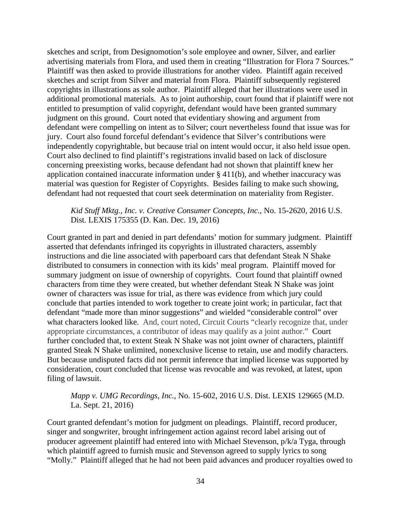sketches and script, from Designomotion's sole employee and owner, Silver, and earlier advertising materials from Flora, and used them in creating "Illustration for Flora 7 Sources." Plaintiff was then asked to provide illustrations for another video. Plaintiff again received sketches and script from Silver and material from Flora. Plaintiff subsequently registered copyrights in illustrations as sole author. Plaintiff alleged that her illustrations were used in additional promotional materials. As to joint authorship, court found that if plaintiff were not entitled to presumption of valid copyright, defendant would have been granted summary judgment on this ground. Court noted that evidentiary showing and argument from defendant were compelling on intent as to Silver; court nevertheless found that issue was for jury. Court also found forceful defendant's evidence that Silver's contributions were independently copyrightable, but because trial on intent would occur, it also held issue open. Court also declined to find plaintiff's registrations invalid based on lack of disclosure concerning preexisting works, because defendant had not shown that plaintiff knew her application contained inaccurate information under § 411(b), and whether inaccuracy was material was question for Register of Copyrights. Besides failing to make such showing, defendant had not requested that court seek determination on materiality from Register.

*Kid Stuff Mktg., Inc. v. Creative Consumer Concepts, Inc.*, No. 15-2620, 2016 U.S. Dist. LEXIS 175355 (D. Kan. Dec. 19, 2016)

Court granted in part and denied in part defendants' motion for summary judgment. Plaintiff asserted that defendants infringed its copyrights in illustrated characters, assembly instructions and die line associated with paperboard cars that defendant Steak N Shake distributed to consumers in connection with its kids' meal program. Plaintiff moved for summary judgment on issue of ownership of copyrights. Court found that plaintiff owned characters from time they were created, but whether defendant Steak N Shake was joint owner of characters was issue for trial, as there was evidence from which jury could conclude that parties intended to work together to create joint work; in particular, fact that defendant "made more than minor suggestions" and wielded "considerable control" over what characters looked like. And, court noted, Circuit Courts "clearly recognize that, under appropriate circumstances, a contributor of ideas may qualify as a joint author." Court further concluded that, to extent Steak N Shake was not joint owner of characters, plaintiff granted Steak N Shake unlimited, nonexclusive license to retain, use and modify characters. But because undisputed facts did not permit inference that implied license was supported by consideration, court concluded that license was revocable and was revoked, at latest, upon filing of lawsuit.

## *Mapp v. UMG Recordings, Inc.*, No. 15-602, 2016 U.S. Dist. LEXIS 129665 (M.D. La. Sept. 21, 2016)

Court granted defendant's motion for judgment on pleadings. Plaintiff, record producer, singer and songwriter, brought infringement action against record label arising out of producer agreement plaintiff had entered into with Michael Stevenson, p/k/a Tyga, through which plaintiff agreed to furnish music and Stevenson agreed to supply lyrics to song "Molly." Plaintiff alleged that he had not been paid advances and producer royalties owed to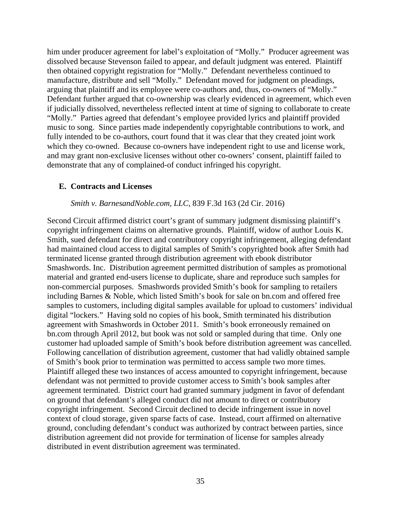him under producer agreement for label's exploitation of "Molly." Producer agreement was dissolved because Stevenson failed to appear, and default judgment was entered. Plaintiff then obtained copyright registration for "Molly." Defendant nevertheless continued to manufacture, distribute and sell "Molly." Defendant moved for judgment on pleadings, arguing that plaintiff and its employee were co-authors and, thus, co-owners of "Molly." Defendant further argued that co-ownership was clearly evidenced in agreement, which even if judicially dissolved, nevertheless reflected intent at time of signing to collaborate to create "Molly." Parties agreed that defendant's employee provided lyrics and plaintiff provided music to song. Since parties made independently copyrightable contributions to work, and fully intended to be co-authors, court found that it was clear that they created joint work which they co-owned. Because co-owners have independent right to use and license work, and may grant non-exclusive licenses without other co-owners' consent, plaintiff failed to demonstrate that any of complained-of conduct infringed his copyright.

### **E. Contracts and Licenses**

### *Smith v. BarnesandNoble.com, LLC*, 839 F.3d 163 (2d Cir. 2016)

Second Circuit affirmed district court's grant of summary judgment dismissing plaintiff's copyright infringement claims on alternative grounds. Plaintiff, widow of author Louis K. Smith, sued defendant for direct and contributory copyright infringement, alleging defendant had maintained cloud access to digital samples of Smith's copyrighted book after Smith had terminated license granted through distribution agreement with ebook distributor Smashwords. Inc. Distribution agreement permitted distribution of samples as promotional material and granted end-users license to duplicate, share and reproduce such samples for non-commercial purposes. Smashwords provided Smith's book for sampling to retailers including Barnes & Noble, which listed Smith's book for sale on bn.com and offered free samples to customers, including digital samples available for upload to customers' individual digital "lockers." Having sold no copies of his book, Smith terminated his distribution agreement with Smashwords in October 2011. Smith's book erroneously remained on bn.com through April 2012, but book was not sold or sampled during that time. Only one customer had uploaded sample of Smith's book before distribution agreement was cancelled. Following cancellation of distribution agreement, customer that had validly obtained sample of Smith's book prior to termination was permitted to access sample two more times. Plaintiff alleged these two instances of access amounted to copyright infringement, because defendant was not permitted to provide customer access to Smith's book samples after agreement terminated. District court had granted summary judgment in favor of defendant on ground that defendant's alleged conduct did not amount to direct or contributory copyright infringement. Second Circuit declined to decide infringement issue in novel context of cloud storage, given sparse facts of case. Instead, court affirmed on alternative ground, concluding defendant's conduct was authorized by contract between parties, since distribution agreement did not provide for termination of license for samples already distributed in event distribution agreement was terminated.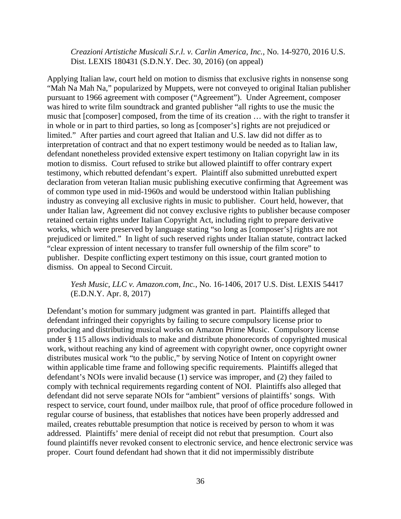*Creazioni Artistiche Musicali S.r.l. v. Carlin America, Inc.*, No. 14-9270, 2016 U.S. Dist. LEXIS 180431 (S.D.N.Y. Dec. 30, 2016) (on appeal)

Applying Italian law, court held on motion to dismiss that exclusive rights in nonsense song "Mah Na Mah Na," popularized by Muppets, were not conveyed to original Italian publisher pursuant to 1966 agreement with composer ("Agreement"). Under Agreement, composer was hired to write film soundtrack and granted publisher "all rights to use the music the music that [composer] composed, from the time of its creation … with the right to transfer it in whole or in part to third parties, so long as [composer's] rights are not prejudiced or limited." After parties and court agreed that Italian and U.S. law did not differ as to interpretation of contract and that no expert testimony would be needed as to Italian law, defendant nonetheless provided extensive expert testimony on Italian copyright law in its motion to dismiss. Court refused to strike but allowed plaintiff to offer contrary expert testimony, which rebutted defendant's expert. Plaintiff also submitted unrebutted expert declaration from veteran Italian music publishing executive confirming that Agreement was of common type used in mid-1960s and would be understood within Italian publishing industry as conveying all exclusive rights in music to publisher. Court held, however, that under Italian law, Agreement did not convey exclusive rights to publisher because composer retained certain rights under Italian Copyright Act, including right to prepare derivative works, which were preserved by language stating "so long as [composer's] rights are not prejudiced or limited." In light of such reserved rights under Italian statute, contract lacked "clear expression of intent necessary to transfer full ownership of the film score" to publisher. Despite conflicting expert testimony on this issue, court granted motion to dismiss. On appeal to Second Circuit.

## *Yesh Music, LLC v. Amazon.com, Inc.*, No. 16-1406, 2017 U.S. Dist. LEXIS 54417 (E.D.N.Y. Apr. 8, 2017)

Defendant's motion for summary judgment was granted in part. Plaintiffs alleged that defendant infringed their copyrights by failing to secure compulsory license prior to producing and distributing musical works on Amazon Prime Music. Compulsory license under § 115 allows individuals to make and distribute phonorecords of copyrighted musical work, without reaching any kind of agreement with copyright owner, once copyright owner distributes musical work "to the public," by serving Notice of Intent on copyright owner within applicable time frame and following specific requirements. Plaintiffs alleged that defendant's NOIs were invalid because (1) service was improper, and (2) they failed to comply with technical requirements regarding content of NOI. Plaintiffs also alleged that defendant did not serve separate NOIs for "ambient" versions of plaintiffs' songs. With respect to service, court found, under mailbox rule, that proof of office procedure followed in regular course of business, that establishes that notices have been properly addressed and mailed, creates rebuttable presumption that notice is received by person to whom it was addressed. Plaintiffs' mere denial of receipt did not rebut that presumption. Court also found plaintiffs never revoked consent to electronic service, and hence electronic service was proper. Court found defendant had shown that it did not impermissibly distribute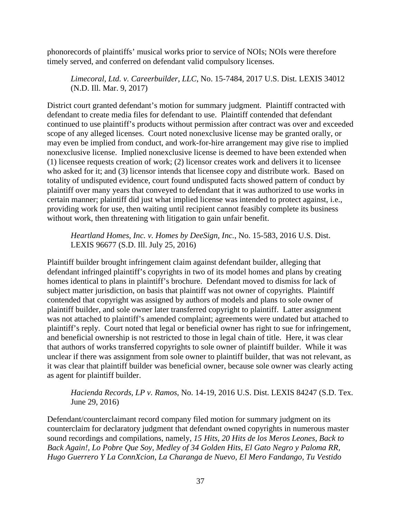phonorecords of plaintiffs' musical works prior to service of NOIs; NOIs were therefore timely served, and conferred on defendant valid compulsory licenses.

*Limecoral, Ltd. v. Careerbuilder, LLC*, No. 15-7484, 2017 U.S. Dist. LEXIS 34012 (N.D. Ill. Mar. 9, 2017)

District court granted defendant's motion for summary judgment. Plaintiff contracted with defendant to create media files for defendant to use. Plaintiff contended that defendant continued to use plaintiff's products without permission after contract was over and exceeded scope of any alleged licenses. Court noted nonexclusive license may be granted orally, or may even be implied from conduct, and work-for-hire arrangement may give rise to implied nonexclusive license. Implied nonexclusive license is deemed to have been extended when (1) licensee requests creation of work; (2) licensor creates work and delivers it to licensee who asked for it; and (3) licensor intends that licensee copy and distribute work. Based on totality of undisputed evidence, court found undisputed facts showed pattern of conduct by plaintiff over many years that conveyed to defendant that it was authorized to use works in certain manner; plaintiff did just what implied license was intended to protect against, i.e., providing work for use, then waiting until recipient cannot feasibly complete its business without work, then threatening with litigation to gain unfair benefit.

*Heartland Homes, Inc. v. Homes by DeeSign, Inc.*, No. 15-583, 2016 U.S. Dist. LEXIS 96677 (S.D. Ill. July 25, 2016)

Plaintiff builder brought infringement claim against defendant builder, alleging that defendant infringed plaintiff's copyrights in two of its model homes and plans by creating homes identical to plans in plaintiff's brochure. Defendant moved to dismiss for lack of subject matter jurisdiction, on basis that plaintiff was not owner of copyrights. Plaintiff contended that copyright was assigned by authors of models and plans to sole owner of plaintiff builder, and sole owner later transferred copyright to plaintiff. Latter assignment was not attached to plaintiff's amended complaint; agreements were undated but attached to plaintiff's reply. Court noted that legal or beneficial owner has right to sue for infringement, and beneficial ownership is not restricted to those in legal chain of title. Here, it was clear that authors of works transferred copyrights to sole owner of plaintiff builder. While it was unclear if there was assignment from sole owner to plaintiff builder, that was not relevant, as it was clear that plaintiff builder was beneficial owner, because sole owner was clearly acting as agent for plaintiff builder.

*Hacienda Records, LP v. Ramos*, No. 14-19, 2016 U.S. Dist. LEXIS 84247 (S.D. Tex. June 29, 2016)

Defendant/counterclaimant record company filed motion for summary judgment on its counterclaim for declaratory judgment that defendant owned copyrights in numerous master sound recordings and compilations, namely, *15 Hits, 20 Hits de los Meros Leones, Back to Back Again!, Lo Pobre Que Soy, Medley of 34 Golden Hits, El Gato Negro y Paloma RR, Hugo Guerrero Y La ConnXcion, La Charanga de Nuevo, El Mero Fandango, Tu Vestido*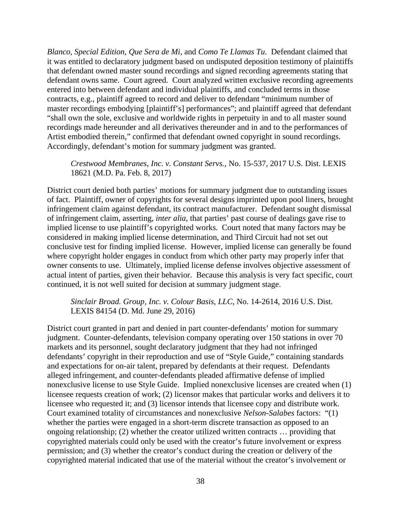*Blanco, Special Edition, Que Sera de Mi*, and *Como Te Llamas Tu*. Defendant claimed that it was entitled to declaratory judgment based on undisputed deposition testimony of plaintiffs that defendant owned master sound recordings and signed recording agreements stating that defendant owns same. Court agreed. Court analyzed written exclusive recording agreements entered into between defendant and individual plaintiffs, and concluded terms in those contracts, e.g., plaintiff agreed to record and deliver to defendant "minimum number of master recordings embodying [plaintiff's] performances"; and plaintiff agreed that defendant "shall own the sole, exclusive and worldwide rights in perpetuity in and to all master sound recordings made hereunder and all derivatives thereunder and in and to the performances of Artist embodied therein," confirmed that defendant owned copyright in sound recordings. Accordingly, defendant's motion for summary judgment was granted.

*Crestwood Membranes, Inc. v. Constant Servs.*, No. 15-537, 2017 U.S. Dist. LEXIS 18621 (M.D. Pa. Feb. 8, 2017)

District court denied both parties' motions for summary judgment due to outstanding issues of fact. Plaintiff, owner of copyrights for several designs imprinted upon pool liners, brought infringement claim against defendant, its contract manufacturer. Defendant sought dismissal of infringement claim, asserting, *inter alia*, that parties' past course of dealings gave rise to implied license to use plaintiff's copyrighted works. Court noted that many factors may be considered in making implied license determination, and Third Circuit had not set out conclusive test for finding implied license. However, implied license can generally be found where copyright holder engages in conduct from which other party may properly infer that owner consents to use. Ultimately, implied license defense involves objective assessment of actual intent of parties, given their behavior. Because this analysis is very fact specific, court continued, it is not well suited for decision at summary judgment stage.

*Sinclair Broad. Group, Inc. v. Colour Basis, LLC*, No. 14-2614, 2016 U.S. Dist. LEXIS 84154 (D. Md. June 29, 2016)

District court granted in part and denied in part counter-defendants' motion for summary judgment. Counter-defendants, television company operating over 150 stations in over 70 markets and its personnel, sought declaratory judgment that they had not infringed defendants' copyright in their reproduction and use of "Style Guide," containing standards and expectations for on-air talent, prepared by defendants at their request. Defendants alleged infringement, and counter-defendants pleaded affirmative defense of implied nonexclusive license to use Style Guide. Implied nonexclusive licenses are created when (1) licensee requests creation of work; (2) licensor makes that particular works and delivers it to licensee who requested it; and (3) licensor intends that licensee copy and distribute work. Court examined totality of circumstances and nonexclusive *Nelson-Salabes* factors: "(1) whether the parties were engaged in a short-term discrete transaction as opposed to an ongoing relationship; (2) whether the creator utilized written contracts … providing that copyrighted materials could only be used with the creator's future involvement or express permission; and (3) whether the creator's conduct during the creation or delivery of the copyrighted material indicated that use of the material without the creator's involvement or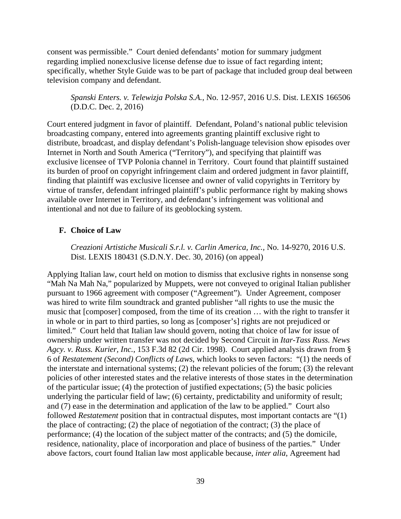consent was permissible." Court denied defendants' motion for summary judgment regarding implied nonexclusive license defense due to issue of fact regarding intent; specifically, whether Style Guide was to be part of package that included group deal between television company and defendant.

*Spanski Enters. v. Telewizja Polska S.A.*, No. 12-957, 2016 U.S. Dist. LEXIS 166506 (D.D.C. Dec. 2, 2016)

Court entered judgment in favor of plaintiff. Defendant, Poland's national public television broadcasting company, entered into agreements granting plaintiff exclusive right to distribute, broadcast, and display defendant's Polish-language television show episodes over Internet in North and South America ("Territory"), and specifying that plaintiff was exclusive licensee of TVP Polonia channel in Territory. Court found that plaintiff sustained its burden of proof on copyright infringement claim and ordered judgment in favor plaintiff, finding that plaintiff was exclusive licensee and owner of valid copyrights in Territory by virtue of transfer, defendant infringed plaintiff's public performance right by making shows available over Internet in Territory, and defendant's infringement was volitional and intentional and not due to failure of its geoblocking system.

# **F. Choice of Law**

*Creazioni Artistiche Musicali S.r.l. v. Carlin America, Inc.,* No. 14-9270, 2016 U.S. Dist. LEXIS 180431 (S.D.N.Y. Dec. 30, 2016) (on appeal)

Applying Italian law, court held on motion to dismiss that exclusive rights in nonsense song "Mah Na Mah Na," popularized by Muppets, were not conveyed to original Italian publisher pursuant to 1966 agreement with composer ("Agreement"). Under Agreement, composer was hired to write film soundtrack and granted publisher "all rights to use the music the music that [composer] composed, from the time of its creation … with the right to transfer it in whole or in part to third parties, so long as [composer's] rights are not prejudiced or limited." Court held that Italian law should govern, noting that choice of law for issue of ownership under written transfer was not decided by Second Circuit in *Itar-Tass Russ. News Agcy. v. Russ. Kurier, Inc.*, 153 F.3d 82 (2d Cir. 1998). Court applied analysis drawn from § 6 of *Restatement (Second) Conflicts of Laws*, which looks to seven factors: "(1) the needs of the interstate and international systems; (2) the relevant policies of the forum; (3) the relevant policies of other interested states and the relative interests of those states in the determination of the particular issue; (4) the protection of justified expectations; (5) the basic policies underlying the particular field of law; (6) certainty, predictability and uniformity of result; and (7) ease in the determination and application of the law to be applied." Court also followed *Restatement* position that in contractual disputes, most important contacts are "(1) the place of contracting; (2) the place of negotiation of the contract; (3) the place of performance; (4) the location of the subject matter of the contracts; and (5) the domicile, residence, nationality, place of incorporation and place of business of the parties." Under above factors, court found Italian law most applicable because, *inter alia*, Agreement had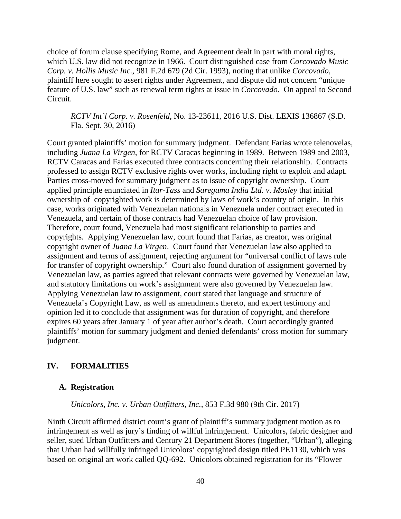choice of forum clause specifying Rome, and Agreement dealt in part with moral rights, which U.S. law did not recognize in 1966. Court distinguished case from *Corcovado Music Corp. v. Hollis Music Inc.*, 981 F.2d 679 (2d Cir. 1993), noting that unlike *Corcovado*, plaintiff here sought to assert rights under Agreement, and dispute did not concern "unique feature of U.S. law" such as renewal term rights at issue in *Corcovado.* On appeal to Second Circuit.

*RCTV Int'l Corp. v. Rosenfeld*, No. 13-23611, 2016 U.S. Dist. LEXIS 136867 (S.D. Fla. Sept. 30, 2016)

Court granted plaintiffs' motion for summary judgment. Defendant Farias wrote telenovelas, including *Juana La Virgen*, for RCTV Caracas beginning in 1989. Between 1989 and 2003, RCTV Caracas and Farias executed three contracts concerning their relationship. Contracts professed to assign RCTV exclusive rights over works, including right to exploit and adapt. Parties cross-moved for summary judgment as to issue of copyright ownership. Court applied principle enunciated in *Itar-Tass* and *Saregama India Ltd. v. Mosley* that initial ownership of copyrighted work is determined by laws of work's country of origin. In this case, works originated with Venezuelan nationals in Venezuela under contract executed in Venezuela, and certain of those contracts had Venezuelan choice of law provision. Therefore, court found, Venezuela had most significant relationship to parties and copyrights. Applying Venezuelan law, court found that Farias, as creator, was original copyright owner of *Juana La Virgen*. Court found that Venezuelan law also applied to assignment and terms of assignment, rejecting argument for "universal conflict of laws rule for transfer of copyright ownership." Court also found duration of assignment governed by Venezuelan law, as parties agreed that relevant contracts were governed by Venezuelan law, and statutory limitations on work's assignment were also governed by Venezuelan law. Applying Venezuelan law to assignment, court stated that language and structure of Venezuela's Copyright Law, as well as amendments thereto, and expert testimony and opinion led it to conclude that assignment was for duration of copyright, and therefore expires 60 years after January 1 of year after author's death. Court accordingly granted plaintiffs' motion for summary judgment and denied defendants' cross motion for summary judgment.

# **IV. FORMALITIES**

### **A. Registration**

*Unicolors, Inc. v. Urban Outfitters, Inc.*, 853 F.3d 980 (9th Cir. 2017)

Ninth Circuit affirmed district court's grant of plaintiff's summary judgment motion as to infringement as well as jury's finding of willful infringement. Unicolors, fabric designer and seller, sued Urban Outfitters and Century 21 Department Stores (together, "Urban"), alleging that Urban had willfully infringed Unicolors' copyrighted design titled PE1130, which was based on original art work called QQ-692. Unicolors obtained registration for its "Flower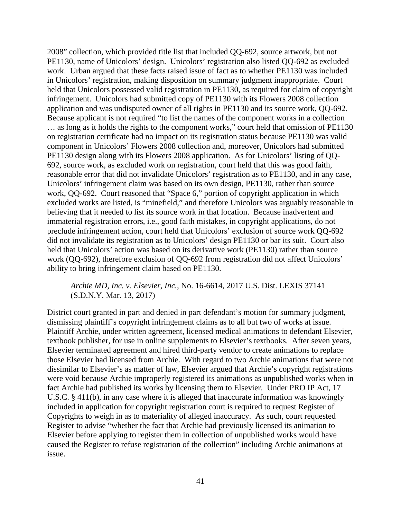2008" collection, which provided title list that included QQ-692, source artwork, but not PE1130, name of Unicolors' design. Unicolors' registration also listed QQ-692 as excluded work. Urban argued that these facts raised issue of fact as to whether PE1130 was included in Unicolors' registration, making disposition on summary judgment inappropriate. Court held that Unicolors possessed valid registration in PE1130, as required for claim of copyright infringement. Unicolors had submitted copy of PE1130 with its Flowers 2008 collection application and was undisputed owner of all rights in PE1130 and its source work, QQ-692. Because applicant is not required "to list the names of the component works in a collection … as long as it holds the rights to the component works," court held that omission of PE1130 on registration certificate had no impact on its registration status because PE1130 was valid component in Unicolors' Flowers 2008 collection and, moreover, Unicolors had submitted PE1130 design along with its Flowers 2008 application. As for Unicolors' listing of QQ-692, source work, as excluded work on registration, court held that this was good faith, reasonable error that did not invalidate Unicolors' registration as to PE1130, and in any case, Unicolors' infringement claim was based on its own design, PE1130, rather than source work, QQ-692. Court reasoned that "Space 6," portion of copyright application in which excluded works are listed, is "minefield," and therefore Unicolors was arguably reasonable in believing that it needed to list its source work in that location. Because inadvertent and immaterial registration errors, i.e., good faith mistakes, in copyright applications, do not preclude infringement action, court held that Unicolors' exclusion of source work QQ-692 did not invalidate its registration as to Unicolors' design PE1130 or bar its suit. Court also held that Unicolors' action was based on its derivative work (PE1130) rather than source work (QQ-692), therefore exclusion of QQ-692 from registration did not affect Unicolors' ability to bring infringement claim based on PE1130.

### *Archie MD, Inc. v. Elsevier, Inc.*, No. 16-6614, 2017 U.S. Dist. LEXIS 37141 (S.D.N.Y. Mar. 13, 2017)

District court granted in part and denied in part defendant's motion for summary judgment, dismissing plaintiff's copyright infringement claims as to all but two of works at issue. Plaintiff Archie, under written agreement, licensed medical animations to defendant Elsevier, textbook publisher, for use in online supplements to Elsevier's textbooks. After seven years, Elsevier terminated agreement and hired third-party vendor to create animations to replace those Elsevier had licensed from Archie. With regard to two Archie animations that were not dissimilar to Elsevier's as matter of law, Elsevier argued that Archie's copyright registrations were void because Archie improperly registered its animations as unpublished works when in fact Archie had published its works by licensing them to Elsevier. Under PRO IP Act, 17 U.S.C. § 411(b), in any case where it is alleged that inaccurate information was knowingly included in application for copyright registration court is required to request Register of Copyrights to weigh in as to materiality of alleged inaccuracy. As such, court requested Register to advise "whether the fact that Archie had previously licensed its animation to Elsevier before applying to register them in collection of unpublished works would have caused the Register to refuse registration of the collection" including Archie animations at issue.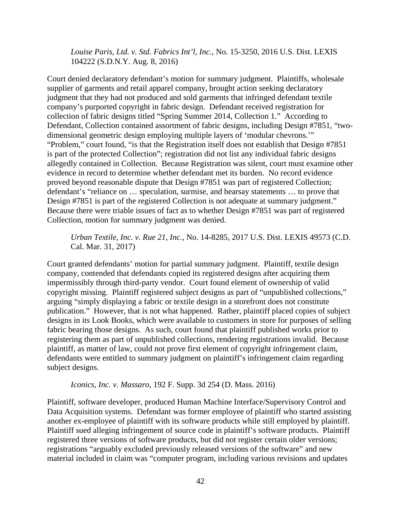*Louise Paris, Ltd. v. Std. Fabrics Int'l, Inc.,* No. 15-3250, 2016 U.S. Dist. LEXIS 104222 (S.D.N.Y. Aug. 8, 2016)

Court denied declaratory defendant's motion for summary judgment. Plaintiffs, wholesale supplier of garments and retail apparel company, brought action seeking declaratory judgment that they had not produced and sold garments that infringed defendant textile company's purported copyright in fabric design. Defendant received registration for collection of fabric designs titled "Spring Summer 2014, Collection 1." According to Defendant, Collection contained assortment of fabric designs, including Design #7851, "twodimensional geometric design employing multiple layers of 'modular chevrons.'" "Problem," court found, "is that the Registration itself does not establish that Design #7851 is part of the protected Collection"; registration did not list any individual fabric designs allegedly contained in Collection. Because Registration was silent, court must examine other evidence in record to determine whether defendant met its burden. No record evidence proved beyond reasonable dispute that Design #7851 was part of registered Collection; defendant's "reliance on … speculation, surmise, and hearsay statements … to prove that Design #7851 is part of the registered Collection is not adequate at summary judgment." Because there were triable issues of fact as to whether Design #7851 was part of registered Collection, motion for summary judgment was denied.

*Urban Textile, Inc. v. Rue 21, Inc.*, No. 14-8285, 2017 U.S. Dist. LEXIS 49573 (C.D. Cal. Mar. 31, 2017)

Court granted defendants' motion for partial summary judgment. Plaintiff, textile design company, contended that defendants copied its registered designs after acquiring them impermissibly through third-party vendor. Court found element of ownership of valid copyright missing. Plaintiff registered subject designs as part of "unpublished collections," arguing "simply displaying a fabric or textile design in a storefront does not constitute publication." However, that is not what happened. Rather, plaintiff placed copies of subject designs in its Look Books, which were available to customers in store for purposes of selling fabric bearing those designs. As such, court found that plaintiff published works prior to registering them as part of unpublished collections, rendering registrations invalid. Because plaintiff, as matter of law, could not prove first element of copyright infringement claim, defendants were entitled to summary judgment on plaintiff's infringement claim regarding subject designs.

*Iconics, Inc. v. Massaro*, 192 F. Supp. 3d 254 (D. Mass. 2016)

Plaintiff, software developer, produced Human Machine Interface/Supervisory Control and Data Acquisition systems. Defendant was former employee of plaintiff who started assisting another ex-employee of plaintiff with its software products while still employed by plaintiff. Plaintiff sued alleging infringement of source code in plaintiff's software products. Plaintiff registered three versions of software products, but did not register certain older versions; registrations "arguably excluded previously released versions of the software" and new material included in claim was "computer program, including various revisions and updates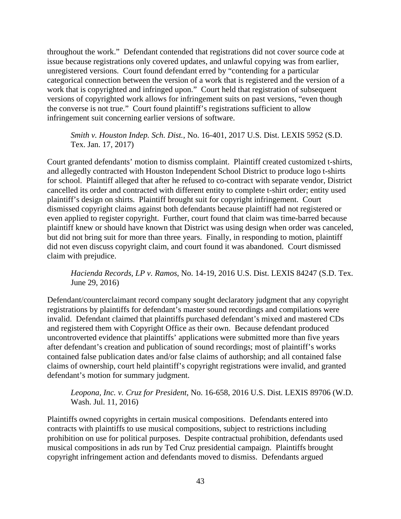throughout the work." Defendant contended that registrations did not cover source code at issue because registrations only covered updates, and unlawful copying was from earlier, unregistered versions. Court found defendant erred by "contending for a particular categorical connection between the version of a work that is registered and the version of a work that is copyrighted and infringed upon." Court held that registration of subsequent versions of copyrighted work allows for infringement suits on past versions, "even though the converse is not true." Court found plaintiff's registrations sufficient to allow infringement suit concerning earlier versions of software.

*Smith v. Houston Indep. Sch. Dist.*, No. 16-401, 2017 U.S. Dist. LEXIS 5952 (S.D. Tex. Jan. 17, 2017)

Court granted defendants' motion to dismiss complaint. Plaintiff created customized t-shirts, and allegedly contracted with Houston Independent School District to produce logo t-shirts for school. Plaintiff alleged that after he refused to co-contract with separate vendor, District cancelled its order and contracted with different entity to complete t-shirt order; entity used plaintiff's design on shirts. Plaintiff brought suit for copyright infringement. Court dismissed copyright claims against both defendants because plaintiff had not registered or even applied to register copyright. Further, court found that claim was time-barred because plaintiff knew or should have known that District was using design when order was canceled, but did not bring suit for more than three years. Finally, in responding to motion, plaintiff did not even discuss copyright claim, and court found it was abandoned. Court dismissed claim with prejudice.

*Hacienda Records, LP v. Ramos*, No. 14-19, 2016 U.S. Dist. LEXIS 84247 (S.D. Tex. June 29, 2016)

Defendant/counterclaimant record company sought declaratory judgment that any copyright registrations by plaintiffs for defendant's master sound recordings and compilations were invalid. Defendant claimed that plaintiffs purchased defendant's mixed and mastered CDs and registered them with Copyright Office as their own. Because defendant produced uncontroverted evidence that plaintiffs' applications were submitted more than five years after defendant's creation and publication of sound recordings; most of plaintiff's works contained false publication dates and/or false claims of authorship; and all contained false claims of ownership, court held plaintiff's copyright registrations were invalid, and granted defendant's motion for summary judgment.

*Leopona, Inc. v. Cruz for President*, No. 16-658, 2016 U.S. Dist. LEXIS 89706 (W.D. Wash. Jul. 11, 2016)

Plaintiffs owned copyrights in certain musical compositions. Defendants entered into contracts with plaintiffs to use musical compositions, subject to restrictions including prohibition on use for political purposes. Despite contractual prohibition, defendants used musical compositions in ads run by Ted Cruz presidential campaign. Plaintiffs brought copyright infringement action and defendants moved to dismiss. Defendants argued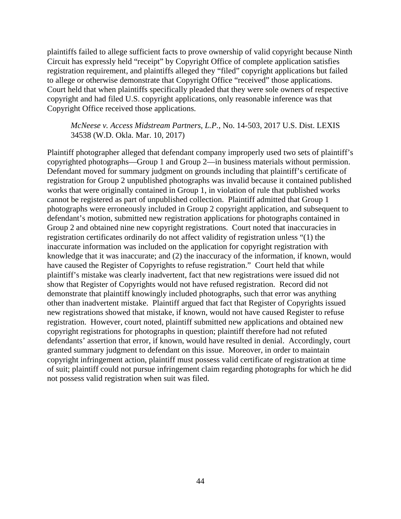plaintiffs failed to allege sufficient facts to prove ownership of valid copyright because Ninth Circuit has expressly held "receipt" by Copyright Office of complete application satisfies registration requirement, and plaintiffs alleged they "filed" copyright applications but failed to allege or otherwise demonstrate that Copyright Office "received" those applications. Court held that when plaintiffs specifically pleaded that they were sole owners of respective copyright and had filed U.S. copyright applications, only reasonable inference was that Copyright Office received those applications.

### *McNeese v. Access Midstream Partners, L.P.*, No. 14-503, 2017 U.S. Dist. LEXIS 34538 (W.D. Okla. Mar. 10, 2017)

Plaintiff photographer alleged that defendant company improperly used two sets of plaintiff's copyrighted photographs—Group 1 and Group 2—in business materials without permission. Defendant moved for summary judgment on grounds including that plaintiff's certificate of registration for Group 2 unpublished photographs was invalid because it contained published works that were originally contained in Group 1, in violation of rule that published works cannot be registered as part of unpublished collection. Plaintiff admitted that Group 1 photographs were erroneously included in Group 2 copyright application, and subsequent to defendant's motion, submitted new registration applications for photographs contained in Group 2 and obtained nine new copyright registrations. Court noted that inaccuracies in registration certificates ordinarily do not affect validity of registration unless "(1) the inaccurate information was included on the application for copyright registration with knowledge that it was inaccurate; and (2) the inaccuracy of the information, if known, would have caused the Register of Copyrights to refuse registration." Court held that while plaintiff's mistake was clearly inadvertent, fact that new registrations were issued did not show that Register of Copyrights would not have refused registration. Record did not demonstrate that plaintiff knowingly included photographs, such that error was anything other than inadvertent mistake. Plaintiff argued that fact that Register of Copyrights issued new registrations showed that mistake, if known, would not have caused Register to refuse registration. However, court noted, plaintiff submitted new applications and obtained new copyright registrations for photographs in question; plaintiff therefore had not refuted defendants' assertion that error, if known, would have resulted in denial. Accordingly, court granted summary judgment to defendant on this issue. Moreover, in order to maintain copyright infringement action, plaintiff must possess valid certificate of registration at time of suit; plaintiff could not pursue infringement claim regarding photographs for which he did not possess valid registration when suit was filed.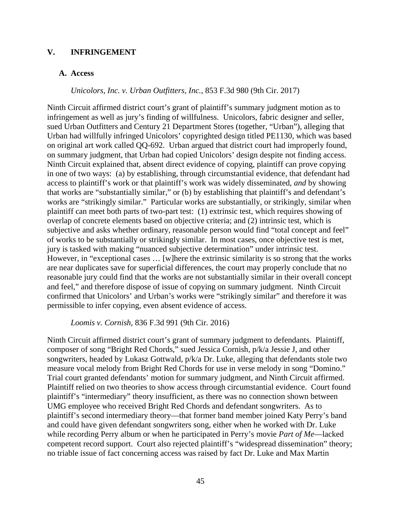### **V. INFRINGEMENT**

#### **A. Access**

### *Unicolors, Inc. v. Urban Outfitters, Inc.*, 853 F.3d 980 (9th Cir. 2017)

Ninth Circuit affirmed district court's grant of plaintiff's summary judgment motion as to infringement as well as jury's finding of willfulness. Unicolors, fabric designer and seller, sued Urban Outfitters and Century 21 Department Stores (together, "Urban"), alleging that Urban had willfully infringed Unicolors' copyrighted design titled PE1130, which was based on original art work called QQ-692. Urban argued that district court had improperly found, on summary judgment, that Urban had copied Unicolors' design despite not finding access. Ninth Circuit explained that, absent direct evidence of copying, plaintiff can prove copying in one of two ways: (a) by establishing, through circumstantial evidence, that defendant had access to plaintiff's work or that plaintiff's work was widely disseminated, *and* by showing that works are "substantially similar," or (b) by establishing that plaintiff's and defendant's works are "strikingly similar." Particular works are substantially, or strikingly, similar when plaintiff can meet both parts of two-part test: (1) extrinsic test, which requires showing of overlap of concrete elements based on objective criteria; and (2) intrinsic test, which is subjective and asks whether ordinary, reasonable person would find "total concept and feel" of works to be substantially or strikingly similar. In most cases, once objective test is met, jury is tasked with making "nuanced subjective determination" under intrinsic test. However, in "exceptional cases … [w]here the extrinsic similarity is so strong that the works are near duplicates save for superficial differences, the court may properly conclude that no reasonable jury could find that the works are not substantially similar in their overall concept and feel," and therefore dispose of issue of copying on summary judgment. Ninth Circuit confirmed that Unicolors' and Urban's works were "strikingly similar" and therefore it was permissible to infer copying, even absent evidence of access.

*Loomis v. Cornish*, 836 F.3d 991 (9th Cir. 2016)

Ninth Circuit affirmed district court's grant of summary judgment to defendants. Plaintiff, composer of song "Bright Red Chords," sued Jessica Cornish, p/k/a Jessie J, and other songwriters, headed by Lukasz Gottwald, p/k/a Dr. Luke, alleging that defendants stole two measure vocal melody from Bright Red Chords for use in verse melody in song "Domino." Trial court granted defendants' motion for summary judgment, and Ninth Circuit affirmed. Plaintiff relied on two theories to show access through circumstantial evidence. Court found plaintiff's "intermediary" theory insufficient, as there was no connection shown between UMG employee who received Bright Red Chords and defendant songwriters. As to plaintiff's second intermediary theory—that former band member joined Katy Perry's band and could have given defendant songwriters song, either when he worked with Dr. Luke while recording Perry album or when he participated in Perry's movie *Part of Me*—lacked competent record support. Court also rejected plaintiff's "widespread dissemination" theory; no triable issue of fact concerning access was raised by fact Dr. Luke and Max Martin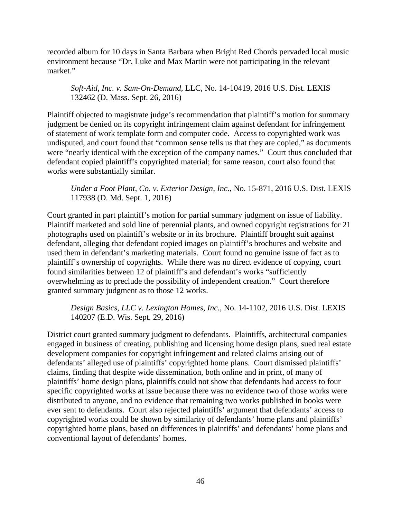recorded album for 10 days in Santa Barbara when Bright Red Chords pervaded local music environment because "Dr. Luke and Max Martin were not participating in the relevant market."

*Soft-Aid, Inc. v. Sam-On-Demand*, LLC, No. 14-10419, 2016 U.S. Dist. LEXIS 132462 (D. Mass. Sept. 26, 2016)

Plaintiff objected to magistrate judge's recommendation that plaintiff's motion for summary judgment be denied on its copyright infringement claim against defendant for infringement of statement of work template form and computer code. Access to copyrighted work was undisputed, and court found that "common sense tells us that they are copied," as documents were "nearly identical with the exception of the company names." Court thus concluded that defendant copied plaintiff's copyrighted material; for same reason, court also found that works were substantially similar.

*Under a Foot Plant, Co. v. Exterior Design, Inc.*, No. 15-871, 2016 U.S. Dist. LEXIS 117938 (D. Md. Sept. 1, 2016)

Court granted in part plaintiff's motion for partial summary judgment on issue of liability. Plaintiff marketed and sold line of perennial plants, and owned copyright registrations for 21 photographs used on plaintiff's website or in its brochure. Plaintiff brought suit against defendant, alleging that defendant copied images on plaintiff's brochures and website and used them in defendant's marketing materials. Court found no genuine issue of fact as to plaintiff's ownership of copyrights. While there was no direct evidence of copying, court found similarities between 12 of plaintiff's and defendant's works "sufficiently overwhelming as to preclude the possibility of independent creation." Court therefore granted summary judgment as to those 12 works.

*Design Basics, LLC v. Lexington Homes, Inc.*, No. 14-1102, 2016 U.S. Dist. LEXIS 140207 (E.D. Wis. Sept. 29, 2016)

District court granted summary judgment to defendants. Plaintiffs, architectural companies engaged in business of creating, publishing and licensing home design plans, sued real estate development companies for copyright infringement and related claims arising out of defendants' alleged use of plaintiffs' copyrighted home plans. Court dismissed plaintiffs' claims, finding that despite wide dissemination, both online and in print, of many of plaintiffs' home design plans, plaintiffs could not show that defendants had access to four specific copyrighted works at issue because there was no evidence two of those works were distributed to anyone, and no evidence that remaining two works published in books were ever sent to defendants. Court also rejected plaintiffs' argument that defendants' access to copyrighted works could be shown by similarity of defendants' home plans and plaintiffs' copyrighted home plans, based on differences in plaintiffs' and defendants' home plans and conventional layout of defendants' homes.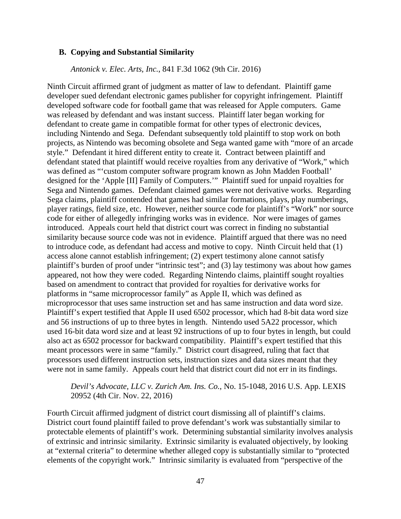### **B. Copying and Substantial Similarity**

*Antonick v. Elec. Arts, Inc.*, 841 F.3d 1062 (9th Cir. 2016)

Ninth Circuit affirmed grant of judgment as matter of law to defendant. Plaintiff game developer sued defendant electronic games publisher for copyright infringement. Plaintiff developed software code for football game that was released for Apple computers. Game was released by defendant and was instant success. Plaintiff later began working for defendant to create game in compatible format for other types of electronic devices, including Nintendo and Sega. Defendant subsequently told plaintiff to stop work on both projects, as Nintendo was becoming obsolete and Sega wanted game with "more of an arcade style." Defendant it hired different entity to create it. Contract between plaintiff and defendant stated that plaintiff would receive royalties from any derivative of "Work," which was defined as "'custom computer software program known as John Madden Football' designed for the 'Apple [II] Family of Computers.'" Plaintiff sued for unpaid royalties for Sega and Nintendo games. Defendant claimed games were not derivative works. Regarding Sega claims, plaintiff contended that games had similar formations, plays, play numberings, player ratings, field size, etc. However, neither source code for plaintiff's "Work" nor source code for either of allegedly infringing works was in evidence. Nor were images of games introduced. Appeals court held that district court was correct in finding no substantial similarity because source code was not in evidence. Plaintiff argued that there was no need to introduce code, as defendant had access and motive to copy. Ninth Circuit held that (1) access alone cannot establish infringement; (2) expert testimony alone cannot satisfy plaintiff's burden of proof under "intrinsic test"; and (3) lay testimony was about how games appeared, not how they were coded. Regarding Nintendo claims, plaintiff sought royalties based on amendment to contract that provided for royalties for derivative works for platforms in "same microprocessor family" as Apple II, which was defined as microprocessor that uses same instruction set and has same instruction and data word size. Plaintiff's expert testified that Apple II used 6502 processor, which had 8-bit data word size and 56 instructions of up to three bytes in length. Nintendo used 5A22 processor, which used 16-bit data word size and at least 92 instructions of up to four bytes in length, but could also act as 6502 processor for backward compatibility. Plaintiff's expert testified that this meant processors were in same "family." District court disagreed, ruling that fact that processors used different instruction sets, instruction sizes and data sizes meant that they were not in same family. Appeals court held that district court did not err in its findings.

## *Devil's Advocate, LLC v. Zurich Am. Ins. Co.*, No. 15-1048, 2016 U.S. App. LEXIS 20952 (4th Cir. Nov. 22, 2016)

Fourth Circuit affirmed judgment of district court dismissing all of plaintiff's claims. District court found plaintiff failed to prove defendant's work was substantially similar to protectable elements of plaintiff's work. Determining substantial similarity involves analysis of extrinsic and intrinsic similarity. Extrinsic similarity is evaluated objectively, by looking at "external criteria" to determine whether alleged copy is substantially similar to "protected elements of the copyright work." Intrinsic similarity is evaluated from "perspective of the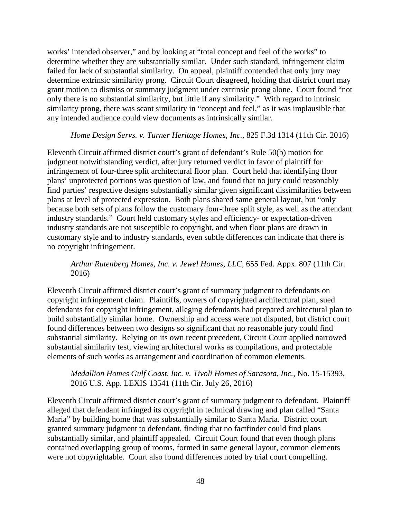works' intended observer," and by looking at "total concept and feel of the works" to determine whether they are substantially similar. Under such standard, infringement claim failed for lack of substantial similarity. On appeal, plaintiff contended that only jury may determine extrinsic similarity prong. Circuit Court disagreed, holding that district court may grant motion to dismiss or summary judgment under extrinsic prong alone. Court found "not only there is no substantial similarity, but little if any similarity." With regard to intrinsic similarity prong, there was scant similarity in "concept and feel," as it was implausible that any intended audience could view documents as intrinsically similar.

### *Home Design Servs. v. Turner Heritage Homes, Inc.*, 825 F.3d 1314 (11th Cir. 2016)

Eleventh Circuit affirmed district court's grant of defendant's Rule 50(b) motion for judgment notwithstanding verdict, after jury returned verdict in favor of plaintiff for infringement of four-three split architectural floor plan. Court held that identifying floor plans' unprotected portions was question of law, and found that no jury could reasonably find parties' respective designs substantially similar given significant dissimilarities between plans at level of protected expression. Both plans shared same general layout, but "only because both sets of plans follow the customary four-three split style, as well as the attendant industry standards." Court held customary styles and efficiency- or expectation-driven industry standards are not susceptible to copyright, and when floor plans are drawn in customary style and to industry standards, even subtle differences can indicate that there is no copyright infringement.

## *Arthur Rutenberg Homes, Inc. v. Jewel Homes, LLC*, 655 Fed. Appx. 807 (11th Cir. 2016)

Eleventh Circuit affirmed district court's grant of summary judgment to defendants on copyright infringement claim. Plaintiffs, owners of copyrighted architectural plan, sued defendants for copyright infringement, alleging defendants had prepared architectural plan to build substantially similar home. Ownership and access were not disputed, but district court found differences between two designs so significant that no reasonable jury could find substantial similarity. Relying on its own recent precedent, Circuit Court applied narrowed substantial similarity test, viewing architectural works as compilations, and protectable elements of such works as arrangement and coordination of common elements.

# *Medallion Homes Gulf Coast, Inc. v. Tivoli Homes of Sarasota, Inc.*, No. 15-15393, 2016 U.S. App. LEXIS 13541 (11th Cir. July 26, 2016)

Eleventh Circuit affirmed district court's grant of summary judgment to defendant. Plaintiff alleged that defendant infringed its copyright in technical drawing and plan called "Santa Maria" by building home that was substantially similar to Santa Maria. District court granted summary judgment to defendant, finding that no factfinder could find plans substantially similar, and plaintiff appealed. Circuit Court found that even though plans contained overlapping group of rooms, formed in same general layout, common elements were not copyrightable. Court also found differences noted by trial court compelling.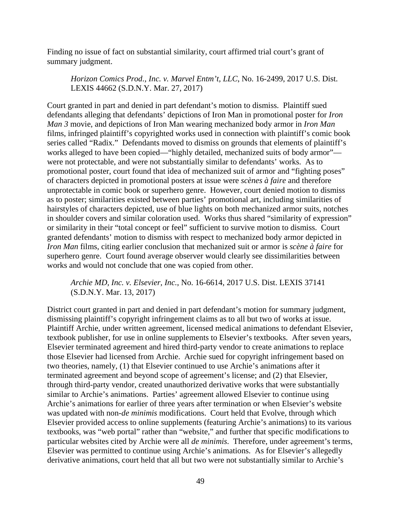Finding no issue of fact on substantial similarity, court affirmed trial court's grant of summary judgment.

*Horizon Comics Prod., Inc. v. Marvel Entm't, LLC*, No. 16-2499, 2017 U.S. Dist. LEXIS 44662 (S.D.N.Y. Mar. 27, 2017)

Court granted in part and denied in part defendant's motion to dismiss. Plaintiff sued defendants alleging that defendants' depictions of Iron Man in promotional poster for *Iron Man 3* movie, and depictions of Iron Man wearing mechanized body armor in *Iron Man* films, infringed plaintiff's copyrighted works used in connection with plaintiff's comic book series called "Radix." Defendants moved to dismiss on grounds that elements of plaintiff's works alleged to have been copied—"highly detailed, mechanized suits of body armor" were not protectable, and were not substantially similar to defendants' works. As to promotional poster, court found that idea of mechanized suit of armor and "fighting poses" of characters depicted in promotional posters at issue were *scènes à faire* and therefore unprotectable in comic book or superhero genre. However, court denied motion to dismiss as to poster; similarities existed between parties' promotional art, including similarities of hairstyles of characters depicted, use of blue lights on both mechanized armor suits, notches in shoulder covers and similar coloration used. Works thus shared "similarity of expression" or similarity in their "total concept or feel" sufficient to survive motion to dismiss. Court granted defendants' motion to dismiss with respect to mechanized body armor depicted in *Iron Man* films, citing earlier conclusion that mechanized suit or armor is *scène à faire* for superhero genre. Court found average observer would clearly see dissimilarities between works and would not conclude that one was copied from other.

*Archie MD, Inc. v. Elsevier, Inc.*, No. 16-6614, 2017 U.S. Dist. LEXIS 37141 (S.D.N.Y. Mar. 13, 2017)

District court granted in part and denied in part defendant's motion for summary judgment, dismissing plaintiff's copyright infringement claims as to all but two of works at issue. Plaintiff Archie, under written agreement, licensed medical animations to defendant Elsevier, textbook publisher, for use in online supplements to Elsevier's textbooks. After seven years, Elsevier terminated agreement and hired third-party vendor to create animations to replace those Elsevier had licensed from Archie. Archie sued for copyright infringement based on two theories, namely, (1) that Elsevier continued to use Archie's animations after it terminated agreement and beyond scope of agreement's license; and (2) that Elsevier, through third-party vendor, created unauthorized derivative works that were substantially similar to Archie's animations. Parties' agreement allowed Elsevier to continue using Archie's animations for earlier of three years after termination or when Elsevier's website was updated with non-*de minimis* modifications. Court held that Evolve, through which Elsevier provided access to online supplements (featuring Archie's animations) to its various textbooks, was "web portal" rather than "website," and further that specific modifications to particular websites cited by Archie were all *de minimis*. Therefore, under agreement's terms, Elsevier was permitted to continue using Archie's animations. As for Elsevier's allegedly derivative animations, court held that all but two were not substantially similar to Archie's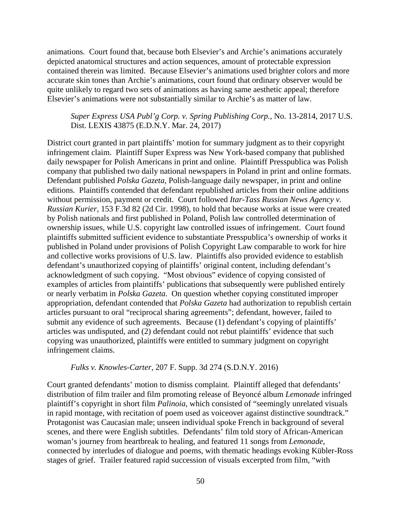animations. Court found that, because both Elsevier's and Archie's animations accurately depicted anatomical structures and action sequences, amount of protectable expression contained therein was limited. Because Elsevier's animations used brighter colors and more accurate skin tones than Archie's animations, court found that ordinary observer would be quite unlikely to regard two sets of animations as having same aesthetic appeal; therefore Elsevier's animations were not substantially similar to Archie's as matter of law.

## *Super Express USA Publ'g Corp. v. Spring Publishing Corp.*, No. 13-2814, 2017 U.S. Dist. LEXIS 43875 (E.D.N.Y. Mar. 24, 2017)

District court granted in part plaintiffs' motion for summary judgment as to their copyright infringement claim. Plaintiff Super Express was New York-based company that published daily newspaper for Polish Americans in print and online. Plaintiff Presspublica was Polish company that published two daily national newspapers in Poland in print and online formats. Defendant published *Polska Gazeta*, Polish-language daily newspaper, in print and online editions. Plaintiffs contended that defendant republished articles from their online additions without permission, payment or credit. Court followed *Itar-Tass Russian News Agency v. Russian Kurier*, 153 F.3d 82 (2d Cir. 1998), to hold that because works at issue were created by Polish nationals and first published in Poland, Polish law controlled determination of ownership issues, while U.S. copyright law controlled issues of infringement. Court found plaintiffs submitted sufficient evidence to substantiate Presspublica's ownership of works it published in Poland under provisions of Polish Copyright Law comparable to work for hire and collective works provisions of U.S. law. Plaintiffs also provided evidence to establish defendant's unauthorized copying of plaintiffs' original content, including defendant's acknowledgment of such copying. "Most obvious" evidence of copying consisted of examples of articles from plaintiffs' publications that subsequently were published entirely or nearly verbatim in *Polska Gazeta*. On question whether copying constituted improper appropriation, defendant contended that *Polska Gazeta* had authorization to republish certain articles pursuant to oral "reciprocal sharing agreements"; defendant, however, failed to submit any evidence of such agreements. Because (1) defendant's copying of plaintiffs' articles was undisputed, and (2) defendant could not rebut plaintiffs' evidence that such copying was unauthorized, plaintiffs were entitled to summary judgment on copyright infringement claims.

### *Fulks v. Knowles-Carter*, 207 F. Supp. 3d 274 (S.D.N.Y. 2016)

Court granted defendants' motion to dismiss complaint. Plaintiff alleged that defendants' distribution of film trailer and film promoting release of Beyoncé album *Lemonade* infringed plaintiff's copyright in short film *Palinoia*, which consisted of "seemingly unrelated visuals in rapid montage, with recitation of poem used as voiceover against distinctive soundtrack." Protagonist was Caucasian male; unseen individual spoke French in background of several scenes, and there were English subtitles. Defendants' film told story of African-American woman's journey from heartbreak to healing, and featured 11 songs from *Lemonade*, connected by interludes of dialogue and poems, with thematic headings evoking Kübler-Ross stages of grief. Trailer featured rapid succession of visuals excerpted from film, "with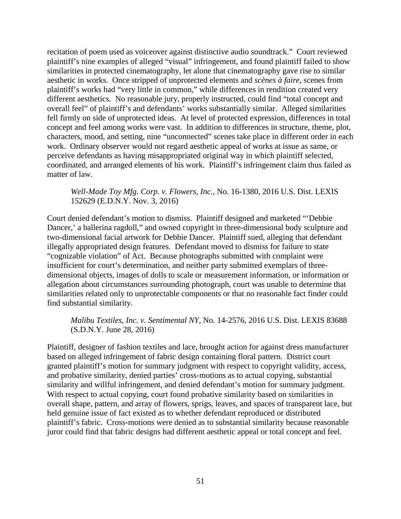recitation of poem used as voiceover against distinctive audio soundtrack." Court reviewed plaintiff's nine examples of alleged "visual" infringement, and found plaintiff failed to show similarities in protected cinematography, let alone that cinematography gave rise to similar aesthetic in works. Once stripped of unprotected elements and *scènes à faire*, scenes from plaintiff's works had "very little in common," while differences in rendition created very different aesthetics. No reasonable jury, properly instructed, could find "total concept and overall feel" of plaintiff's and defendants' works substantially similar. Alleged similarities fell firmly on side of unprotected ideas. At level of protected expression, differences in total concept and feel among works were vast. In addition to differences in structure, theme, plot, characters, mood, and setting, nine "unconnected" scenes take place in different order in each work. Ordinary observer would not regard aesthetic appeal of works at issue as same, or perceive defendants as having misappropriated original way in which plaintiff selected, coordinated, and arranged elements of his work. Plaintiff's infringement claim thus failed as matter of law.

# *Well-Made Toy Mfg. Corp. v. Flowers, Inc.*, No. 16-1380, 2016 U.S. Dist. LEXIS 152629 (E.D.N.Y. Nov. 3, 2016)

Court denied defendant's motion to dismiss. Plaintiff designed and marketed "'Debbie Dancer,' a ballerina ragdoll," and owned copyright in three-dimensional body sculpture and two-dimensional facial artwork for Debbie Dancer. Plaintiff sued, alleging that defendant illegally appropriated design features. Defendant moved to dismiss for failure to state "cognizable violation" of Act. Because photographs submitted with complaint were insufficient for court's determination, and neither party submitted exemplars of threedimensional objects, images of dolls to scale or measurement information, or information or allegation about circumstances surrounding photograph, court was unable to determine that similarities related only to unprotectable components or that no reasonable fact finder could find substantial similarity.

# *Malibu Textiles, Inc. v. Sentimental NY*, No. 14-2576, 2016 U.S. Dist. LEXIS 83688 (S.D.N.Y. June 28, 2016)

Plaintiff, designer of fashion textiles and lace, brought action for against dress manufacturer based on alleged infringement of fabric design containing floral pattern. District court granted plaintiff's motion for summary judgment with respect to copyright validity, access, and probative similarity, denied parties' cross-motions as to actual copying, substantial similarity and willful infringement, and denied defendant's motion for summary judgment. With respect to actual copying, court found probative similarity based on similarities in overall shape, pattern, and array of flowers, sprigs, leaves, and spaces of transparent lace, but held genuine issue of fact existed as to whether defendant reproduced or distributed plaintiff's fabric. Cross-motions were denied as to substantial similarity because reasonable juror could find that fabric designs had different aesthetic appeal or total concept and feel.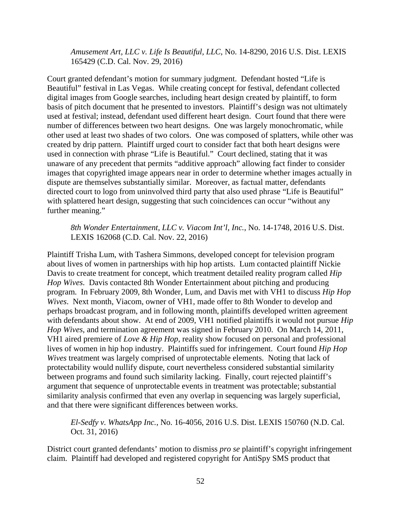*Amusement Art, LLC v. Life Is Beautiful, LLC*, No. 14-8290, 2016 U.S. Dist. LEXIS 165429 (C.D. Cal. Nov. 29, 2016)

Court granted defendant's motion for summary judgment. Defendant hosted "Life is Beautiful" festival in Las Vegas. While creating concept for festival, defendant collected digital images from Google searches, including heart design created by plaintiff, to form basis of pitch document that he presented to investors. Plaintiff's design was not ultimately used at festival; instead, defendant used different heart design. Court found that there were number of differences between two heart designs. One was largely monochromatic, while other used at least two shades of two colors. One was composed of splatters, while other was created by drip pattern. Plaintiff urged court to consider fact that both heart designs were used in connection with phrase "Life is Beautiful." Court declined, stating that it was unaware of any precedent that permits "additive approach" allowing fact finder to consider images that copyrighted image appears near in order to determine whether images actually in dispute are themselves substantially similar. Moreover, as factual matter, defendants directed court to logo from uninvolved third party that also used phrase "Life is Beautiful" with splattered heart design, suggesting that such coincidences can occur "without any further meaning."

*8th Wonder Entertainment, LLC v. Viacom Int'l, Inc.*, No. 14-1748, 2016 U.S. Dist. LEXIS 162068 (C.D. Cal. Nov. 22, 2016)

Plaintiff Trisha Lum, with Tashera Simmons, developed concept for television program about lives of women in partnerships with hip hop artists. Lum contacted plaintiff Nickie Davis to create treatment for concept, which treatment detailed reality program called *Hip Hop Wives*. Davis contacted 8th Wonder Entertainment about pitching and producing program. In February 2009, 8th Wonder, Lum, and Davis met with VH1 to discuss *Hip Hop Wives*. Next month, Viacom, owner of VH1, made offer to 8th Wonder to develop and perhaps broadcast program, and in following month, plaintiffs developed written agreement with defendants about show. At end of 2009, VH1 notified plaintiffs it would not pursue *Hip Hop Wives*, and termination agreement was signed in February 2010. On March 14, 2011, VH1 aired premiere of *Love & Hip Hop*, reality show focused on personal and professional lives of women in hip hop industry. Plaintiffs sued for infringement. Court found *Hip Hop Wives* treatment was largely comprised of unprotectable elements. Noting that lack of protectability would nullify dispute, court nevertheless considered substantial similarity between programs and found such similarity lacking. Finally, court rejected plaintiff's argument that sequence of unprotectable events in treatment was protectable; substantial similarity analysis confirmed that even any overlap in sequencing was largely superficial, and that there were significant differences between works.

*El-Sedfy v. WhatsApp Inc.*, No. 16-4056, 2016 U.S. Dist. LEXIS 150760 (N.D. Cal. Oct. 31, 2016)

District court granted defendants' motion to dismiss *pro se* plaintiff's copyright infringement claim. Plaintiff had developed and registered copyright for AntiSpy SMS product that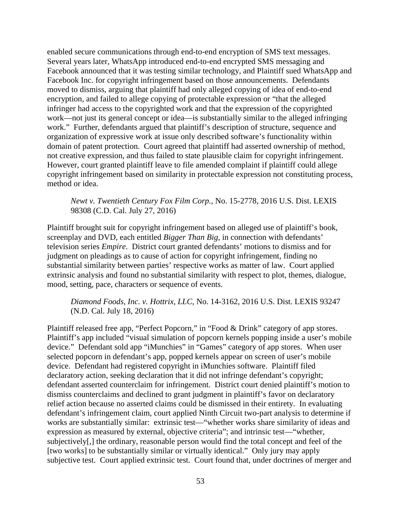enabled secure communications through end-to-end encryption of SMS text messages. Several years later, WhatsApp introduced end-to-end encrypted SMS messaging and Facebook announced that it was testing similar technology, and Plaintiff sued WhatsApp and Facebook Inc. for copyright infringement based on those announcements. Defendants moved to dismiss, arguing that plaintiff had only alleged copying of idea of end-to-end encryption, and failed to allege copying of protectable expression or "that the alleged infringer had access to the copyrighted work and that the expression of the copyrighted work—not just its general concept or idea—is substantially similar to the alleged infringing work." Further, defendants argued that plaintiff's description of structure, sequence and organization of expressive work at issue only described software's functionality within domain of patent protection. Court agreed that plaintiff had asserted ownership of method, not creative expression, and thus failed to state plausible claim for copyright infringement. However, court granted plaintiff leave to file amended complaint if plaintiff could allege copyright infringement based on similarity in protectable expression not constituting process, method or idea.

## *Newt v. Twentieth Century Fox Film Corp.*, No. 15-2778, 2016 U.S. Dist. LEXIS 98308 (C.D. Cal. July 27, 2016)

Plaintiff brought suit for copyright infringement based on alleged use of plaintiff's book, screenplay and DVD, each entitled *Bigger Than Big*, in connection with defendants' television series *Empire*. District court granted defendants' motions to dismiss and for judgment on pleadings as to cause of action for copyright infringement, finding no substantial similarity between parties' respective works as matter of law. Court applied extrinsic analysis and found no substantial similarity with respect to plot, themes, dialogue, mood, setting, pace, characters or sequence of events.

*Diamond Foods, Inc. v. Hottrix, LLC*, No. 14-3162, 2016 U.S. Dist. LEXIS 93247 (N.D. Cal. July 18, 2016)

Plaintiff released free app, "Perfect Popcorn," in "Food & Drink" category of app stores. Plaintiff's app included "visual simulation of popcorn kernels popping inside a user's mobile device." Defendant sold app "iMunchies" in "Games" category of app stores. When user selected popcorn in defendant's app, popped kernels appear on screen of user's mobile device. Defendant had registered copyright in iMunchies software. Plaintiff filed declaratory action, seeking declaration that it did not infringe defendant's copyright; defendant asserted counterclaim for infringement. District court denied plaintiff's motion to dismiss counterclaims and declined to grant judgment in plaintiff's favor on declaratory relief action because no asserted claims could be dismissed in their entirety. In evaluating defendant's infringement claim, court applied Ninth Circuit two-part analysis to determine if works are substantially similar: extrinsic test—"whether works share similarity of ideas and expression as measured by external, objective criteria"; and intrinsic test—"whether, subjectively[,] the ordinary, reasonable person would find the total concept and feel of the [two works] to be substantially similar or virtually identical." Only jury may apply subjective test. Court applied extrinsic test. Court found that, under doctrines of merger and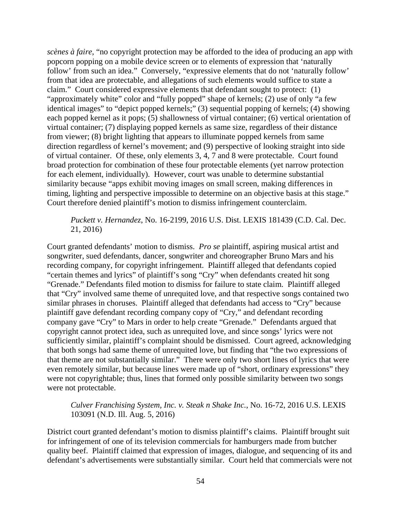*scènes à faire*, "no copyright protection may be afforded to the idea of producing an app with popcorn popping on a mobile device screen or to elements of expression that 'naturally follow' from such an idea." Conversely, "expressive elements that do not 'naturally follow' from that idea are protectable, and allegations of such elements would suffice to state a claim." Court considered expressive elements that defendant sought to protect: (1) "approximately white" color and "fully popped" shape of kernels; (2) use of only "a few identical images" to "depict popped kernels;" (3) sequential popping of kernels; (4) showing each popped kernel as it pops; (5) shallowness of virtual container; (6) vertical orientation of virtual container; (7) displaying popped kernels as same size, regardless of their distance from viewer; (8) bright lighting that appears to illuminate popped kernels from same direction regardless of kernel's movement; and (9) perspective of looking straight into side of virtual container. Of these, only elements 3, 4, 7 and 8 were protectable. Court found broad protection for combination of these four protectable elements (yet narrow protection for each element, individually). However, court was unable to determine substantial similarity because "apps exhibit moving images on small screen, making differences in timing, lighting and perspective impossible to determine on an objective basis at this stage." Court therefore denied plaintiff's motion to dismiss infringement counterclaim.

# *Puckett v. Hernandez*, No. 16-2199, 2016 U.S. Dist. LEXIS 181439 (C.D. Cal. Dec. 21, 2016)

Court granted defendants' motion to dismiss. *Pro se* plaintiff, aspiring musical artist and songwriter, sued defendants, dancer, songwriter and choreographer Bruno Mars and his recording company, for copyright infringement. Plaintiff alleged that defendants copied "certain themes and lyrics" of plaintiff's song "Cry" when defendants created hit song "Grenade." Defendants filed motion to dismiss for failure to state claim. Plaintiff alleged that "Cry" involved same theme of unrequited love, and that respective songs contained two similar phrases in choruses. Plaintiff alleged that defendants had access to "Cry" because plaintiff gave defendant recording company copy of "Cry," and defendant recording company gave "Cry" to Mars in order to help create "Grenade." Defendants argued that copyright cannot protect idea, such as unrequited love, and since songs' lyrics were not sufficiently similar, plaintiff's complaint should be dismissed. Court agreed, acknowledging that both songs had same theme of unrequited love, but finding that "the two expressions of that theme are not substantially similar." There were only two short lines of lyrics that were even remotely similar, but because lines were made up of "short, ordinary expressions" they were not copyrightable; thus, lines that formed only possible similarity between two songs were not protectable.

### *Culver Franchising System, Inc. v. Steak n Shake Inc.*, No. 16-72, 2016 U.S. LEXIS 103091 (N.D. Ill. Aug. 5, 2016)

District court granted defendant's motion to dismiss plaintiff's claims. Plaintiff brought suit for infringement of one of its television commercials for hamburgers made from butcher quality beef. Plaintiff claimed that expression of images, dialogue, and sequencing of its and defendant's advertisements were substantially similar. Court held that commercials were not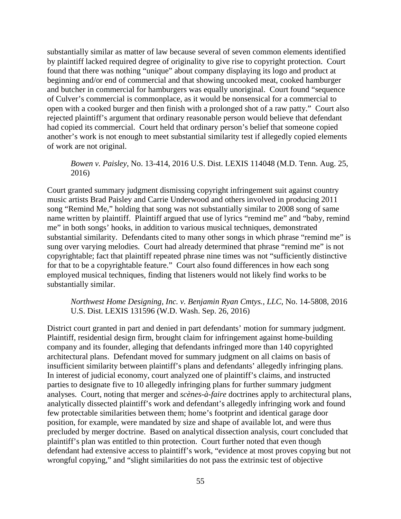substantially similar as matter of law because several of seven common elements identified by plaintiff lacked required degree of originality to give rise to copyright protection. Court found that there was nothing "unique" about company displaying its logo and product at beginning and/or end of commercial and that showing uncooked meat, cooked hamburger and butcher in commercial for hamburgers was equally unoriginal. Court found "sequence of Culver's commercial is commonplace, as it would be nonsensical for a commercial to open with a cooked burger and then finish with a prolonged shot of a raw patty." Court also rejected plaintiff's argument that ordinary reasonable person would believe that defendant had copied its commercial. Court held that ordinary person's belief that someone copied another's work is not enough to meet substantial similarity test if allegedly copied elements of work are not original.

*Bowen v. Paisley*, No. 13-414, 2016 U.S. Dist. LEXIS 114048 (M.D. Tenn. Aug. 25, 2016)

Court granted summary judgment dismissing copyright infringement suit against country music artists Brad Paisley and Carrie Underwood and others involved in producing 2011 song "Remind Me," holding that song was not substantially similar to 2008 song of same name written by plaintiff. Plaintiff argued that use of lyrics "remind me" and "baby, remind me" in both songs' hooks, in addition to various musical techniques, demonstrated substantial similarity. Defendants cited to many other songs in which phrase "remind me" is sung over varying melodies. Court had already determined that phrase "remind me" is not copyrightable; fact that plaintiff repeated phrase nine times was not "sufficiently distinctive for that to be a copyrightable feature." Court also found differences in how each song employed musical techniques, finding that listeners would not likely find works to be substantially similar.

*Northwest Home Designing, Inc. v. Benjamin Ryan Cmtys., LLC*, No. 14-5808, 2016 U.S. Dist. LEXIS 131596 (W.D. Wash. Sep. 26, 2016)

District court granted in part and denied in part defendants' motion for summary judgment. Plaintiff, residential design firm, brought claim for infringement against home-building company and its founder, alleging that defendants infringed more than 140 copyrighted architectural plans. Defendant moved for summary judgment on all claims on basis of insufficient similarity between plaintiff's plans and defendants' allegedly infringing plans. In interest of judicial economy, court analyzed one of plaintiff's claims, and instructed parties to designate five to 10 allegedly infringing plans for further summary judgment analyses. Court, noting that merger and *scènes-à-faire* doctrines apply to architectural plans, analytically dissected plaintiff's work and defendant's allegedly infringing work and found few protectable similarities between them; home's footprint and identical garage door position, for example, were mandated by size and shape of available lot, and were thus precluded by merger doctrine. Based on analytical dissection analysis, court concluded that plaintiff's plan was entitled to thin protection. Court further noted that even though defendant had extensive access to plaintiff's work, "evidence at most proves copying but not wrongful copying," and "slight similarities do not pass the extrinsic test of objective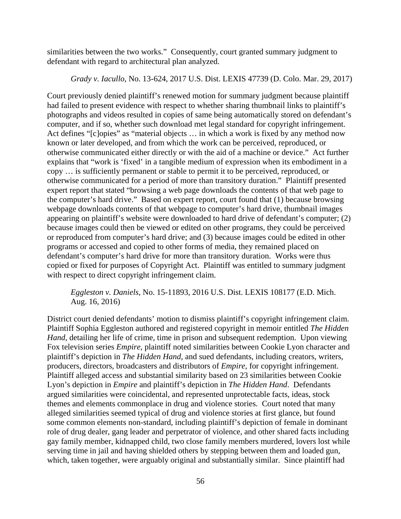similarities between the two works." Consequently, court granted summary judgment to defendant with regard to architectural plan analyzed.

# *Grady v. Iacullo*, No. 13-624, 2017 U.S. Dist. LEXIS 47739 (D. Colo. Mar. 29, 2017)

Court previously denied plaintiff's renewed motion for summary judgment because plaintiff had failed to present evidence with respect to whether sharing thumbnail links to plaintiff's photographs and videos resulted in copies of same being automatically stored on defendant's computer, and if so, whether such download met legal standard for copyright infringement. Act defines "[c]opies" as "material objects ... in which a work is fixed by any method now known or later developed, and from which the work can be perceived, reproduced, or otherwise communicated either directly or with the aid of a machine or device." Act further explains that "work is 'fixed' in a tangible medium of expression when its embodiment in a copy … is sufficiently permanent or stable to permit it to be perceived, reproduced, or otherwise communicated for a period of more than transitory duration." Plaintiff presented expert report that stated "browsing a web page downloads the contents of that web page to the computer's hard drive." Based on expert report, court found that (1) because browsing webpage downloads contents of that webpage to computer's hard drive, thumbnail images appearing on plaintiff's website were downloaded to hard drive of defendant's computer; (2) because images could then be viewed or edited on other programs, they could be perceived or reproduced from computer's hard drive; and (3) because images could be edited in other programs or accessed and copied to other forms of media, they remained placed on defendant's computer's hard drive for more than transitory duration. Works were thus copied or fixed for purposes of Copyright Act. Plaintiff was entitled to summary judgment with respect to direct copyright infringement claim.

# *Eggleston v. Daniels*, No. 15-11893, 2016 U.S. Dist. LEXIS 108177 (E.D. Mich. Aug. 16, 2016)

District court denied defendants' motion to dismiss plaintiff's copyright infringement claim. Plaintiff Sophia Eggleston authored and registered copyright in memoir entitled *The Hidden Hand*, detailing her life of crime, time in prison and subsequent redemption. Upon viewing Fox television series *Empire*, plaintiff noted similarities between Cookie Lyon character and plaintiff's depiction in *The Hidden Hand*, and sued defendants, including creators, writers, producers, directors, broadcasters and distributors of *Empire*, for copyright infringement. Plaintiff alleged access and substantial similarity based on 23 similarities between Cookie Lyon's depiction in *Empire* and plaintiff's depiction in *The Hidden Hand*. Defendants argued similarities were coincidental, and represented unprotectable facts, ideas, stock themes and elements commonplace in drug and violence stories. Court noted that many alleged similarities seemed typical of drug and violence stories at first glance, but found some common elements non-standard, including plaintiff's depiction of female in dominant role of drug dealer, gang leader and perpetrator of violence, and other shared facts including gay family member, kidnapped child, two close family members murdered, lovers lost while serving time in jail and having shielded others by stepping between them and loaded gun, which, taken together, were arguably original and substantially similar. Since plaintiff had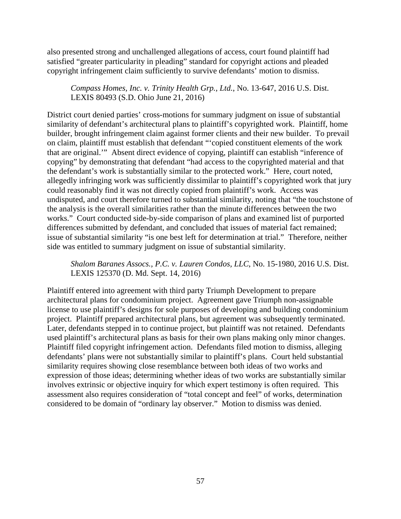also presented strong and unchallenged allegations of access, court found plaintiff had satisfied "greater particularity in pleading" standard for copyright actions and pleaded copyright infringement claim sufficiently to survive defendants' motion to dismiss.

*Compass Homes, Inc. v. Trinity Health Grp., Ltd.*, No. 13-647, 2016 U.S. Dist. LEXIS 80493 (S.D. Ohio June 21, 2016)

District court denied parties' cross-motions for summary judgment on issue of substantial similarity of defendant's architectural plans to plaintiff's copyrighted work. Plaintiff, home builder, brought infringement claim against former clients and their new builder. To prevail on claim, plaintiff must establish that defendant "'copied constituent elements of the work that are original.'" Absent direct evidence of copying, plaintiff can establish "inference of copying" by demonstrating that defendant "had access to the copyrighted material and that the defendant's work is substantially similar to the protected work." Here, court noted, allegedly infringing work was sufficiently dissimilar to plaintiff's copyrighted work that jury could reasonably find it was not directly copied from plaintiff's work. Access was undisputed, and court therefore turned to substantial similarity, noting that "the touchstone of the analysis is the overall similarities rather than the minute differences between the two works." Court conducted side-by-side comparison of plans and examined list of purported differences submitted by defendant, and concluded that issues of material fact remained; issue of substantial similarity "is one best left for determination at trial." Therefore, neither side was entitled to summary judgment on issue of substantial similarity.

*Shalom Baranes Assocs., P.C. v. Lauren Condos, LLC*, No. 15-1980, 2016 U.S. Dist. LEXIS 125370 (D. Md. Sept. 14, 2016)

Plaintiff entered into agreement with third party Triumph Development to prepare architectural plans for condominium project. Agreement gave Triumph non-assignable license to use plaintiff's designs for sole purposes of developing and building condominium project. Plaintiff prepared architectural plans, but agreement was subsequently terminated. Later, defendants stepped in to continue project, but plaintiff was not retained. Defendants used plaintiff's architectural plans as basis for their own plans making only minor changes. Plaintiff filed copyright infringement action. Defendants filed motion to dismiss, alleging defendants' plans were not substantially similar to plaintiff's plans. Court held substantial similarity requires showing close resemblance between both ideas of two works and expression of those ideas; determining whether ideas of two works are substantially similar involves extrinsic or objective inquiry for which expert testimony is often required. This assessment also requires consideration of "total concept and feel" of works, determination considered to be domain of "ordinary lay observer." Motion to dismiss was denied.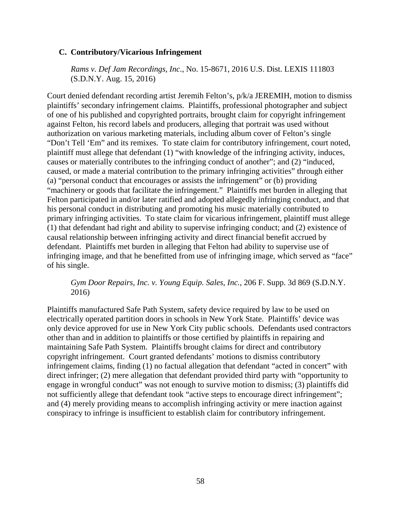## **C. Contributory/Vicarious Infringement**

*Rams v. Def Jam Recordings, Inc*., No. 15-8671, 2016 U.S. Dist. LEXIS 111803 (S.D.N.Y. Aug. 15, 2016)

Court denied defendant recording artist Jeremih Felton's, p/k/a JEREMIH, motion to dismiss plaintiffs' secondary infringement claims. Plaintiffs, professional photographer and subject of one of his published and copyrighted portraits, brought claim for copyright infringement against Felton, his record labels and producers, alleging that portrait was used without authorization on various marketing materials, including album cover of Felton's single "Don't Tell 'Em" and its remixes. To state claim for contributory infringement, court noted, plaintiff must allege that defendant (1) "with knowledge of the infringing activity, induces, causes or materially contributes to the infringing conduct of another"; and (2) "induced, caused, or made a material contribution to the primary infringing activities" through either (a) "personal conduct that encourages or assists the infringement" or (b) providing "machinery or goods that facilitate the infringement." Plaintiffs met burden in alleging that Felton participated in and/or later ratified and adopted allegedly infringing conduct, and that his personal conduct in distributing and promoting his music materially contributed to primary infringing activities. To state claim for vicarious infringement, plaintiff must allege (1) that defendant had right and ability to supervise infringing conduct; and (2) existence of causal relationship between infringing activity and direct financial benefit accrued by defendant. Plaintiffs met burden in alleging that Felton had ability to supervise use of infringing image, and that he benefitted from use of infringing image, which served as "face" of his single.

## *Gym Door Repairs, Inc. v. Young Equip. Sales, Inc.*, 206 F. Supp. 3d 869 (S.D.N.Y. 2016)

Plaintiffs manufactured Safe Path System, safety device required by law to be used on electrically operated partition doors in schools in New York State. Plaintiffs' device was only device approved for use in New York City public schools. Defendants used contractors other than and in addition to plaintiffs or those certified by plaintiffs in repairing and maintaining Safe Path System. Plaintiffs brought claims for direct and contributory copyright infringement. Court granted defendants' motions to dismiss contributory infringement claims, finding (1) no factual allegation that defendant "acted in concert" with direct infringer; (2) mere allegation that defendant provided third party with "opportunity to engage in wrongful conduct" was not enough to survive motion to dismiss; (3) plaintiffs did not sufficiently allege that defendant took "active steps to encourage direct infringement"; and (4) merely providing means to accomplish infringing activity or mere inaction against conspiracy to infringe is insufficient to establish claim for contributory infringement.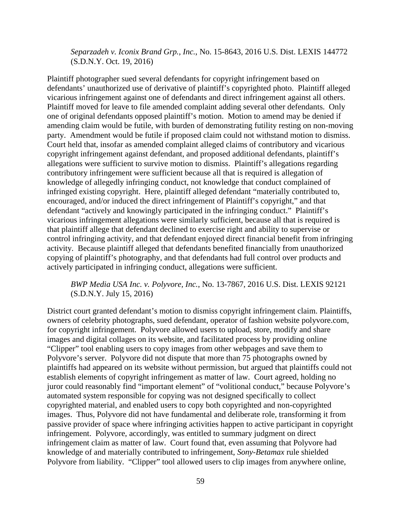*Separzadeh v. Iconix Brand Grp., Inc.*, No. 15-8643, 2016 U.S. Dist. LEXIS 144772 (S.D.N.Y. Oct. 19, 2016)

Plaintiff photographer sued several defendants for copyright infringement based on defendants' unauthorized use of derivative of plaintiff's copyrighted photo. Plaintiff alleged vicarious infringement against one of defendants and direct infringement against all others. Plaintiff moved for leave to file amended complaint adding several other defendants. Only one of original defendants opposed plaintiff's motion. Motion to amend may be denied if amending claim would be futile, with burden of demonstrating futility resting on non-moving party. Amendment would be futile if proposed claim could not withstand motion to dismiss. Court held that, insofar as amended complaint alleged claims of contributory and vicarious copyright infringement against defendant, and proposed additional defendants, plaintiff's allegations were sufficient to survive motion to dismiss. Plaintiff's allegations regarding contributory infringement were sufficient because all that is required is allegation of knowledge of allegedly infringing conduct, not knowledge that conduct complained of infringed existing copyright. Here, plaintiff alleged defendant "materially contributed to, encouraged, and/or induced the direct infringement of Plaintiff's copyright," and that defendant "actively and knowingly participated in the infringing conduct." Plaintiff's vicarious infringement allegations were similarly sufficient, because all that is required is that plaintiff allege that defendant declined to exercise right and ability to supervise or control infringing activity, and that defendant enjoyed direct financial benefit from infringing activity. Because plaintiff alleged that defendants benefited financially from unauthorized copying of plaintiff's photography, and that defendants had full control over products and actively participated in infringing conduct, allegations were sufficient.

## *BWP Media USA Inc. v. Polyvore, Inc.*, No. 13-7867, 2016 U.S. Dist. LEXIS 92121 (S.D.N.Y. July 15, 2016)

District court granted defendant's motion to dismiss copyright infringement claim. Plaintiffs, owners of celebrity photographs, sued defendant, operator of fashion website polyvore.com, for copyright infringement. Polyvore allowed users to upload, store, modify and share images and digital collages on its website, and facilitated process by providing online "Clipper" tool enabling users to copy images from other webpages and save them to Polyvore's server. Polyvore did not dispute that more than 75 photographs owned by plaintiffs had appeared on its website without permission, but argued that plaintiffs could not establish elements of copyright infringement as matter of law. Court agreed, holding no juror could reasonably find "important element" of "volitional conduct," because Polyvore's automated system responsible for copying was not designed specifically to collect copyrighted material, and enabled users to copy both copyrighted and non-copyrighted images. Thus, Polyvore did not have fundamental and deliberate role, transforming it from passive provider of space where infringing activities happen to active participant in copyright infringement. Polyvore, accordingly, was entitled to summary judgment on direct infringement claim as matter of law. Court found that, even assuming that Polyvore had knowledge of and materially contributed to infringement, *Sony-Betamax* rule shielded Polyvore from liability. "Clipper" tool allowed users to clip images from anywhere online,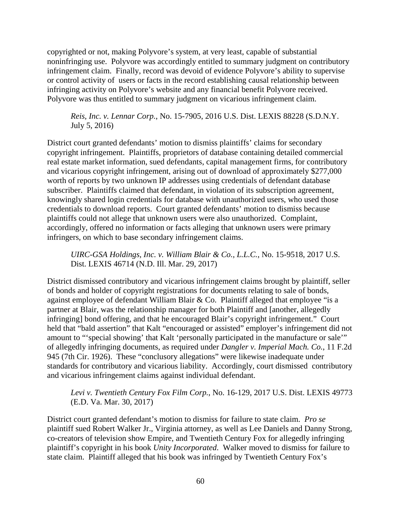copyrighted or not, making Polyvore's system, at very least, capable of substantial noninfringing use. Polyvore was accordingly entitled to summary judgment on contributory infringement claim. Finally, record was devoid of evidence Polyvore's ability to supervise or control activity of users or facts in the record establishing causal relationship between infringing activity on Polyvore's website and any financial benefit Polyvore received. Polyvore was thus entitled to summary judgment on vicarious infringement claim.

*Reis, Inc. v. Lennar Corp.*, No. 15-7905, 2016 U.S. Dist. LEXIS 88228 (S.D.N.Y. July 5, 2016)

District court granted defendants' motion to dismiss plaintiffs' claims for secondary copyright infringement. Plaintiffs, proprietors of database containing detailed commercial real estate market information, sued defendants, capital management firms, for contributory and vicarious copyright infringement, arising out of download of approximately \$277,000 worth of reports by two unknown IP addresses using credentials of defendant database subscriber. Plaintiffs claimed that defendant, in violation of its subscription agreement, knowingly shared login credentials for database with unauthorized users, who used those credentials to download reports. Court granted defendants' motion to dismiss because plaintiffs could not allege that unknown users were also unauthorized. Complaint, accordingly, offered no information or facts alleging that unknown users were primary infringers, on which to base secondary infringement claims.

*UIRC-GSA Holdings, Inc. v. William Blair & Co., L.L.C.*, No. 15-9518, 2017 U.S. Dist. LEXIS 46714 (N.D. Ill. Mar. 29, 2017)

District dismissed contributory and vicarious infringement claims brought by plaintiff, seller of bonds and holder of copyright registrations for documents relating to sale of bonds, against employee of defendant William Blair & Co. Plaintiff alleged that employee "is a partner at Blair, was the relationship manager for both Plaintiff and [another, allegedly infringing] bond offering, and that he encouraged Blair's copyright infringement." Court held that "bald assertion" that Kalt "encouraged or assisted" employer's infringement did not amount to "'special showing' that Kalt 'personally participated in the manufacture or sale'" of allegedly infringing documents, as required under *Dangler v. Imperial Mach. Co.*, 11 F.2d 945 (7th Cir. 1926). These "conclusory allegations" were likewise inadequate under standards for contributory and vicarious liability. Accordingly, court dismissed contributory and vicarious infringement claims against individual defendant.

*Levi v. Twentieth Century Fox Film Corp.*, No. 16-129, 2017 U.S. Dist. LEXIS 49773 (E.D. Va. Mar. 30, 2017)

District court granted defendant's motion to dismiss for failure to state claim. *Pro se* plaintiff sued Robert Walker Jr., Virginia attorney, as well as Lee Daniels and Danny Strong, co-creators of television show Empire, and Twentieth Century Fox for allegedly infringing plaintiff's copyright in his book *Unity Incorporated*. Walker moved to dismiss for failure to state claim. Plaintiff alleged that his book was infringed by Twentieth Century Fox's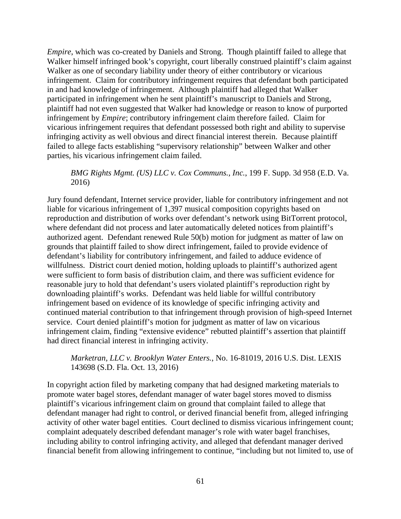*Empire*, which was co-created by Daniels and Strong. Though plaintiff failed to allege that Walker himself infringed book's copyright, court liberally construed plaintiff's claim against Walker as one of secondary liability under theory of either contributory or vicarious infringement. Claim for contributory infringement requires that defendant both participated in and had knowledge of infringement. Although plaintiff had alleged that Walker participated in infringement when he sent plaintiff's manuscript to Daniels and Strong, plaintiff had not even suggested that Walker had knowledge or reason to know of purported infringement by *Empire*; contributory infringement claim therefore failed. Claim for vicarious infringement requires that defendant possessed both right and ability to supervise infringing activity as well obvious and direct financial interest therein. Because plaintiff failed to allege facts establishing "supervisory relationship" between Walker and other parties, his vicarious infringement claim failed.

# *BMG Rights Mgmt. (US) LLC v. Cox Communs., Inc.*, 199 F. Supp. 3d 958 (E.D. Va. 2016)

Jury found defendant, Internet service provider, liable for contributory infringement and not liable for vicarious infringement of 1,397 musical composition copyrights based on reproduction and distribution of works over defendant's network using BitTorrent protocol, where defendant did not process and later automatically deleted notices from plaintiff's authorized agent. Defendant renewed Rule 50(b) motion for judgment as matter of law on grounds that plaintiff failed to show direct infringement, failed to provide evidence of defendant's liability for contributory infringement, and failed to adduce evidence of willfulness. District court denied motion, holding uploads to plaintiff's authorized agent were sufficient to form basis of distribution claim, and there was sufficient evidence for reasonable jury to hold that defendant's users violated plaintiff's reproduction right by downloading plaintiff's works. Defendant was held liable for willful contributory infringement based on evidence of its knowledge of specific infringing activity and continued material contribution to that infringement through provision of high-speed Internet service. Court denied plaintiff's motion for judgment as matter of law on vicarious infringement claim, finding "extensive evidence" rebutted plaintiff's assertion that plaintiff had direct financial interest in infringing activity.

# *Marketran, LLC v. Brooklyn Water Enters.*, No. 16-81019, 2016 U.S. Dist. LEXIS 143698 (S.D. Fla. Oct. 13, 2016)

In copyright action filed by marketing company that had designed marketing materials to promote water bagel stores, defendant manager of water bagel stores moved to dismiss plaintiff's vicarious infringement claim on ground that complaint failed to allege that defendant manager had right to control, or derived financial benefit from, alleged infringing activity of other water bagel entities. Court declined to dismiss vicarious infringement count; complaint adequately described defendant manager's role with water bagel franchises, including ability to control infringing activity, and alleged that defendant manager derived financial benefit from allowing infringement to continue, "including but not limited to, use of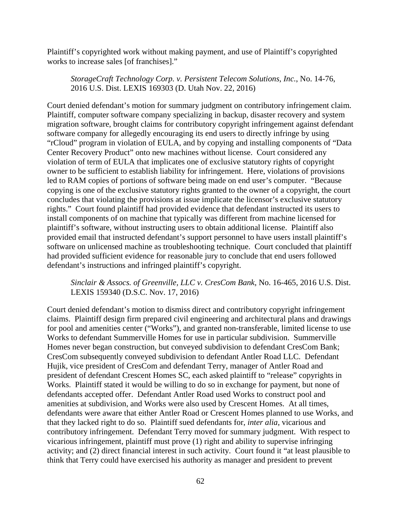Plaintiff's copyrighted work without making payment, and use of Plaintiff's copyrighted works to increase sales [of franchises]."

*StorageCraft Technology Corp. v. Persistent Telecom Solutions, Inc.*, No. 14-76, 2016 U.S. Dist. LEXIS 169303 (D. Utah Nov. 22, 2016)

Court denied defendant's motion for summary judgment on contributory infringement claim. Plaintiff, computer software company specializing in backup, disaster recovery and system migration software, brought claims for contributory copyright infringement against defendant software company for allegedly encouraging its end users to directly infringe by using "rCloud" program in violation of EULA, and by copying and installing components of "Data Center Recovery Product" onto new machines without license. Court considered any violation of term of EULA that implicates one of exclusive statutory rights of copyright owner to be sufficient to establish liability for infringement. Here, violations of provisions led to RAM copies of portions of software being made on end user's computer. "Because copying is one of the exclusive statutory rights granted to the owner of a copyright, the court concludes that violating the provisions at issue implicate the licensor's exclusive statutory rights." Court found plaintiff had provided evidence that defendant instructed its users to install components of on machine that typically was different from machine licensed for plaintiff's software, without instructing users to obtain additional license. Plaintiff also provided email that instructed defendant's support personnel to have users install plaintiff's software on unlicensed machine as troubleshooting technique. Court concluded that plaintiff had provided sufficient evidence for reasonable jury to conclude that end users followed defendant's instructions and infringed plaintiff's copyright.

## *Sinclair & Assocs. of Greenville, LLC v. CresCom Bank*, No. 16-465, 2016 U.S. Dist. LEXIS 159340 (D.S.C. Nov. 17, 2016)

Court denied defendant's motion to dismiss direct and contributory copyright infringement claims. Plaintiff design firm prepared civil engineering and architectural plans and drawings for pool and amenities center ("Works"), and granted non-transferable, limited license to use Works to defendant Summerville Homes for use in particular subdivision. Summerville Homes never began construction, but conveyed subdivision to defendant CresCom Bank; CresCom subsequently conveyed subdivision to defendant Antler Road LLC. Defendant Hujik, vice president of CresCom and defendant Terry, manager of Antler Road and president of defendant Crescent Homes SC, each asked plaintiff to "release" copyrights in Works. Plaintiff stated it would be willing to do so in exchange for payment, but none of defendants accepted offer. Defendant Antler Road used Works to construct pool and amenities at subdivision, and Works were also used by Crescent Homes. At all times, defendants were aware that either Antler Road or Crescent Homes planned to use Works, and that they lacked right to do so. Plaintiff sued defendants for, *inter alia*, vicarious and contributory infringement. Defendant Terry moved for summary judgment. With respect to vicarious infringement, plaintiff must prove (1) right and ability to supervise infringing activity; and (2) direct financial interest in such activity. Court found it "at least plausible to think that Terry could have exercised his authority as manager and president to prevent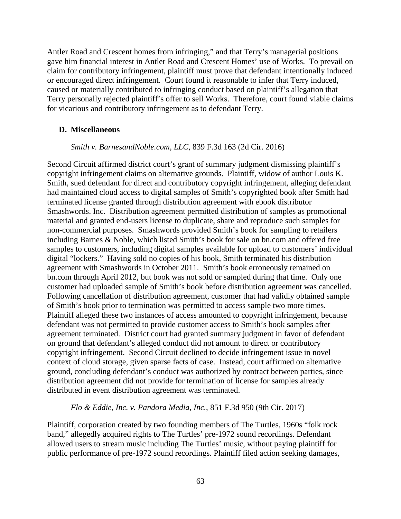Antler Road and Crescent homes from infringing," and that Terry's managerial positions gave him financial interest in Antler Road and Crescent Homes' use of Works. To prevail on claim for contributory infringement, plaintiff must prove that defendant intentionally induced or encouraged direct infringement. Court found it reasonable to infer that Terry induced, caused or materially contributed to infringing conduct based on plaintiff's allegation that Terry personally rejected plaintiff's offer to sell Works. Therefore, court found viable claims for vicarious and contributory infringement as to defendant Terry.

# **D. Miscellaneous**

## *Smith v. BarnesandNoble.com, LLC*, 839 F.3d 163 (2d Cir. 2016)

Second Circuit affirmed district court's grant of summary judgment dismissing plaintiff's copyright infringement claims on alternative grounds. Plaintiff, widow of author Louis K. Smith, sued defendant for direct and contributory copyright infringement, alleging defendant had maintained cloud access to digital samples of Smith's copyrighted book after Smith had terminated license granted through distribution agreement with ebook distributor Smashwords. Inc. Distribution agreement permitted distribution of samples as promotional material and granted end-users license to duplicate, share and reproduce such samples for non-commercial purposes. Smashwords provided Smith's book for sampling to retailers including Barnes & Noble, which listed Smith's book for sale on bn.com and offered free samples to customers, including digital samples available for upload to customers' individual digital "lockers." Having sold no copies of his book, Smith terminated his distribution agreement with Smashwords in October 2011. Smith's book erroneously remained on bn.com through April 2012, but book was not sold or sampled during that time. Only one customer had uploaded sample of Smith's book before distribution agreement was cancelled. Following cancellation of distribution agreement, customer that had validly obtained sample of Smith's book prior to termination was permitted to access sample two more times. Plaintiff alleged these two instances of access amounted to copyright infringement, because defendant was not permitted to provide customer access to Smith's book samples after agreement terminated. District court had granted summary judgment in favor of defendant on ground that defendant's alleged conduct did not amount to direct or contributory copyright infringement. Second Circuit declined to decide infringement issue in novel context of cloud storage, given sparse facts of case. Instead, court affirmed on alternative ground, concluding defendant's conduct was authorized by contract between parties, since distribution agreement did not provide for termination of license for samples already distributed in event distribution agreement was terminated.

# *Flo & Eddie, Inc. v. Pandora Media, Inc.*, 851 F.3d 950 (9th Cir. 2017)

Plaintiff, corporation created by two founding members of The Turtles, 1960s "folk rock band," allegedly acquired rights to The Turtles' pre-1972 sound recordings. Defendant allowed users to stream music including The Turtles' music, without paying plaintiff for public performance of pre-1972 sound recordings. Plaintiff filed action seeking damages,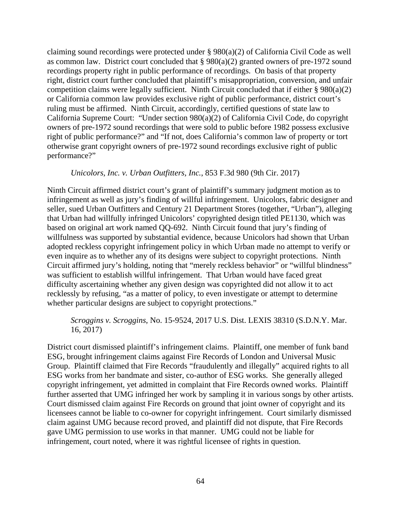claiming sound recordings were protected under § 980(a)(2) of California Civil Code as well as common law. District court concluded that § 980(a)(2) granted owners of pre-1972 sound recordings property right in public performance of recordings. On basis of that property right, district court further concluded that plaintiff's misappropriation, conversion, and unfair competition claims were legally sufficient. Ninth Circuit concluded that if either § 980(a)(2) or California common law provides exclusive right of public performance, district court's ruling must be affirmed. Ninth Circuit, accordingly, certified questions of state law to California Supreme Court: "Under section 980(a)(2) of California Civil Code, do copyright owners of pre-1972 sound recordings that were sold to public before 1982 possess exclusive right of public performance?" and "If not, does California's common law of property or tort otherwise grant copyright owners of pre-1972 sound recordings exclusive right of public performance?"

### *Unicolors, Inc. v. Urban Outfitters, Inc.*, 853 F.3d 980 (9th Cir. 2017)

Ninth Circuit affirmed district court's grant of plaintiff's summary judgment motion as to infringement as well as jury's finding of willful infringement. Unicolors, fabric designer and seller, sued Urban Outfitters and Century 21 Department Stores (together, "Urban"), alleging that Urban had willfully infringed Unicolors' copyrighted design titled PE1130, which was based on original art work named QQ-692. Ninth Circuit found that jury's finding of willfulness was supported by substantial evidence, because Unicolors had shown that Urban adopted reckless copyright infringement policy in which Urban made no attempt to verify or even inquire as to whether any of its designs were subject to copyright protections. Ninth Circuit affirmed jury's holding, noting that "merely reckless behavior" or "willful blindness" was sufficient to establish willful infringement. That Urban would have faced great difficulty ascertaining whether any given design was copyrighted did not allow it to act recklessly by refusing, "as a matter of policy, to even investigate or attempt to determine whether particular designs are subject to copyright protections."

## *Scroggins v. Scroggins*, No. 15-9524, 2017 U.S. Dist. LEXIS 38310 (S.D.N.Y. Mar. 16, 2017)

District court dismissed plaintiff's infringement claims. Plaintiff, one member of funk band ESG, brought infringement claims against Fire Records of London and Universal Music Group. Plaintiff claimed that Fire Records "fraudulently and illegally" acquired rights to all ESG works from her bandmate and sister, co-author of ESG works. She generally alleged copyright infringement, yet admitted in complaint that Fire Records owned works. Plaintiff further asserted that UMG infringed her work by sampling it in various songs by other artists. Court dismissed claim against Fire Records on ground that joint owner of copyright and its licensees cannot be liable to co-owner for copyright infringement. Court similarly dismissed claim against UMG because record proved, and plaintiff did not dispute, that Fire Records gave UMG permission to use works in that manner. UMG could not be liable for infringement, court noted, where it was rightful licensee of rights in question.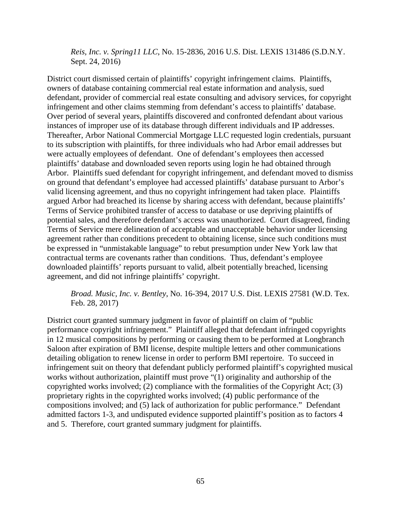*Reis, Inc. v. Spring11 LLC*, No. 15-2836, 2016 U.S. Dist. LEXIS 131486 (S.D.N.Y. Sept. 24, 2016)

District court dismissed certain of plaintiffs' copyright infringement claims. Plaintiffs, owners of database containing commercial real estate information and analysis, sued defendant, provider of commercial real estate consulting and advisory services, for copyright infringement and other claims stemming from defendant's access to plaintiffs' database. Over period of several years, plaintiffs discovered and confronted defendant about various instances of improper use of its database through different individuals and IP addresses. Thereafter, Arbor National Commercial Mortgage LLC requested login credentials, pursuant to its subscription with plaintiffs, for three individuals who had Arbor email addresses but were actually employees of defendant. One of defendant's employees then accessed plaintiffs' database and downloaded seven reports using login he had obtained through Arbor. Plaintiffs sued defendant for copyright infringement, and defendant moved to dismiss on ground that defendant's employee had accessed plaintiffs' database pursuant to Arbor's valid licensing agreement, and thus no copyright infringement had taken place. Plaintiffs argued Arbor had breached its license by sharing access with defendant, because plaintiffs' Terms of Service prohibited transfer of access to database or use depriving plaintiffs of potential sales, and therefore defendant's access was unauthorized. Court disagreed, finding Terms of Service mere delineation of acceptable and unacceptable behavior under licensing agreement rather than conditions precedent to obtaining license, since such conditions must be expressed in "unmistakable language" to rebut presumption under New York law that contractual terms are covenants rather than conditions. Thus, defendant's employee downloaded plaintiffs' reports pursuant to valid, albeit potentially breached, licensing agreement, and did not infringe plaintiffs' copyright.

*Broad. Music, Inc. v. Bentley*, No. 16-394, 2017 U.S. Dist. LEXIS 27581 (W.D. Tex. Feb. 28, 2017)

District court granted summary judgment in favor of plaintiff on claim of "public performance copyright infringement." Plaintiff alleged that defendant infringed copyrights in 12 musical compositions by performing or causing them to be performed at Longbranch Saloon after expiration of BMI license, despite multiple letters and other communications detailing obligation to renew license in order to perform BMI repertoire. To succeed in infringement suit on theory that defendant publicly performed plaintiff's copyrighted musical works without authorization, plaintiff must prove "(1) originality and authorship of the copyrighted works involved; (2) compliance with the formalities of the Copyright Act; (3) proprietary rights in the copyrighted works involved; (4) public performance of the compositions involved; and (5) lack of authorization for public performance." Defendant admitted factors 1-3, and undisputed evidence supported plaintiff's position as to factors 4 and 5. Therefore, court granted summary judgment for plaintiffs.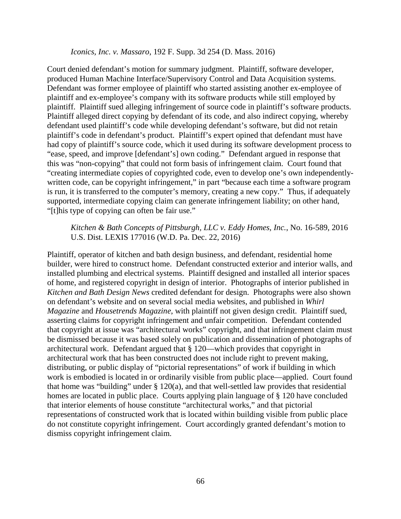#### *Iconics, Inc. v. Massaro*, 192 F. Supp. 3d 254 (D. Mass. 2016)

Court denied defendant's motion for summary judgment. Plaintiff, software developer, produced Human Machine Interface/Supervisory Control and Data Acquisition systems. Defendant was former employee of plaintiff who started assisting another ex-employee of plaintiff and ex-employee's company with its software products while still employed by plaintiff. Plaintiff sued alleging infringement of source code in plaintiff's software products. Plaintiff alleged direct copying by defendant of its code, and also indirect copying, whereby defendant used plaintiff's code while developing defendant's software, but did not retain plaintiff's code in defendant's product. Plaintiff's expert opined that defendant must have had copy of plaintiff's source code, which it used during its software development process to "ease, speed, and improve [defendant's] own coding." Defendant argued in response that this was "non-copying" that could not form basis of infringement claim. Court found that "creating intermediate copies of copyrighted code, even to develop one's own independentlywritten code, can be copyright infringement," in part "because each time a software program is run, it is transferred to the computer's memory, creating a new copy." Thus, if adequately supported, intermediate copying claim can generate infringement liability; on other hand, "[t]his type of copying can often be fair use."

## *Kitchen & Bath Concepts of Pittsburgh, LLC v. Eddy Homes, Inc.*, No. 16-589, 2016 U.S. Dist. LEXIS 177016 (W.D. Pa. Dec. 22, 2016)

Plaintiff, operator of kitchen and bath design business, and defendant, residential home builder, were hired to construct home. Defendant constructed exterior and interior walls, and installed plumbing and electrical systems. Plaintiff designed and installed all interior spaces of home, and registered copyright in design of interior. Photographs of interior published in *Kitchen and Bath Design News* credited defendant for design. Photographs were also shown on defendant's website and on several social media websites, and published in *Whirl Magazine* and *Housetrends Magazine*, with plaintiff not given design credit. Plaintiff sued, asserting claims for copyright infringement and unfair competition. Defendant contended that copyright at issue was "architectural works" copyright, and that infringement claim must be dismissed because it was based solely on publication and dissemination of photographs of architectural work. Defendant argued that § 120—which provides that copyright in architectural work that has been constructed does not include right to prevent making, distributing, or public display of "pictorial representations" of work if building in which work is embodied is located in or ordinarily visible from public place—applied. Court found that home was "building" under  $\S 120(a)$ , and that well-settled law provides that residential homes are located in public place. Courts applying plain language of § 120 have concluded that interior elements of house constitute "architectural works," and that pictorial representations of constructed work that is located within building visible from public place do not constitute copyright infringement. Court accordingly granted defendant's motion to dismiss copyright infringement claim.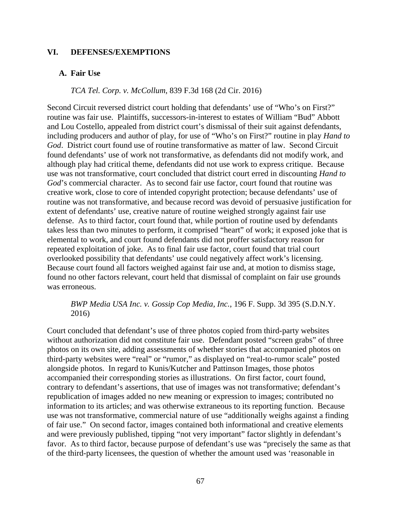#### **VI. DEFENSES/EXEMPTIONS**

#### **A. Fair Use**

#### *TCA Tel. Corp. v. McCollum*, 839 F.3d 168 (2d Cir. 2016)

Second Circuit reversed district court holding that defendants' use of "Who's on First?" routine was fair use. Plaintiffs, successors-in-interest to estates of William "Bud" Abbott and Lou Costello, appealed from district court's dismissal of their suit against defendants, including producers and author of play, for use of "Who's on First?" routine in play *Hand to God*. District court found use of routine transformative as matter of law. Second Circuit found defendants' use of work not transformative, as defendants did not modify work, and although play had critical theme, defendants did not use work to express critique. Because use was not transformative, court concluded that district court erred in discounting *Hand to God*'s commercial character. As to second fair use factor, court found that routine was creative work, close to core of intended copyright protection; because defendants' use of routine was not transformative, and because record was devoid of persuasive justification for extent of defendants' use, creative nature of routine weighed strongly against fair use defense. As to third factor, court found that, while portion of routine used by defendants takes less than two minutes to perform, it comprised "heart" of work; it exposed joke that is elemental to work, and court found defendants did not proffer satisfactory reason for repeated exploitation of joke. As to final fair use factor, court found that trial court overlooked possibility that defendants' use could negatively affect work's licensing. Because court found all factors weighed against fair use and, at motion to dismiss stage, found no other factors relevant, court held that dismissal of complaint on fair use grounds was erroneous.

### *BWP Media USA Inc. v. Gossip Cop Media, Inc.*, 196 F. Supp. 3d 395 (S.D.N.Y. 2016)

Court concluded that defendant's use of three photos copied from third-party websites without authorization did not constitute fair use. Defendant posted "screen grabs" of three photos on its own site, adding assessments of whether stories that accompanied photos on third-party websites were "real" or "rumor," as displayed on "real-to-rumor scale" posted alongside photos. In regard to Kunis/Kutcher and Pattinson Images, those photos accompanied their corresponding stories as illustrations. On first factor, court found, contrary to defendant's assertions, that use of images was not transformative; defendant's republication of images added no new meaning or expression to images; contributed no information to its articles; and was otherwise extraneous to its reporting function. Because use was not transformative, commercial nature of use "additionally weighs against a finding of fair use." On second factor, images contained both informational and creative elements and were previously published, tipping "not very important" factor slightly in defendant's favor. As to third factor, because purpose of defendant's use was "precisely the same as that of the third-party licensees, the question of whether the amount used was 'reasonable in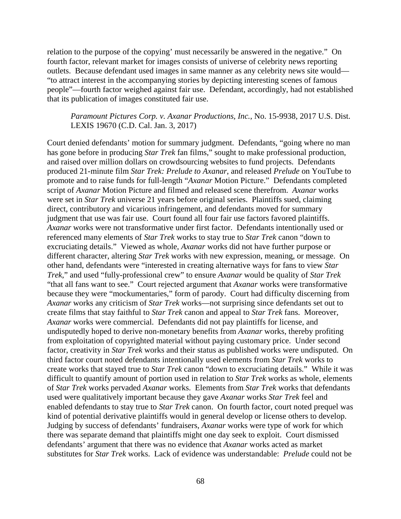relation to the purpose of the copying' must necessarily be answered in the negative." On fourth factor, relevant market for images consists of universe of celebrity news reporting outlets. Because defendant used images in same manner as any celebrity news site would— "to attract interest in the accompanying stories by depicting interesting scenes of famous people"—fourth factor weighed against fair use. Defendant, accordingly, had not established that its publication of images constituted fair use.

*Paramount Pictures Corp. v. Axanar Productions, Inc.*, No. 15-9938, 2017 U.S. Dist. LEXIS 19670 (C.D. Cal. Jan. 3, 2017)

Court denied defendants' motion for summary judgment. Defendants, "going where no man has gone before in producing *Star Trek* fan films," sought to make professional production, and raised over million dollars on crowdsourcing websites to fund projects. Defendants produced 21-minute film *Star Trek: Prelude to Axanar*, and released *Prelude* on YouTube to promote and to raise funds for full-length "*Axanar* Motion Picture." Defendants completed script of *Axanar* Motion Picture and filmed and released scene therefrom. *Axanar* works were set in *Star Trek* universe 21 years before original series. Plaintiffs sued, claiming direct, contributory and vicarious infringement, and defendants moved for summary judgment that use was fair use. Court found all four fair use factors favored plaintiffs. *Axanar* works were not transformative under first factor. Defendants intentionally used or referenced many elements of *Star Trek* works to stay true to *Star Trek* canon "down to excruciating details." Viewed as whole, *Axanar* works did not have further purpose or different character, altering *Star Trek* works with new expression, meaning, or message. On other hand, defendants were "interested in creating alternative ways for fans to view *Star Trek*," and used "fully-professional crew" to ensure *Axanar* would be quality of *Star Trek* "that all fans want to see." Court rejected argument that *Axanar* works were transformative because they were "mockumentaries," form of parody. Court had difficulty discerning from *Axanar* works any criticism of *Star Trek* works—not surprising since defendants set out to create films that stay faithful to *Star Trek* canon and appeal to *Star Trek* fans. Moreover, *Axanar* works were commercial. Defendants did not pay plaintiffs for license, and undisputedly hoped to derive non-monetary benefits from *Axanar* works, thereby profiting from exploitation of copyrighted material without paying customary price. Under second factor, creativity in *Star Trek* works and their status as published works were undisputed. On third factor court noted defendants intentionally used elements from *Star Trek* works to create works that stayed true to *Star Trek* canon "down to excruciating details." While it was difficult to quantify amount of portion used in relation to *Star Trek* works as whole, elements of *Star Trek* works pervaded *Axanar* works. Elements from *Star Trek* works that defendants used were qualitatively important because they gave *Axanar* works *Star Trek* feel and enabled defendants to stay true to *Star Trek* canon. On fourth factor, court noted prequel was kind of potential derivative plaintiffs would in general develop or license others to develop. Judging by success of defendants' fundraisers, *Axanar* works were type of work for which there was separate demand that plaintiffs might one day seek to exploit. Court dismissed defendants' argument that there was no evidence that *Axanar* works acted as market substitutes for *Star Trek* works. Lack of evidence was understandable: *Prelude* could not be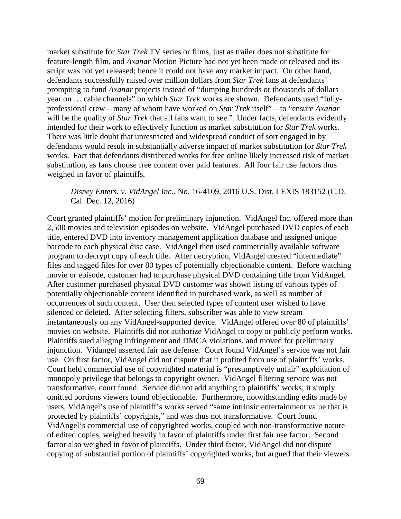market substitute for *Star Trek* TV series or films, just as trailer does not substitute for feature-length film, and *Axanar* Motion Picture had not yet been made or released and its script was not yet released; hence it could not have any market impact. On other hand, defendants successfully raised over million dollars from *Star Trek* fans at defendants' prompting to fund *Axanar* projects instead of "dumping hundreds or thousands of dollars year on … cable channels" on which *Star Trek* works are shown. Defendants used "fullyprofessional crew—many of whom have worked on *Star Trek* itself"—to "ensure *Axanar* will be the quality of *Star Trek* that all fans want to see." Under facts, defendants evidently intended for their work to effectively function as market substitution for *Star Trek* works. There was little doubt that unrestricted and widespread conduct of sort engaged in by defendants would result in substantially adverse impact of market substitution for *Star Trek*  works. Fact that defendants distributed works for free online likely increased risk of market substitution, as fans choose free content over paid features. All four fair use factors thus weighed in favor of plaintiffs.

# *Disney Enters. v. VidAngel Inc.*, No. 16-4109, 2016 U.S. Dist. LEXIS 183152 (C.D. Cal. Dec. 12, 2016)

Court granted plaintiffs' motion for preliminary injunction. VidAngel Inc. offered more than 2,500 movies and television episodes on website. VidAngel purchased DVD copies of each title, entered DVD into inventory management application database and assigned unique barcode to each physical disc case. VidAngel then used commercially available software program to decrypt copy of each title. After decryption, VidAngel created "intermediate" files and tagged files for over 80 types of potentially objectionable content. Before watching movie or episode, customer had to purchase physical DVD containing title from VidAngel. After customer purchased physical DVD customer was shown listing of various types of potentially objectionable content identified in purchased work, as well as number of occurrences of such content. User then selected types of content user wished to have silenced or deleted. After selecting filters, subscriber was able to view stream instantaneously on any VidAngel-supported device. VidAngel offered over 80 of plaintiffs' movies on website. Plaintiffs did not authorize VidAngel to copy or publicly perform works. Plaintiffs sued alleging infringement and DMCA violations, and moved for preliminary injunction. Vidangel asserted fair use defense. Court found VidAngel's service was not fair use. On first factor, VidAngel did not dispute that it profited from use of plaintiffs' works. Court held commercial use of copyrighted material is "presumptively unfair" exploitation of monopoly privilege that belongs to copyright owner. VidAngel filtering service was not transformative, court found. Service did not add anything to plaintiffs' works; it simply omitted portions viewers found objectionable. Furthermore, notwithstanding edits made by users, VidAngel's use of plaintiff's works served "same intrinsic entertainment value that is protected by plaintiffs' copyrights," and was thus not transformative. Court found VidAngel's commercial use of copyrighted works, coupled with non-transformative nature of edited copies, weighed heavily in favor of plaintiffs under first fair use factor. Second factor also weighed in favor of plaintiffs. Under third factor, VidAngel did not dispute copying of substantial portion of plaintiffs' copyrighted works, but argued that their viewers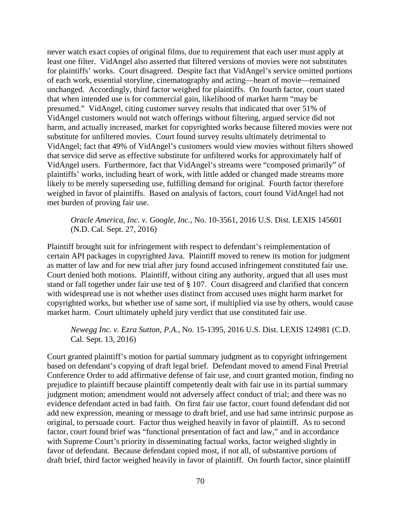never watch exact copies of original films, due to requirement that each user must apply at least one filter. VidAngel also asserted that filtered versions of movies were not substitutes for plaintiffs' works. Court disagreed. Despite fact that VidAngel's service omitted portions of each work, essential storyline, cinematography and acting—heart of movie—remained unchanged. Accordingly, third factor weighed for plaintiffs. On fourth factor, court stated that when intended use is for commercial gain, likelihood of market harm "may be presumed." VidAngel, citing customer survey results that indicated that over 51% of VidAngel customers would not watch offerings without filtering, argued service did not harm, and actually increased, market for copyrighted works because filtered movies were not substitute for unfiltered movies. Court found survey results ultimately detrimental to VidAngel; fact that 49% of VidAngel's customers would view movies without filters showed that service did serve as effective substitute for unfiltered works for approximately half of VidAngel users. Furthermore, fact that VidAngel's streams were "composed primarily" of plaintiffs' works, including heart of work, with little added or changed made streams more likely to be merely superseding use, fulfilling demand for original. Fourth factor therefore weighed in favor of plaintiffs. Based on analysis of factors, court found VidAngel had not met burden of proving fair use.

## *Oracle America, Inc. v. Google, Inc.*, No. 10-3561, 2016 U.S. Dist. LEXIS 145601 (N.D. Cal. Sept. 27, 2016)

Plaintiff brought suit for infringement with respect to defendant's reimplementation of certain API packages in copyrighted Java. Plaintiff moved to renew its motion for judgment as matter of law and for new trial after jury found accused infringement constituted fair use. Court denied both motions. Plaintiff, without citing any authority, argued that all uses must stand or fall together under fair use test of § 107. Court disagreed and clarified that concern with widespread use is not whether uses distinct from accused uses might harm market for copyrighted works, but whether use of same sort, if multiplied via use by others, would cause market harm. Court ultimately upheld jury verdict that use constituted fair use.

*Newegg Inc. v. Ezra Sutton, P.A.*, No. 15-1395, 2016 U.S. Dist. LEXIS 124981 (C.D. Cal. Sept. 13, 2016)

Court granted plaintiff's motion for partial summary judgment as to copyright infringement based on defendant's copying of draft legal brief. Defendant moved to amend Final Pretrial Conference Order to add affirmative defense of fair use, and court granted motion, finding no prejudice to plaintiff because plaintiff competently dealt with fair use in its partial summary judgment motion; amendment would not adversely affect conduct of trial; and there was no evidence defendant acted in bad faith. On first fair use factor, court found defendant did not add new expression, meaning or message to draft brief, and use had same intrinsic purpose as original, to persuade court. Factor thus weighed heavily in favor of plaintiff. As to second factor, court found brief was "functional presentation of fact and law," and in accordance with Supreme Court's priority in disseminating factual works, factor weighed slightly in favor of defendant. Because defendant copied most, if not all, of substantive portions of draft brief, third factor weighed heavily in favor of plaintiff. On fourth factor, since plaintiff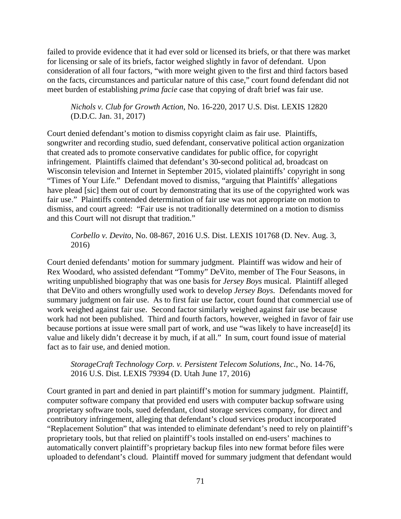failed to provide evidence that it had ever sold or licensed its briefs, or that there was market for licensing or sale of its briefs, factor weighed slightly in favor of defendant. Upon consideration of all four factors, "with more weight given to the first and third factors based on the facts, circumstances and particular nature of this case," court found defendant did not meet burden of establishing *prima facie* case that copying of draft brief was fair use.

*Nichols v. Club for Growth Action*, No. 16-220, 2017 U.S. Dist. LEXIS 12820 (D.D.C. Jan. 31, 2017)

Court denied defendant's motion to dismiss copyright claim as fair use. Plaintiffs, songwriter and recording studio, sued defendant, conservative political action organization that created ads to promote conservative candidates for public office, for copyright infringement. Plaintiffs claimed that defendant's 30-second political ad, broadcast on Wisconsin television and Internet in September 2015, violated plaintiffs' copyright in song "Times of Your Life." Defendant moved to dismiss, "arguing that Plaintiffs' allegations have plead [sic] them out of court by demonstrating that its use of the copyrighted work was fair use." Plaintiffs contended determination of fair use was not appropriate on motion to dismiss, and court agreed: "Fair use is not traditionally determined on a motion to dismiss and this Court will not disrupt that tradition."

*Corbello v. Devito*, No. 08-867, 2016 U.S. Dist. LEXIS 101768 (D. Nev. Aug. 3, 2016)

Court denied defendants' motion for summary judgment. Plaintiff was widow and heir of Rex Woodard, who assisted defendant "Tommy" DeVito, member of The Four Seasons, in writing unpublished biography that was one basis for *Jersey Boys* musical. Plaintiff alleged that DeVito and others wrongfully used work to develop *Jersey Boys*. Defendants moved for summary judgment on fair use. As to first fair use factor, court found that commercial use of work weighed against fair use. Second factor similarly weighed against fair use because work had not been published. Third and fourth factors, however, weighed in favor of fair use because portions at issue were small part of work, and use "was likely to have increase[d] its value and likely didn't decrease it by much, if at all." In sum, court found issue of material fact as to fair use, and denied motion.

*StorageCraft Technology Corp. v. Persistent Telecom Solutions, Inc.*, No. 14-76, 2016 U.S. Dist. LEXIS 79394 (D. Utah June 17, 2016)

Court granted in part and denied in part plaintiff's motion for summary judgment. Plaintiff, computer software company that provided end users with computer backup software using proprietary software tools, sued defendant, cloud storage services company, for direct and contributory infringement, alleging that defendant's cloud services product incorporated "Replacement Solution" that was intended to eliminate defendant's need to rely on plaintiff's proprietary tools, but that relied on plaintiff's tools installed on end-users' machines to automatically convert plaintiff's proprietary backup files into new format before files were uploaded to defendant's cloud. Plaintiff moved for summary judgment that defendant would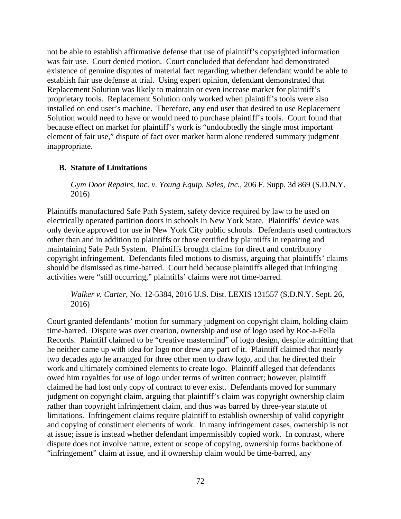not be able to establish affirmative defense that use of plaintiff's copyrighted information was fair use. Court denied motion. Court concluded that defendant had demonstrated existence of genuine disputes of material fact regarding whether defendant would be able to establish fair use defense at trial. Using expert opinion, defendant demonstrated that Replacement Solution was likely to maintain or even increase market for plaintiff's proprietary tools. Replacement Solution only worked when plaintiff's tools were also installed on end user's machine. Therefore, any end user that desired to use Replacement Solution would need to have or would need to purchase plaintiff's tools. Court found that because effect on market for plaintiff's work is "undoubtedly the single most important element of fair use," dispute of fact over market harm alone rendered summary judgment inappropriate.

## **B. Statute of Limitations**

*Gym Door Repairs, Inc. v. Young Equip. Sales, Inc.*, 206 F. Supp. 3d 869 (S.D.N.Y. 2016)

Plaintiffs manufactured Safe Path System, safety device required by law to be used on electrically operated partition doors in schools in New York State. Plaintiffs' device was only device approved for use in New York City public schools. Defendants used contractors other than and in addition to plaintiffs or those certified by plaintiffs in repairing and maintaining Safe Path System. Plaintiffs brought claims for direct and contributory copyright infringement. Defendants filed motions to dismiss, arguing that plaintiffs' claims should be dismissed as time-barred. Court held because plaintiffs alleged that infringing activities were "still occurring," plaintiffs' claims were not time-barred.

*Walker v. Carter*, No. 12-5384, 2016 U.S. Dist. LEXIS 131557 (S.D.N.Y. Sept. 26, 2016)

Court granted defendants' motion for summary judgment on copyright claim, holding claim time-barred. Dispute was over creation, ownership and use of logo used by Roc-a-Fella Records. Plaintiff claimed to be "creative mastermind" of logo design, despite admitting that he neither came up with idea for logo nor drew any part of it. Plaintiff claimed that nearly two decades ago he arranged for three other men to draw logo, and that he directed their work and ultimately combined elements to create logo. Plaintiff alleged that defendants owed him royalties for use of logo under terms of written contract; however, plaintiff claimed he had lost only copy of contract to ever exist. Defendants moved for summary judgment on copyright claim, arguing that plaintiff's claim was copyright ownership claim rather than copyright infringement claim, and thus was barred by three-year statute of limitations. Infringement claims require plaintiff to establish ownership of valid copyright and copying of constituent elements of work. In many infringement cases, ownership is not at issue; issue is instead whether defendant impermissibly copied work. In contrast, where dispute does not involve nature, extent or scope of copying, ownership forms backbone of "infringement" claim at issue, and if ownership claim would be time-barred, any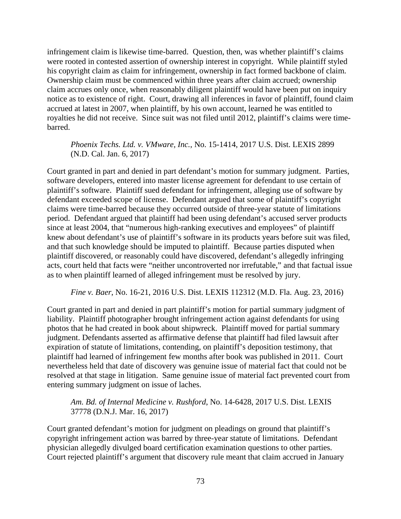infringement claim is likewise time-barred. Question, then, was whether plaintiff's claims were rooted in contested assertion of ownership interest in copyright. While plaintiff styled his copyright claim as claim for infringement, ownership in fact formed backbone of claim. Ownership claim must be commenced within three years after claim accrued; ownership claim accrues only once, when reasonably diligent plaintiff would have been put on inquiry notice as to existence of right. Court, drawing all inferences in favor of plaintiff, found claim accrued at latest in 2007, when plaintiff, by his own account, learned he was entitled to royalties he did not receive. Since suit was not filed until 2012, plaintiff's claims were timebarred.

## *Phoenix Techs. Ltd. v. VMware, Inc.*, No. 15-1414, 2017 U.S. Dist. LEXIS 2899 (N.D. Cal. Jan. 6, 2017)

Court granted in part and denied in part defendant's motion for summary judgment. Parties, software developers, entered into master license agreement for defendant to use certain of plaintiff's software. Plaintiff sued defendant for infringement, alleging use of software by defendant exceeded scope of license. Defendant argued that some of plaintiff's copyright claims were time-barred because they occurred outside of three-year statute of limitations period. Defendant argued that plaintiff had been using defendant's accused server products since at least 2004, that "numerous high-ranking executives and employees" of plaintiff knew about defendant's use of plaintiff's software in its products years before suit was filed, and that such knowledge should be imputed to plaintiff. Because parties disputed when plaintiff discovered, or reasonably could have discovered, defendant's allegedly infringing acts, court held that facts were "neither uncontroverted nor irrefutable," and that factual issue as to when plaintiff learned of alleged infringement must be resolved by jury.

*Fine v. Baer*, No. 16-21, 2016 U.S. Dist. LEXIS 112312 (M.D. Fla. Aug. 23, 2016)

Court granted in part and denied in part plaintiff's motion for partial summary judgment of liability. Plaintiff photographer brought infringement action against defendants for using photos that he had created in book about shipwreck. Plaintiff moved for partial summary judgment. Defendants asserted as affirmative defense that plaintiff had filed lawsuit after expiration of statute of limitations, contending, on plaintiff's deposition testimony, that plaintiff had learned of infringement few months after book was published in 2011. Court nevertheless held that date of discovery was genuine issue of material fact that could not be resolved at that stage in litigation. Same genuine issue of material fact prevented court from entering summary judgment on issue of laches.

# *Am. Bd. of Internal Medicine v. Rushford*, No. 14-6428, 2017 U.S. Dist. LEXIS 37778 (D.N.J. Mar. 16, 2017)

Court granted defendant's motion for judgment on pleadings on ground that plaintiff's copyright infringement action was barred by three-year statute of limitations. Defendant physician allegedly divulged board certification examination questions to other parties. Court rejected plaintiff's argument that discovery rule meant that claim accrued in January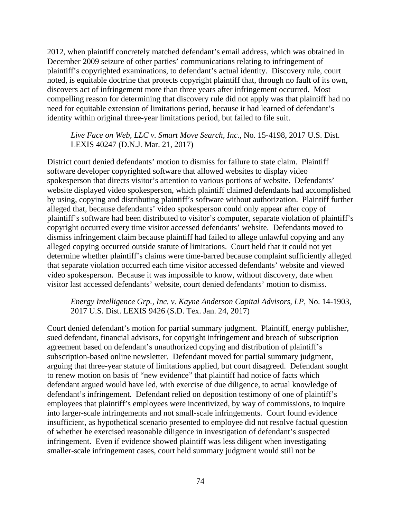2012, when plaintiff concretely matched defendant's email address, which was obtained in December 2009 seizure of other parties' communications relating to infringement of plaintiff's copyrighted examinations, to defendant's actual identity. Discovery rule, court noted, is equitable doctrine that protects copyright plaintiff that, through no fault of its own, discovers act of infringement more than three years after infringement occurred. Most compelling reason for determining that discovery rule did not apply was that plaintiff had no need for equitable extension of limitations period, because it had learned of defendant's identity within original three-year limitations period, but failed to file suit.

# *Live Face on Web, LLC v. Smart Move Search, Inc.*, No. 15-4198, 2017 U.S. Dist. LEXIS 40247 (D.N.J. Mar. 21, 2017)

District court denied defendants' motion to dismiss for failure to state claim. Plaintiff software developer copyrighted software that allowed websites to display video spokesperson that directs visitor's attention to various portions of website. Defendants' website displayed video spokesperson, which plaintiff claimed defendants had accomplished by using, copying and distributing plaintiff's software without authorization. Plaintiff further alleged that, because defendants' video spokesperson could only appear after copy of plaintiff's software had been distributed to visitor's computer, separate violation of plaintiff's copyright occurred every time visitor accessed defendants' website. Defendants moved to dismiss infringement claim because plaintiff had failed to allege unlawful copying and any alleged copying occurred outside statute of limitations. Court held that it could not yet determine whether plaintiff's claims were time-barred because complaint sufficiently alleged that separate violation occurred each time visitor accessed defendants' website and viewed video spokesperson. Because it was impossible to know, without discovery, date when visitor last accessed defendants' website, court denied defendants' motion to dismiss.

# *Energy Intelligence Grp., Inc. v. Kayne Anderson Capital Advisors, LP*, No. 14-1903, 2017 U.S. Dist. LEXIS 9426 (S.D. Tex. Jan. 24, 2017)

Court denied defendant's motion for partial summary judgment. Plaintiff, energy publisher, sued defendant, financial advisors, for copyright infringement and breach of subscription agreement based on defendant's unauthorized copying and distribution of plaintiff's subscription-based online newsletter. Defendant moved for partial summary judgment, arguing that three-year statute of limitations applied, but court disagreed. Defendant sought to renew motion on basis of "new evidence" that plaintiff had notice of facts which defendant argued would have led, with exercise of due diligence, to actual knowledge of defendant's infringement. Defendant relied on deposition testimony of one of plaintiff's employees that plaintiff's employees were incentivized, by way of commissions, to inquire into larger-scale infringements and not small-scale infringements. Court found evidence insufficient, as hypothetical scenario presented to employee did not resolve factual question of whether he exercised reasonable diligence in investigation of defendant's suspected infringement. Even if evidence showed plaintiff was less diligent when investigating smaller-scale infringement cases, court held summary judgment would still not be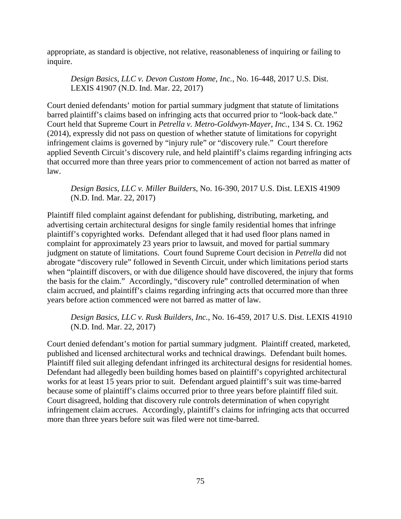appropriate, as standard is objective, not relative, reasonableness of inquiring or failing to inquire.

*Design Basics, LLC v. Devon Custom Home, Inc.*, No. 16-448, 2017 U.S. Dist. LEXIS 41907 (N.D. Ind. Mar. 22, 2017)

Court denied defendants' motion for partial summary judgment that statute of limitations barred plaintiff's claims based on infringing acts that occurred prior to "look-back date." Court held that Supreme Court in *Petrella v. Metro-Goldwyn-Mayer, Inc.*, 134 S. Ct. 1962 (2014), expressly did not pass on question of whether statute of limitations for copyright infringement claims is governed by "injury rule" or "discovery rule." Court therefore applied Seventh Circuit's discovery rule, and held plaintiff's claims regarding infringing acts that occurred more than three years prior to commencement of action not barred as matter of law.

# *Design Basics, LLC v. Miller Builders*, No. 16-390, 2017 U.S. Dist. LEXIS 41909 (N.D. Ind. Mar. 22, 2017)

Plaintiff filed complaint against defendant for publishing, distributing, marketing, and advertising certain architectural designs for single family residential homes that infringe plaintiff's copyrighted works. Defendant alleged that it had used floor plans named in complaint for approximately 23 years prior to lawsuit, and moved for partial summary judgment on statute of limitations. Court found Supreme Court decision in *Petrella* did not abrogate "discovery rule" followed in Seventh Circuit, under which limitations period starts when "plaintiff discovers, or with due diligence should have discovered, the injury that forms the basis for the claim." Accordingly, "discovery rule" controlled determination of when claim accrued, and plaintiff's claims regarding infringing acts that occurred more than three years before action commenced were not barred as matter of law.

*Design Basics, LLC v. Rusk Builders, Inc.*, No. 16-459, 2017 U.S. Dist. LEXIS 41910 (N.D. Ind. Mar. 22, 2017)

Court denied defendant's motion for partial summary judgment. Plaintiff created, marketed, published and licensed architectural works and technical drawings. Defendant built homes. Plaintiff filed suit alleging defendant infringed its architectural designs for residential homes. Defendant had allegedly been building homes based on plaintiff's copyrighted architectural works for at least 15 years prior to suit. Defendant argued plaintiff's suit was time-barred because some of plaintiff's claims occurred prior to three years before plaintiff filed suit. Court disagreed, holding that discovery rule controls determination of when copyright infringement claim accrues. Accordingly, plaintiff's claims for infringing acts that occurred more than three years before suit was filed were not time-barred.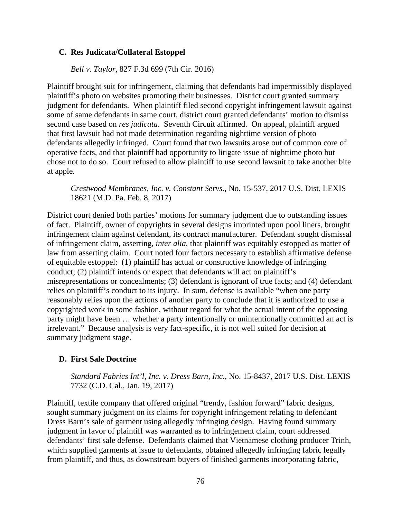# **C. Res Judicata/Collateral Estoppel**

## *Bell v. Taylor*, 827 F.3d 699 (7th Cir. 2016)

Plaintiff brought suit for infringement, claiming that defendants had impermissibly displayed plaintiff's photo on websites promoting their businesses. District court granted summary judgment for defendants. When plaintiff filed second copyright infringement lawsuit against some of same defendants in same court, district court granted defendants' motion to dismiss second case based on *res judicata*. Seventh Circuit affirmed. On appeal, plaintiff argued that first lawsuit had not made determination regarding nighttime version of photo defendants allegedly infringed. Court found that two lawsuits arose out of common core of operative facts, and that plaintiff had opportunity to litigate issue of nighttime photo but chose not to do so. Court refused to allow plaintiff to use second lawsuit to take another bite at apple.

*Crestwood Membranes, Inc. v. Constant Servs.*, No. 15-537, 2017 U.S. Dist. LEXIS 18621 (M.D. Pa. Feb. 8, 2017)

District court denied both parties' motions for summary judgment due to outstanding issues of fact. Plaintiff, owner of copyrights in several designs imprinted upon pool liners, brought infringement claim against defendant, its contract manufacturer. Defendant sought dismissal of infringement claim, asserting, *inter alia*, that plaintiff was equitably estopped as matter of law from asserting claim. Court noted four factors necessary to establish affirmative defense of equitable estoppel: (1) plaintiff has actual or constructive knowledge of infringing conduct; (2) plaintiff intends or expect that defendants will act on plaintiff's misrepresentations or concealments; (3) defendant is ignorant of true facts; and (4) defendant relies on plaintiff's conduct to its injury. In sum, defense is available "when one party reasonably relies upon the actions of another party to conclude that it is authorized to use a copyrighted work in some fashion, without regard for what the actual intent of the opposing party might have been … whether a party intentionally or unintentionally committed an act is irrelevant." Because analysis is very fact-specific, it is not well suited for decision at summary judgment stage.

# **D. First Sale Doctrine**

*Standard Fabrics Int'l, Inc. v. Dress Barn, Inc.*, No. 15-8437, 2017 U.S. Dist. LEXIS 7732 (C.D. Cal., Jan. 19, 2017)

Plaintiff, textile company that offered original "trendy, fashion forward" fabric designs, sought summary judgment on its claims for copyright infringement relating to defendant Dress Barn's sale of garment using allegedly infringing design. Having found summary judgment in favor of plaintiff was warranted as to infringement claim, court addressed defendants' first sale defense. Defendants claimed that Vietnamese clothing producer Trinh, which supplied garments at issue to defendants, obtained allegedly infringing fabric legally from plaintiff, and thus, as downstream buyers of finished garments incorporating fabric,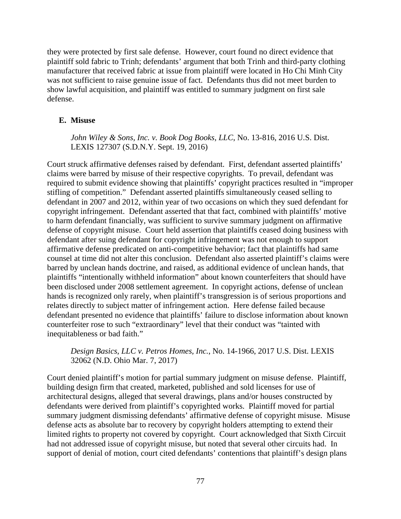they were protected by first sale defense. However, court found no direct evidence that plaintiff sold fabric to Trinh; defendants' argument that both Trinh and third-party clothing manufacturer that received fabric at issue from plaintiff were located in Ho Chi Minh City was not sufficient to raise genuine issue of fact. Defendants thus did not meet burden to show lawful acquisition, and plaintiff was entitled to summary judgment on first sale defense.

## **E. Misuse**

*John Wiley & Sons, Inc. v. Book Dog Books, LLC*, No. 13-816, 2016 U.S. Dist. LEXIS 127307 (S.D.N.Y. Sept. 19, 2016)

Court struck affirmative defenses raised by defendant. First, defendant asserted plaintiffs' claims were barred by misuse of their respective copyrights. To prevail, defendant was required to submit evidence showing that plaintiffs' copyright practices resulted in "improper stifling of competition." Defendant asserted plaintiffs simultaneously ceased selling to defendant in 2007 and 2012, within year of two occasions on which they sued defendant for copyright infringement. Defendant asserted that that fact, combined with plaintiffs' motive to harm defendant financially, was sufficient to survive summary judgment on affirmative defense of copyright misuse. Court held assertion that plaintiffs ceased doing business with defendant after suing defendant for copyright infringement was not enough to support affirmative defense predicated on anti-competitive behavior; fact that plaintiffs had same counsel at time did not alter this conclusion. Defendant also asserted plaintiff's claims were barred by unclean hands doctrine, and raised, as additional evidence of unclean hands, that plaintiffs "intentionally withheld information" about known counterfeiters that should have been disclosed under 2008 settlement agreement. In copyright actions, defense of unclean hands is recognized only rarely, when plaintiff's transgression is of serious proportions and relates directly to subject matter of infringement action. Here defense failed because defendant presented no evidence that plaintiffs' failure to disclose information about known counterfeiter rose to such "extraordinary" level that their conduct was "tainted with inequitableness or bad faith."

*Design Basics, LLC v. Petros Homes, Inc.*, No. 14-1966, 2017 U.S. Dist. LEXIS 32062 (N.D. Ohio Mar. 7, 2017)

Court denied plaintiff's motion for partial summary judgment on misuse defense. Plaintiff, building design firm that created, marketed, published and sold licenses for use of architectural designs, alleged that several drawings, plans and/or houses constructed by defendants were derived from plaintiff's copyrighted works. Plaintiff moved for partial summary judgment dismissing defendants' affirmative defense of copyright misuse. Misuse defense acts as absolute bar to recovery by copyright holders attempting to extend their limited rights to property not covered by copyright. Court acknowledged that Sixth Circuit had not addressed issue of copyright misuse, but noted that several other circuits had. In support of denial of motion, court cited defendants' contentions that plaintiff's design plans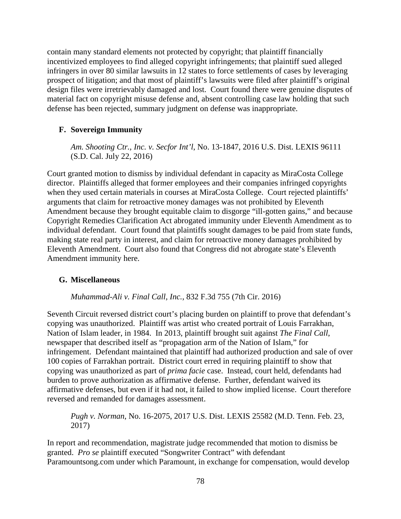contain many standard elements not protected by copyright; that plaintiff financially incentivized employees to find alleged copyright infringements; that plaintiff sued alleged infringers in over 80 similar lawsuits in 12 states to force settlements of cases by leveraging prospect of litigation; and that most of plaintiff's lawsuits were filed after plaintiff's original design files were irretrievably damaged and lost. Court found there were genuine disputes of material fact on copyright misuse defense and, absent controlling case law holding that such defense has been rejected, summary judgment on defense was inappropriate.

# **F. Sovereign Immunity**

*Am. Shooting Ctr., Inc. v. Secfor Int'l*, No. 13-1847, 2016 U.S. Dist. LEXIS 96111 (S.D. Cal. July 22, 2016)

Court granted motion to dismiss by individual defendant in capacity as MiraCosta College director. Plaintiffs alleged that former employees and their companies infringed copyrights when they used certain materials in courses at MiraCosta College. Court rejected plaintiffs' arguments that claim for retroactive money damages was not prohibited by Eleventh Amendment because they brought equitable claim to disgorge "ill-gotten gains," and because Copyright Remedies Clarification Act abrogated immunity under Eleventh Amendment as to individual defendant. Court found that plaintiffs sought damages to be paid from state funds, making state real party in interest, and claim for retroactive money damages prohibited by Eleventh Amendment. Court also found that Congress did not abrogate state's Eleventh Amendment immunity here.

# **G. Miscellaneous**

# *Muhammad-Ali v. Final Call, Inc.*, 832 F.3d 755 (7th Cir. 2016)

Seventh Circuit reversed district court's placing burden on plaintiff to prove that defendant's copying was unauthorized. Plaintiff was artist who created portrait of Louis Farrakhan, Nation of Islam leader, in 1984. In 2013, plaintiff brought suit against *The Final Call*, newspaper that described itself as "propagation arm of the Nation of Islam," for infringement. Defendant maintained that plaintiff had authorized production and sale of over 100 copies of Farrakhan portrait. District court erred in requiring plaintiff to show that copying was unauthorized as part of *prima facie* case. Instead, court held, defendants had burden to prove authorization as affirmative defense. Further, defendant waived its affirmative defenses, but even if it had not, it failed to show implied license. Court therefore reversed and remanded for damages assessment.

*Pugh v. Norman*, No. 16-2075, 2017 U.S. Dist. LEXIS 25582 (M.D. Tenn. Feb. 23, 2017)

In report and recommendation, magistrate judge recommended that motion to dismiss be granted. *Pro se* plaintiff executed "Songwriter Contract" with defendant Paramountsong.com under which Paramount, in exchange for compensation, would develop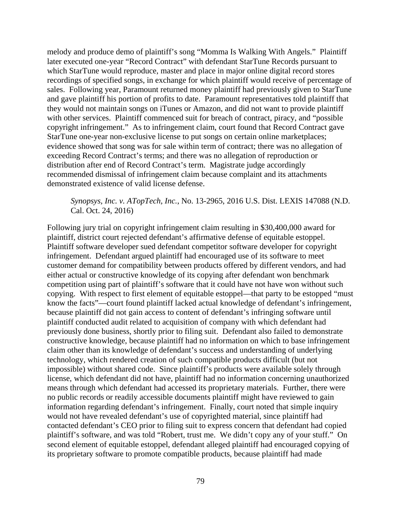melody and produce demo of plaintiff's song "Momma Is Walking With Angels." Plaintiff later executed one-year "Record Contract" with defendant StarTune Records pursuant to which StarTune would reproduce, master and place in major online digital record stores recordings of specified songs, in exchange for which plaintiff would receive of percentage of sales. Following year, Paramount returned money plaintiff had previously given to StarTune and gave plaintiff his portion of profits to date. Paramount representatives told plaintiff that they would not maintain songs on iTunes or Amazon, and did not want to provide plaintiff with other services. Plaintiff commenced suit for breach of contract, piracy, and "possible copyright infringement." As to infringement claim, court found that Record Contract gave StarTune one-year non-exclusive license to put songs on certain online marketplaces; evidence showed that song was for sale within term of contract; there was no allegation of exceeding Record Contract's terms; and there was no allegation of reproduction or distribution after end of Record Contract's term. Magistrate judge accordingly recommended dismissal of infringement claim because complaint and its attachments demonstrated existence of valid license defense.

### *Synopsys, Inc. v. ATopTech, Inc.*, No. 13-2965, 2016 U.S. Dist. LEXIS 147088 (N.D. Cal. Oct. 24, 2016)

Following jury trial on copyright infringement claim resulting in \$30,400,000 award for plaintiff, district court rejected defendant's affirmative defense of equitable estoppel. Plaintiff software developer sued defendant competitor software developer for copyright infringement. Defendant argued plaintiff had encouraged use of its software to meet customer demand for compatibility between products offered by different vendors, and had either actual or constructive knowledge of its copying after defendant won benchmark competition using part of plaintiff's software that it could have not have won without such copying. With respect to first element of equitable estoppel—that party to be estopped "must know the facts"—court found plaintiff lacked actual knowledge of defendant's infringement, because plaintiff did not gain access to content of defendant's infringing software until plaintiff conducted audit related to acquisition of company with which defendant had previously done business, shortly prior to filing suit. Defendant also failed to demonstrate constructive knowledge, because plaintiff had no information on which to base infringement claim other than its knowledge of defendant's success and understanding of underlying technology, which rendered creation of such compatible products difficult (but not impossible) without shared code. Since plaintiff's products were available solely through license, which defendant did not have, plaintiff had no information concerning unauthorized means through which defendant had accessed its proprietary materials. Further, there were no public records or readily accessible documents plaintiff might have reviewed to gain information regarding defendant's infringement. Finally, court noted that simple inquiry would not have revealed defendant's use of copyrighted material, since plaintiff had contacted defendant's CEO prior to filing suit to express concern that defendant had copied plaintiff's software, and was told "Robert, trust me. We didn't copy any of your stuff." On second element of equitable estoppel, defendant alleged plaintiff had encouraged copying of its proprietary software to promote compatible products, because plaintiff had made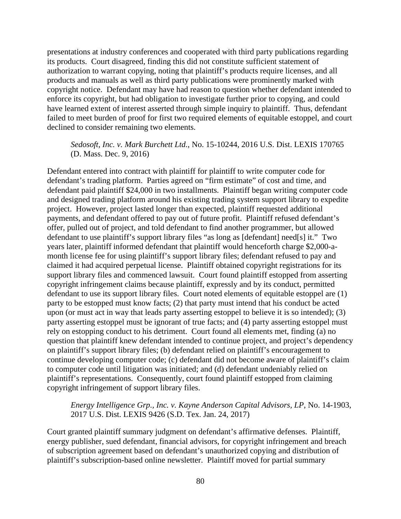presentations at industry conferences and cooperated with third party publications regarding its products. Court disagreed, finding this did not constitute sufficient statement of authorization to warrant copying, noting that plaintiff's products require licenses, and all products and manuals as well as third party publications were prominently marked with copyright notice. Defendant may have had reason to question whether defendant intended to enforce its copyright, but had obligation to investigate further prior to copying, and could have learned extent of interest asserted through simple inquiry to plaintiff. Thus, defendant failed to meet burden of proof for first two required elements of equitable estoppel, and court declined to consider remaining two elements.

### *Sedosoft, Inc. v. Mark Burchett Ltd.*, No. 15-10244, 2016 U.S. Dist. LEXIS 170765 (D. Mass. Dec. 9, 2016)

Defendant entered into contract with plaintiff for plaintiff to write computer code for defendant's trading platform. Parties agreed on "firm estimate" of cost and time, and defendant paid plaintiff \$24,000 in two installments. Plaintiff began writing computer code and designed trading platform around his existing trading system support library to expedite project. However, project lasted longer than expected, plaintiff requested additional payments, and defendant offered to pay out of future profit. Plaintiff refused defendant's offer, pulled out of project, and told defendant to find another programmer, but allowed defendant to use plaintiff's support library files "as long as [defendant] need[s] it." Two years later, plaintiff informed defendant that plaintiff would henceforth charge \$2,000-amonth license fee for using plaintiff's support library files; defendant refused to pay and claimed it had acquired perpetual license. Plaintiff obtained copyright registrations for its support library files and commenced lawsuit. Court found plaintiff estopped from asserting copyright infringement claims because plaintiff, expressly and by its conduct, permitted defendant to use its support library files. Court noted elements of equitable estoppel are (1) party to be estopped must know facts; (2) that party must intend that his conduct be acted upon (or must act in way that leads party asserting estoppel to believe it is so intended); (3) party asserting estoppel must be ignorant of true facts; and (4) party asserting estoppel must rely on estopping conduct to his detriment. Court found all elements met, finding (a) no question that plaintiff knew defendant intended to continue project, and project's dependency on plaintiff's support library files; (b) defendant relied on plaintiff's encouragement to continue developing computer code; (c) defendant did not become aware of plaintiff's claim to computer code until litigation was initiated; and (d) defendant undeniably relied on plaintiff's representations. Consequently, court found plaintiff estopped from claiming copyright infringement of support library files.

### *Energy Intelligence Grp., Inc. v. Kayne Anderson Capital Advisors, LP*, No. 14-1903, 2017 U.S. Dist. LEXIS 9426 (S.D. Tex. Jan. 24, 2017)

Court granted plaintiff summary judgment on defendant's affirmative defenses. Plaintiff, energy publisher, sued defendant, financial advisors, for copyright infringement and breach of subscription agreement based on defendant's unauthorized copying and distribution of plaintiff's subscription-based online newsletter. Plaintiff moved for partial summary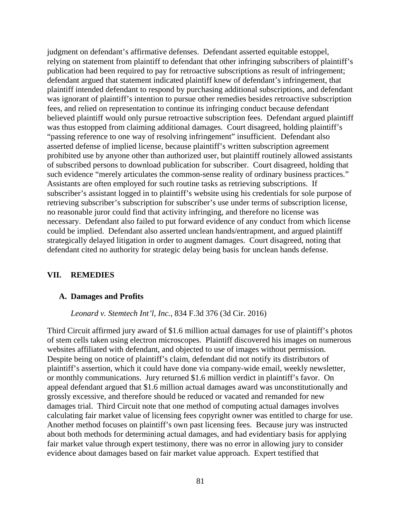judgment on defendant's affirmative defenses. Defendant asserted equitable estoppel, relying on statement from plaintiff to defendant that other infringing subscribers of plaintiff's publication had been required to pay for retroactive subscriptions as result of infringement; defendant argued that statement indicated plaintiff knew of defendant's infringement, that plaintiff intended defendant to respond by purchasing additional subscriptions, and defendant was ignorant of plaintiff's intention to pursue other remedies besides retroactive subscription fees, and relied on representation to continue its infringing conduct because defendant believed plaintiff would only pursue retroactive subscription fees. Defendant argued plaintiff was thus estopped from claiming additional damages. Court disagreed, holding plaintiff's "passing reference to one way of resolving infringement" insufficient. Defendant also asserted defense of implied license, because plaintiff's written subscription agreement prohibited use by anyone other than authorized user, but plaintiff routinely allowed assistants of subscribed persons to download publication for subscriber. Court disagreed, holding that such evidence "merely articulates the common-sense reality of ordinary business practices." Assistants are often employed for such routine tasks as retrieving subscriptions. If subscriber's assistant logged in to plaintiff's website using his credentials for sole purpose of retrieving subscriber's subscription for subscriber's use under terms of subscription license, no reasonable juror could find that activity infringing, and therefore no license was necessary. Defendant also failed to put forward evidence of any conduct from which license could be implied. Defendant also asserted unclean hands/entrapment, and argued plaintiff strategically delayed litigation in order to augment damages. Court disagreed, noting that defendant cited no authority for strategic delay being basis for unclean hands defense.

### **VII. REMEDIES**

#### **A. Damages and Profits**

#### *Leonard v. Stemtech Int'l, Inc.*, 834 F.3d 376 (3d Cir. 2016)

Third Circuit affirmed jury award of \$1.6 million actual damages for use of plaintiff's photos of stem cells taken using electron microscopes. Plaintiff discovered his images on numerous websites affiliated with defendant, and objected to use of images without permission. Despite being on notice of plaintiff's claim, defendant did not notify its distributors of plaintiff's assertion, which it could have done via company-wide email, weekly newsletter, or monthly communications. Jury returned \$1.6 million verdict in plaintiff's favor. On appeal defendant argued that \$1.6 million actual damages award was unconstitutionally and grossly excessive, and therefore should be reduced or vacated and remanded for new damages trial. Third Circuit note that one method of computing actual damages involves calculating fair market value of licensing fees copyright owner was entitled to charge for use. Another method focuses on plaintiff's own past licensing fees. Because jury was instructed about both methods for determining actual damages, and had evidentiary basis for applying fair market value through expert testimony, there was no error in allowing jury to consider evidence about damages based on fair market value approach. Expert testified that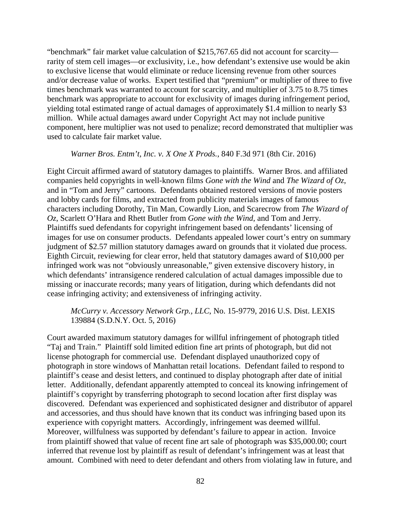"benchmark" fair market value calculation of \$215,767.65 did not account for scarcity rarity of stem cell images—or exclusivity, i.e., how defendant's extensive use would be akin to exclusive license that would eliminate or reduce licensing revenue from other sources and/or decrease value of works. Expert testified that "premium" or multiplier of three to five times benchmark was warranted to account for scarcity, and multiplier of 3.75 to 8.75 times benchmark was appropriate to account for exclusivity of images during infringement period, yielding total estimated range of actual damages of approximately \$1.4 million to nearly \$3 million. While actual damages award under Copyright Act may not include punitive component, here multiplier was not used to penalize; record demonstrated that multiplier was used to calculate fair market value.

#### *Warner Bros. Entm't, Inc. v. X One X Prods.*, 840 F.3d 971 (8th Cir. 2016)

Eight Circuit affirmed award of statutory damages to plaintiffs. Warner Bros. and affiliated companies held copyrights in well-known films *Gone with the Wind* and *The Wizard of Oz*, and in "Tom and Jerry" cartoons. Defendants obtained restored versions of movie posters and lobby cards for films, and extracted from publicity materials images of famous characters including Dorothy, Tin Man, Cowardly Lion, and Scarecrow from *The Wizard of Oz*, Scarlett O'Hara and Rhett Butler from *Gone with the Wind*, and Tom and Jerry. Plaintiffs sued defendants for copyright infringement based on defendants' licensing of images for use on consumer products. Defendants appealed lower court's entry on summary judgment of \$2.57 million statutory damages award on grounds that it violated due process. Eighth Circuit, reviewing for clear error, held that statutory damages award of \$10,000 per infringed work was not "obviously unreasonable," given extensive discovery history, in which defendants' intransigence rendered calculation of actual damages impossible due to missing or inaccurate records; many years of litigation, during which defendants did not cease infringing activity; and extensiveness of infringing activity.

# *McCurry v. Accessory Network Grp., LLC*, No. 15-9779, 2016 U.S. Dist. LEXIS 139884 (S.D.N.Y. Oct. 5, 2016)

Court awarded maximum statutory damages for willful infringement of photograph titled "Taj and Train." Plaintiff sold limited edition fine art prints of photograph, but did not license photograph for commercial use. Defendant displayed unauthorized copy of photograph in store windows of Manhattan retail locations. Defendant failed to respond to plaintiff's cease and desist letters, and continued to display photograph after date of initial letter. Additionally, defendant apparently attempted to conceal its knowing infringement of plaintiff's copyright by transferring photograph to second location after first display was discovered. Defendant was experienced and sophisticated designer and distributor of apparel and accessories, and thus should have known that its conduct was infringing based upon its experience with copyright matters. Accordingly, infringement was deemed willful. Moreover, willfulness was supported by defendant's failure to appear in action. Invoice from plaintiff showed that value of recent fine art sale of photograph was \$35,000.00; court inferred that revenue lost by plaintiff as result of defendant's infringement was at least that amount. Combined with need to deter defendant and others from violating law in future, and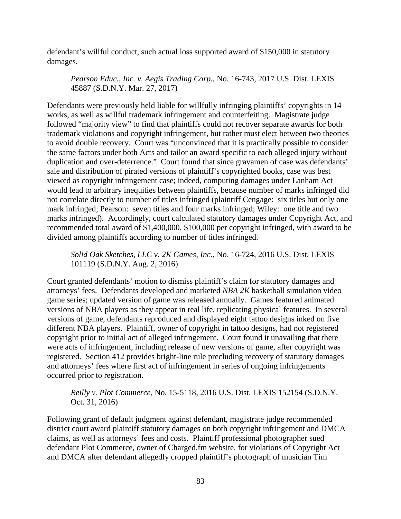defendant's willful conduct, such actual loss supported award of \$150,000 in statutory damages.

*Pearson Educ., Inc. v. Aegis Trading Corp.*, No. 16-743, 2017 U.S. Dist. LEXIS 45887 (S.D.N.Y. Mar. 27, 2017)

Defendants were previously held liable for willfully infringing plaintiffs' copyrights in 14 works, as well as willful trademark infringement and counterfeiting. Magistrate judge followed "majority view" to find that plaintiffs could not recover separate awards for both trademark violations and copyright infringement, but rather must elect between two theories to avoid double recovery. Court was "unconvinced that it is practically possible to consider the same factors under both Acts and tailor an award specific to each alleged injury without duplication and over-deterrence." Court found that since gravamen of case was defendants' sale and distribution of pirated versions of plaintiff's copyrighted books, case was best viewed as copyright infringement case; indeed, computing damages under Lanham Act would lead to arbitrary inequities between plaintiffs, because number of marks infringed did not correlate directly to number of titles infringed (plaintiff Cengage: six titles but only one mark infringed; Pearson: seven titles and four marks infringed; Wiley: one title and two marks infringed). Accordingly, court calculated statutory damages under Copyright Act, and recommended total award of \$1,400,000, \$100,000 per copyright infringed, with award to be divided among plaintiffs according to number of titles infringed.

*Solid Oak Sketches, LLC v. 2K Games, Inc.*, No. 16-724, 2016 U.S. Dist. LEXIS 101119 (S.D.N.Y. Aug. 2, 2016)

Court granted defendants' motion to dismiss plaintiff's claim for statutory damages and attorneys' fees. Defendants developed and marketed *NBA 2K* basketball simulation video game series; updated version of game was released annually. Games featured animated versions of NBA players as they appear in real life, replicating physical features. In several versions of game, defendants reproduced and displayed eight tattoo designs inked on five different NBA players. Plaintiff, owner of copyright in tattoo designs, had not registered copyright prior to initial act of alleged infringement. Court found it unavailing that there were acts of infringement, including release of new versions of game, after copyright was registered. Section 412 provides bright-line rule precluding recovery of statutory damages and attorneys' fees where first act of infringement in series of ongoing infringements occurred prior to registration.

*Reilly v. Plot Commerce*, No. 15-5118, 2016 U.S. Dist. LEXIS 152154 (S.D.N.Y. Oct. 31, 2016)

Following grant of default judgment against defendant, magistrate judge recommended district court award plaintiff statutory damages on both copyright infringement and DMCA claims, as well as attorneys' fees and costs. Plaintiff professional photographer sued defendant Plot Commerce, owner of Charged.fm website, for violations of Copyright Act and DMCA after defendant allegedly cropped plaintiff's photograph of musician Tim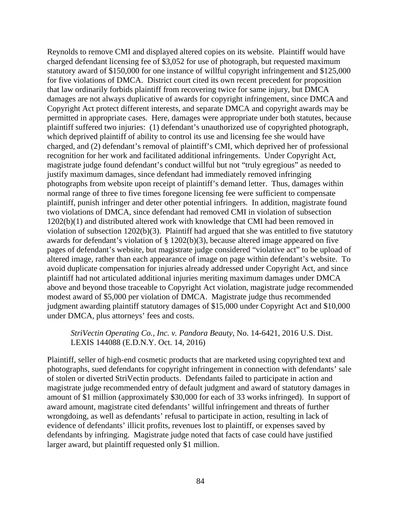Reynolds to remove CMI and displayed altered copies on its website. Plaintiff would have charged defendant licensing fee of \$3,052 for use of photograph, but requested maximum statutory award of \$150,000 for one instance of willful copyright infringement and \$125,000 for five violations of DMCA. District court cited its own recent precedent for proposition that law ordinarily forbids plaintiff from recovering twice for same injury, but DMCA damages are not always duplicative of awards for copyright infringement, since DMCA and Copyright Act protect different interests, and separate DMCA and copyright awards may be permitted in appropriate cases. Here, damages were appropriate under both statutes, because plaintiff suffered two injuries: (1) defendant's unauthorized use of copyrighted photograph, which deprived plaintiff of ability to control its use and licensing fee she would have charged, and (2) defendant's removal of plaintiff's CMI, which deprived her of professional recognition for her work and facilitated additional infringements. Under Copyright Act, magistrate judge found defendant's conduct willful but not "truly egregious" as needed to justify maximum damages, since defendant had immediately removed infringing photographs from website upon receipt of plaintiff's demand letter. Thus, damages within normal range of three to five times foregone licensing fee were sufficient to compensate plaintiff, punish infringer and deter other potential infringers. In addition, magistrate found two violations of DMCA, since defendant had removed CMI in violation of subsection 1202(b)(1) and distributed altered work with knowledge that CMI had been removed in violation of subsection 1202(b)(3). Plaintiff had argued that she was entitled to five statutory awards for defendant's violation of § 1202(b)(3), because altered image appeared on five pages of defendant's website, but magistrate judge considered "violative act" to be upload of altered image, rather than each appearance of image on page within defendant's website. To avoid duplicate compensation for injuries already addressed under Copyright Act, and since plaintiff had not articulated additional injuries meriting maximum damages under DMCA above and beyond those traceable to Copyright Act violation, magistrate judge recommended modest award of \$5,000 per violation of DMCA. Magistrate judge thus recommended judgment awarding plaintiff statutory damages of \$15,000 under Copyright Act and \$10,000 under DMCA, plus attorneys' fees and costs.

*StriVectin Operating Co., Inc. v. Pandora Beauty*, No. 14-6421, 2016 U.S. Dist. LEXIS 144088 (E.D.N.Y. Oct. 14, 2016)

Plaintiff, seller of high-end cosmetic products that are marketed using copyrighted text and photographs, sued defendants for copyright infringement in connection with defendants' sale of stolen or diverted StriVectin products. Defendants failed to participate in action and magistrate judge recommended entry of default judgment and award of statutory damages in amount of \$1 million (approximately \$30,000 for each of 33 works infringed). In support of award amount, magistrate cited defendants' willful infringement and threats of further wrongdoing, as well as defendants' refusal to participate in action, resulting in lack of evidence of defendants' illicit profits, revenues lost to plaintiff, or expenses saved by defendants by infringing. Magistrate judge noted that facts of case could have justified larger award, but plaintiff requested only \$1 million.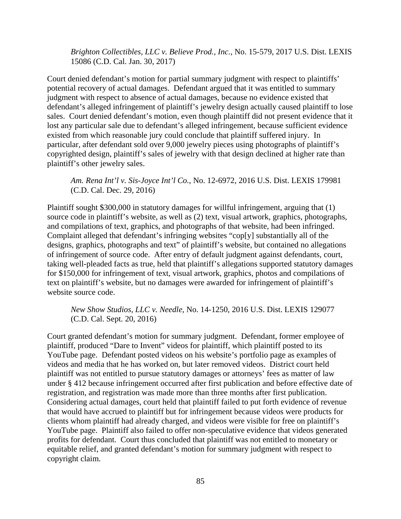*Brighton Collectibles, LLC v. Believe Prod., Inc.*, No. 15-579, 2017 U.S. Dist. LEXIS 15086 (C.D. Cal. Jan. 30, 2017)

Court denied defendant's motion for partial summary judgment with respect to plaintiffs' potential recovery of actual damages. Defendant argued that it was entitled to summary judgment with respect to absence of actual damages, because no evidence existed that defendant's alleged infringement of plaintiff's jewelry design actually caused plaintiff to lose sales. Court denied defendant's motion, even though plaintiff did not present evidence that it lost any particular sale due to defendant's alleged infringement, because sufficient evidence existed from which reasonable jury could conclude that plaintiff suffered injury. In particular, after defendant sold over 9,000 jewelry pieces using photographs of plaintiff's copyrighted design, plaintiff's sales of jewelry with that design declined at higher rate than plaintiff's other jewelry sales.

*Am. Rena Int'l v. Sis-Joyce Int'l Co.*, No. 12-6972, 2016 U.S. Dist. LEXIS 179981 (C.D. Cal. Dec. 29, 2016)

Plaintiff sought \$300,000 in statutory damages for willful infringement, arguing that (1) source code in plaintiff's website, as well as (2) text, visual artwork, graphics, photographs, and compilations of text, graphics, and photographs of that website, had been infringed. Complaint alleged that defendant's infringing websites "cop[y] substantially all of the designs, graphics, photographs and text" of plaintiff's website, but contained no allegations of infringement of source code. After entry of default judgment against defendants, court, taking well-pleaded facts as true, held that plaintiff's allegations supported statutory damages for \$150,000 for infringement of text, visual artwork, graphics, photos and compilations of text on plaintiff's website, but no damages were awarded for infringement of plaintiff's website source code.

*New Show Studios, LLC v. Needle*, No. 14-1250, 2016 U.S. Dist. LEXIS 129077 (C.D. Cal. Sept. 20, 2016)

Court granted defendant's motion for summary judgment. Defendant, former employee of plaintiff, produced "Dare to Invent" videos for plaintiff, which plaintiff posted to its YouTube page. Defendant posted videos on his website's portfolio page as examples of videos and media that he has worked on, but later removed videos. District court held plaintiff was not entitled to pursue statutory damages or attorneys' fees as matter of law under § 412 because infringement occurred after first publication and before effective date of registration, and registration was made more than three months after first publication. Considering actual damages, court held that plaintiff failed to put forth evidence of revenue that would have accrued to plaintiff but for infringement because videos were products for clients whom plaintiff had already charged, and videos were visible for free on plaintiff's YouTube page. Plaintiff also failed to offer non-speculative evidence that videos generated profits for defendant. Court thus concluded that plaintiff was not entitled to monetary or equitable relief, and granted defendant's motion for summary judgment with respect to copyright claim.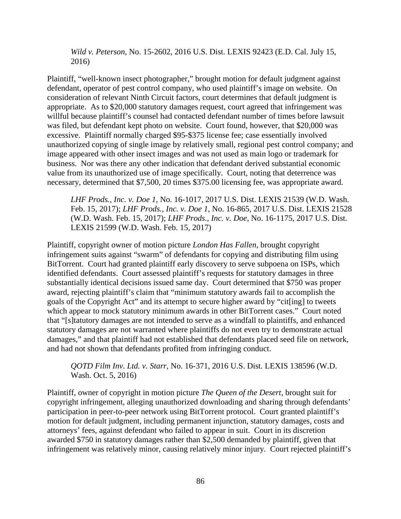*Wild v. Peterson*, No. 15-2602, 2016 U.S. Dist. LEXIS 92423 (E.D. Cal. July 15, 2016)

Plaintiff, "well-known insect photographer," brought motion for default judgment against defendant, operator of pest control company, who used plaintiff's image on website. On consideration of relevant Ninth Circuit factors, court determines that default judgment is appropriate. As to \$20,000 statutory damages request, court agreed that infringement was willful because plaintiff's counsel had contacted defendant number of times before lawsuit was filed, but defendant kept photo on website. Court found, however, that \$20,000 was excessive. Plaintiff normally charged \$95-\$375 license fee; case essentially involved unauthorized copying of single image by relatively small, regional pest control company; and image appeared with other insect images and was not used as main logo or trademark for business. Nor was there any other indication that defendant derived substantial economic value from its unauthorized use of image specifically. Court, noting that deterrence was necessary, determined that \$7,500, 20 times \$375.00 licensing fee, was appropriate award.

*LHF Prods., Inc. v. Doe 1*, No. 16-1017, 2017 U.S. Dist. LEXIS 21539 (W.D. Wash. Feb. 15, 2017); *LHF Prods., Inc. v. Doe 1*, No. 16-865, 2017 U.S. Dist. LEXIS 21528 (W.D. Wash. Feb. 15, 2017); *LHF Prods., Inc. v. Doe*, No. 16-1175, 2017 U.S. Dist. LEXIS 21599 (W.D. Wash. Feb. 15, 2017)

Plaintiff, copyright owner of motion picture *London Has Fallen*, brought copyright infringement suits against "swarm" of defendants for copying and distributing film using BitTorrent. Court had granted plaintiff early discovery to serve subpoena on ISPs, which identified defendants. Court assessed plaintiff's requests for statutory damages in three substantially identical decisions issued same day. Court determined that \$750 was proper award, rejecting plaintiff's claim that "minimum statutory awards fail to accomplish the goals of the Copyright Act" and its attempt to secure higher award by "cit[ing] to tweets which appear to mock statutory minimum awards in other BitTorrent cases." Court noted that "[s]tatutory damages are not intended to serve as a windfall to plaintiffs, and enhanced statutory damages are not warranted where plaintiffs do not even try to demonstrate actual damages," and that plaintiff had not established that defendants placed seed file on network, and had not shown that defendants profited from infringing conduct.

*QOTD Film Inv. Ltd. v. Starr*, No. 16-371, 2016 U.S. Dist. LEXIS 138596 (W.D. Wash. Oct. 5, 2016)

Plaintiff, owner of copyright in motion picture *The Queen of the Desert*, brought suit for copyright infringement, alleging unauthorized downloading and sharing through defendants' participation in peer-to-peer network using BitTorrent protocol. Court granted plaintiff's motion for default judgment, including permanent injunction, statutory damages, costs and attorneys' fees, against defendant who failed to appear in suit. Court in its discretion awarded \$750 in statutory damages rather than \$2,500 demanded by plaintiff, given that infringement was relatively minor, causing relatively minor injury. Court rejected plaintiff's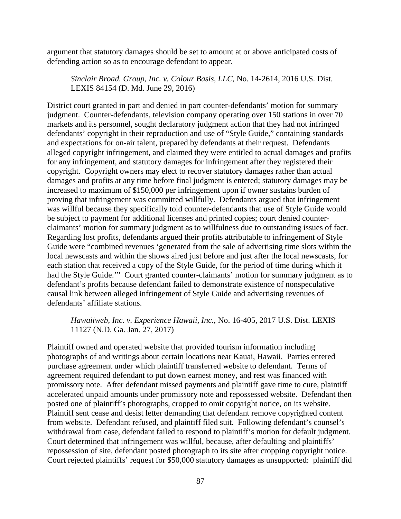argument that statutory damages should be set to amount at or above anticipated costs of defending action so as to encourage defendant to appear.

*Sinclair Broad. Group, Inc. v. Colour Basis, LLC*, No. 14-2614, 2016 U.S. Dist. LEXIS 84154 (D. Md. June 29, 2016)

District court granted in part and denied in part counter-defendants' motion for summary judgment. Counter-defendants, television company operating over 150 stations in over 70 markets and its personnel, sought declaratory judgment action that they had not infringed defendants' copyright in their reproduction and use of "Style Guide," containing standards and expectations for on-air talent, prepared by defendants at their request. Defendants alleged copyright infringement, and claimed they were entitled to actual damages and profits for any infringement, and statutory damages for infringement after they registered their copyright. Copyright owners may elect to recover statutory damages rather than actual damages and profits at any time before final judgment is entered; statutory damages may be increased to maximum of \$150,000 per infringement upon if owner sustains burden of proving that infringement was committed willfully. Defendants argued that infringement was willful because they specifically told counter-defendants that use of Style Guide would be subject to payment for additional licenses and printed copies; court denied counterclaimants' motion for summary judgment as to willfulness due to outstanding issues of fact. Regarding lost profits, defendants argued their profits attributable to infringement of Style Guide were "combined revenues 'generated from the sale of advertising time slots within the local newscasts and within the shows aired just before and just after the local newscasts, for each station that received a copy of the Style Guide, for the period of time during which it had the Style Guide.'" Court granted counter-claimants' motion for summary judgment as to defendant's profits because defendant failed to demonstrate existence of nonspeculative causal link between alleged infringement of Style Guide and advertising revenues of defendants' affiliate stations.

### *Hawaiiweb, Inc. v. Experience Hawaii, Inc.*, No. 16-405, 2017 U.S. Dist. LEXIS 11127 (N.D. Ga. Jan. 27, 2017)

Plaintiff owned and operated website that provided tourism information including photographs of and writings about certain locations near Kauai, Hawaii. Parties entered purchase agreement under which plaintiff transferred website to defendant. Terms of agreement required defendant to put down earnest money, and rest was financed with promissory note. After defendant missed payments and plaintiff gave time to cure, plaintiff accelerated unpaid amounts under promissory note and repossessed website. Defendant then posted one of plaintiff's photographs, cropped to omit copyright notice, on its website. Plaintiff sent cease and desist letter demanding that defendant remove copyrighted content from website. Defendant refused, and plaintiff filed suit. Following defendant's counsel's withdrawal from case, defendant failed to respond to plaintiff's motion for default judgment. Court determined that infringement was willful, because, after defaulting and plaintiffs' repossession of site, defendant posted photograph to its site after cropping copyright notice. Court rejected plaintiffs' request for \$50,000 statutory damages as unsupported: plaintiff did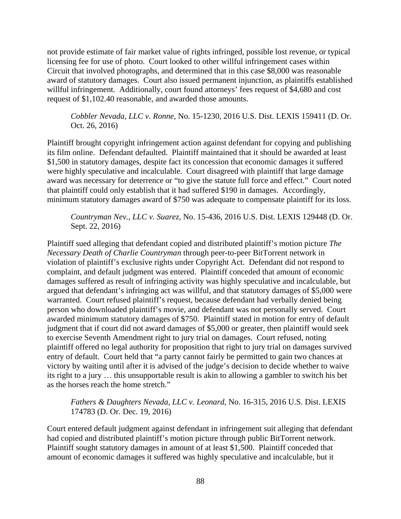not provide estimate of fair market value of rights infringed, possible lost revenue, or typical licensing fee for use of photo. Court looked to other willful infringement cases within Circuit that involved photographs, and determined that in this case \$8,000 was reasonable award of statutory damages. Court also issued permanent injunction, as plaintiffs established willful infringement. Additionally, court found attorneys' fees request of \$4,680 and cost request of \$1,102.40 reasonable, and awarded those amounts.

*Cobbler Nevada, LLC v. Ronne*, No. 15-1230, 2016 U.S. Dist. LEXIS 159411 (D. Or. Oct. 26, 2016)

Plaintiff brought copyright infringement action against defendant for copying and publishing its film online. Defendant defaulted. Plaintiff maintained that it should be awarded at least \$1,500 in statutory damages, despite fact its concession that economic damages it suffered were highly speculative and incalculable. Court disagreed with plaintiff that large damage award was necessary for deterrence or "to give the statute full force and effect." Court noted that plaintiff could only establish that it had suffered \$190 in damages. Accordingly, minimum statutory damages award of \$750 was adequate to compensate plaintiff for its loss.

*Countryman Nev., LLC v. Suarez*, No. 15-436, 2016 U.S. Dist. LEXIS 129448 (D. Or. Sept. 22, 2016)

Plaintiff sued alleging that defendant copied and distributed plaintiff's motion picture *The Necessary Death of Charlie Countryman* through peer-to-peer BitTorrent network in violation of plaintiff's exclusive rights under Copyright Act. Defendant did not respond to complaint, and default judgment was entered. Plaintiff conceded that amount of economic damages suffered as result of infringing activity was highly speculative and incalculable, but argued that defendant's infringing act was willful, and that statutory damages of \$5,000 were warranted. Court refused plaintiff's request, because defendant had verbally denied being person who downloaded plaintiff's movie, and defendant was not personally served. Court awarded minimum statutory damages of \$750. Plaintiff stated in motion for entry of default judgment that if court did not award damages of \$5,000 or greater, then plaintiff would seek to exercise Seventh Amendment right to jury trial on damages. Court refused, noting plaintiff offered no legal authority for proposition that right to jury trial on damages survived entry of default. Court held that "a party cannot fairly be permitted to gain two chances at victory by waiting until after it is advised of the judge's decision to decide whether to waive its right to a jury … this unsupportable result is akin to allowing a gambler to switch his bet as the horses reach the home stretch."

## *Fathers & Daughters Nevada, LLC v. Leonard*, No. 16-315, 2016 U.S. Dist. LEXIS 174783 (D. Or. Dec. 19, 2016)

Court entered default judgment against defendant in infringement suit alleging that defendant had copied and distributed plaintiff's motion picture through public BitTorrent network. Plaintiff sought statutory damages in amount of at least \$1,500. Plaintiff conceded that amount of economic damages it suffered was highly speculative and incalculable, but it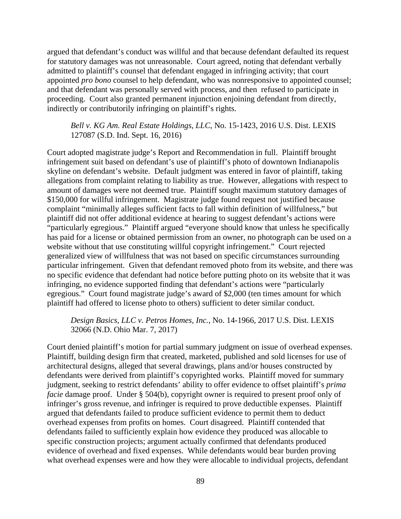argued that defendant's conduct was willful and that because defendant defaulted its request for statutory damages was not unreasonable. Court agreed, noting that defendant verbally admitted to plaintiff's counsel that defendant engaged in infringing activity; that court appointed *pro bono* counsel to help defendant, who was nonresponsive to appointed counsel; and that defendant was personally served with process, and then refused to participate in proceeding. Court also granted permanent injunction enjoining defendant from directly, indirectly or contributorily infringing on plaintiff's rights.

*Bell v. KG Am. Real Estate Holdings, LLC*, No. 15-1423, 2016 U.S. Dist. LEXIS 127087 (S.D. Ind. Sept. 16, 2016)

Court adopted magistrate judge's Report and Recommendation in full. Plaintiff brought infringement suit based on defendant's use of plaintiff's photo of downtown Indianapolis skyline on defendant's website. Default judgment was entered in favor of plaintiff, taking allegations from complaint relating to liability as true. However, allegations with respect to amount of damages were not deemed true. Plaintiff sought maximum statutory damages of \$150,000 for willful infringement. Magistrate judge found request not justified because complaint "minimally alleges sufficient facts to fall within definition of willfulness," but plaintiff did not offer additional evidence at hearing to suggest defendant's actions were "particularly egregious." Plaintiff argued "everyone should know that unless he specifically has paid for a license or obtained permission from an owner, no photograph can be used on a website without that use constituting willful copyright infringement." Court rejected generalized view of willfulness that was not based on specific circumstances surrounding particular infringement. Given that defendant removed photo from its website, and there was no specific evidence that defendant had notice before putting photo on its website that it was infringing, no evidence supported finding that defendant's actions were "particularly egregious." Court found magistrate judge's award of \$2,000 (ten times amount for which plaintiff had offered to license photo to others) sufficient to deter similar conduct.

### *Design Basics, LLC v. Petros Homes, Inc.*, No. 14-1966, 2017 U.S. Dist. LEXIS 32066 (N.D. Ohio Mar. 7, 2017)

Court denied plaintiff's motion for partial summary judgment on issue of overhead expenses. Plaintiff, building design firm that created, marketed, published and sold licenses for use of architectural designs, alleged that several drawings, plans and/or houses constructed by defendants were derived from plaintiff's copyrighted works. Plaintiff moved for summary judgment, seeking to restrict defendants' ability to offer evidence to offset plaintiff's *prima facie* damage proof. Under § 504(b), copyright owner is required to present proof only of infringer's gross revenue, and infringer is required to prove deductible expenses. Plaintiff argued that defendants failed to produce sufficient evidence to permit them to deduct overhead expenses from profits on homes. Court disagreed. Plaintiff contended that defendants failed to sufficiently explain how evidence they produced was allocable to specific construction projects; argument actually confirmed that defendants produced evidence of overhead and fixed expenses. While defendants would bear burden proving what overhead expenses were and how they were allocable to individual projects, defendant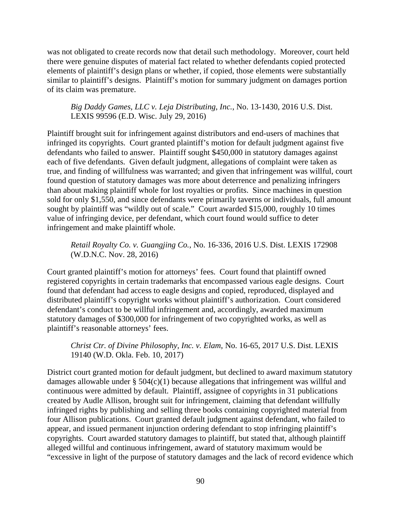was not obligated to create records now that detail such methodology. Moreover, court held there were genuine disputes of material fact related to whether defendants copied protected elements of plaintiff's design plans or whether, if copied, those elements were substantially similar to plaintiff's designs. Plaintiff's motion for summary judgment on damages portion of its claim was premature.

*Big Daddy Games, LLC v. Leja Distributing, Inc.*, No. 13-1430, 2016 U.S. Dist. LEXIS 99596 (E.D. Wisc. July 29, 2016)

Plaintiff brought suit for infringement against distributors and end-users of machines that infringed its copyrights. Court granted plaintiff's motion for default judgment against five defendants who failed to answer. Plaintiff sought \$450,000 in statutory damages against each of five defendants. Given default judgment, allegations of complaint were taken as true, and finding of willfulness was warranted; and given that infringement was willful, court found question of statutory damages was more about deterrence and penalizing infringers than about making plaintiff whole for lost royalties or profits. Since machines in question sold for only \$1,550, and since defendants were primarily taverns or individuals, full amount sought by plaintiff was "wildly out of scale." Court awarded \$15,000, roughly 10 times value of infringing device, per defendant, which court found would suffice to deter infringement and make plaintiff whole.

*Retail Royalty Co. v. Guangjing Co.*, No. 16-336, 2016 U.S. Dist. LEXIS 172908 (W.D.N.C. Nov. 28, 2016)

Court granted plaintiff's motion for attorneys' fees. Court found that plaintiff owned registered copyrights in certain trademarks that encompassed various eagle designs. Court found that defendant had access to eagle designs and copied, reproduced, displayed and distributed plaintiff's copyright works without plaintiff's authorization. Court considered defendant's conduct to be willful infringement and, accordingly, awarded maximum statutory damages of \$300,000 for infringement of two copyrighted works, as well as plaintiff's reasonable attorneys' fees.

*Christ Ctr. of Divine Philosophy, Inc. v. Elam*, No. 16-65, 2017 U.S. Dist. LEXIS 19140 (W.D. Okla. Feb. 10, 2017)

District court granted motion for default judgment, but declined to award maximum statutory damages allowable under  $\S$  504(c)(1) because allegations that infringement was willful and continuous were admitted by default. Plaintiff, assignee of copyrights in 31 publications created by Audle Allison, brought suit for infringement, claiming that defendant willfully infringed rights by publishing and selling three books containing copyrighted material from four Allison publications. Court granted default judgment against defendant, who failed to appear, and issued permanent injunction ordering defendant to stop infringing plaintiff's copyrights. Court awarded statutory damages to plaintiff, but stated that, although plaintiff alleged willful and continuous infringement, award of statutory maximum would be "excessive in light of the purpose of statutory damages and the lack of record evidence which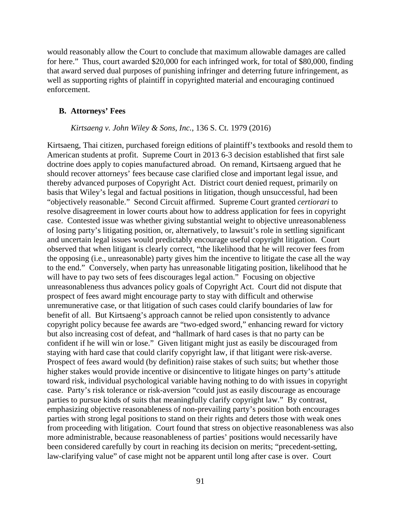would reasonably allow the Court to conclude that maximum allowable damages are called for here." Thus, court awarded \$20,000 for each infringed work, for total of \$80,000, finding that award served dual purposes of punishing infringer and deterring future infringement, as well as supporting rights of plaintiff in copyrighted material and encouraging continued enforcement.

### **B. Attorneys' Fees**

#### *Kirtsaeng v. John Wiley & Sons, Inc.*, 136 S. Ct. 1979 (2016)

Kirtsaeng, Thai citizen, purchased foreign editions of plaintiff's textbooks and resold them to American students at profit. Supreme Court in 2013 6-3 decision established that first sale doctrine does apply to copies manufactured abroad. On remand, Kirtsaeng argued that he should recover attorneys' fees because case clarified close and important legal issue, and thereby advanced purposes of Copyright Act. District court denied request, primarily on basis that Wiley's legal and factual positions in litigation, though unsuccessful, had been "objectively reasonable." Second Circuit affirmed. Supreme Court granted *certiorari* to resolve disagreement in lower courts about how to address application for fees in copyright case. Contested issue was whether giving substantial weight to objective unreasonableness of losing party's litigating position, or, alternatively, to lawsuit's role in settling significant and uncertain legal issues would predictably encourage useful copyright litigation. Court observed that when litigant is clearly correct, "the likelihood that he will recover fees from the opposing (i.e., unreasonable) party gives him the incentive to litigate the case all the way to the end." Conversely, when party has unreasonable litigating position, likelihood that he will have to pay two sets of fees discourages legal action." Focusing on objective unreasonableness thus advances policy goals of Copyright Act. Court did not dispute that prospect of fees award might encourage party to stay with difficult and otherwise unremunerative case, or that litigation of such cases could clarify boundaries of law for benefit of all. But Kirtsaeng's approach cannot be relied upon consistently to advance copyright policy because fee awards are "two-edged sword," enhancing reward for victory but also increasing cost of defeat, and "hallmark of hard cases is that no party can be confident if he will win or lose." Given litigant might just as easily be discouraged from staying with hard case that could clarify copyright law, if that litigant were risk-averse. Prospect of fees award would (by definition) raise stakes of such suits; but whether those higher stakes would provide incentive or disincentive to litigate hinges on party's attitude toward risk, individual psychological variable having nothing to do with issues in copyright case. Party's risk tolerance or risk-aversion "could just as easily discourage as encourage parties to pursue kinds of suits that meaningfully clarify copyright law." By contrast, emphasizing objective reasonableness of non-prevailing party's position both encourages parties with strong legal positions to stand on their rights and deters those with weak ones from proceeding with litigation. Court found that stress on objective reasonableness was also more administrable, because reasonableness of parties' positions would necessarily have been considered carefully by court in reaching its decision on merits; "precedent-setting, law-clarifying value" of case might not be apparent until long after case is over. Court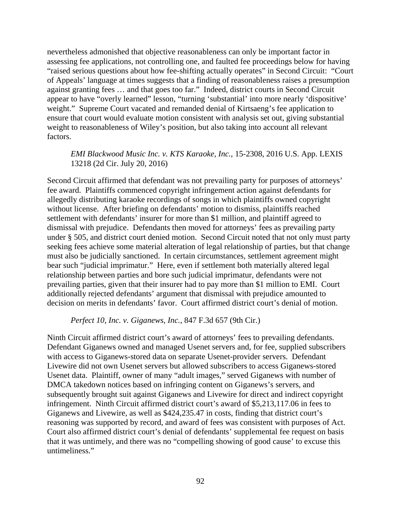nevertheless admonished that objective reasonableness can only be important factor in assessing fee applications, not controlling one, and faulted fee proceedings below for having "raised serious questions about how fee-shifting actually operates" in Second Circuit: "Court of Appeals' language at times suggests that a finding of reasonableness raises a presumption against granting fees … and that goes too far." Indeed, district courts in Second Circuit appear to have "overly learned" lesson, "turning 'substantial' into more nearly 'dispositive' weight." Supreme Court vacated and remanded denial of Kirtsaeng's fee application to ensure that court would evaluate motion consistent with analysis set out, giving substantial weight to reasonableness of Wiley's position, but also taking into account all relevant factors.

## *EMI Blackwood Music Inc. v. KTS Karaoke, Inc.*, 15-2308, 2016 U.S. App. LEXIS 13218 (2d Cir. July 20, 2016)

Second Circuit affirmed that defendant was not prevailing party for purposes of attorneys' fee award. Plaintiffs commenced copyright infringement action against defendants for allegedly distributing karaoke recordings of songs in which plaintiffs owned copyright without license. After briefing on defendants' motion to dismiss, plaintiffs reached settlement with defendants' insurer for more than \$1 million, and plaintiff agreed to dismissal with prejudice. Defendants then moved for attorneys' fees as prevailing party under § 505, and district court denied motion. Second Circuit noted that not only must party seeking fees achieve some material alteration of legal relationship of parties, but that change must also be judicially sanctioned. In certain circumstances, settlement agreement might bear such "judicial imprimatur." Here, even if settlement both materially altered legal relationship between parties and bore such judicial imprimatur, defendants were not prevailing parties, given that their insurer had to pay more than \$1 million to EMI. Court additionally rejected defendants' argument that dismissal with prejudice amounted to decision on merits in defendants' favor. Court affirmed district court's denial of motion.

#### *Perfect 10, Inc. v. Giganews, Inc.*, 847 F.3d 657 (9th Cir.)

Ninth Circuit affirmed district court's award of attorneys' fees to prevailing defendants. Defendant Giganews owned and managed Usenet servers and, for fee, supplied subscribers with access to Giganews-stored data on separate Usenet-provider servers. Defendant Livewire did not own Usenet servers but allowed subscribers to access Giganews-stored Usenet data. Plaintiff, owner of many "adult images," served Giganews with number of DMCA takedown notices based on infringing content on Giganews's servers, and subsequently brought suit against Giganews and Livewire for direct and indirect copyright infringement. Ninth Circuit affirmed district court's award of \$5,213,117.06 in fees to Giganews and Livewire, as well as \$424,235.47 in costs, finding that district court's reasoning was supported by record, and award of fees was consistent with purposes of Act. Court also affirmed district court's denial of defendants' supplemental fee request on basis that it was untimely, and there was no "compelling showing of good cause' to excuse this untimeliness."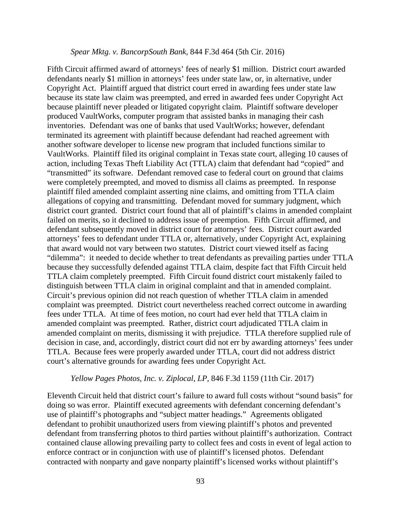#### *Spear Mktg. v. BancorpSouth Bank*, 844 F.3d 464 (5th Cir. 2016)

Fifth Circuit affirmed award of attorneys' fees of nearly \$1 million. District court awarded defendants nearly \$1 million in attorneys' fees under state law, or, in alternative, under Copyright Act. Plaintiff argued that district court erred in awarding fees under state law because its state law claim was preempted, and erred in awarded fees under Copyright Act because plaintiff never pleaded or litigated copyright claim. Plaintiff software developer produced VaultWorks, computer program that assisted banks in managing their cash inventories. Defendant was one of banks that used VaultWorks; however, defendant terminated its agreement with plaintiff because defendant had reached agreement with another software developer to license new program that included functions similar to VaultWorks. Plaintiff filed its original complaint in Texas state court, alleging 10 causes of action, including Texas Theft Liability Act (TTLA) claim that defendant had "copied" and "transmitted" its software. Defendant removed case to federal court on ground that claims were completely preempted, and moved to dismiss all claims as preempted. In response plaintiff filed amended complaint asserting nine claims, and omitting from TTLA claim allegations of copying and transmitting. Defendant moved for summary judgment, which district court granted. District court found that all of plaintiff's claims in amended complaint failed on merits, so it declined to address issue of preemption. Fifth Circuit affirmed, and defendant subsequently moved in district court for attorneys' fees. District court awarded attorneys' fees to defendant under TTLA or, alternatively, under Copyright Act, explaining that award would not vary between two statutes. District court viewed itself as facing "dilemma": it needed to decide whether to treat defendants as prevailing parties under TTLA because they successfully defended against TTLA claim, despite fact that Fifth Circuit held TTLA claim completely preempted. Fifth Circuit found district court mistakenly failed to distinguish between TTLA claim in original complaint and that in amended complaint. Circuit's previous opinion did not reach question of whether TTLA claim in amended complaint was preempted. District court nevertheless reached correct outcome in awarding fees under TTLA. At time of fees motion, no court had ever held that TTLA claim in amended complaint was preempted. Rather, district court adjudicated TTLA claim in amended complaint on merits, dismissing it with prejudice. TTLA therefore supplied rule of decision in case, and, accordingly, district court did not err by awarding attorneys' fees under TTLA. Because fees were properly awarded under TTLA, court did not address district court's alternative grounds for awarding fees under Copyright Act.

### *Yellow Pages Photos, Inc. v. Ziplocal, LP*, 846 F.3d 1159 (11th Cir. 2017)

Eleventh Circuit held that district court's failure to award full costs without "sound basis" for doing so was error. Plaintiff executed agreements with defendant concerning defendant's use of plaintiff's photographs and "subject matter headings." Agreements obligated defendant to prohibit unauthorized users from viewing plaintiff's photos and prevented defendant from transferring photos to third parties without plaintiff's authorization. Contract contained clause allowing prevailing party to collect fees and costs in event of legal action to enforce contract or in conjunction with use of plaintiff's licensed photos. Defendant contracted with nonparty and gave nonparty plaintiff's licensed works without plaintiff's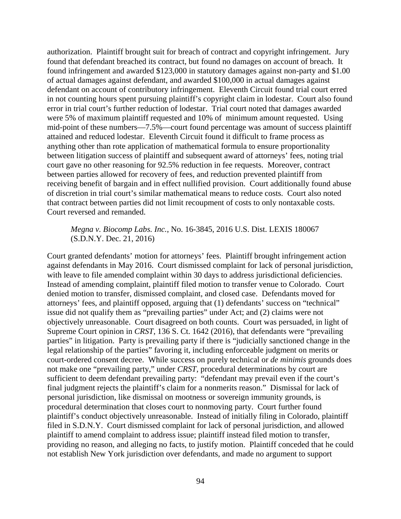authorization. Plaintiff brought suit for breach of contract and copyright infringement. Jury found that defendant breached its contract, but found no damages on account of breach. It found infringement and awarded \$123,000 in statutory damages against non-party and \$1.00 of actual damages against defendant, and awarded \$100,000 in actual damages against defendant on account of contributory infringement. Eleventh Circuit found trial court erred in not counting hours spent pursuing plaintiff's copyright claim in lodestar. Court also found error in trial court's further reduction of lodestar. Trial court noted that damages awarded were 5% of maximum plaintiff requested and 10% of minimum amount requested. Using mid-point of these numbers—7.5%—court found percentage was amount of success plaintiff attained and reduced lodestar. Eleventh Circuit found it difficult to frame process as anything other than rote application of mathematical formula to ensure proportionality between litigation success of plaintiff and subsequent award of attorneys' fees, noting trial court gave no other reasoning for 92.5% reduction in fee requests. Moreover, contract between parties allowed for recovery of fees, and reduction prevented plaintiff from receiving benefit of bargain and in effect nullified provision. Court additionally found abuse of discretion in trial court's similar mathematical means to reduce costs. Court also noted that contract between parties did not limit recoupment of costs to only nontaxable costs. Court reversed and remanded.

#### *Megna v. Biocomp Labs. Inc.*, No. 16-3845, 2016 U.S. Dist. LEXIS 180067 (S.D.N.Y. Dec. 21, 2016)

Court granted defendants' motion for attorneys' fees. Plaintiff brought infringement action against defendants in May 2016. Court dismissed complaint for lack of personal jurisdiction, with leave to file amended complaint within 30 days to address jurisdictional deficiencies. Instead of amending complaint, plaintiff filed motion to transfer venue to Colorado. Court denied motion to transfer, dismissed complaint, and closed case. Defendants moved for attorneys' fees, and plaintiff opposed, arguing that (1) defendants' success on "technical" issue did not qualify them as "prevailing parties" under Act; and (2) claims were not objectively unreasonable. Court disagreed on both counts. Court was persuaded, in light of Supreme Court opinion in *CRST*, 136 S. Ct. 1642 (2016), that defendants were "prevailing parties" in litigation. Party is prevailing party if there is "judicially sanctioned change in the legal relationship of the parties" favoring it, including enforceable judgment on merits or court-ordered consent decree. While success on purely technical or *de minimis* grounds does not make one "prevailing party," under *CRST*, procedural determinations by court are sufficient to deem defendant prevailing party: "defendant may prevail even if the court's final judgment rejects the plaintiff's claim for a nonmerits reason." Dismissal for lack of personal jurisdiction, like dismissal on mootness or sovereign immunity grounds, is procedural determination that closes court to nonmoving party. Court further found plaintiff's conduct objectively unreasonable. Instead of initially filing in Colorado, plaintiff filed in S.D.N.Y. Court dismissed complaint for lack of personal jurisdiction, and allowed plaintiff to amend complaint to address issue; plaintiff instead filed motion to transfer, providing no reason, and alleging no facts, to justify motion. Plaintiff conceded that he could not establish New York jurisdiction over defendants, and made no argument to support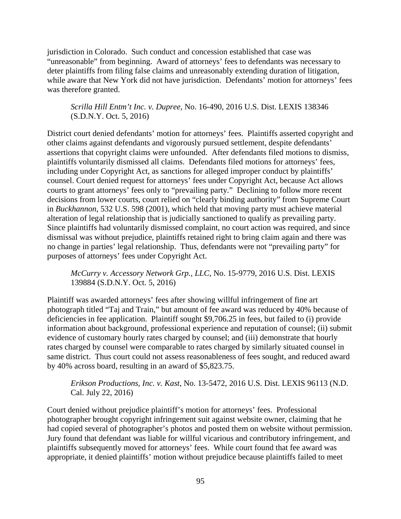jurisdiction in Colorado. Such conduct and concession established that case was "unreasonable" from beginning. Award of attorneys' fees to defendants was necessary to deter plaintiffs from filing false claims and unreasonably extending duration of litigation, while aware that New York did not have jurisdiction. Defendants' motion for attorneys' fees was therefore granted.

### *Scrilla Hill Entm't Inc. v. Dupree*, No. 16-490, 2016 U.S. Dist. LEXIS 138346 (S.D.N.Y. Oct. 5, 2016)

District court denied defendants' motion for attorneys' fees. Plaintiffs asserted copyright and other claims against defendants and vigorously pursued settlement, despite defendants' assertions that copyright claims were unfounded. After defendants filed motions to dismiss, plaintiffs voluntarily dismissed all claims. Defendants filed motions for attorneys' fees, including under Copyright Act, as sanctions for alleged improper conduct by plaintiffs' counsel. Court denied request for attorneys' fees under Copyright Act, because Act allows courts to grant attorneys' fees only to "prevailing party." Declining to follow more recent decisions from lower courts, court relied on "clearly binding authority" from Supreme Court in *Buckhannon*, 532 U.S. 598 (2001), which held that moving party must achieve material alteration of legal relationship that is judicially sanctioned to qualify as prevailing party. Since plaintiffs had voluntarily dismissed complaint, no court action was required, and since dismissal was without prejudice, plaintiffs retained right to bring claim again and there was no change in parties' legal relationship. Thus, defendants were not "prevailing party" for purposes of attorneys' fees under Copyright Act.

*McCurry v. Accessory Network Grp., LLC*, No. 15-9779, 2016 U.S. Dist. LEXIS 139884 (S.D.N.Y. Oct. 5, 2016)

Plaintiff was awarded attorneys' fees after showing willful infringement of fine art photograph titled "Taj and Train," but amount of fee award was reduced by 40% because of deficiencies in fee application. Plaintiff sought \$9,706.25 in fees, but failed to (i) provide information about background, professional experience and reputation of counsel; (ii) submit evidence of customary hourly rates charged by counsel; and (iii) demonstrate that hourly rates charged by counsel were comparable to rates charged by similarly situated counsel in same district. Thus court could not assess reasonableness of fees sought, and reduced award by 40% across board, resulting in an award of \$5,823.75.

*Erikson Productions, Inc. v. Kast*, No. 13-5472, 2016 U.S. Dist. LEXIS 96113 (N.D. Cal. July 22, 2016)

Court denied without prejudice plaintiff's motion for attorneys' fees. Professional photographer brought copyright infringement suit against website owner, claiming that he had copied several of photographer's photos and posted them on website without permission. Jury found that defendant was liable for willful vicarious and contributory infringement, and plaintiffs subsequently moved for attorneys' fees. While court found that fee award was appropriate, it denied plaintiffs' motion without prejudice because plaintiffs failed to meet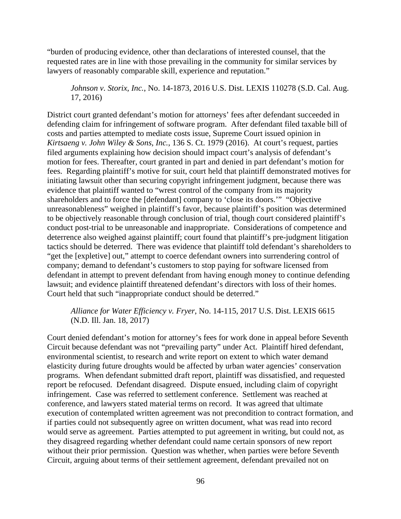"burden of producing evidence, other than declarations of interested counsel, that the requested rates are in line with those prevailing in the community for similar services by lawyers of reasonably comparable skill, experience and reputation."

*Johnson v. Storix, Inc.*, No. 14-1873, 2016 U.S. Dist. LEXIS 110278 (S.D. Cal. Aug. 17, 2016)

District court granted defendant's motion for attorneys' fees after defendant succeeded in defending claim for infringement of software program. After defendant filed taxable bill of costs and parties attempted to mediate costs issue, Supreme Court issued opinion in *Kirtsaeng v. John Wiley & Sons, Inc.*, 136 S. Ct. 1979 (2016). At court's request, parties filed arguments explaining how decision should impact court's analysis of defendant's motion for fees. Thereafter, court granted in part and denied in part defendant's motion for fees. Regarding plaintiff's motive for suit, court held that plaintiff demonstrated motives for initiating lawsuit other than securing copyright infringement judgment, because there was evidence that plaintiff wanted to "wrest control of the company from its majority shareholders and to force the [defendant] company to 'close its doors.'" "Objective unreasonableness" weighed in plaintiff's favor, because plaintiff's position was determined to be objectively reasonable through conclusion of trial, though court considered plaintiff's conduct post-trial to be unreasonable and inappropriate. Considerations of competence and deterrence also weighed against plaintiff; court found that plaintiff's pre-judgment litigation tactics should be deterred. There was evidence that plaintiff told defendant's shareholders to "get the [expletive] out," attempt to coerce defendant owners into surrendering control of company; demand to defendant's customers to stop paying for software licensed from defendant in attempt to prevent defendant from having enough money to continue defending lawsuit; and evidence plaintiff threatened defendant's directors with loss of their homes. Court held that such "inappropriate conduct should be deterred."

## *Alliance for Water Efficiency v. Fryer*, No. 14-115, 2017 U.S. Dist. LEXIS 6615 (N.D. Ill. Jan. 18, 2017)

Court denied defendant's motion for attorney's fees for work done in appeal before Seventh Circuit because defendant was not "prevailing party" under Act. Plaintiff hired defendant, environmental scientist, to research and write report on extent to which water demand elasticity during future droughts would be affected by urban water agencies' conservation programs. When defendant submitted draft report, plaintiff was dissatisfied, and requested report be refocused. Defendant disagreed. Dispute ensued, including claim of copyright infringement. Case was referred to settlement conference. Settlement was reached at conference, and lawyers stated material terms on record. It was agreed that ultimate execution of contemplated written agreement was not precondition to contract formation, and if parties could not subsequently agree on written document, what was read into record would serve as agreement. Parties attempted to put agreement in writing, but could not, as they disagreed regarding whether defendant could name certain sponsors of new report without their prior permission. Question was whether, when parties were before Seventh Circuit, arguing about terms of their settlement agreement, defendant prevailed not on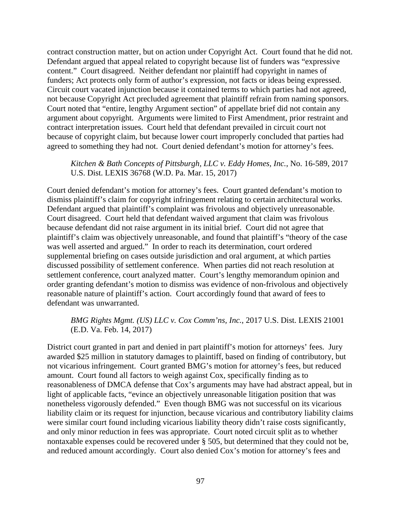contract construction matter, but on action under Copyright Act. Court found that he did not. Defendant argued that appeal related to copyright because list of funders was "expressive content." Court disagreed. Neither defendant nor plaintiff had copyright in names of funders; Act protects only form of author's expression, not facts or ideas being expressed. Circuit court vacated injunction because it contained terms to which parties had not agreed, not because Copyright Act precluded agreement that plaintiff refrain from naming sponsors. Court noted that "entire, lengthy Argument section" of appellate brief did not contain any argument about copyright. Arguments were limited to First Amendment, prior restraint and contract interpretation issues. Court held that defendant prevailed in circuit court not because of copyright claim, but because lower court improperly concluded that parties had agreed to something they had not. Court denied defendant's motion for attorney's fees.

#### *Kitchen & Bath Concepts of Pittsburgh, LLC v. Eddy Homes, Inc.*, No. 16-589, 2017 U.S. Dist. LEXIS 36768 (W.D. Pa. Mar. 15, 2017)

Court denied defendant's motion for attorney's fees. Court granted defendant's motion to dismiss plaintiff's claim for copyright infringement relating to certain architectural works. Defendant argued that plaintiff's complaint was frivolous and objectively unreasonable. Court disagreed. Court held that defendant waived argument that claim was frivolous because defendant did not raise argument in its initial brief. Court did not agree that plaintiff's claim was objectively unreasonable, and found that plaintiff's "theory of the case was well asserted and argued." In order to reach its determination, court ordered supplemental briefing on cases outside jurisdiction and oral argument, at which parties discussed possibility of settlement conference. When parties did not reach resolution at settlement conference, court analyzed matter. Court's lengthy memorandum opinion and order granting defendant's motion to dismiss was evidence of non-frivolous and objectively reasonable nature of plaintiff's action. Court accordingly found that award of fees to defendant was unwarranted.

### *BMG Rights Mgmt. (US) LLC v. Cox Comm'ns, Inc.*, 2017 U.S. Dist. LEXIS 21001 (E.D. Va. Feb. 14, 2017)

District court granted in part and denied in part plaintiff's motion for attorneys' fees. Jury awarded \$25 million in statutory damages to plaintiff, based on finding of contributory, but not vicarious infringement. Court granted BMG's motion for attorney's fees, but reduced amount. Court found all factors to weigh against Cox, specifically finding as to reasonableness of DMCA defense that Cox's arguments may have had abstract appeal, but in light of applicable facts, "evince an objectively unreasonable litigation position that was nonetheless vigorously defended." Even though BMG was not successful on its vicarious liability claim or its request for injunction, because vicarious and contributory liability claims were similar court found including vicarious liability theory didn't raise costs significantly, and only minor reduction in fees was appropriate. Court noted circuit split as to whether nontaxable expenses could be recovered under § 505, but determined that they could not be, and reduced amount accordingly. Court also denied Cox's motion for attorney's fees and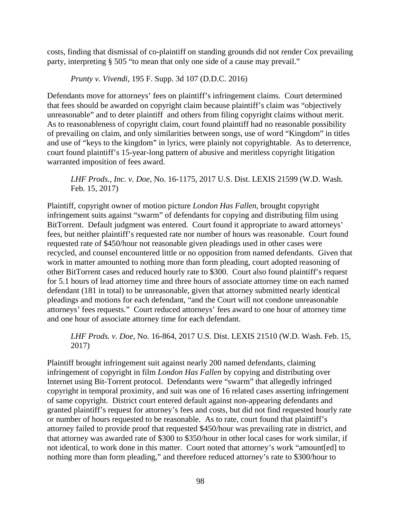costs, finding that dismissal of co-plaintiff on standing grounds did not render Cox prevailing party, interpreting § 505 "to mean that only one side of a cause may prevail."

*Prunty v. Vivendi*, 195 F. Supp. 3d 107 (D.D.C. 2016)

Defendants move for attorneys' fees on plaintiff's infringement claims. Court determined that fees should be awarded on copyright claim because plaintiff's claim was "objectively unreasonable" and to deter plaintiff and others from filing copyright claims without merit. As to reasonableness of copyright claim, court found plaintiff had no reasonable possibility of prevailing on claim, and only similarities between songs, use of word "Kingdom" in titles and use of "keys to the kingdom" in lyrics, were plainly not copyrightable. As to deterrence, court found plaintiff's 15-year-long pattern of abusive and meritless copyright litigation warranted imposition of fees award.

*LHF Prods., Inc. v. Doe*, No. 16-1175, 2017 U.S. Dist. LEXIS 21599 (W.D. Wash. Feb. 15, 2017)

Plaintiff, copyright owner of motion picture *London Has Fallen*, brought copyright infringement suits against "swarm" of defendants for copying and distributing film using BitTorrent. Default judgment was entered. Court found it appropriate to award attorneys' fees, but neither plaintiff's requested rate nor number of hours was reasonable. Court found requested rate of \$450/hour not reasonable given pleadings used in other cases were recycled, and counsel encountered little or no opposition from named defendants. Given that work in matter amounted to nothing more than form pleading, court adopted reasoning of other BitTorrent cases and reduced hourly rate to \$300. Court also found plaintiff's request for 5.1 hours of lead attorney time and three hours of associate attorney time on each named defendant (181 in total) to be unreasonable, given that attorney submitted nearly identical pleadings and motions for each defendant, "and the Court will not condone unreasonable attorneys' fees requests." Court reduced attorneys' fees award to one hour of attorney time and one hour of associate attorney time for each defendant.

*LHF Prods. v. Doe*, No. 16-864, 2017 U.S. Dist. LEXIS 21510 (W.D. Wash. Feb. 15, 2017)

Plaintiff brought infringement suit against nearly 200 named defendants, claiming infringement of copyright in film *London Has Fallen* by copying and distributing over Internet using Bit-Torrent protocol. Defendants were "swarm" that allegedly infringed copyright in temporal proximity, and suit was one of 16 related cases asserting infringement of same copyright. District court entered default against non-appearing defendants and granted plaintiff's request for attorney's fees and costs, but did not find requested hourly rate or number of hours requested to be reasonable. As to rate, court found that plaintiff's attorney failed to provide proof that requested \$450/hour was prevailing rate in district, and that attorney was awarded rate of \$300 to \$350/hour in other local cases for work similar, if not identical, to work done in this matter. Court noted that attorney's work "amount[ed] to nothing more than form pleading," and therefore reduced attorney's rate to \$300/hour to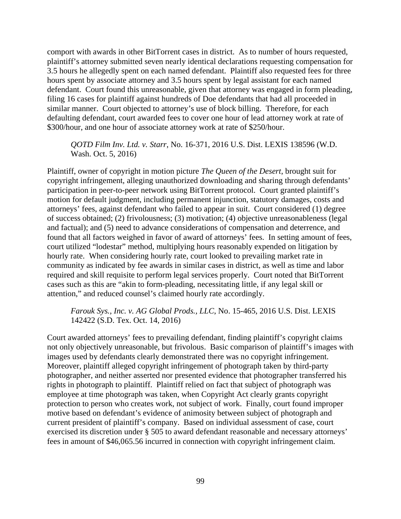comport with awards in other BitTorrent cases in district. As to number of hours requested, plaintiff's attorney submitted seven nearly identical declarations requesting compensation for 3.5 hours he allegedly spent on each named defendant. Plaintiff also requested fees for three hours spent by associate attorney and 3.5 hours spent by legal assistant for each named defendant. Court found this unreasonable, given that attorney was engaged in form pleading, filing 16 cases for plaintiff against hundreds of Doe defendants that had all proceeded in similar manner. Court objected to attorney's use of block billing. Therefore, for each defaulting defendant, court awarded fees to cover one hour of lead attorney work at rate of \$300/hour, and one hour of associate attorney work at rate of \$250/hour.

### *QOTD Film Inv. Ltd. v. Starr*, No. 16-371, 2016 U.S. Dist. LEXIS 138596 (W.D. Wash. Oct. 5, 2016)

Plaintiff, owner of copyright in motion picture *The Queen of the Desert*, brought suit for copyright infringement, alleging unauthorized downloading and sharing through defendants' participation in peer-to-peer network using BitTorrent protocol. Court granted plaintiff's motion for default judgment, including permanent injunction, statutory damages, costs and attorneys' fees, against defendant who failed to appear in suit. Court considered (1) degree of success obtained; (2) frivolousness; (3) motivation; (4) objective unreasonableness (legal and factual); and (5) need to advance considerations of compensation and deterrence, and found that all factors weighed in favor of award of attorneys' fees. In setting amount of fees, court utilized "lodestar" method, multiplying hours reasonably expended on litigation by hourly rate. When considering hourly rate, court looked to prevailing market rate in community as indicated by fee awards in similar cases in district, as well as time and labor required and skill requisite to perform legal services properly. Court noted that BitTorrent cases such as this are "akin to form-pleading, necessitating little, if any legal skill or attention," and reduced counsel's claimed hourly rate accordingly.

### *Farouk Sys., Inc. v. AG Global Prods., LLC*, No. 15-465, 2016 U.S. Dist. LEXIS 142422 (S.D. Tex. Oct. 14, 2016)

Court awarded attorneys' fees to prevailing defendant, finding plaintiff's copyright claims not only objectively unreasonable, but frivolous. Basic comparison of plaintiff's images with images used by defendants clearly demonstrated there was no copyright infringement. Moreover, plaintiff alleged copyright infringement of photograph taken by third-party photographer, and neither asserted nor presented evidence that photographer transferred his rights in photograph to plaintiff. Plaintiff relied on fact that subject of photograph was employee at time photograph was taken, when Copyright Act clearly grants copyright protection to person who creates work, not subject of work. Finally, court found improper motive based on defendant's evidence of animosity between subject of photograph and current president of plaintiff's company. Based on individual assessment of case, court exercised its discretion under § 505 to award defendant reasonable and necessary attorneys' fees in amount of \$46,065.56 incurred in connection with copyright infringement claim.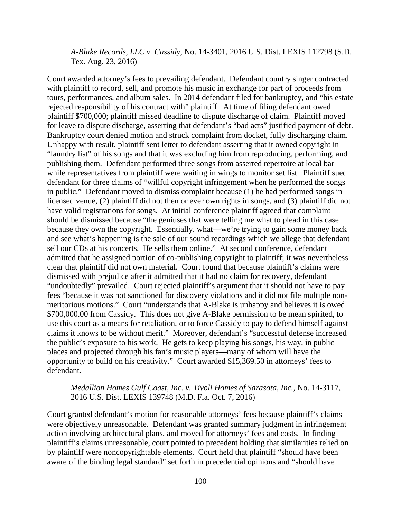*A-Blake Records, LLC v. Cassidy*, No. 14-3401, 2016 U.S. Dist. LEXIS 112798 (S.D. Tex. Aug. 23, 2016)

Court awarded attorney's fees to prevailing defendant. Defendant country singer contracted with plaintiff to record, sell, and promote his music in exchange for part of proceeds from tours, performances, and album sales. In 2014 defendant filed for bankruptcy, and "his estate rejected responsibility of his contract with" plaintiff. At time of filing defendant owed plaintiff \$700,000; plaintiff missed deadline to dispute discharge of claim. Plaintiff moved for leave to dispute discharge, asserting that defendant's "bad acts" justified payment of debt. Bankruptcy court denied motion and struck complaint from docket, fully discharging claim. Unhappy with result, plaintiff sent letter to defendant asserting that it owned copyright in "laundry list" of his songs and that it was excluding him from reproducing, performing, and publishing them. Defendant performed three songs from asserted repertoire at local bar while representatives from plaintiff were waiting in wings to monitor set list. Plaintiff sued defendant for three claims of "willful copyright infringement when he performed the songs in public." Defendant moved to dismiss complaint because (1) he had performed songs in licensed venue, (2) plaintiff did not then or ever own rights in songs, and (3) plaintiff did not have valid registrations for songs. At initial conference plaintiff agreed that complaint should be dismissed because "the geniuses that were telling me what to plead in this case because they own the copyright. Essentially, what—we're trying to gain some money back and see what's happening is the sale of our sound recordings which we allege that defendant sell our CDs at his concerts. He sells them online." At second conference, defendant admitted that he assigned portion of co-publishing copyright to plaintiff; it was nevertheless clear that plaintiff did not own material. Court found that because plaintiff's claims were dismissed with prejudice after it admitted that it had no claim for recovery, defendant "undoubtedly" prevailed. Court rejected plaintiff's argument that it should not have to pay fees "because it was not sanctioned for discovery violations and it did not file multiple nonmeritorious motions." Court "understands that A-Blake is unhappy and believes it is owed \$700,000.00 from Cassidy. This does not give A-Blake permission to be mean spirited, to use this court as a means for retaliation, or to force Cassidy to pay to defend himself against claims it knows to be without merit." Moreover, defendant's "successful defense increased the public's exposure to his work. He gets to keep playing his songs, his way, in public places and projected through his fan's music players—many of whom will have the opportunity to build on his creativity." Court awarded \$15,369.50 in attorneys' fees to defendant.

### *Medallion Homes Gulf Coast, Inc. v. Tivoli Homes of Sarasota, Inc.*, No. 14-3117, 2016 U.S. Dist. LEXIS 139748 (M.D. Fla. Oct. 7, 2016)

Court granted defendant's motion for reasonable attorneys' fees because plaintiff's claims were objectively unreasonable. Defendant was granted summary judgment in infringement action involving architectural plans, and moved for attorneys' fees and costs. In finding plaintiff's claims unreasonable, court pointed to precedent holding that similarities relied on by plaintiff were noncopyrightable elements. Court held that plaintiff "should have been aware of the binding legal standard" set forth in precedential opinions and "should have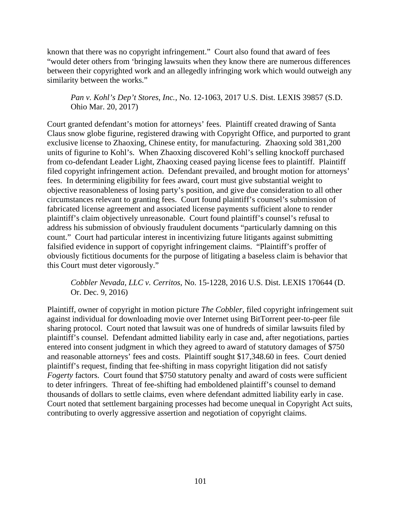known that there was no copyright infringement." Court also found that award of fees "would deter others from 'bringing lawsuits when they know there are numerous differences between their copyrighted work and an allegedly infringing work which would outweigh any similarity between the works."

*Pan v. Kohl's Dep't Stores, Inc.*, No. 12-1063, 2017 U.S. Dist. LEXIS 39857 (S.D. Ohio Mar. 20, 2017)

Court granted defendant's motion for attorneys' fees. Plaintiff created drawing of Santa Claus snow globe figurine, registered drawing with Copyright Office, and purported to grant exclusive license to Zhaoxing, Chinese entity, for manufacturing. Zhaoxing sold 381,200 units of figurine to Kohl's. When Zhaoxing discovered Kohl's selling knockoff purchased from co-defendant Leader Light, Zhaoxing ceased paying license fees to plaintiff. Plaintiff filed copyright infringement action. Defendant prevailed, and brought motion for attorneys' fees. In determining eligibility for fees award, court must give substantial weight to objective reasonableness of losing party's position, and give due consideration to all other circumstances relevant to granting fees. Court found plaintiff's counsel's submission of fabricated license agreement and associated license payments sufficient alone to render plaintiff's claim objectively unreasonable. Court found plaintiff's counsel's refusal to address his submission of obviously fraudulent documents "particularly damning on this count." Court had particular interest in incentivizing future litigants against submitting falsified evidence in support of copyright infringement claims. "Plaintiff's proffer of obviously fictitious documents for the purpose of litigating a baseless claim is behavior that this Court must deter vigorously."

*Cobbler Nevada, LLC v. Cerritos*, No. 15-1228, 2016 U.S. Dist. LEXIS 170644 (D. Or. Dec. 9, 2016)

Plaintiff, owner of copyright in motion picture *The Cobbler*, filed copyright infringement suit against individual for downloading movie over Internet using BitTorrent peer-to-peer file sharing protocol. Court noted that lawsuit was one of hundreds of similar lawsuits filed by plaintiff's counsel. Defendant admitted liability early in case and, after negotiations, parties entered into consent judgment in which they agreed to award of statutory damages of \$750 and reasonable attorneys' fees and costs. Plaintiff sought \$17,348.60 in fees. Court denied plaintiff's request, finding that fee-shifting in mass copyright litigation did not satisfy *Fogerty* factors. Court found that \$750 statutory penalty and award of costs were sufficient to deter infringers. Threat of fee-shifting had emboldened plaintiff's counsel to demand thousands of dollars to settle claims, even where defendant admitted liability early in case. Court noted that settlement bargaining processes had become unequal in Copyright Act suits, contributing to overly aggressive assertion and negotiation of copyright claims.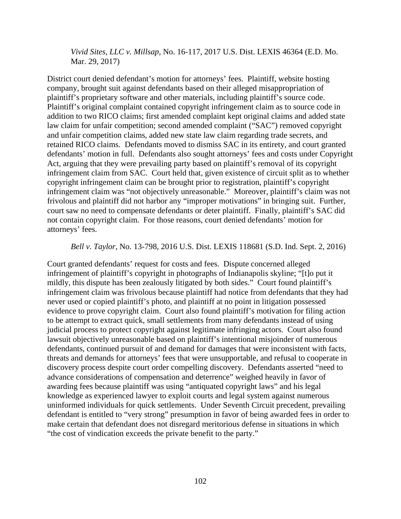*Vivid Sites, LLC v. Millsap*, No. 16-117, 2017 U.S. Dist. LEXIS 46364 (E.D. Mo. Mar. 29, 2017)

District court denied defendant's motion for attorneys' fees. Plaintiff, website hosting company, brought suit against defendants based on their alleged misappropriation of plaintiff's proprietary software and other materials, including plaintiff's source code. Plaintiff's original complaint contained copyright infringement claim as to source code in addition to two RICO claims; first amended complaint kept original claims and added state law claim for unfair competition; second amended complaint ("SAC") removed copyright and unfair competition claims, added new state law claim regarding trade secrets, and retained RICO claims. Defendants moved to dismiss SAC in its entirety, and court granted defendants' motion in full. Defendants also sought attorneys' fees and costs under Copyright Act, arguing that they were prevailing party based on plaintiff's removal of its copyright infringement claim from SAC. Court held that, given existence of circuit split as to whether copyright infringement claim can be brought prior to registration, plaintiff's copyright infringement claim was "not objectively unreasonable." Moreover, plaintiff's claim was not frivolous and plaintiff did not harbor any "improper motivations" in bringing suit. Further, court saw no need to compensate defendants or deter plaintiff. Finally, plaintiff's SAC did not contain copyright claim. For those reasons, court denied defendants' motion for attorneys' fees.

*Bell v. Taylor*, No. 13-798, 2016 U.S. Dist. LEXIS 118681 (S.D. Ind. Sept. 2, 2016)

Court granted defendants' request for costs and fees. Dispute concerned alleged infringement of plaintiff's copyright in photographs of Indianapolis skyline; "[t]o put it mildly, this dispute has been zealously litigated by both sides." Court found plaintiff's infringement claim was frivolous because plaintiff had notice from defendants that they had never used or copied plaintiff's photo, and plaintiff at no point in litigation possessed evidence to prove copyright claim. Court also found plaintiff's motivation for filing action to be attempt to extract quick, small settlements from many defendants instead of using judicial process to protect copyright against legitimate infringing actors. Court also found lawsuit objectively unreasonable based on plaintiff's intentional misjoinder of numerous defendants, continued pursuit of and demand for damages that were inconsistent with facts, threats and demands for attorneys' fees that were unsupportable, and refusal to cooperate in discovery process despite court order compelling discovery. Defendants asserted "need to advance considerations of compensation and deterrence" weighed heavily in favor of awarding fees because plaintiff was using "antiquated copyright laws" and his legal knowledge as experienced lawyer to exploit courts and legal system against numerous uninformed individuals for quick settlements. Under Seventh Circuit precedent, prevailing defendant is entitled to "very strong" presumption in favor of being awarded fees in order to make certain that defendant does not disregard meritorious defense in situations in which "the cost of vindication exceeds the private benefit to the party."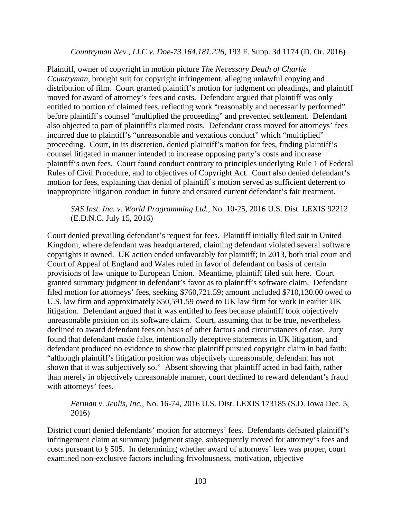#### *Countryman Nev., LLC v. Doe-73.164.181.226*, 193 F. Supp. 3d 1174 (D. Or. 2016)

Plaintiff, owner of copyright in motion picture *The Necessary Death of Charlie Countryman*, brought suit for copyright infringement, alleging unlawful copying and distribution of film. Court granted plaintiff's motion for judgment on pleadings, and plaintiff moved for award of attorney's fees and costs. Defendant argued that plaintiff was only entitled to portion of claimed fees, reflecting work "reasonably and necessarily performed" before plaintiff's counsel "multiplied the proceeding" and prevented settlement. Defendant also objected to part of plaintiff's claimed costs. Defendant cross moved for attorneys' fees incurred due to plaintiff's "unreasonable and vexatious conduct" which "multiplied" proceeding. Court, in its discretion, denied plaintiff's motion for fees, finding plaintiff's counsel litigated in manner intended to increase opposing party's costs and increase plaintiff's own fees. Court found conduct contrary to principles underlying Rule 1 of Federal Rules of Civil Procedure, and to objectives of Copyright Act. Court also denied defendant's motion for fees, explaining that denial of plaintiff's motion served as sufficient deterrent to inappropriate litigation conduct in future and ensured current defendant's fair treatment.

### *SAS Inst. Inc. v. World Programming Ltd.*, No. 10-25, 2016 U.S. Dist. LEXIS 92212 (E.D.N.C. July 15, 2016)

Court denied prevailing defendant's request for fees. Plaintiff initially filed suit in United Kingdom, where defendant was headquartered, claiming defendant violated several software copyrights it owned. UK action ended unfavorably for plaintiff; in 2013, both trial court and Court of Appeal of England and Wales ruled in favor of defendant on basis of certain provisions of law unique to European Union. Meantime, plaintiff filed suit here. Court granted summary judgment in defendant's favor as to plaintiff's software claim. Defendant filed motion for attorneys' fees, seeking \$760,721.59; amount included \$710,130.00 owed to U.S. law firm and approximately \$50,591.59 owed to UK law firm for work in earlier UK litigation. Defendant argued that it was entitled to fees because plaintiff took objectively unreasonable position on its software claim. Court, assuming that to be true, nevertheless declined to award defendant fees on basis of other factors and circumstances of case. Jury found that defendant made false, intentionally deceptive statements in UK litigation, and defendant produced no evidence to show that plaintiff pursued copyright claim in bad faith: "although plaintiff's litigation position was objectively unreasonable, defendant has not shown that it was subjectively so." Absent showing that plaintiff acted in bad faith, rather than merely in objectively unreasonable manner, court declined to reward defendant's fraud with attorneys' fees.

## *Ferman v. Jenlis, Inc.*, No. 16-74, 2016 U.S. Dist. LEXIS 173185 (S.D. Iowa Dec. 5, 2016)

District court denied defendants' motion for attorneys' fees. Defendants defeated plaintiff's infringement claim at summary judgment stage, subsequently moved for attorney's fees and costs pursuant to § 505. In determining whether award of attorneys' fees was proper, court examined non-exclusive factors including frivolousness, motivation, objective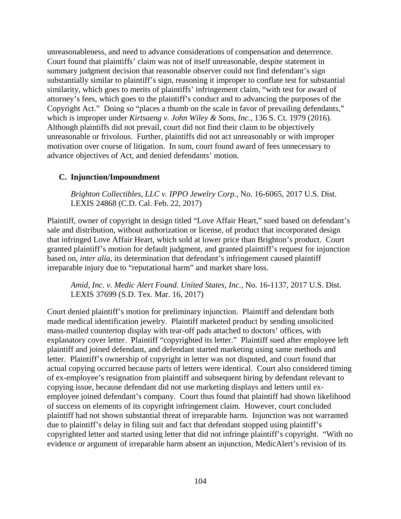unreasonableness, and need to advance considerations of compensation and deterrence. Court found that plaintiffs' claim was not of itself unreasonable, despite statement in summary judgment decision that reasonable observer could not find defendant's sign substantially similar to plaintiff's sign, reasoning it improper to conflate test for substantial similarity, which goes to merits of plaintiffs' infringement claim, "with test for award of attorney's fees, which goes to the plaintiff's conduct and to advancing the purposes of the Copyright Act." Doing so "places a thumb on the scale in favor of prevailing defendants," which is improper under *Kirtsaeng v. John Wiley & Sons, Inc.*, 136 S. Ct. 1979 (2016). Although plaintiffs did not prevail, court did not find their claim to be objectively unreasonable or frivolous. Further, plaintiffs did not act unreasonably or with improper motivation over course of litigation. In sum, court found award of fees unnecessary to advance objectives of Act, and denied defendants' motion.

# **C. Injunction/Impoundment**

*Brighton Collectibles, LLC v. IPPO Jewelry Corp.*, No. 16-6065, 2017 U.S. Dist. LEXIS 24868 (C.D. Cal. Feb. 22, 2017)

Plaintiff, owner of copyright in design titled "Love Affair Heart," sued based on defendant's sale and distribution, without authorization or license, of product that incorporated design that infringed Love Affair Heart, which sold at lower price than Brighton's product. Court granted plaintiff's motion for default judgment, and granted plaintiff's request for injunction based on, *inter alia*, its determination that defendant's infringement caused plaintiff irreparable injury due to "reputational harm" and market share loss.

*Amid, Inc. v. Medic Alert Found. United States, Inc.*, No. 16-1137, 2017 U.S. Dist. LEXIS 37699 (S.D. Tex. Mar. 16, 2017)

Court denied plaintiff's motion for preliminary injunction. Plaintiff and defendant both made medical identification jewelry. Plaintiff marketed product by sending unsolicited mass-mailed countertop display with tear-off pads attached to doctors' offices, with explanatory cover letter. Plaintiff "copyrighted its letter." Plaintiff sued after employee left plaintiff and joined defendant, and defendant started marketing using same methods and letter. Plaintiff's ownership of copyright in letter was not disputed, and court found that actual copying occurred because parts of letters were identical. Court also considered timing of ex-employee's resignation from plaintiff and subsequent hiring by defendant relevant to copying issue, because defendant did not use marketing displays and letters until exemployee joined defendant's company. Court thus found that plaintiff had shown likelihood of success on elements of its copyright infringement claim. However, court concluded plaintiff had not shown substantial threat of irreparable harm. Injunction was not warranted due to plaintiff's delay in filing suit and fact that defendant stopped using plaintiff's copyrighted letter and started using letter that did not infringe plaintiff's copyright. "With no evidence or argument of irreparable harm absent an injunction, MedicAlert's revision of its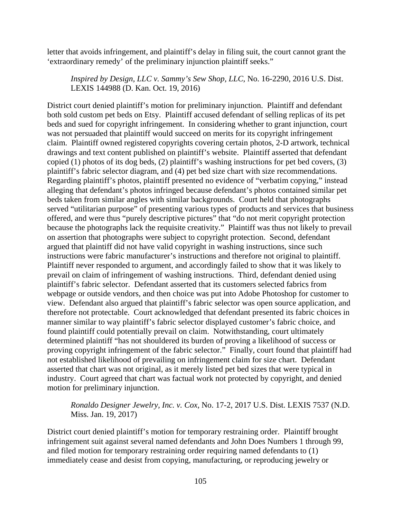letter that avoids infringement, and plaintiff's delay in filing suit, the court cannot grant the 'extraordinary remedy' of the preliminary injunction plaintiff seeks."

*Inspired by Design, LLC v. Sammy's Sew Shop, LLC*, No. 16-2290, 2016 U.S. Dist. LEXIS 144988 (D. Kan. Oct. 19, 2016)

District court denied plaintiff's motion for preliminary injunction. Plaintiff and defendant both sold custom pet beds on Etsy. Plaintiff accused defendant of selling replicas of its pet beds and sued for copyright infringement. In considering whether to grant injunction, court was not persuaded that plaintiff would succeed on merits for its copyright infringement claim. Plaintiff owned registered copyrights covering certain photos, 2-D artwork, technical drawings and text content published on plaintiff's website. Plaintiff asserted that defendant copied (1) photos of its dog beds, (2) plaintiff's washing instructions for pet bed covers, (3) plaintiff's fabric selector diagram, and (4) pet bed size chart with size recommendations. Regarding plaintiff's photos, plaintiff presented no evidence of "verbatim copying," instead alleging that defendant's photos infringed because defendant's photos contained similar pet beds taken from similar angles with similar backgrounds. Court held that photographs served "utilitarian purpose" of presenting various types of products and services that business offered, and were thus "purely descriptive pictures" that "do not merit copyright protection because the photographs lack the requisite creativity." Plaintiff was thus not likely to prevail on assertion that photographs were subject to copyright protection. Second, defendant argued that plaintiff did not have valid copyright in washing instructions, since such instructions were fabric manufacturer's instructions and therefore not original to plaintiff. Plaintiff never responded to argument, and accordingly failed to show that it was likely to prevail on claim of infringement of washing instructions. Third, defendant denied using plaintiff's fabric selector. Defendant asserted that its customers selected fabrics from webpage or outside vendors, and then choice was put into Adobe Photoshop for customer to view. Defendant also argued that plaintiff's fabric selector was open source application, and therefore not protectable. Court acknowledged that defendant presented its fabric choices in manner similar to way plaintiff's fabric selector displayed customer's fabric choice, and found plaintiff could potentially prevail on claim. Notwithstanding, court ultimately determined plaintiff "has not shouldered its burden of proving a likelihood of success or proving copyright infringement of the fabric selector." Finally, court found that plaintiff had not established likelihood of prevailing on infringement claim for size chart. Defendant asserted that chart was not original, as it merely listed pet bed sizes that were typical in industry. Court agreed that chart was factual work not protected by copyright, and denied motion for preliminary injunction.

## *Ronaldo Designer Jewelry, Inc. v. Cox*, No. 17-2, 2017 U.S. Dist. LEXIS 7537 (N.D. Miss. Jan. 19, 2017)

District court denied plaintiff's motion for temporary restraining order. Plaintiff brought infringement suit against several named defendants and John Does Numbers 1 through 99, and filed motion for temporary restraining order requiring named defendants to (1) immediately cease and desist from copying, manufacturing, or reproducing jewelry or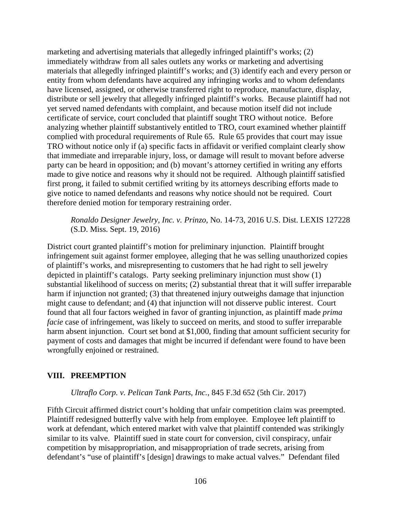marketing and advertising materials that allegedly infringed plaintiff's works; (2) immediately withdraw from all sales outlets any works or marketing and advertising materials that allegedly infringed plaintiff's works; and (3) identify each and every person or entity from whom defendants have acquired any infringing works and to whom defendants have licensed, assigned, or otherwise transferred right to reproduce, manufacture, display, distribute or sell jewelry that allegedly infringed plaintiff's works. Because plaintiff had not yet served named defendants with complaint, and because motion itself did not include certificate of service, court concluded that plaintiff sought TRO without notice. Before analyzing whether plaintiff substantively entitled to TRO, court examined whether plaintiff complied with procedural requirements of Rule 65. Rule 65 provides that court may issue TRO without notice only if (a) specific facts in affidavit or verified complaint clearly show that immediate and irreparable injury, loss, or damage will result to movant before adverse party can be heard in opposition; and (b) movant's attorney certified in writing any efforts made to give notice and reasons why it should not be required. Although plaintiff satisfied first prong, it failed to submit certified writing by its attorneys describing efforts made to give notice to named defendants and reasons why notice should not be required. Court therefore denied motion for temporary restraining order.

### *Ronaldo Designer Jewelry, Inc. v. Prinzo*, No. 14-73, 2016 U.S. Dist. LEXIS 127228 (S.D. Miss. Sept. 19, 2016)

District court granted plaintiff's motion for preliminary injunction. Plaintiff brought infringement suit against former employee, alleging that he was selling unauthorized copies of plaintiff's works, and misrepresenting to customers that he had right to sell jewelry depicted in plaintiff's catalogs. Party seeking preliminary injunction must show (1) substantial likelihood of success on merits; (2) substantial threat that it will suffer irreparable harm if injunction not granted; (3) that threatened injury outweighs damage that injunction might cause to defendant; and (4) that injunction will not disserve public interest. Court found that all four factors weighed in favor of granting injunction, as plaintiff made *prima facie* case of infringement, was likely to succeed on merits, and stood to suffer irreparable harm absent injunction. Court set bond at \$1,000, finding that amount sufficient security for payment of costs and damages that might be incurred if defendant were found to have been wrongfully enjoined or restrained.

#### **VIII. PREEMPTION**

#### *Ultraflo Corp. v. Pelican Tank Parts, Inc.*, 845 F.3d 652 (5th Cir. 2017)

Fifth Circuit affirmed district court's holding that unfair competition claim was preempted. Plaintiff redesigned butterfly valve with help from employee. Employee left plaintiff to work at defendant, which entered market with valve that plaintiff contended was strikingly similar to its valve. Plaintiff sued in state court for conversion, civil conspiracy, unfair competition by misappropriation, and misappropriation of trade secrets, arising from defendant's "use of plaintiff's [design] drawings to make actual valves." Defendant filed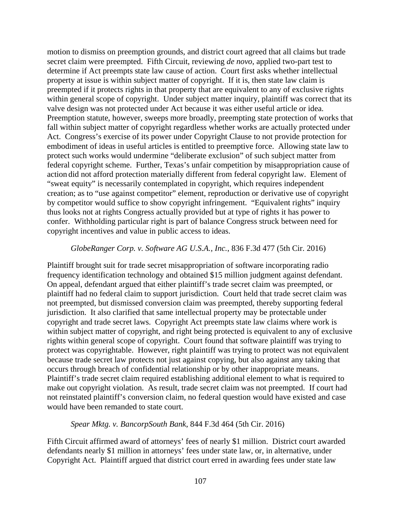motion to dismiss on preemption grounds, and district court agreed that all claims but trade secret claim were preempted. Fifth Circuit, reviewing *de novo*, applied two-part test to determine if Act preempts state law cause of action. Court first asks whether intellectual property at issue is within subject matter of copyright. If it is, then state law claim is preempted if it protects rights in that property that are equivalent to any of exclusive rights within general scope of copyright. Under subject matter inquiry, plaintiff was correct that its valve design was not protected under Act because it was either useful article or idea. Preemption statute, however, sweeps more broadly, preempting state protection of works that fall within subject matter of copyright regardless whether works are actually protected under Act. Congress's exercise of its power under Copyright Clause to not provide protection for embodiment of ideas in useful articles is entitled to preemptive force. Allowing state law to protect such works would undermine "deliberate exclusion" of such subject matter from federal copyright scheme. Further, Texas's unfair competition by misappropriation cause of action did not afford protection materially different from federal copyright law. Element of "sweat equity" is necessarily contemplated in copyright, which requires independent creation; as to "use against competitor" element, reproduction or derivative use of copyright by competitor would suffice to show copyright infringement. "Equivalent rights" inquiry thus looks not at rights Congress actually provided but at type of rights it has power to confer. Withholding particular right is part of balance Congress struck between need for copyright incentives and value in public access to ideas.

#### *GlobeRanger Corp. v. Software AG U.S.A., Inc.*, 836 F.3d 477 (5th Cir. 2016)

Plaintiff brought suit for trade secret misappropriation of software incorporating radio frequency identification technology and obtained \$15 million judgment against defendant. On appeal, defendant argued that either plaintiff's trade secret claim was preempted, or plaintiff had no federal claim to support jurisdiction. Court held that trade secret claim was not preempted, but dismissed conversion claim was preempted, thereby supporting federal jurisdiction. It also clarified that same intellectual property may be protectable under copyright and trade secret laws. Copyright Act preempts state law claims where work is within subject matter of copyright, and right being protected is equivalent to any of exclusive rights within general scope of copyright. Court found that software plaintiff was trying to protect was copyrightable. However, right plaintiff was trying to protect was not equivalent because trade secret law protects not just against copying, but also against any taking that occurs through breach of confidential relationship or by other inappropriate means. Plaintiff's trade secret claim required establishing additional element to what is required to make out copyright violation. As result, trade secret claim was not preempted. If court had not reinstated plaintiff's conversion claim, no federal question would have existed and case would have been remanded to state court.

#### *Spear Mktg. v. BancorpSouth Bank*, 844 F.3d 464 (5th Cir. 2016)

Fifth Circuit affirmed award of attorneys' fees of nearly \$1 million. District court awarded defendants nearly \$1 million in attorneys' fees under state law, or, in alternative, under Copyright Act. Plaintiff argued that district court erred in awarding fees under state law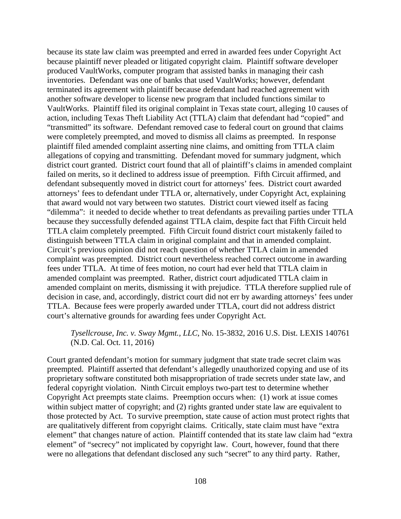because its state law claim was preempted and erred in awarded fees under Copyright Act because plaintiff never pleaded or litigated copyright claim. Plaintiff software developer produced VaultWorks, computer program that assisted banks in managing their cash inventories. Defendant was one of banks that used VaultWorks; however, defendant terminated its agreement with plaintiff because defendant had reached agreement with another software developer to license new program that included functions similar to VaultWorks. Plaintiff filed its original complaint in Texas state court, alleging 10 causes of action, including Texas Theft Liability Act (TTLA) claim that defendant had "copied" and "transmitted" its software. Defendant removed case to federal court on ground that claims were completely preempted, and moved to dismiss all claims as preempted. In response plaintiff filed amended complaint asserting nine claims, and omitting from TTLA claim allegations of copying and transmitting. Defendant moved for summary judgment, which district court granted. District court found that all of plaintiff's claims in amended complaint failed on merits, so it declined to address issue of preemption. Fifth Circuit affirmed, and defendant subsequently moved in district court for attorneys' fees. District court awarded attorneys' fees to defendant under TTLA or, alternatively, under Copyright Act, explaining that award would not vary between two statutes. District court viewed itself as facing "dilemma": it needed to decide whether to treat defendants as prevailing parties under TTLA because they successfully defended against TTLA claim, despite fact that Fifth Circuit held TTLA claim completely preempted. Fifth Circuit found district court mistakenly failed to distinguish between TTLA claim in original complaint and that in amended complaint. Circuit's previous opinion did not reach question of whether TTLA claim in amended complaint was preempted. District court nevertheless reached correct outcome in awarding fees under TTLA. At time of fees motion, no court had ever held that TTLA claim in amended complaint was preempted. Rather, district court adjudicated TTLA claim in amended complaint on merits, dismissing it with prejudice. TTLA therefore supplied rule of decision in case, and, accordingly, district court did not err by awarding attorneys' fees under TTLA. Because fees were properly awarded under TTLA, court did not address district court's alternative grounds for awarding fees under Copyright Act.

*Tysellcrouse, Inc. v. Sway Mgmt., LLC*, No. 15-3832, 2016 U.S. Dist. LEXIS 140761 (N.D. Cal. Oct. 11, 2016)

Court granted defendant's motion for summary judgment that state trade secret claim was preempted. Plaintiff asserted that defendant's allegedly unauthorized copying and use of its proprietary software constituted both misappropriation of trade secrets under state law, and federal copyright violation. Ninth Circuit employs two-part test to determine whether Copyright Act preempts state claims. Preemption occurs when: (1) work at issue comes within subject matter of copyright; and (2) rights granted under state law are equivalent to those protected by Act. To survive preemption, state cause of action must protect rights that are qualitatively different from copyright claims. Critically, state claim must have "extra element" that changes nature of action. Plaintiff contended that its state law claim had "extra element" of "secrecy" not implicated by copyright law. Court, however, found that there were no allegations that defendant disclosed any such "secret" to any third party. Rather,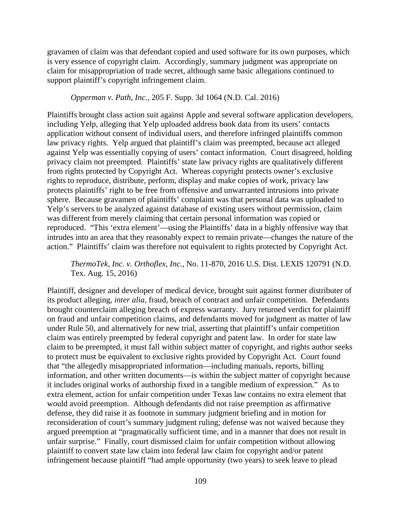gravamen of claim was that defendant copied and used software for its own purposes, which is very essence of copyright claim. Accordingly, summary judgment was appropriate on claim for misappropriation of trade secret, although same basic allegations continued to support plaintiff's copyright infringement claim.

#### *Opperman v. Path, Inc.*, 205 F. Supp. 3d 1064 (N.D. Cal. 2016)

Plaintiffs brought class action suit against Apple and several software application developers, including Yelp, alleging that Yelp uploaded address book data from its users' contacts application without consent of individual users, and therefore infringed plaintiffs common law privacy rights. Yelp argued that plaintiff's claim was preempted, because act alleged against Yelp was essentially copying of users' contact information. Court disagreed, holding privacy claim not preempted. Plaintiffs' state law privacy rights are qualitatively different from rights protected by Copyright Act. Whereas copyright protects owner's exclusive rights to reproduce, distribute, perform, display and make copies of work, privacy law protects plaintiffs' right to be free from offensive and unwarranted intrusions into private sphere. Because gravamen of plaintiffs' complaint was that personal data was uploaded to Yelp's servers to be analyzed against database of existing users without permission, claim was different from merely claiming that certain personal information was copied or reproduced. "This 'extra element'—using the Plaintiffs' data in a highly offensive way that intrudes into an area that they reasonably expect to remain private—changes the nature of the action." Plaintiffs' claim was therefore not equivalent to rights protected by Copyright Act.

*ThermoTek, Inc. v. Orthoflex, Inc.*, No. 11-870, 2016 U.S. Dist. LEXIS 120791 (N.D. Tex. Aug. 15, 2016)

Plaintiff, designer and developer of medical device, brought suit against former distributer of its product alleging, *inter alia*, fraud, breach of contract and unfair competition. Defendants brought counterclaim alleging breach of express warranty. Jury returned verdict for plaintiff on fraud and unfair competition claims, and defendants moved for judgment as matter of law under Rule 50, and alternatively for new trial, asserting that plaintiff's unfair competition claim was entirely preempted by federal copyright and patent law. In order for state law claim to be preempted, it must fall within subject matter of copyright, and rights author seeks to protect must be equivalent to exclusive rights provided by Copyright Act. Court found that "the allegedly misappropriated information—including manuals, reports, billing information, and other written documents—is within the subject matter of copyright because it includes original works of authorship fixed in a tangible medium of expression." As to extra element, action for unfair competition under Texas law contains no extra element that would avoid preemption. Although defendants did not raise preemption as affirmative defense, they did raise it as footnote in summary judgment briefing and in motion for reconsideration of court's summary judgment ruling; defense was not waived because they argued preemption at "pragmatically sufficient time, and in a manner that does not result in unfair surprise." Finally, court dismissed claim for unfair competition without allowing plaintiff to convert state law claim into federal law claim for copyright and/or patent infringement because plaintiff "had ample opportunity (two years) to seek leave to plead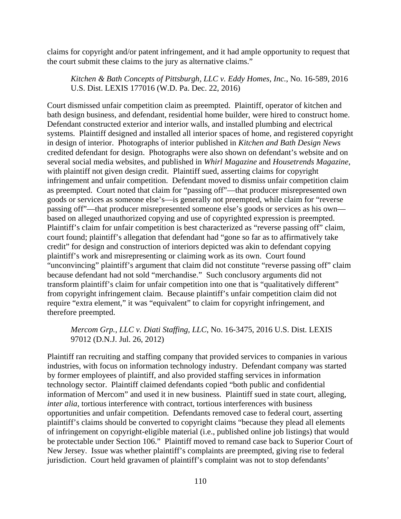claims for copyright and/or patent infringement, and it had ample opportunity to request that the court submit these claims to the jury as alternative claims."

*Kitchen & Bath Concepts of Pittsburgh, LLC v. Eddy Homes, Inc.*, No. 16-589, 2016 U.S. Dist. LEXIS 177016 (W.D. Pa. Dec. 22, 2016)

Court dismissed unfair competition claim as preempted. Plaintiff, operator of kitchen and bath design business, and defendant, residential home builder, were hired to construct home. Defendant constructed exterior and interior walls, and installed plumbing and electrical systems. Plaintiff designed and installed all interior spaces of home, and registered copyright in design of interior. Photographs of interior published in *Kitchen and Bath Design News* credited defendant for design. Photographs were also shown on defendant's website and on several social media websites, and published in *Whirl Magazine* and *Housetrends Magazine*, with plaintiff not given design credit. Plaintiff sued, asserting claims for copyright infringement and unfair competition. Defendant moved to dismiss unfair competition claim as preempted. Court noted that claim for "passing off"—that producer misrepresented own goods or services as someone else's—is generally not preempted, while claim for "reverse passing off"—that producer misrepresented someone else's goods or services as his own based on alleged unauthorized copying and use of copyrighted expression is preempted. Plaintiff's claim for unfair competition is best characterized as "reverse passing off" claim, court found; plaintiff's allegation that defendant had "gone so far as to affirmatively take credit" for design and construction of interiors depicted was akin to defendant copying plaintiff's work and misrepresenting or claiming work as its own. Court found "unconvincing" plaintiff's argument that claim did not constitute "reverse passing off" claim because defendant had not sold "merchandise." Such conclusory arguments did not transform plaintiff's claim for unfair competition into one that is "qualitatively different" from copyright infringement claim. Because plaintiff's unfair competition claim did not require "extra element," it was "equivalent" to claim for copyright infringement, and therefore preempted.

## *Mercom Grp., LLC v. Diati Staffing, LLC*, No. 16-3475, 2016 U.S. Dist. LEXIS 97012 (D.N.J. Jul. 26, 2012)

Plaintiff ran recruiting and staffing company that provided services to companies in various industries, with focus on information technology industry. Defendant company was started by former employees of plaintiff, and also provided staffing services in information technology sector. Plaintiff claimed defendants copied "both public and confidential information of Mercom" and used it in new business. Plaintiff sued in state court, alleging, *inter alia*, tortious interference with contract, tortious interferences with business opportunities and unfair competition. Defendants removed case to federal court, asserting plaintiff's claims should be converted to copyright claims "because they plead all elements of infringement on copyright-eligible material (i.e., published online job listings) that would be protectable under Section 106." Plaintiff moved to remand case back to Superior Court of New Jersey. Issue was whether plaintiff's complaints are preempted, giving rise to federal jurisdiction. Court held gravamen of plaintiff's complaint was not to stop defendants'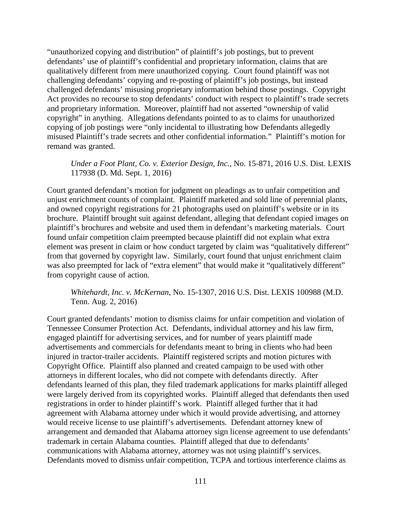"unauthorized copying and distribution" of plaintiff's job postings, but to prevent defendants' use of plaintiff's confidential and proprietary information, claims that are qualitatively different from mere unauthorized copying. Court found plaintiff was not challenging defendants' copying and re-posting of plaintiff's job postings, but instead challenged defendants' misusing proprietary information behind those postings. Copyright Act provides no recourse to stop defendants' conduct with respect to plaintiff's trade secrets and proprietary information. Moreover, plaintiff had not asserted "ownership of valid copyright" in anything. Allegations defendants pointed to as to claims for unauthorized copying of job postings were "only incidental to illustrating how Defendants allegedly misused Plaintiff's trade secrets and other confidential information." Plaintiff's motion for remand was granted.

*Under a Foot Plant, Co. v. Exterior Design, Inc.*, No. 15-871, 2016 U.S. Dist. LEXIS 117938 (D. Md. Sept. 1, 2016)

Court granted defendant's motion for judgment on pleadings as to unfair competition and unjust enrichment counts of complaint. Plaintiff marketed and sold line of perennial plants, and owned copyright registrations for 21 photographs used on plaintiff's website or in its brochure. Plaintiff brought suit against defendant, alleging that defendant copied images on plaintiff's brochures and website and used them in defendant's marketing materials. Court found unfair competition claim preempted because plaintiff did not explain what extra element was present in claim or how conduct targeted by claim was "qualitatively different" from that governed by copyright law. Similarly, court found that unjust enrichment claim was also preempted for lack of "extra element" that would make it "qualitatively different" from copyright cause of action.

*Whitehardt, Inc. v. McKernan*, No. 15-1307, 2016 U.S. Dist. LEXIS 100988 (M.D. Tenn. Aug. 2, 2016)

Court granted defendants' motion to dismiss claims for unfair competition and violation of Tennessee Consumer Protection Act. Defendants, individual attorney and his law firm, engaged plaintiff for advertising services, and for number of years plaintiff made advertisements and commercials for defendants meant to bring in clients who had been injured in tractor-trailer accidents. Plaintiff registered scripts and motion pictures with Copyright Office. Plaintiff also planned and created campaign to be used with other attorneys in different locales, who did not compete with defendants directly. After defendants learned of this plan, they filed trademark applications for marks plaintiff alleged were largely derived from its copyrighted works. Plaintiff alleged that defendants then used registrations in order to hinder plaintiff's work. Plaintiff alleged further that it had agreement with Alabama attorney under which it would provide advertising, and attorney would receive license to use plaintiff's advertisements. Defendant attorney knew of arrangement and demanded that Alabama attorney sign license agreement to use defendants' trademark in certain Alabama counties. Plaintiff alleged that due to defendants' communications with Alabama attorney, attorney was not using plaintiff's services. Defendants moved to dismiss unfair competition, TCPA and tortious interference claims as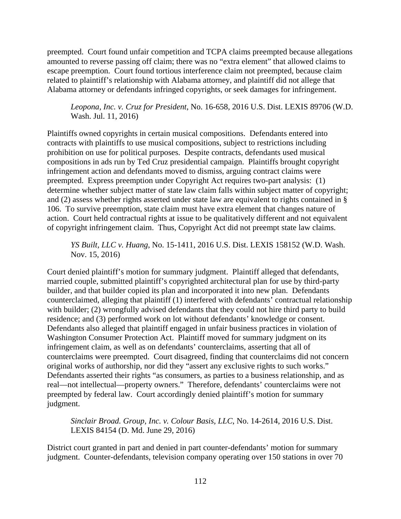preempted. Court found unfair competition and TCPA claims preempted because allegations amounted to reverse passing off claim; there was no "extra element" that allowed claims to escape preemption. Court found tortious interference claim not preempted, because claim related to plaintiff's relationship with Alabama attorney, and plaintiff did not allege that Alabama attorney or defendants infringed copyrights, or seek damages for infringement.

*Leopona, Inc. v. Cruz for President*, No. 16-658, 2016 U.S. Dist. LEXIS 89706 (W.D. Wash. Jul. 11, 2016)

Plaintiffs owned copyrights in certain musical compositions. Defendants entered into contracts with plaintiffs to use musical compositions, subject to restrictions including prohibition on use for political purposes. Despite contracts, defendants used musical compositions in ads run by Ted Cruz presidential campaign. Plaintiffs brought copyright infringement action and defendants moved to dismiss, arguing contract claims were preempted. Express preemption under Copyright Act requires two-part analysis: (1) determine whether subject matter of state law claim falls within subject matter of copyright; and (2) assess whether rights asserted under state law are equivalent to rights contained in § 106. To survive preemption, state claim must have extra element that changes nature of action. Court held contractual rights at issue to be qualitatively different and not equivalent of copyright infringement claim. Thus, Copyright Act did not preempt state law claims.

*YS Built, LLC v. Huang*, No. 15-1411, 2016 U.S. Dist. LEXIS 158152 (W.D. Wash. Nov. 15, 2016)

Court denied plaintiff's motion for summary judgment. Plaintiff alleged that defendants, married couple, submitted plaintiff's copyrighted architectural plan for use by third-party builder, and that builder copied its plan and incorporated it into new plan. Defendants counterclaimed, alleging that plaintiff (1) interfered with defendants' contractual relationship with builder; (2) wrongfully advised defendants that they could not hire third party to build residence; and (3) performed work on lot without defendants' knowledge or consent. Defendants also alleged that plaintiff engaged in unfair business practices in violation of Washington Consumer Protection Act. Plaintiff moved for summary judgment on its infringement claim, as well as on defendants' counterclaims, asserting that all of counterclaims were preempted. Court disagreed, finding that counterclaims did not concern original works of authorship, nor did they "assert any exclusive rights to such works." Defendants asserted their rights "as consumers, as parties to a business relationship, and as real—not intellectual—property owners." Therefore, defendants' counterclaims were not preempted by federal law. Court accordingly denied plaintiff's motion for summary judgment.

*Sinclair Broad. Group, Inc. v. Colour Basis, LLC*, No. 14-2614, 2016 U.S. Dist. LEXIS 84154 (D. Md. June 29, 2016)

District court granted in part and denied in part counter-defendants' motion for summary judgment. Counter-defendants, television company operating over 150 stations in over 70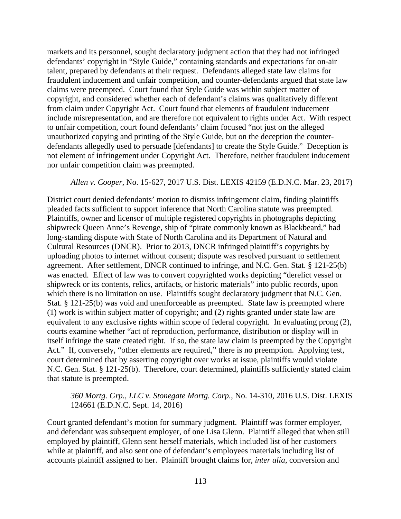markets and its personnel, sought declaratory judgment action that they had not infringed defendants' copyright in "Style Guide," containing standards and expectations for on-air talent, prepared by defendants at their request. Defendants alleged state law claims for fraudulent inducement and unfair competition, and counter-defendants argued that state law claims were preempted. Court found that Style Guide was within subject matter of copyright, and considered whether each of defendant's claims was qualitatively different from claim under Copyright Act. Court found that elements of fraudulent inducement include misrepresentation, and are therefore not equivalent to rights under Act. With respect to unfair competition, court found defendants' claim focused "not just on the alleged unauthorized copying and printing of the Style Guide, but on the deception the counterdefendants allegedly used to persuade [defendants] to create the Style Guide." Deception is not element of infringement under Copyright Act. Therefore, neither fraudulent inducement nor unfair competition claim was preempted.

### *Allen v. Cooper*, No. 15-627, 2017 U.S. Dist. LEXIS 42159 (E.D.N.C. Mar. 23, 2017)

District court denied defendants' motion to dismiss infringement claim, finding plaintiffs pleaded facts sufficient to support inference that North Carolina statute was preempted. Plaintiffs, owner and licensor of multiple registered copyrights in photographs depicting shipwreck Queen Anne's Revenge, ship of "pirate commonly known as Blackbeard," had long-standing dispute with State of North Carolina and its Department of Natural and Cultural Resources (DNCR). Prior to 2013, DNCR infringed plaintiff's copyrights by uploading photos to internet without consent; dispute was resolved pursuant to settlement agreement. After settlement, DNCR continued to infringe, and N.C. Gen. Stat. § 121-25(b) was enacted. Effect of law was to convert copyrighted works depicting "derelict vessel or shipwreck or its contents, relics, artifacts, or historic materials" into public records, upon which there is no limitation on use. Plaintiffs sought declaratory judgment that N.C. Gen. Stat. § 121-25(b) was void and unenforceable as preempted. State law is preempted where (1) work is within subject matter of copyright; and (2) rights granted under state law are equivalent to any exclusive rights within scope of federal copyright. In evaluating prong (2), courts examine whether "act of reproduction, performance, distribution or display will in itself infringe the state created right. If so, the state law claim is preempted by the Copyright Act." If, conversely, "other elements are required," there is no preemption. Applying test, court determined that by asserting copyright over works at issue, plaintiffs would violate N.C. Gen. Stat. § 121-25(b). Therefore, court determined, plaintiffs sufficiently stated claim that statute is preempted.

### *360 Mortg. Grp., LLC v. Stonegate Mortg. Corp.*, No. 14-310, 2016 U.S. Dist. LEXIS 124661 (E.D.N.C. Sept. 14, 2016)

Court granted defendant's motion for summary judgment. Plaintiff was former employer, and defendant was subsequent employer, of one Lisa Glenn. Plaintiff alleged that when still employed by plaintiff, Glenn sent herself materials, which included list of her customers while at plaintiff, and also sent one of defendant's employees materials including list of accounts plaintiff assigned to her. Plaintiff brought claims for, *inter alia*, conversion and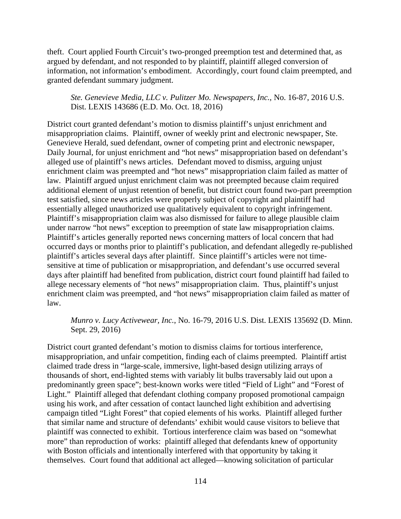theft. Court applied Fourth Circuit's two-pronged preemption test and determined that, as argued by defendant, and not responded to by plaintiff, plaintiff alleged conversion of information, not information's embodiment. Accordingly, court found claim preempted, and granted defendant summary judgment.

### *Ste. Genevieve Media, LLC v. Pulitzer Mo. Newspapers, Inc.*, No. 16-87, 2016 U.S. Dist. LEXIS 143686 (E.D. Mo. Oct. 18, 2016)

District court granted defendant's motion to dismiss plaintiff's unjust enrichment and misappropriation claims. Plaintiff, owner of weekly print and electronic newspaper, Ste. Genevieve Herald, sued defendant, owner of competing print and electronic newspaper, Daily Journal, for unjust enrichment and "hot news" misappropriation based on defendant's alleged use of plaintiff's news articles. Defendant moved to dismiss, arguing unjust enrichment claim was preempted and "hot news" misappropriation claim failed as matter of law. Plaintiff argued unjust enrichment claim was not preempted because claim required additional element of unjust retention of benefit, but district court found two-part preemption test satisfied, since news articles were properly subject of copyright and plaintiff had essentially alleged unauthorized use qualitatively equivalent to copyright infringement. Plaintiff's misappropriation claim was also dismissed for failure to allege plausible claim under narrow "hot news" exception to preemption of state law misappropriation claims. Plaintiff's articles generally reported news concerning matters of local concern that had occurred days or months prior to plaintiff's publication, and defendant allegedly re-published plaintiff's articles several days after plaintiff. Since plaintiff's articles were not timesensitive at time of publication or misappropriation, and defendant's use occurred several days after plaintiff had benefited from publication, district court found plaintiff had failed to allege necessary elements of "hot news" misappropriation claim. Thus, plaintiff's unjust enrichment claim was preempted, and "hot news" misappropriation claim failed as matter of law.

### *Munro v. Lucy Activewear, Inc.*, No. 16-79, 2016 U.S. Dist. LEXIS 135692 (D. Minn. Sept. 29, 2016)

District court granted defendant's motion to dismiss claims for tortious interference, misappropriation, and unfair competition, finding each of claims preempted. Plaintiff artist claimed trade dress in "large-scale, immersive, light-based design utilizing arrays of thousands of short, end-lighted stems with variably lit bulbs traversably laid out upon a predominantly green space"; best-known works were titled "Field of Light" and "Forest of Light." Plaintiff alleged that defendant clothing company proposed promotional campaign using his work, and after cessation of contact launched light exhibition and advertising campaign titled "Light Forest" that copied elements of his works. Plaintiff alleged further that similar name and structure of defendants' exhibit would cause visitors to believe that plaintiff was connected to exhibit. Tortious interference claim was based on "somewhat more" than reproduction of works: plaintiff alleged that defendants knew of opportunity with Boston officials and intentionally interfered with that opportunity by taking it themselves. Court found that additional act alleged—knowing solicitation of particular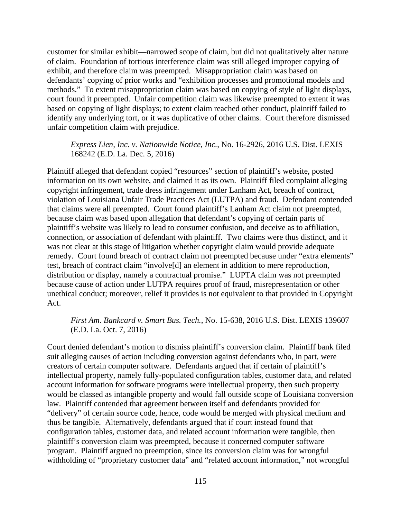customer for similar exhibit—narrowed scope of claim, but did not qualitatively alter nature of claim. Foundation of tortious interference claim was still alleged improper copying of exhibit, and therefore claim was preempted. Misappropriation claim was based on defendants' copying of prior works and "exhibition processes and promotional models and methods." To extent misappropriation claim was based on copying of style of light displays, court found it preempted. Unfair competition claim was likewise preempted to extent it was based on copying of light displays; to extent claim reached other conduct, plaintiff failed to identify any underlying tort, or it was duplicative of other claims. Court therefore dismissed unfair competition claim with prejudice.

#### *Express Lien, Inc. v. Nationwide Notice, Inc.*, No. 16-2926, 2016 U.S. Dist. LEXIS 168242 (E.D. La. Dec. 5, 2016)

Plaintiff alleged that defendant copied "resources" section of plaintiff's website, posted information on its own website, and claimed it as its own. Plaintiff filed complaint alleging copyright infringement, trade dress infringement under Lanham Act, breach of contract, violation of Louisiana Unfair Trade Practices Act (LUTPA) and fraud. Defendant contended that claims were all preempted. Court found plaintiff's Lanham Act claim not preempted, because claim was based upon allegation that defendant's copying of certain parts of plaintiff's website was likely to lead to consumer confusion, and deceive as to affiliation, connection, or association of defendant with plaintiff. Two claims were thus distinct, and it was not clear at this stage of litigation whether copyright claim would provide adequate remedy. Court found breach of contract claim not preempted because under "extra elements" test, breach of contract claim "involve[d] an element in addition to mere reproduction, distribution or display, namely a contractual promise." LUPTA claim was not preempted because cause of action under LUTPA requires proof of fraud, misrepresentation or other unethical conduct; moreover, relief it provides is not equivalent to that provided in Copyright Act.

## *First Am. Bankcard v. Smart Bus. Tech.*, No. 15-638, 2016 U.S. Dist. LEXIS 139607 (E.D. La. Oct. 7, 2016)

Court denied defendant's motion to dismiss plaintiff's conversion claim. Plaintiff bank filed suit alleging causes of action including conversion against defendants who, in part, were creators of certain computer software. Defendants argued that if certain of plaintiff's intellectual property, namely fully-populated configuration tables, customer data, and related account information for software programs were intellectual property, then such property would be classed as intangible property and would fall outside scope of Louisiana conversion law. Plaintiff contended that agreement between itself and defendants provided for "delivery" of certain source code, hence, code would be merged with physical medium and thus be tangible. Alternatively, defendants argued that if court instead found that configuration tables, customer data, and related account information were tangible, then plaintiff's conversion claim was preempted, because it concerned computer software program. Plaintiff argued no preemption, since its conversion claim was for wrongful withholding of "proprietary customer data" and "related account information," not wrongful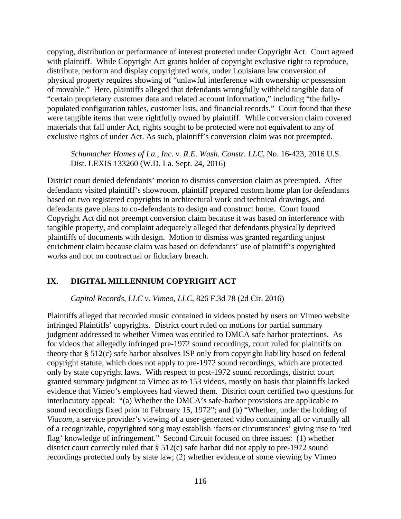copying, distribution or performance of interest protected under Copyright Act. Court agreed with plaintiff. While Copyright Act grants holder of copyright exclusive right to reproduce, distribute, perform and display copyrighted work, under Louisiana law conversion of physical property requires showing of "unlawful interference with ownership or possession of movable." Here, plaintiffs alleged that defendants wrongfully withheld tangible data of "certain proprietary customer data and related account information," including "the fullypopulated configuration tables, customer lists, and financial records." Court found that these were tangible items that were rightfully owned by plaintiff. While conversion claim covered materials that fall under Act, rights sought to be protected were not equivalent to any of exclusive rights of under Act. As such, plaintiff's conversion claim was not preempted.

*Schumacher Homes of La., Inc. v. R.E. Wash. Constr. LLC*, No. 16-423, 2016 U.S. Dist. LEXIS 133260 (W.D. La. Sept. 24, 2016)

District court denied defendants' motion to dismiss conversion claim as preempted. After defendants visited plaintiff's showroom, plaintiff prepared custom home plan for defendants based on two registered copyrights in architectural work and technical drawings, and defendants gave plans to co-defendants to design and construct home. Court found Copyright Act did not preempt conversion claim because it was based on interference with tangible property, and complaint adequately alleged that defendants physically deprived plaintiffs of documents with design. Motion to dismiss was granted regarding unjust enrichment claim because claim was based on defendants' use of plaintiff's copyrighted works and not on contractual or fiduciary breach.

# **IX. DIGITAL MILLENNIUM COPYRIGHT ACT**

*Capitol Records, LLC v. Vimeo, LLC*, 826 F.3d 78 (2d Cir. 2016)

Plaintiffs alleged that recorded music contained in videos posted by users on Vimeo website infringed Plaintiffs' copyrights. District court ruled on motions for partial summary judgment addressed to whether Vimeo was entitled to DMCA safe harbor protections. As for videos that allegedly infringed pre-1972 sound recordings, court ruled for plaintiffs on theory that § 512(c) safe harbor absolves ISP only from copyright liability based on federal copyright statute, which does not apply to pre-1972 sound recordings, which are protected only by state copyright laws. With respect to post-1972 sound recordings, district court granted summary judgment to Vimeo as to 153 videos, mostly on basis that plaintiffs lacked evidence that Vimeo's employees had viewed them. District court certified two questions for interlocutory appeal: "(a) Whether the DMCA's safe-harbor provisions are applicable to sound recordings fixed prior to February 15, 1972"; and (b) "Whether, under the holding of *Viacom*, a service provider's viewing of a user-generated video containing all or virtually all of a recognizable, copyrighted song may establish 'facts or circumstances' giving rise to 'red flag' knowledge of infringement." Second Circuit focused on three issues: (1) whether district court correctly ruled that § 512(c) safe harbor did not apply to pre-1972 sound recordings protected only by state law; (2) whether evidence of some viewing by Vimeo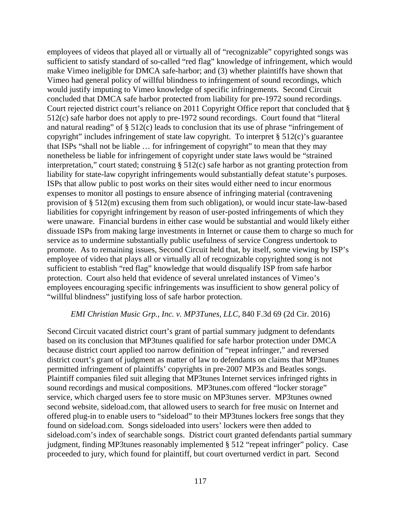employees of videos that played all or virtually all of "recognizable" copyrighted songs was sufficient to satisfy standard of so-called "red flag" knowledge of infringement, which would make Vimeo ineligible for DMCA safe-harbor; and (3) whether plaintiffs have shown that Vimeo had general policy of willful blindness to infringement of sound recordings, which would justify imputing to Vimeo knowledge of specific infringements. Second Circuit concluded that DMCA safe harbor protected from liability for pre-1972 sound recordings. Court rejected district court's reliance on 2011 Copyright Office report that concluded that § 512(c) safe harbor does not apply to pre-1972 sound recordings. Court found that "literal and natural reading" of  $\S$  512(c) leads to conclusion that its use of phrase "infringement of copyright" includes infringement of state law copyright. To interpret § 512(c)'s guarantee that ISPs "shall not be liable … for infringement of copyright" to mean that they may nonetheless be liable for infringement of copyright under state laws would be "strained interpretation," court stated; construing § 512(c) safe harbor as not granting protection from liability for state-law copyright infringements would substantially defeat statute's purposes. ISPs that allow public to post works on their sites would either need to incur enormous expenses to monitor all postings to ensure absence of infringing material (contravening provision of § 512(m) excusing them from such obligation), or would incur state-law-based liabilities for copyright infringement by reason of user-posted infringements of which they were unaware. Financial burdens in either case would be substantial and would likely either dissuade ISPs from making large investments in Internet or cause them to charge so much for service as to undermine substantially public usefulness of service Congress undertook to promote. As to remaining issues, Second Circuit held that, by itself, some viewing by ISP's employee of video that plays all or virtually all of recognizable copyrighted song is not sufficient to establish "red flag" knowledge that would disqualify ISP from safe harbor protection. Court also held that evidence of several unrelated instances of Vimeo's employees encouraging specific infringements was insufficient to show general policy of "willful blindness" justifying loss of safe harbor protection.

#### *EMI Christian Music Grp., Inc. v. MP3Tunes, LLC*, 840 F.3d 69 (2d Cir. 2016)

Second Circuit vacated district court's grant of partial summary judgment to defendants based on its conclusion that MP3tunes qualified for safe harbor protection under DMCA because district court applied too narrow definition of "repeat infringer," and reversed district court's grant of judgment as matter of law to defendants on claims that MP3tunes permitted infringement of plaintiffs' copyrights in pre-2007 MP3s and Beatles songs. Plaintiff companies filed suit alleging that MP3tunes Internet services infringed rights in sound recordings and musical compositions. MP3tunes.com offered "locker storage" service, which charged users fee to store music on MP3tunes server. MP3tunes owned second website, sideload.com, that allowed users to search for free music on Internet and offered plug-in to enable users to "sideload" to their MP3tunes lockers free songs that they found on sideload.com. Songs sideloaded into users' lockers were then added to sideload.com's index of searchable songs. District court granted defendants partial summary judgment, finding MP3tunes reasonably implemented § 512 "repeat infringer" policy. Case proceeded to jury, which found for plaintiff, but court overturned verdict in part. Second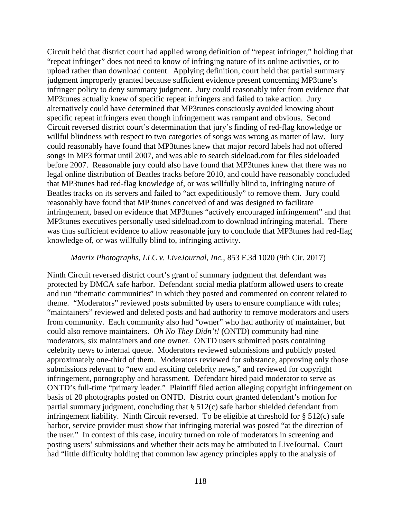Circuit held that district court had applied wrong definition of "repeat infringer," holding that "repeat infringer" does not need to know of infringing nature of its online activities, or to upload rather than download content. Applying definition, court held that partial summary judgment improperly granted because sufficient evidence present concerning MP3tune's infringer policy to deny summary judgment. Jury could reasonably infer from evidence that MP3tunes actually knew of specific repeat infringers and failed to take action. Jury alternatively could have determined that MP3tunes consciously avoided knowing about specific repeat infringers even though infringement was rampant and obvious. Second Circuit reversed district court's determination that jury's finding of red-flag knowledge or willful blindness with respect to two categories of songs was wrong as matter of law. Jury could reasonably have found that MP3tunes knew that major record labels had not offered songs in MP3 format until 2007, and was able to search sideload.com for files sideloaded before 2007. Reasonable jury could also have found that MP3tunes knew that there was no legal online distribution of Beatles tracks before 2010, and could have reasonably concluded that MP3tunes had red-flag knowledge of, or was willfully blind to, infringing nature of Beatles tracks on its servers and failed to "act expeditiously" to remove them. Jury could reasonably have found that MP3tunes conceived of and was designed to facilitate infringement, based on evidence that MP3tunes "actively encouraged infringement" and that MP3tunes executives personally used sideload.com to download infringing material. There was thus sufficient evidence to allow reasonable jury to conclude that MP3tunes had red-flag knowledge of, or was willfully blind to, infringing activity.

#### *Mavrix Photographs, LLC v. LiveJournal, Inc.*, 853 F.3d 1020 (9th Cir. 2017)

Ninth Circuit reversed district court's grant of summary judgment that defendant was protected by DMCA safe harbor. Defendant social media platform allowed users to create and run "thematic communities" in which they posted and commented on content related to theme. "Moderators" reviewed posts submitted by users to ensure compliance with rules; "maintainers" reviewed and deleted posts and had authority to remove moderators and users from community. Each community also had "owner" who had authority of maintainer, but could also remove maintainers. *Oh No They Didn't!* (ONTD) community had nine moderators, six maintainers and one owner. ONTD users submitted posts containing celebrity news to internal queue. Moderators reviewed submissions and publicly posted approximately one-third of them. Moderators reviewed for substance, approving only those submissions relevant to "new and exciting celebrity news," and reviewed for copyright infringement, pornography and harassment. Defendant hired paid moderator to serve as ONTD's full-time "primary leader." Plaintiff filed action alleging copyright infringement on basis of 20 photographs posted on ONTD. District court granted defendant's motion for partial summary judgment, concluding that § 512(c) safe harbor shielded defendant from infringement liability. Ninth Circuit reversed. To be eligible at threshold for § 512(c) safe harbor, service provider must show that infringing material was posted "at the direction of the user." In context of this case, inquiry turned on role of moderators in screening and posting users' submissions and whether their acts may be attributed to LiveJournal. Court had "little difficulty holding that common law agency principles apply to the analysis of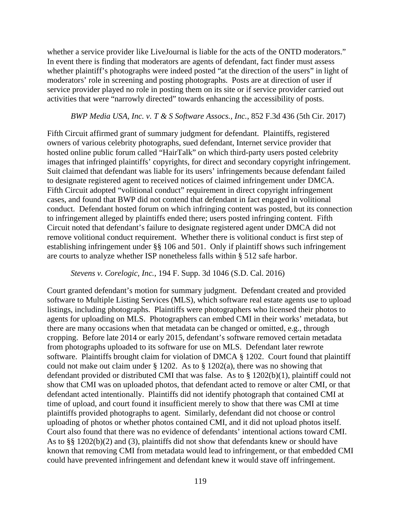whether a service provider like LiveJournal is liable for the acts of the ONTD moderators." In event there is finding that moderators are agents of defendant, fact finder must assess whether plaintiff's photographs were indeed posted "at the direction of the users" in light of moderators' role in screening and posting photographs. Posts are at direction of user if service provider played no role in posting them on its site or if service provider carried out activities that were "narrowly directed" towards enhancing the accessibility of posts.

## *BWP Media USA, Inc. v. T & S Software Assocs., Inc.*, 852 F.3d 436 (5th Cir. 2017)

Fifth Circuit affirmed grant of summary judgment for defendant. Plaintiffs, registered owners of various celebrity photographs, sued defendant, Internet service provider that hosted online public forum called "HairTalk" on which third-party users posted celebrity images that infringed plaintiffs' copyrights, for direct and secondary copyright infringement. Suit claimed that defendant was liable for its users' infringements because defendant failed to designate registered agent to received notices of claimed infringement under DMCA. Fifth Circuit adopted "volitional conduct" requirement in direct copyright infringement cases, and found that BWP did not contend that defendant in fact engaged in volitional conduct. Defendant hosted forum on which infringing content was posted, but its connection to infringement alleged by plaintiffs ended there; users posted infringing content. Fifth Circuit noted that defendant's failure to designate registered agent under DMCA did not remove volitional conduct requirement. Whether there is volitional conduct is first step of establishing infringement under §§ 106 and 501. Only if plaintiff shows such infringement are courts to analyze whether ISP nonetheless falls within § 512 safe harbor.

#### *Stevens v. Corelogic, Inc.*, 194 F. Supp. 3d 1046 (S.D. Cal. 2016)

Court granted defendant's motion for summary judgment. Defendant created and provided software to Multiple Listing Services (MLS), which software real estate agents use to upload listings, including photographs. Plaintiffs were photographers who licensed their photos to agents for uploading on MLS. Photographers can embed CMI in their works' metadata, but there are many occasions when that metadata can be changed or omitted, e.g., through cropping. Before late 2014 or early 2015, defendant's software removed certain metadata from photographs uploaded to its software for use on MLS. Defendant later rewrote software. Plaintiffs brought claim for violation of DMCA § 1202. Court found that plaintiff could not make out claim under  $\S 1202$ . As to  $\S 1202(a)$ , there was no showing that defendant provided or distributed CMI that was false. As to § 1202(b)(1), plaintiff could not show that CMI was on uploaded photos, that defendant acted to remove or alter CMI, or that defendant acted intentionally. Plaintiffs did not identify photograph that contained CMI at time of upload, and court found it insufficient merely to show that there was CMI at time plaintiffs provided photographs to agent. Similarly, defendant did not choose or control uploading of photos or whether photos contained CMI, and it did not upload photos itself. Court also found that there was no evidence of defendants' intentional actions toward CMI. As to §§ 1202(b)(2) and (3), plaintiffs did not show that defendants knew or should have known that removing CMI from metadata would lead to infringement, or that embedded CMI could have prevented infringement and defendant knew it would stave off infringement.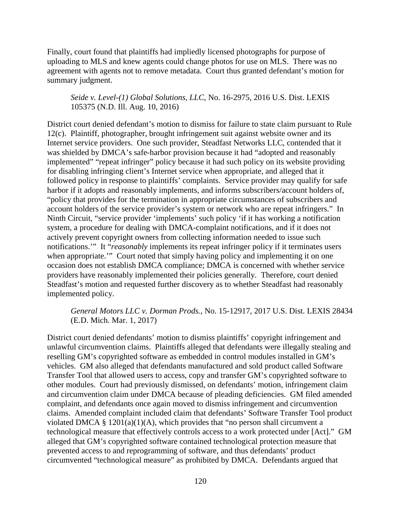Finally, court found that plaintiffs had impliedly licensed photographs for purpose of uploading to MLS and knew agents could change photos for use on MLS. There was no agreement with agents not to remove metadata. Court thus granted defendant's motion for summary judgment.

### *Seide v. Level-(1) Global Solutions, LLC*, No. 16-2975, 2016 U.S. Dist. LEXIS 105375 (N.D. Ill. Aug. 10, 2016)

District court denied defendant's motion to dismiss for failure to state claim pursuant to Rule 12(c). Plaintiff, photographer, brought infringement suit against website owner and its Internet service providers. One such provider, Steadfast Networks LLC, contended that it was shielded by DMCA's safe-harbor provision because it had "adopted and reasonably implemented" "repeat infringer" policy because it had such policy on its website providing for disabling infringing client's Internet service when appropriate, and alleged that it followed policy in response to plaintiffs' complaints. Service provider may qualify for safe harbor if it adopts and reasonably implements, and informs subscribers/account holders of, "policy that provides for the termination in appropriate circumstances of subscribers and account holders of the service provider's system or network who are repeat infringers." In Ninth Circuit, "service provider 'implements' such policy 'if it has working a notification system, a procedure for dealing with DMCA-complaint notifications, and if it does not actively prevent copyright owners from collecting information needed to issue such notifications.'" It "*reasonably* implements its repeat infringer policy if it terminates users when appropriate." Court noted that simply having policy and implementing it on one occasion does not establish DMCA compliance; DMCA is concerned with whether service providers have reasonably implemented their policies generally. Therefore, court denied Steadfast's motion and requested further discovery as to whether Steadfast had reasonably implemented policy.

### *General Motors LLC v. Dorman Prods.*, No. 15-12917, 2017 U.S. Dist. LEXIS 28434 (E.D. Mich. Mar. 1, 2017)

District court denied defendants' motion to dismiss plaintiffs' copyright infringement and unlawful circumvention claims. Plaintiffs alleged that defendants were illegally stealing and reselling GM's copyrighted software as embedded in control modules installed in GM's vehicles. GM also alleged that defendants manufactured and sold product called Software Transfer Tool that allowed users to access, copy and transfer GM's copyrighted software to other modules. Court had previously dismissed, on defendants' motion, infringement claim and circumvention claim under DMCA because of pleading deficiencies. GM filed amended complaint, and defendants once again moved to dismiss infringement and circumvention claims. Amended complaint included claim that defendants' Software Transfer Tool product violated DMCA §  $1201(a)(1)(A)$ , which provides that "no person shall circumvent a technological measure that effectively controls access to a work protected under [Act]." GM alleged that GM's copyrighted software contained technological protection measure that prevented access to and reprogramming of software, and thus defendants' product circumvented "technological measure" as prohibited by DMCA. Defendants argued that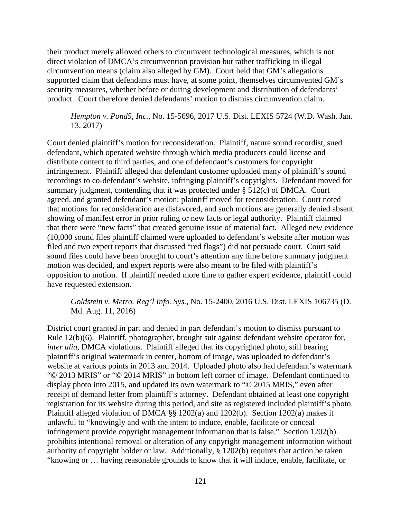their product merely allowed others to circumvent technological measures, which is not direct violation of DMCA's circumvention provision but rather trafficking in illegal circumvention means (claim also alleged by GM). Court held that GM's allegations supported claim that defendants must have, at some point, themselves circumvented GM's security measures, whether before or during development and distribution of defendants' product. Court therefore denied defendants' motion to dismiss circumvention claim.

*Hempton v. Pond5, Inc.*, No. 15-5696, 2017 U.S. Dist. LEXIS 5724 (W.D. Wash. Jan. 13, 2017)

Court denied plaintiff's motion for reconsideration. Plaintiff, nature sound recordist, sued defendant, which operated website through which media producers could license and distribute content to third parties, and one of defendant's customers for copyright infringement. Plaintiff alleged that defendant customer uploaded many of plaintiff's sound recordings to co-defendant's website, infringing plaintiff's copyrights. Defendant moved for summary judgment, contending that it was protected under § 512(c) of DMCA. Court agreed, and granted defendant's motion; plaintiff moved for reconsideration. Court noted that motions for reconsideration are disfavored, and such motions are generally denied absent showing of manifest error in prior ruling or new facts or legal authority. Plaintiff claimed that there were "new facts" that created genuine issue of material fact. Alleged new evidence (10,000 sound files plaintiff claimed were uploaded to defendant's website after motion was filed and two expert reports that discussed "red flags") did not persuade court. Court said sound files could have been brought to court's attention any time before summary judgment motion was decided, and expert reports were also meant to be filed with plaintiff's opposition to motion. If plaintiff needed more time to gather expert evidence, plaintiff could have requested extension.

*Goldstein v. Metro. Reg'l Info. Sys.*, No. 15-2400, 2016 U.S. Dist. LEXIS 106735 (D. Md. Aug. 11, 2016)

District court granted in part and denied in part defendant's motion to dismiss pursuant to Rule 12(b)(6). Plaintiff, photographer, brought suit against defendant website operator for, *inter alia*, DMCA violations. Plaintiff alleged that its copyrighted photo, still bearing plaintiff's original watermark in center, bottom of image, was uploaded to defendant's website at various points in 2013 and 2014. Uploaded photo also had defendant's watermark "© 2013 MRIS" or "© 2014 MRIS" in bottom left corner of image. Defendant continued to display photo into 2015, and updated its own watermark to "© 2015 MRIS," even after receipt of demand letter from plaintiff's attorney. Defendant obtained at least one copyright registration for its website during this period, and site as registered included plaintiff's photo. Plaintiff alleged violation of DMCA §§ 1202(a) and 1202(b). Section 1202(a) makes it unlawful to "knowingly and with the intent to induce, enable, facilitate or conceal infringement provide copyright management information that is false." Section 1202(b) prohibits intentional removal or alteration of any copyright management information without authority of copyright holder or law. Additionally, § 1202(b) requires that action be taken "knowing or … having reasonable grounds to know that it will induce, enable, facilitate, or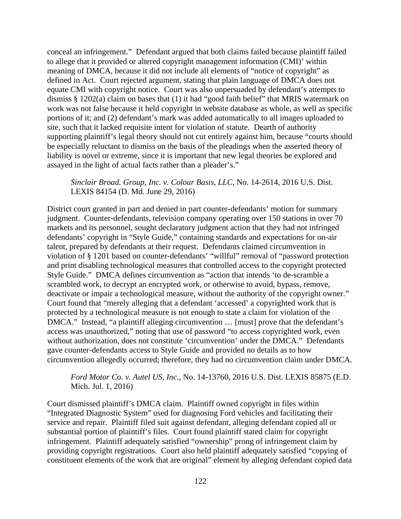conceal an infringement." Defendant argued that both claims failed because plaintiff failed to allege that it provided or altered copyright management information (CMI)' within meaning of DMCA, because it did not include all elements of "notice of copyright" as defined in Act. Court rejected argument, stating that plain language of DMCA does not equate CMI with copyright notice. Court was also unpersuaded by defendant's attempts to dismiss § 1202(a) claim on bases that (1) it had "good faith belief" that MRIS watermark on work was not false because it held copyright in website database as whole, as well as specific portions of it; and (2) defendant's mark was added automatically to all images uploaded to site, such that it lacked requisite intent for violation of statute. Dearth of authority supporting plaintiff's legal theory should not cut entirely against him, because "courts should be especially reluctant to dismiss on the basis of the pleadings when the asserted theory of liability is novel or extreme, since it is important that new legal theories be explored and assayed in the light of actual facts rather than a pleader's."

*Sinclair Broad. Group, Inc. v. Colour Basis, LLC*, No. 14-2614, 2016 U.S. Dist. LEXIS 84154 (D. Md. June 29, 2016)

District court granted in part and denied in part counter-defendants' motion for summary judgment. Counter-defendants, television company operating over 150 stations in over 70 markets and its personnel, sought declaratory judgment action that they had not infringed defendants' copyright in "Style Guide," containing standards and expectations for on-air talent, prepared by defendants at their request. Defendants claimed circumvention in violation of § 1201 based on counter-defendants' "willful" removal of "password protection and print disabling technological measures that controlled access to the copyright protected Style Guide." DMCA defines circumvention as "action that intends 'to de-scramble a scrambled work, to decrypt an encrypted work, or otherwise to avoid, bypass, remove, deactivate or impair a technological measure, without the authority of the copyright owner." Court found that "merely alleging that a defendant 'accessed' a copyrighted work that is protected by a technological measure is not enough to state a claim for violation of the DMCA." Instead, "a plaintiff alleging circumvention ... [must] prove that the defendant's access was unauthorized," noting that use of password "to access copyrighted work, even without authorization, does not constitute 'circumvention' under the DMCA." Defendants gave counter-defendants access to Style Guide and provided no details as to how circumvention allegedly occurred; therefore, they had no circumvention claim under DMCA.

*Ford Motor Co. v. Autel US, Inc.*, No. 14-13760, 2016 U.S. Dist. LEXIS 85875 (E.D. Mich. Jul. 1, 2016)

Court dismissed plaintiff's DMCA claim. Plaintiff owned copyright in files within "Integrated Diagnostic System" used for diagnosing Ford vehicles and facilitating their service and repair. Plaintiff filed suit against defendant, alleging defendant copied all or substantial portion of plaintiff's files. Court found plaintiff stated claim for copyright infringement. Plaintiff adequately satisfied "ownership" prong of infringement claim by providing copyright registrations. Court also held plaintiff adequately satisfied "copying of constituent elements of the work that are original" element by alleging defendant copied data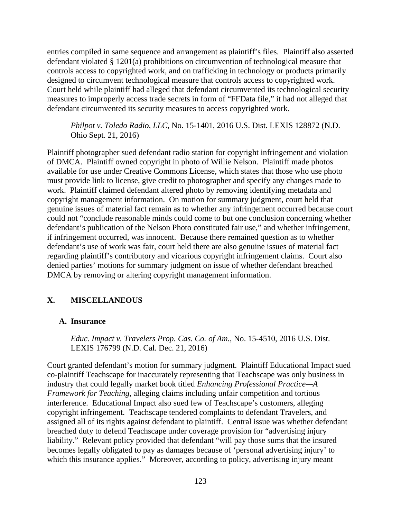entries compiled in same sequence and arrangement as plaintiff's files. Plaintiff also asserted defendant violated § 1201(a) prohibitions on circumvention of technological measure that controls access to copyrighted work, and on trafficking in technology or products primarily designed to circumvent technological measure that controls access to copyrighted work. Court held while plaintiff had alleged that defendant circumvented its technological security measures to improperly access trade secrets in form of "FFData file," it had not alleged that defendant circumvented its security measures to access copyrighted work.

*Philpot v. Toledo Radio, LLC*, No. 15-1401, 2016 U.S. Dist. LEXIS 128872 (N.D. Ohio Sept. 21, 2016)

Plaintiff photographer sued defendant radio station for copyright infringement and violation of DMCA. Plaintiff owned copyright in photo of Willie Nelson. Plaintiff made photos available for use under Creative Commons License, which states that those who use photo must provide link to license, give credit to photographer and specify any changes made to work. Plaintiff claimed defendant altered photo by removing identifying metadata and copyright management information. On motion for summary judgment, court held that genuine issues of material fact remain as to whether any infringement occurred because court could not "conclude reasonable minds could come to but one conclusion concerning whether defendant's publication of the Nelson Photo constituted fair use," and whether infringement, if infringement occurred, was innocent. Because there remained question as to whether defendant's use of work was fair, court held there are also genuine issues of material fact regarding plaintiff's contributory and vicarious copyright infringement claims. Court also denied parties' motions for summary judgment on issue of whether defendant breached DMCA by removing or altering copyright management information.

# **X. MISCELLANEOUS**

## **A. Insurance**

*Educ. Impact v. Travelers Prop. Cas. Co. of Am.*, No. 15-4510, 2016 U.S. Dist. LEXIS 176799 (N.D. Cal. Dec. 21, 2016)

Court granted defendant's motion for summary judgment. Plaintiff Educational Impact sued co-plaintiff Teachscape for inaccurately representing that Teachscape was only business in industry that could legally market book titled *Enhancing Professional Practice—A Framework for Teaching*, alleging claims including unfair competition and tortious interference. Educational Impact also sued few of Teachscape's customers, alleging copyright infringement. Teachscape tendered complaints to defendant Travelers, and assigned all of its rights against defendant to plaintiff. Central issue was whether defendant breached duty to defend Teachscape under coverage provision for "advertising injury liability." Relevant policy provided that defendant "will pay those sums that the insured becomes legally obligated to pay as damages because of 'personal advertising injury' to which this insurance applies." Moreover, according to policy, advertising injury meant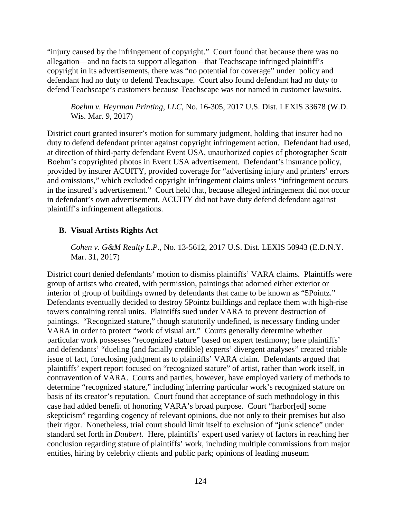"injury caused by the infringement of copyright." Court found that because there was no allegation—and no facts to support allegation—that Teachscape infringed plaintiff's copyright in its advertisements, there was "no potential for coverage" under policy and defendant had no duty to defend Teachscape. Court also found defendant had no duty to defend Teachscape's customers because Teachscape was not named in customer lawsuits.

*Boehm v. Heyrman Printing, LLC*, No. 16-305, 2017 U.S. Dist. LEXIS 33678 (W.D. Wis. Mar. 9, 2017)

District court granted insurer's motion for summary judgment, holding that insurer had no duty to defend defendant printer against copyright infringement action. Defendant had used, at direction of third-party defendant Event USA, unauthorized copies of photographer Scott Boehm's copyrighted photos in Event USA advertisement. Defendant's insurance policy, provided by insurer ACUITY, provided coverage for "advertising injury and printers' errors and omissions," which excluded copyright infringement claims unless "infringement occurs in the insured's advertisement." Court held that, because alleged infringement did not occur in defendant's own advertisement, ACUITY did not have duty defend defendant against plaintiff's infringement allegations.

# **B. Visual Artists Rights Act**

*Cohen v. G&M Realty L.P.*, No. 13-5612, 2017 U.S. Dist. LEXIS 50943 (E.D.N.Y. Mar. 31, 2017)

District court denied defendants' motion to dismiss plaintiffs' VARA claims. Plaintiffs were group of artists who created, with permission, paintings that adorned either exterior or interior of group of buildings owned by defendants that came to be known as "5Pointz." Defendants eventually decided to destroy 5Pointz buildings and replace them with high-rise towers containing rental units. Plaintiffs sued under VARA to prevent destruction of paintings. "Recognized stature," though statutorily undefined, is necessary finding under VARA in order to protect "work of visual art." Courts generally determine whether particular work possesses "recognized stature" based on expert testimony; here plaintiffs' and defendants' "dueling (and facially credible) experts' divergent analyses" created triable issue of fact, foreclosing judgment as to plaintiffs' VARA claim. Defendants argued that plaintiffs' expert report focused on "recognized stature" of artist, rather than work itself, in contravention of VARA. Courts and parties, however, have employed variety of methods to determine "recognized stature," including inferring particular work's recognized stature on basis of its creator's reputation. Court found that acceptance of such methodology in this case had added benefit of honoring VARA's broad purpose. Court "harbor[ed] some skepticism" regarding cogency of relevant opinions, due not only to their premises but also their rigor. Nonetheless, trial court should limit itself to exclusion of "junk science" under standard set forth in *Daubert*. Here, plaintiffs' expert used variety of factors in reaching her conclusion regarding stature of plaintiffs' work, including multiple commissions from major entities, hiring by celebrity clients and public park; opinions of leading museum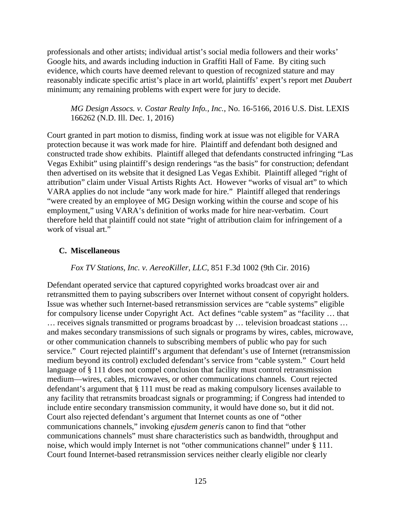professionals and other artists; individual artist's social media followers and their works' Google hits, and awards including induction in Graffiti Hall of Fame. By citing such evidence, which courts have deemed relevant to question of recognized stature and may reasonably indicate specific artist's place in art world, plaintiffs' expert's report met *Daubert* minimum; any remaining problems with expert were for jury to decide.

*MG Design Assocs. v. Costar Realty Info., Inc.*, No. 16-5166, 2016 U.S. Dist. LEXIS 166262 (N.D. Ill. Dec. 1, 2016)

Court granted in part motion to dismiss, finding work at issue was not eligible for VARA protection because it was work made for hire. Plaintiff and defendant both designed and constructed trade show exhibits. Plaintiff alleged that defendants constructed infringing "Las Vegas Exhibit" using plaintiff's design renderings "as the basis" for construction; defendant then advertised on its website that it designed Las Vegas Exhibit. Plaintiff alleged "right of attribution" claim under Visual Artists Rights Act. However "works of visual art" to which VARA applies do not include "any work made for hire." Plaintiff alleged that renderings "were created by an employee of MG Design working within the course and scope of his employment," using VARA's definition of works made for hire near-verbatim. Court therefore held that plaintiff could not state "right of attribution claim for infringement of a work of visual art."

#### **C. Miscellaneous**

*Fox TV Stations, Inc. v. AereoKiller, LLC*, 851 F.3d 1002 (9th Cir. 2016)

Defendant operated service that captured copyrighted works broadcast over air and retransmitted them to paying subscribers over Internet without consent of copyright holders. Issue was whether such Internet-based retransmission services are "cable systems" eligible for compulsory license under Copyright Act. Act defines "cable system" as "facility … that … receives signals transmitted or programs broadcast by … television broadcast stations … and makes secondary transmissions of such signals or programs by wires, cables, microwave, or other communication channels to subscribing members of public who pay for such service." Court rejected plaintiff's argument that defendant's use of Internet (retransmission medium beyond its control) excluded defendant's service from "cable system." Court held language of § 111 does not compel conclusion that facility must control retransmission medium—wires, cables, microwaves, or other communications channels. Court rejected defendant's argument that § 111 must be read as making compulsory licenses available to any facility that retransmits broadcast signals or programming; if Congress had intended to include entire secondary transmission community, it would have done so, but it did not. Court also rejected defendant's argument that Internet counts as one of "other communications channels," invoking *ejusdem generis* canon to find that "other communications channels" must share characteristics such as bandwidth, throughput and noise, which would imply Internet is not "other communications channel" under § 111. Court found Internet-based retransmission services neither clearly eligible nor clearly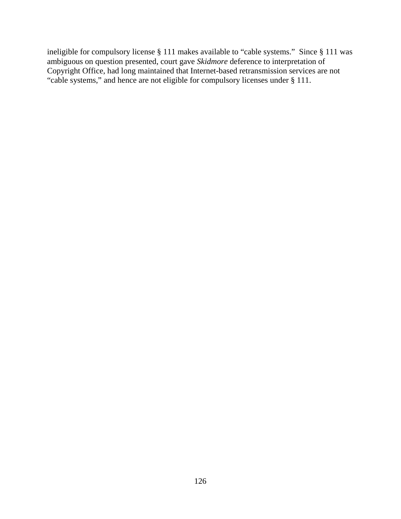ineligible for compulsory license § 111 makes available to "cable systems." Since § 111 was ambiguous on question presented, court gave *Skidmore* deference to interpretation of Copyright Office, had long maintained that Internet-based retransmission services are not "cable systems," and hence are not eligible for compulsory licenses under § 111.